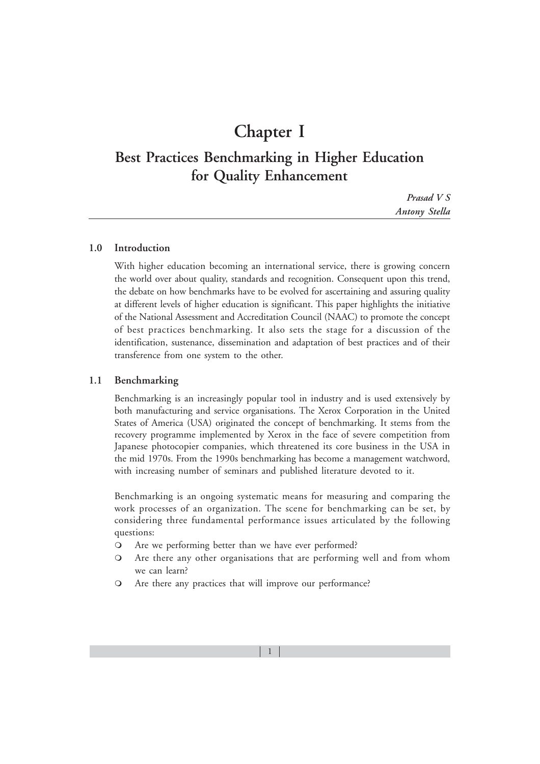# **Chapter I**

# **Best Practices Benchmarking in Higher Education for Quality Enhancement**

*Prasad V S Antony Stella*

# **1.0 Introduction**

With higher education becoming an international service, there is growing concern the world over about quality, standards and recognition. Consequent upon this trend, the debate on how benchmarks have to be evolved for ascertaining and assuring quality at different levels of higher education is significant. This paper highlights the initiative of the National Assessment and Accreditation Council (NAAC) to promote the concept of best practices benchmarking. It also sets the stage for a discussion of the identification, sustenance, dissemination and adaptation of best practices and of their transference from one system to the other.

#### **1.1 Benchmarking**

Benchmarking is an increasingly popular tool in industry and is used extensively by both manufacturing and service organisations. The Xerox Corporation in the United States of America (USA) originated the concept of benchmarking. It stems from the recovery programme implemented by Xerox in the face of severe competition from Japanese photocopier companies, which threatened its core business in the USA in the mid 1970s. From the 1990s benchmarking has become a management watchword, with increasing number of seminars and published literature devoted to it.

Benchmarking is an ongoing systematic means for measuring and comparing the work processes of an organization. The scene for benchmarking can be set, by considering three fundamental performance issues articulated by the following questions:

- Are we performing better than we have ever performed?
- Are there any other organisations that are performing well and from whom we can learn?
- Are there any practices that will improve our performance?

1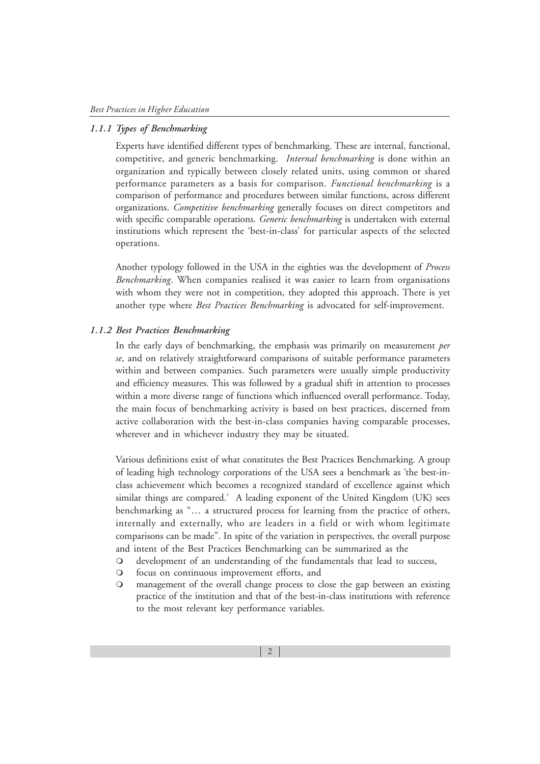# *1.1.1 Types of Benchmarking*

Experts have identified different types of benchmarking. These are internal, functional, competitive, and generic benchmarking. *Internal benchmarking* is done within an organization and typically between closely related units, using common or shared performance parameters as a basis for comparison. *Functional benchmarking* is a comparison of performance and procedures between similar functions, across different organizations. *Competitive benchmarking* generally focuses on direct competitors and with specific comparable operations. *Generic benchmarking* is undertaken with external institutions which represent the 'best-in-class' for particular aspects of the selected operations.

Another typology followed in the USA in the eighties was the development of *Process Benchmarking*. When companies realised it was easier to learn from organisations with whom they were not in competition, they adopted this approach. There is yet another type where *Best Practices Benchmarking* is advocated for self-improvement.

#### *1.1.2 Best Practices Benchmarking*

In the early days of benchmarking, the emphasis was primarily on measurement *per se*, and on relatively straightforward comparisons of suitable performance parameters within and between companies. Such parameters were usually simple productivity and efficiency measures. This was followed by a gradual shift in attention to processes within a more diverse range of functions which influenced overall performance. Today, the main focus of benchmarking activity is based on best practices, discerned from active collaboration with the best-in-class companies having comparable processes, wherever and in whichever industry they may be situated.

Various definitions exist of what constitutes the Best Practices Benchmarking. A group of leading high technology corporations of the USA sees a benchmark as 'the best-inclass achievement which becomes a recognized standard of excellence against which similar things are compared.' A leading exponent of the United Kingdom (UK) sees benchmarking as "… a structured process for learning from the practice of others, internally and externally, who are leaders in a field or with whom legitimate comparisons can be made". In spite of the variation in perspectives, the overall purpose and intent of the Best Practices Benchmarking can be summarized as the

- development of an understanding of the fundamentals that lead to success,
- focus on continuous improvement efforts, and
- management of the overall change process to close the gap between an existing practice of the institution and that of the best-in-class institutions with reference to the most relevant key performance variables.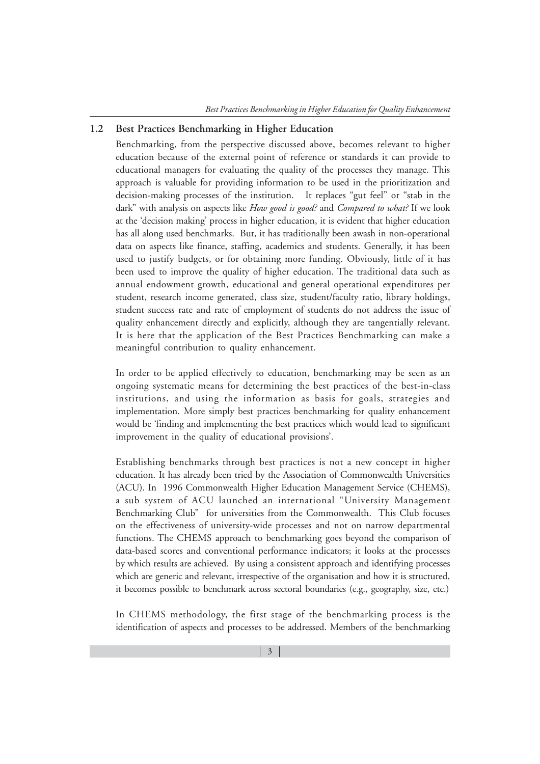# **1.2 Best Practices Benchmarking in Higher Education**

Benchmarking, from the perspective discussed above, becomes relevant to higher education because of the external point of reference or standards it can provide to educational managers for evaluating the quality of the processes they manage. This approach is valuable for providing information to be used in the prioritization and decision-making processes of the institution. It replaces "gut feel" or "stab in the dark" with analysis on aspects like *How good is good?* and *Compared to what?* If we look at the 'decision making' process in higher education, it is evident that higher education has all along used benchmarks. But, it has traditionally been awash in non-operational data on aspects like finance, staffing, academics and students. Generally, it has been used to justify budgets, or for obtaining more funding. Obviously, little of it has been used to improve the quality of higher education. The traditional data such as annual endowment growth, educational and general operational expenditures per student, research income generated, class size, student/faculty ratio, library holdings, student success rate and rate of employment of students do not address the issue of quality enhancement directly and explicitly, although they are tangentially relevant. It is here that the application of the Best Practices Benchmarking can make a meaningful contribution to quality enhancement.

In order to be applied effectively to education, benchmarking may be seen as an ongoing systematic means for determining the best practices of the best-in-class institutions, and using the information as basis for goals, strategies and implementation. More simply best practices benchmarking for quality enhancement would be 'finding and implementing the best practices which would lead to significant improvement in the quality of educational provisions'.

Establishing benchmarks through best practices is not a new concept in higher education. It has already been tried by the Association of Commonwealth Universities (ACU). In 1996 Commonwealth Higher Education Management Service (CHEMS), a sub system of ACU launched an international "University Management Benchmarking Club" for universities from the Commonwealth. This Club focuses on the effectiveness of university-wide processes and not on narrow departmental functions. The CHEMS approach to benchmarking goes beyond the comparison of data-based scores and conventional performance indicators; it looks at the processes by which results are achieved. By using a consistent approach and identifying processes which are generic and relevant, irrespective of the organisation and how it is structured, it becomes possible to benchmark across sectoral boundaries (e.g., geography, size, etc.)

In CHEMS methodology, the first stage of the benchmarking process is the identification of aspects and processes to be addressed. Members of the benchmarking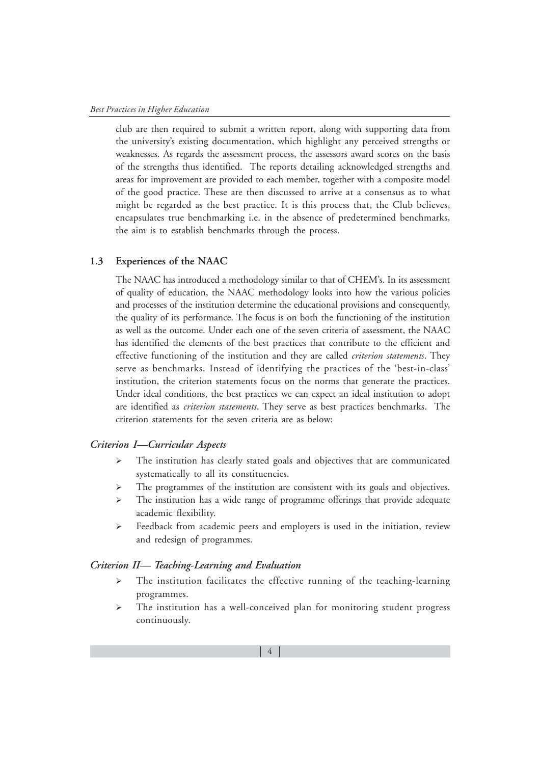club are then required to submit a written report, along with supporting data from the university's existing documentation, which highlight any perceived strengths or weaknesses. As regards the assessment process, the assessors award scores on the basis of the strengths thus identified. The reports detailing acknowledged strengths and areas for improvement are provided to each member, together with a composite model of the good practice. These are then discussed to arrive at a consensus as to what might be regarded as the best practice. It is this process that, the Club believes, encapsulates true benchmarking i.e. in the absence of predetermined benchmarks, the aim is to establish benchmarks through the process.

#### **1.3 Experiences of the NAAC**

The NAAC has introduced a methodology similar to that of CHEM's. In its assessment of quality of education, the NAAC methodology looks into how the various policies and processes of the institution determine the educational provisions and consequently, the quality of its performance. The focus is on both the functioning of the institution as well as the outcome. Under each one of the seven criteria of assessment, the NAAC has identified the elements of the best practices that contribute to the efficient and effective functioning of the institution and they are called *criterion statements*. They serve as benchmarks. Instead of identifying the practices of the 'best-in-class' institution, the criterion statements focus on the norms that generate the practices. Under ideal conditions, the best practices we can expect an ideal institution to adopt are identified as *criterion statements*. They serve as best practices benchmarks. The criterion statements for the seven criteria are as below:

#### *Criterion I—Curricular Aspects*

- $\blacktriangleright$  The institution has clearly stated goals and objectives that are communicated systematically to all its constituencies.
- $\triangleright$ The programmes of the institution are consistent with its goals and objectives.
- $\blacktriangleright$  The institution has a wide range of programme offerings that provide adequate academic flexibility.
- $\blacktriangleright$  Feedback from academic peers and employers is used in the initiation, review and redesign of programmes.

#### *Criterion II— Teaching-Learning and Evaluation*

- $\blacktriangleright$  The institution facilitates the effective running of the teaching-learning programmes.
- $\blacktriangleright$  The institution has a well-conceived plan for monitoring student progress continuously.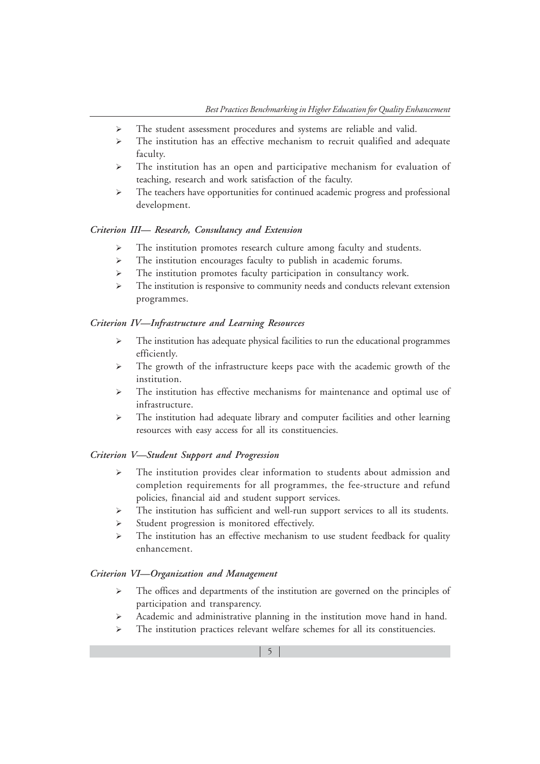- $\triangleright$ The student assessment procedures and systems are reliable and valid.
- $\blacktriangleright$  The institution has an effective mechanism to recruit qualified and adequate faculty.
- $\blacktriangleright$  The institution has an open and participative mechanism for evaluation of teaching, research and work satisfaction of the faculty.
- $\blacktriangleright$  The teachers have opportunities for continued academic progress and professional development.

## *Criterion III— Research, Consultancy and Extension*

- -The institution promotes research culture among faculty and students.
- $\blacktriangleright$ The institution encourages faculty to publish in academic forums.
- -The institution promotes faculty participation in consultancy work.
- $\triangleright$  The institution is responsive to community needs and conducts relevant extension programmes.

#### *Criterion IV—Infrastructure and Learning Resources*

- $\blacktriangleright$  The institution has adequate physical facilities to run the educational programmes efficiently.
- $\blacktriangleright$  The growth of the infrastructure keeps pace with the academic growth of the institution.
- $\triangleright$  The institution has effective mechanisms for maintenance and optimal use of infrastructure.
- $\blacktriangleright$  The institution had adequate library and computer facilities and other learning resources with easy access for all its constituencies.

#### *Criterion V—Student Support and Progression*

- $\blacktriangleright$  The institution provides clear information to students about admission and completion requirements for all programmes, the fee-structure and refund policies, financial aid and student support services.
- $\triangleright$ The institution has sufficient and well-run support services to all its students.
- $\blacktriangleright$ Student progression is monitored effectively.
- $\blacktriangleright$  The institution has an effective mechanism to use student feedback for quality enhancement.

#### *Criterion VI—Organization and Management*

- $\blacktriangleright$  The offices and departments of the institution are governed on the principles of participation and transparency.
- $\blacktriangleright$ Academic and administrative planning in the institution move hand in hand.
- $\blacktriangleright$ The institution practices relevant welfare schemes for all its constituencies.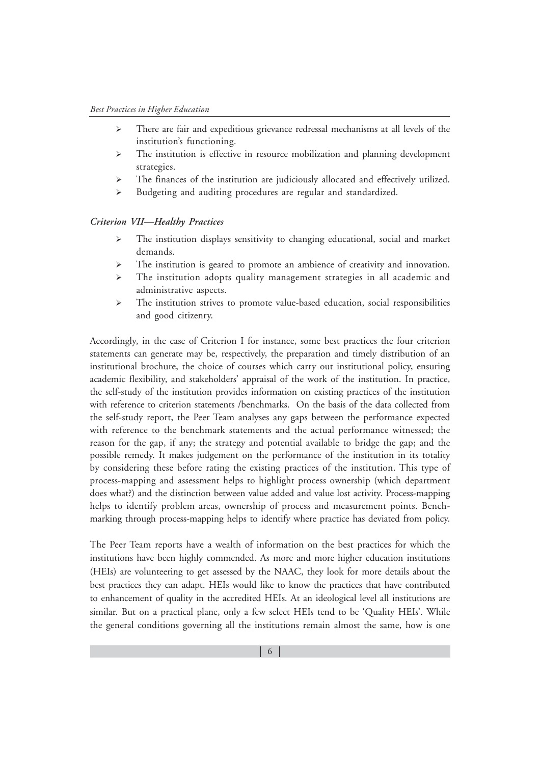- $\triangleright$  There are fair and expeditious grievance redressal mechanisms at all levels of the institution's functioning.
- $\triangleright$  The institution is effective in resource mobilization and planning development strategies.
- $\triangleright$ The finances of the institution are judiciously allocated and effectively utilized.
- $\blacktriangleright$ Budgeting and auditing procedures are regular and standardized.

#### *Criterion VII—Healthy Practices*

- $\blacktriangleright$  The institution displays sensitivity to changing educational, social and market demands.
- $\triangleright$ The institution is geared to promote an ambience of creativity and innovation.
- $\triangleright$  The institution adopts quality management strategies in all academic and administrative aspects.
- $\blacktriangleright$  The institution strives to promote value-based education, social responsibilities and good citizenry.

Accordingly, in the case of Criterion I for instance, some best practices the four criterion statements can generate may be, respectively, the preparation and timely distribution of an institutional brochure, the choice of courses which carry out institutional policy, ensuring academic flexibility, and stakeholders' appraisal of the work of the institution. In practice, the self-study of the institution provides information on existing practices of the institution with reference to criterion statements /benchmarks. On the basis of the data collected from the self-study report, the Peer Team analyses any gaps between the performance expected with reference to the benchmark statements and the actual performance witnessed; the reason for the gap, if any; the strategy and potential available to bridge the gap; and the possible remedy. It makes judgement on the performance of the institution in its totality by considering these before rating the existing practices of the institution. This type of process-mapping and assessment helps to highlight process ownership (which department does what?) and the distinction between value added and value lost activity. Process-mapping helps to identify problem areas, ownership of process and measurement points. Benchmarking through process-mapping helps to identify where practice has deviated from policy.

The Peer Team reports have a wealth of information on the best practices for which the institutions have been highly commended. As more and more higher education institutions (HEIs) are volunteering to get assessed by the NAAC, they look for more details about the best practices they can adapt. HEIs would like to know the practices that have contributed to enhancement of quality in the accredited HEIs. At an ideological level all institutions are similar. But on a practical plane, only a few select HEIs tend to be 'Quality HEIs'. While the general conditions governing all the institutions remain almost the same, how is one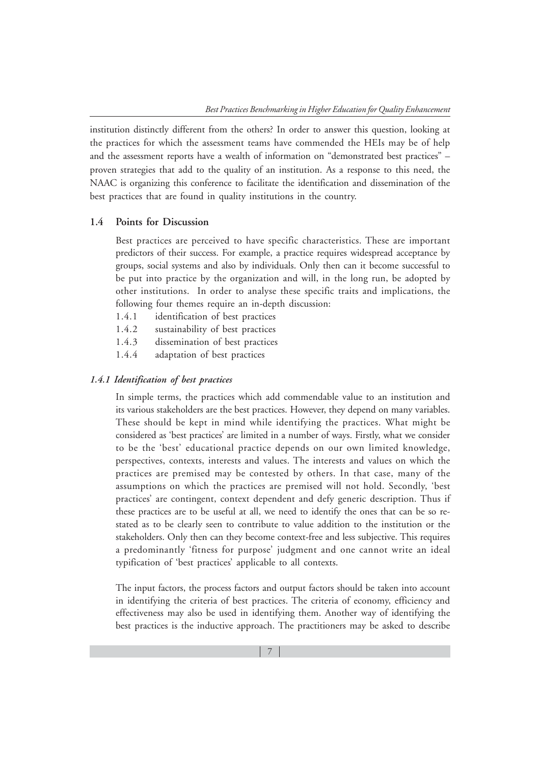institution distinctly different from the others? In order to answer this question, looking at the practices for which the assessment teams have commended the HEIs may be of help and the assessment reports have a wealth of information on "demonstrated best practices" – proven strategies that add to the quality of an institution. As a response to this need, the NAAC is organizing this conference to facilitate the identification and dissemination of the best practices that are found in quality institutions in the country.

## **1.4 Points for Discussion**

Best practices are perceived to have specific characteristics. These are important predictors of their success. For example, a practice requires widespread acceptance by groups, social systems and also by individuals. Only then can it become successful to be put into practice by the organization and will, in the long run, be adopted by other institutions. In order to analyse these specific traits and implications, the following four themes require an in-depth discussion:

- 1.4.1 identification of best practices
- 1.4.2 sustainability of best practices
- 1.4.3 dissemination of best practices
- 1.4.4 adaptation of best practices

#### *1.4.1 Identification of best practices*

In simple terms, the practices which add commendable value to an institution and its various stakeholders are the best practices. However, they depend on many variables. These should be kept in mind while identifying the practices. What might be considered as 'best practices' are limited in a number of ways. Firstly, what we consider to be the 'best' educational practice depends on our own limited knowledge, perspectives, contexts, interests and values. The interests and values on which the practices are premised may be contested by others. In that case, many of the assumptions on which the practices are premised will not hold. Secondly, 'best practices' are contingent, context dependent and defy generic description. Thus if these practices are to be useful at all, we need to identify the ones that can be so restated as to be clearly seen to contribute to value addition to the institution or the stakeholders. Only then can they become context-free and less subjective. This requires a predominantly 'fitness for purpose' judgment and one cannot write an ideal typification of 'best practices' applicable to all contexts.

The input factors, the process factors and output factors should be taken into account in identifying the criteria of best practices. The criteria of economy, efficiency and effectiveness may also be used in identifying them. Another way of identifying the best practices is the inductive approach. The practitioners may be asked to describe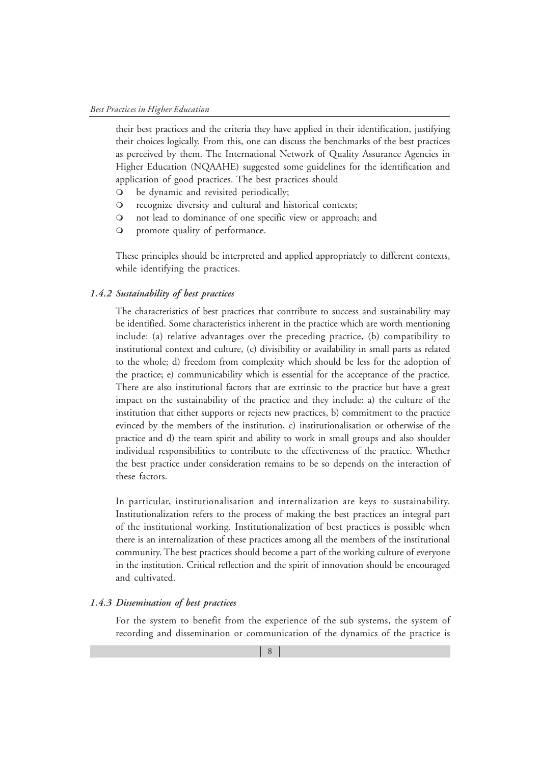their best practices and the criteria they have applied in their identification, justifying their choices logically. From this, one can discuss the benchmarks of the best practices as perceived by them. The International Network of Quality Assurance Agencies in Higher Education (NQAAHE) suggested some guidelines for the identification and application of good practices. The best practices should

- be dynamic and revisited periodically;
- recognize diversity and cultural and historical contexts;
- not lead to dominance of one specific view or approach; and
- promote quality of performance.

These principles should be interpreted and applied appropriately to different contexts, while identifying the practices.

#### *1.4.2 Sustainability of best practices*

The characteristics of best practices that contribute to success and sustainability may be identified. Some characteristics inherent in the practice which are worth mentioning include: (a) relative advantages over the preceding practice, (b) compatibility to institutional context and culture, (c) divisibility or availability in small parts as related to the whole; d) freedom from complexity which should be less for the adoption of the practice; e) communicability which is essential for the acceptance of the practice. There are also institutional factors that are extrinsic to the practice but have a great impact on the sustainability of the practice and they include: a) the culture of the institution that either supports or rejects new practices, b) commitment to the practice evinced by the members of the institution, c) institutionalisation or otherwise of the practice and d) the team spirit and ability to work in small groups and also shoulder individual responsibilities to contribute to the effectiveness of the practice. Whether the best practice under consideration remains to be so depends on the interaction of these factors.

In particular, institutionalisation and internalization are keys to sustainability. Institutionalization refers to the process of making the best practices an integral part of the institutional working. Institutionalization of best practices is possible when there is an internalization of these practices among all the members of the institutional community. The best practices should become a part of the working culture of everyone in the institution. Critical reflection and the spirit of innovation should be encouraged and cultivated.

#### *1.4.3 Dissemination of best practices*

For the system to benefit from the experience of the sub systems, the system of recording and dissemination or communication of the dynamics of the practice is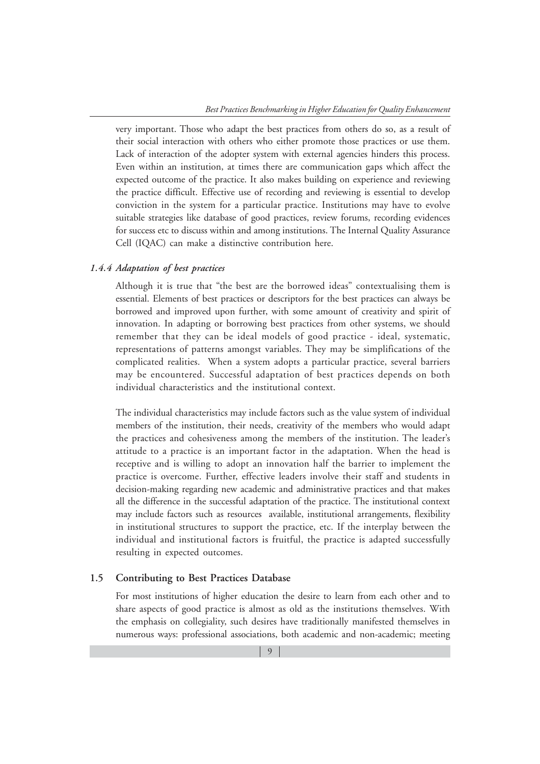very important. Those who adapt the best practices from others do so, as a result of their social interaction with others who either promote those practices or use them. Lack of interaction of the adopter system with external agencies hinders this process. Even within an institution, at times there are communication gaps which affect the expected outcome of the practice. It also makes building on experience and reviewing the practice difficult. Effective use of recording and reviewing is essential to develop conviction in the system for a particular practice. Institutions may have to evolve suitable strategies like database of good practices, review forums, recording evidences for success etc to discuss within and among institutions. The Internal Quality Assurance Cell (IQAC) can make a distinctive contribution here.

# *1.4.4 Adaptation of best practices*

Although it is true that "the best are the borrowed ideas" contextualising them is essential. Elements of best practices or descriptors for the best practices can always be borrowed and improved upon further, with some amount of creativity and spirit of innovation. In adapting or borrowing best practices from other systems, we should remember that they can be ideal models of good practice - ideal, systematic, representations of patterns amongst variables. They may be simplifications of the complicated realities. When a system adopts a particular practice, several barriers may be encountered. Successful adaptation of best practices depends on both individual characteristics and the institutional context.

The individual characteristics may include factors such as the value system of individual members of the institution, their needs, creativity of the members who would adapt the practices and cohesiveness among the members of the institution. The leader's attitude to a practice is an important factor in the adaptation. When the head is receptive and is willing to adopt an innovation half the barrier to implement the practice is overcome. Further, effective leaders involve their staff and students in decision-making regarding new academic and administrative practices and that makes all the difference in the successful adaptation of the practice. The institutional context may include factors such as resources available, institutional arrangements, flexibility in institutional structures to support the practice, etc. If the interplay between the individual and institutional factors is fruitful, the practice is adapted successfully resulting in expected outcomes.

#### **1.5 Contributing to Best Practices Database**

For most institutions of higher education the desire to learn from each other and to share aspects of good practice is almost as old as the institutions themselves. With the emphasis on collegiality, such desires have traditionally manifested themselves in numerous ways: professional associations, both academic and non-academic; meeting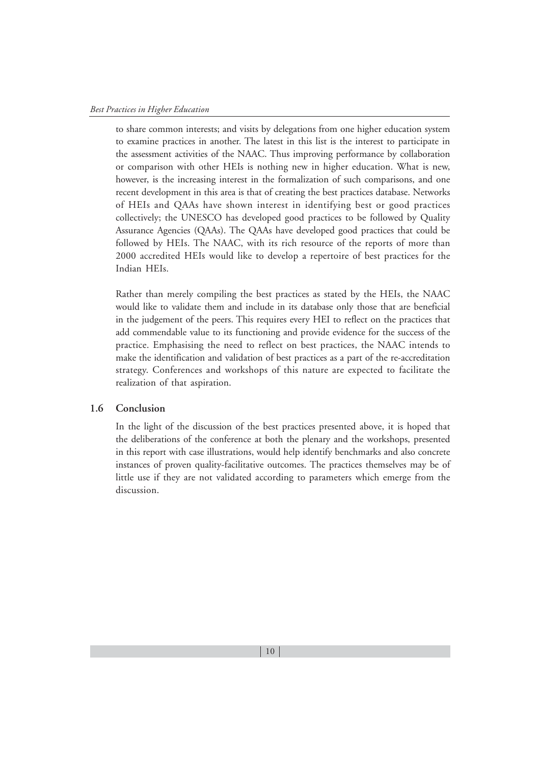to share common interests; and visits by delegations from one higher education system to examine practices in another. The latest in this list is the interest to participate in the assessment activities of the NAAC. Thus improving performance by collaboration or comparison with other HEIs is nothing new in higher education. What is new, however, is the increasing interest in the formalization of such comparisons, and one recent development in this area is that of creating the best practices database. Networks of HEIs and QAAs have shown interest in identifying best or good practices collectively; the UNESCO has developed good practices to be followed by Quality Assurance Agencies (QAAs). The QAAs have developed good practices that could be followed by HEIs. The NAAC, with its rich resource of the reports of more than 2000 accredited HEIs would like to develop a repertoire of best practices for the Indian HEIs.

Rather than merely compiling the best practices as stated by the HEIs, the NAAC would like to validate them and include in its database only those that are beneficial in the judgement of the peers. This requires every HEI to reflect on the practices that add commendable value to its functioning and provide evidence for the success of the practice. Emphasising the need to reflect on best practices, the NAAC intends to make the identification and validation of best practices as a part of the re-accreditation strategy. Conferences and workshops of this nature are expected to facilitate the realization of that aspiration.

# **1.6 Conclusion**

In the light of the discussion of the best practices presented above, it is hoped that the deliberations of the conference at both the plenary and the workshops, presented in this report with case illustrations, would help identify benchmarks and also concrete instances of proven quality-facilitative outcomes. The practices themselves may be of little use if they are not validated according to parameters which emerge from the discussion.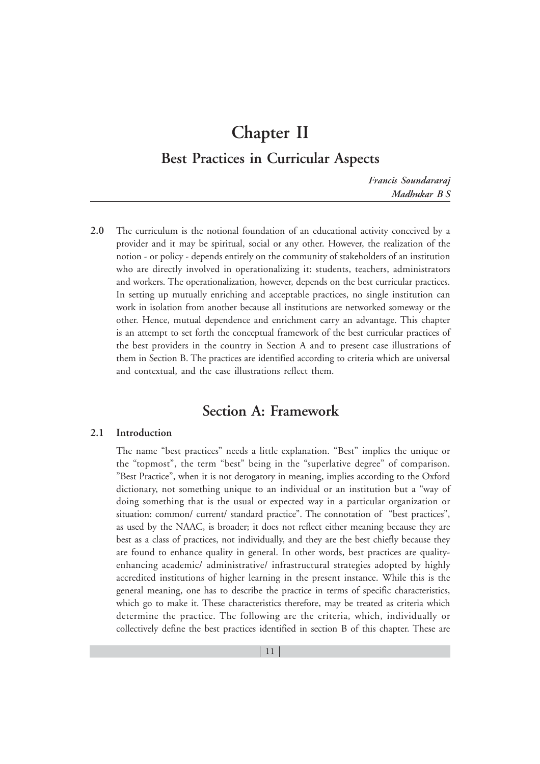# **Chapter II**

# **Best Practices in Curricular Aspects**

*Francis Soundararaj Madhukar B S*

**2.0** The curriculum is the notional foundation of an educational activity conceived by a provider and it may be spiritual, social or any other. However, the realization of the notion - or policy - depends entirely on the community of stakeholders of an institution who are directly involved in operationalizing it: students, teachers, administrators and workers. The operationalization, however, depends on the best curricular practices. In setting up mutually enriching and acceptable practices, no single institution can work in isolation from another because all institutions are networked someway or the other. Hence, mutual dependence and enrichment carry an advantage. This chapter is an attempt to set forth the conceptual framework of the best curricular practices of the best providers in the country in Section A and to present case illustrations of them in Section B. The practices are identified according to criteria which are universal and contextual, and the case illustrations reflect them.

# **Section A: Framework**

# **2.1 Introduction**

The name "best practices" needs a little explanation. "Best" implies the unique or the "topmost", the term "best" being in the "superlative degree" of comparison. "Best Practice", when it is not derogatory in meaning, implies according to the Oxford dictionary, not something unique to an individual or an institution but a "way of doing something that is the usual or expected way in a particular organization or situation: common/ current/ standard practice". The connotation of "best practices", as used by the NAAC, is broader; it does not reflect either meaning because they are best as a class of practices, not individually, and they are the best chiefly because they are found to enhance quality in general. In other words, best practices are qualityenhancing academic/ administrative/ infrastructural strategies adopted by highly accredited institutions of higher learning in the present instance. While this is the general meaning, one has to describe the practice in terms of specific characteristics, which go to make it. These characteristics therefore, may be treated as criteria which determine the practice. The following are the criteria, which, individually or collectively define the best practices identified in section B of this chapter. These are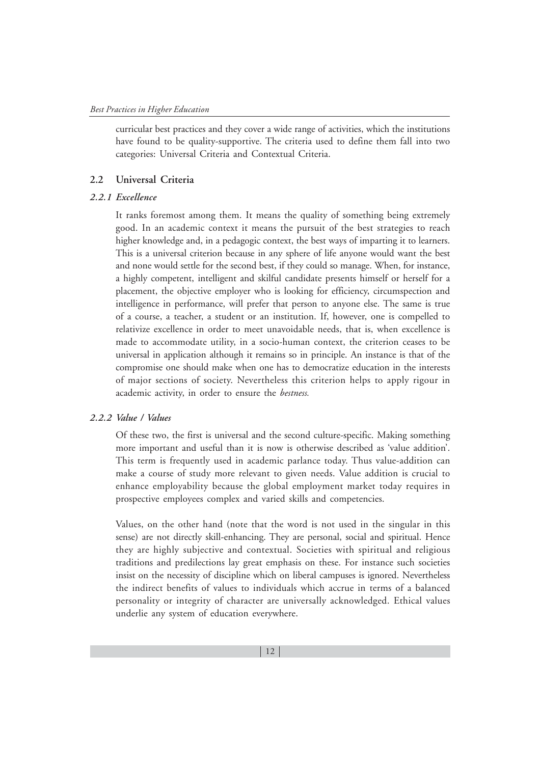curricular best practices and they cover a wide range of activities, which the institutions have found to be quality-supportive. The criteria used to define them fall into two categories: Universal Criteria and Contextual Criteria.

#### **2.2 Universal Criteria**

## *2.2.1 Excellence*

It ranks foremost among them. It means the quality of something being extremely good. In an academic context it means the pursuit of the best strategies to reach higher knowledge and, in a pedagogic context, the best ways of imparting it to learners. This is a universal criterion because in any sphere of life anyone would want the best and none would settle for the second best, if they could so manage. When, for instance, a highly competent, intelligent and skilful candidate presents himself or herself for a placement, the objective employer who is looking for efficiency, circumspection and intelligence in performance, will prefer that person to anyone else. The same is true of a course, a teacher, a student or an institution. If, however, one is compelled to relativize excellence in order to meet unavoidable needs, that is, when excellence is made to accommodate utility, in a socio-human context, the criterion ceases to be universal in application although it remains so in principle. An instance is that of the compromise one should make when one has to democratize education in the interests of major sections of society. Nevertheless this criterion helps to apply rigour in academic activity, in order to ensure the *bestness.*

## *2.2.2 Value / Values*

Of these two, the first is universal and the second culture-specific. Making something more important and useful than it is now is otherwise described as 'value addition'. This term is frequently used in academic parlance today. Thus value-addition can make a course of study more relevant to given needs. Value addition is crucial to enhance employability because the global employment market today requires in prospective employees complex and varied skills and competencies.

Values, on the other hand (note that the word is not used in the singular in this sense) are not directly skill-enhancing. They are personal, social and spiritual. Hence they are highly subjective and contextual. Societies with spiritual and religious traditions and predilections lay great emphasis on these. For instance such societies insist on the necessity of discipline which on liberal campuses is ignored. Nevertheless the indirect benefits of values to individuals which accrue in terms of a balanced personality or integrity of character are universally acknowledged. Ethical values underlie any system of education everywhere.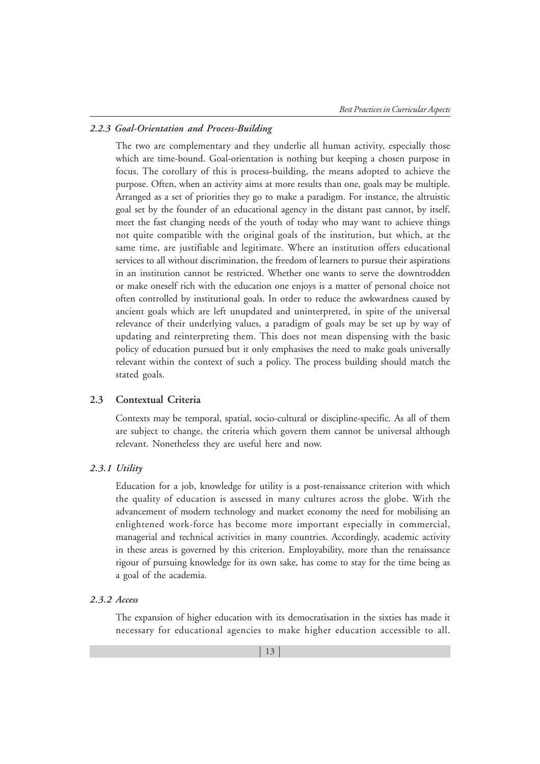#### *2.2.3 Goal-Orientation and Process-Building*

The two are complementary and they underlie all human activity, especially those which are time-bound. Goal-orientation is nothing but keeping a chosen purpose in focus. The corollary of this is process-building, the means adopted to achieve the purpose. Often, when an activity aims at more results than one, goals may be multiple. Arranged as a set of priorities they go to make a paradigm. For instance, the altruistic goal set by the founder of an educational agency in the distant past cannot, by itself, meet the fast changing needs of the youth of today who may want to achieve things not quite compatible with the original goals of the institution, but which, at the same time, are justifiable and legitimate. Where an institution offers educational services to all without discrimination, the freedom of learners to pursue their aspirations in an institution cannot be restricted. Whether one wants to serve the downtrodden or make oneself rich with the education one enjoys is a matter of personal choice not often controlled by institutional goals. In order to reduce the awkwardness caused by ancient goals which are left unupdated and uninterpreted, in spite of the universal relevance of their underlying values, a paradigm of goals may be set up by way of updating and reinterpreting them. This does not mean dispensing with the basic policy of education pursued but it only emphasises the need to make goals universally relevant within the context of such a policy. The process building should match the stated goals.

#### **2.3 Contextual Criteria**

Contexts may be temporal, spatial, socio-cultural or discipline-specific. As all of them are subject to change, the criteria which govern them cannot be universal although relevant. Nonetheless they are useful here and now.

#### *2.3.1 Utility*

Education for a job, knowledge for utility is a post-renaissance criterion with which the quality of education is assessed in many cultures across the globe. With the advancement of modern technology and market economy the need for mobilising an enlightened work-force has become more important especially in commercial, managerial and technical activities in many countries. Accordingly, academic activity in these areas is governed by this criterion. Employability, more than the renaissance rigour of pursuing knowledge for its own sake, has come to stay for the time being as a goal of the academia.

## *2.3.2 Access*

The expansion of higher education with its democratisation in the sixties has made it necessary for educational agencies to make higher education accessible to all.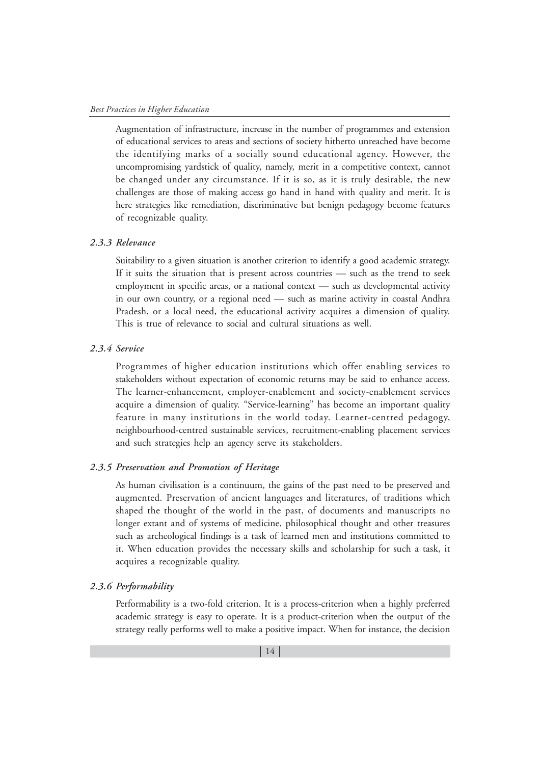Augmentation of infrastructure, increase in the number of programmes and extension of educational services to areas and sections of society hitherto unreached have become the identifying marks of a socially sound educational agency. However, the uncompromising yardstick of quality, namely, merit in a competitive context, cannot be changed under any circumstance. If it is so, as it is truly desirable, the new challenges are those of making access go hand in hand with quality and merit. It is here strategies like remediation, discriminative but benign pedagogy become features of recognizable quality.

#### *2.3.3 Relevance*

Suitability to a given situation is another criterion to identify a good academic strategy. If it suits the situation that is present across countries — such as the trend to seek employment in specific areas, or a national context — such as developmental activity in our own country, or a regional need — such as marine activity in coastal Andhra Pradesh, or a local need, the educational activity acquires a dimension of quality. This is true of relevance to social and cultural situations as well.

#### *2.3.4 Service*

Programmes of higher education institutions which offer enabling services to stakeholders without expectation of economic returns may be said to enhance access. The learner-enhancement, employer-enablement and society-enablement services acquire a dimension of quality. "Service-learning" has become an important quality feature in many institutions in the world today. Learner-centred pedagogy, neighbourhood-centred sustainable services, recruitment-enabling placement services and such strategies help an agency serve its stakeholders.

#### *2.3.5 Preservation and Promotion of Heritage*

As human civilisation is a continuum, the gains of the past need to be preserved and augmented. Preservation of ancient languages and literatures, of traditions which shaped the thought of the world in the past, of documents and manuscripts no longer extant and of systems of medicine, philosophical thought and other treasures such as archeological findings is a task of learned men and institutions committed to it. When education provides the necessary skills and scholarship for such a task, it acquires a recognizable quality.

#### *2.3.6 Performability*

Performability is a two-fold criterion. It is a process-criterion when a highly preferred academic strategy is easy to operate. It is a product-criterion when the output of the strategy really performs well to make a positive impact. When for instance, the decision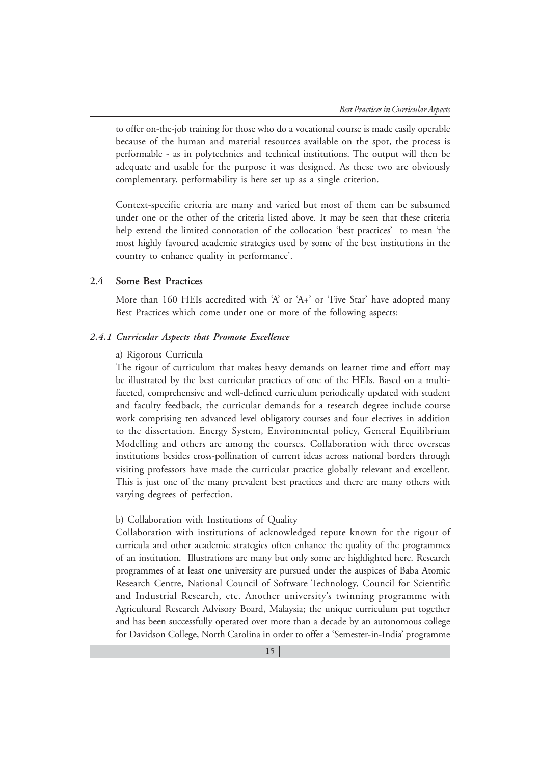to offer on-the-job training for those who do a vocational course is made easily operable because of the human and material resources available on the spot, the process is performable - as in polytechnics and technical institutions. The output will then be adequate and usable for the purpose it was designed. As these two are obviously complementary, performability is here set up as a single criterion.

Context-specific criteria are many and varied but most of them can be subsumed under one or the other of the criteria listed above. It may be seen that these criteria help extend the limited connotation of the collocation 'best practices' to mean 'the most highly favoured academic strategies used by some of the best institutions in the country to enhance quality in performance'.

#### **2.4 Some Best Practices**

More than 160 HEIs accredited with 'A' or 'A+' or 'Five Star' have adopted many Best Practices which come under one or more of the following aspects:

## *2.4.1 Curricular Aspects that Promote Excellence*

#### a) Rigorous Curricula

The rigour of curriculum that makes heavy demands on learner time and effort may be illustrated by the best curricular practices of one of the HEIs. Based on a multifaceted, comprehensive and well-defined curriculum periodically updated with student and faculty feedback, the curricular demands for a research degree include course work comprising ten advanced level obligatory courses and four electives in addition to the dissertation. Energy System, Environmental policy, General Equilibrium Modelling and others are among the courses. Collaboration with three overseas institutions besides cross-pollination of current ideas across national borders through visiting professors have made the curricular practice globally relevant and excellent. This is just one of the many prevalent best practices and there are many others with varying degrees of perfection.

#### b) Collaboration with Institutions of Quality

Collaboration with institutions of acknowledged repute known for the rigour of curricula and other academic strategies often enhance the quality of the programmes of an institution. Illustrations are many but only some are highlighted here. Research programmes of at least one university are pursued under the auspices of Baba Atomic Research Centre, National Council of Software Technology, Council for Scientific and Industrial Research, etc. Another university's twinning programme with Agricultural Research Advisory Board, Malaysia; the unique curriculum put together and has been successfully operated over more than a decade by an autonomous college for Davidson College, North Carolina in order to offer a 'Semester-in-India' programme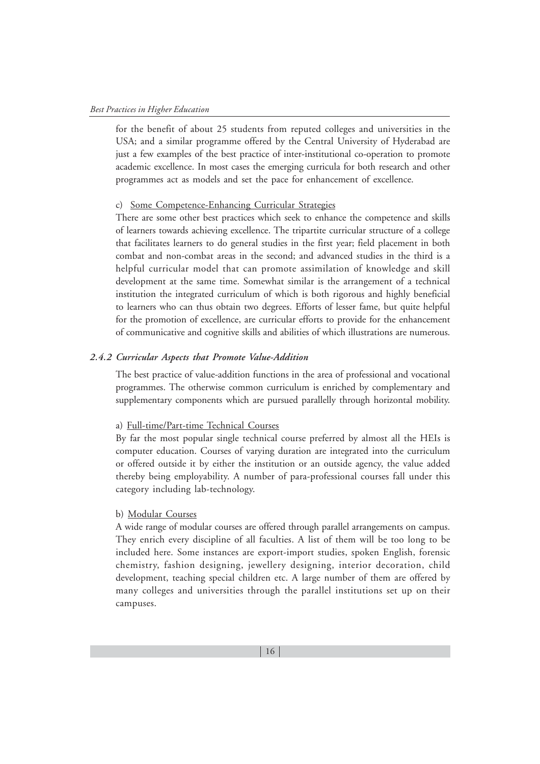for the benefit of about 25 students from reputed colleges and universities in the USA; and a similar programme offered by the Central University of Hyderabad are just a few examples of the best practice of inter-institutional co-operation to promote academic excellence. In most cases the emerging curricula for both research and other programmes act as models and set the pace for enhancement of excellence.

#### c) Some Competence-Enhancing Curricular Strategies

There are some other best practices which seek to enhance the competence and skills of learners towards achieving excellence. The tripartite curricular structure of a college that facilitates learners to do general studies in the first year; field placement in both combat and non-combat areas in the second; and advanced studies in the third is a helpful curricular model that can promote assimilation of knowledge and skill development at the same time. Somewhat similar is the arrangement of a technical institution the integrated curriculum of which is both rigorous and highly beneficial to learners who can thus obtain two degrees. Efforts of lesser fame, but quite helpful for the promotion of excellence, are curricular efforts to provide for the enhancement of communicative and cognitive skills and abilities of which illustrations are numerous.

# *2.4.2 Curricular Aspects that Promote Value-Addition*

The best practice of value-addition functions in the area of professional and vocational programmes. The otherwise common curriculum is enriched by complementary and supplementary components which are pursued parallelly through horizontal mobility.

#### a) Full-time/Part-time Technical Courses

By far the most popular single technical course preferred by almost all the HEIs is computer education. Courses of varying duration are integrated into the curriculum or offered outside it by either the institution or an outside agency, the value added thereby being employability. A number of para-professional courses fall under this category including lab-technology.

# b) Modular Courses

A wide range of modular courses are offered through parallel arrangements on campus. They enrich every discipline of all faculties. A list of them will be too long to be included here. Some instances are export-import studies, spoken English, forensic chemistry, fashion designing, jewellery designing, interior decoration, child development, teaching special children etc. A large number of them are offered by many colleges and universities through the parallel institutions set up on their campuses.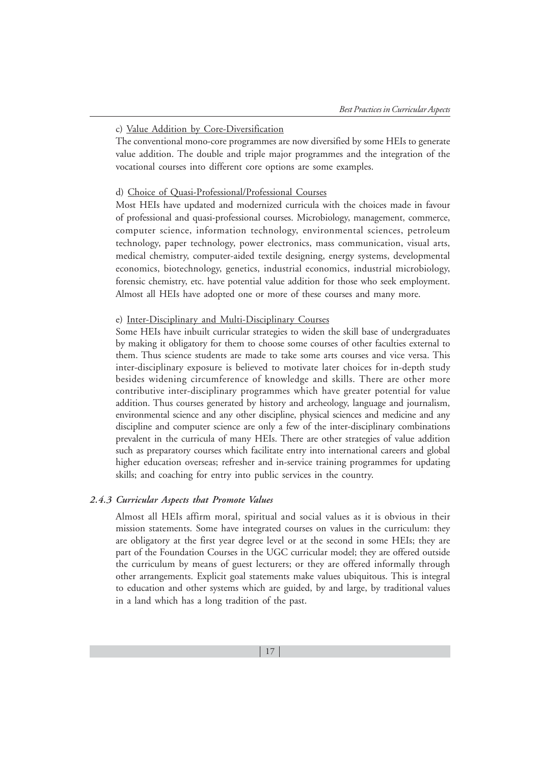## c) Value Addition by Core-Diversification

The conventional mono-core programmes are now diversified by some HEIs to generate value addition. The double and triple major programmes and the integration of the vocational courses into different core options are some examples.

## d) Choice of Quasi-Professional/Professional Courses

Most HEIs have updated and modernized curricula with the choices made in favour of professional and quasi-professional courses. Microbiology, management, commerce, computer science, information technology, environmental sciences, petroleum technology, paper technology, power electronics, mass communication, visual arts, medical chemistry, computer-aided textile designing, energy systems, developmental economics, biotechnology, genetics, industrial economics, industrial microbiology, forensic chemistry, etc. have potential value addition for those who seek employment. Almost all HEIs have adopted one or more of these courses and many more.

# e) Inter-Disciplinary and Multi-Disciplinary Courses

Some HEIs have inbuilt curricular strategies to widen the skill base of undergraduates by making it obligatory for them to choose some courses of other faculties external to them. Thus science students are made to take some arts courses and vice versa. This inter-disciplinary exposure is believed to motivate later choices for in-depth study besides widening circumference of knowledge and skills. There are other more contributive inter-disciplinary programmes which have greater potential for value addition. Thus courses generated by history and archeology, language and journalism, environmental science and any other discipline, physical sciences and medicine and any discipline and computer science are only a few of the inter-disciplinary combinations prevalent in the curricula of many HEIs. There are other strategies of value addition such as preparatory courses which facilitate entry into international careers and global higher education overseas; refresher and in-service training programmes for updating skills; and coaching for entry into public services in the country.

#### *2.4.3 Curricular Aspects that Promote Values*

Almost all HEIs affirm moral, spiritual and social values as it is obvious in their mission statements. Some have integrated courses on values in the curriculum: they are obligatory at the first year degree level or at the second in some HEIs; they are part of the Foundation Courses in the UGC curricular model; they are offered outside the curriculum by means of guest lecturers; or they are offered informally through other arrangements. Explicit goal statements make values ubiquitous. This is integral to education and other systems which are guided, by and large, by traditional values in a land which has a long tradition of the past.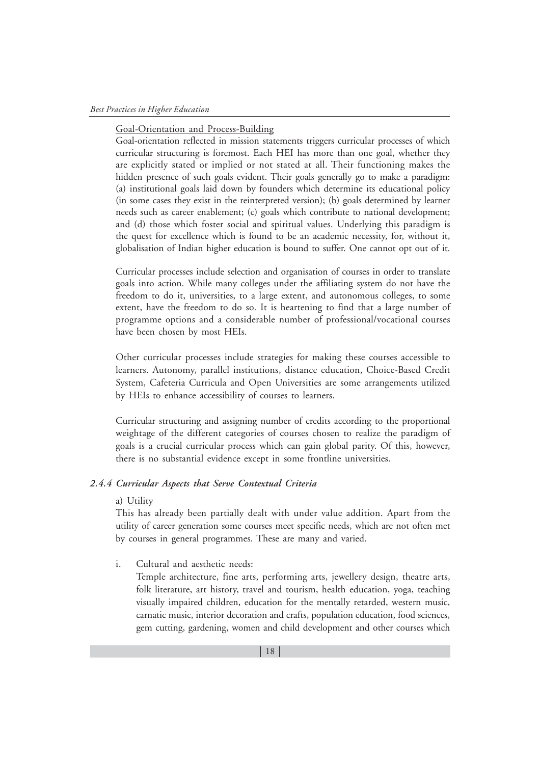#### Goal-Orientation and Process-Building

Goal-orientation reflected in mission statements triggers curricular processes of which curricular structuring is foremost. Each HEI has more than one goal, whether they are explicitly stated or implied or not stated at all. Their functioning makes the hidden presence of such goals evident. Their goals generally go to make a paradigm: (a) institutional goals laid down by founders which determine its educational policy (in some cases they exist in the reinterpreted version); (b) goals determined by learner needs such as career enablement; (c) goals which contribute to national development; and (d) those which foster social and spiritual values. Underlying this paradigm is the quest for excellence which is found to be an academic necessity, for, without it, globalisation of Indian higher education is bound to suffer. One cannot opt out of it.

Curricular processes include selection and organisation of courses in order to translate goals into action. While many colleges under the affiliating system do not have the freedom to do it, universities, to a large extent, and autonomous colleges, to some extent, have the freedom to do so. It is heartening to find that a large number of programme options and a considerable number of professional/vocational courses have been chosen by most HEIs.

Other curricular processes include strategies for making these courses accessible to learners. Autonomy, parallel institutions, distance education, Choice-Based Credit System, Cafeteria Curricula and Open Universities are some arrangements utilized by HEIs to enhance accessibility of courses to learners.

Curricular structuring and assigning number of credits according to the proportional weightage of the different categories of courses chosen to realize the paradigm of goals is a crucial curricular process which can gain global parity. Of this, however, there is no substantial evidence except in some frontline universities.

# *2.4.4 Curricular Aspects that Serve Contextual Criteria*

#### a) Utility

This has already been partially dealt with under value addition. Apart from the utility of career generation some courses meet specific needs, which are not often met by courses in general programmes. These are many and varied.

i. Cultural and aesthetic needs:

Temple architecture, fine arts, performing arts, jewellery design, theatre arts, folk literature, art history, travel and tourism, health education, yoga, teaching visually impaired children, education for the mentally retarded, western music, carnatic music, interior decoration and crafts, population education, food sciences, gem cutting, gardening, women and child development and other courses which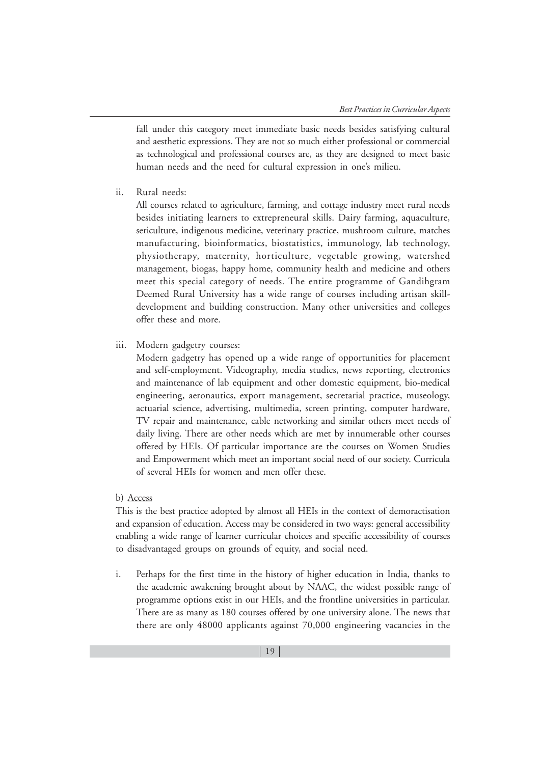fall under this category meet immediate basic needs besides satisfying cultural and aesthetic expressions. They are not so much either professional or commercial as technological and professional courses are, as they are designed to meet basic human needs and the need for cultural expression in one's milieu.

ii. Rural needs:

All courses related to agriculture, farming, and cottage industry meet rural needs besides initiating learners to extrepreneural skills. Dairy farming, aquaculture, sericulture, indigenous medicine, veterinary practice, mushroom culture, matches manufacturing, bioinformatics, biostatistics, immunology, lab technology, physiotherapy, maternity, horticulture, vegetable growing, watershed management, biogas, happy home, community health and medicine and others meet this special category of needs. The entire programme of Gandihgram Deemed Rural University has a wide range of courses including artisan skilldevelopment and building construction. Many other universities and colleges offer these and more.

iii. Modern gadgetry courses:

Modern gadgetry has opened up a wide range of opportunities for placement and self-employment. Videography, media studies, news reporting, electronics and maintenance of lab equipment and other domestic equipment, bio-medical engineering, aeronautics, export management, secretarial practice, museology, actuarial science, advertising, multimedia, screen printing, computer hardware, TV repair and maintenance, cable networking and similar others meet needs of daily living. There are other needs which are met by innumerable other courses offered by HEIs. Of particular importance are the courses on Women Studies and Empowerment which meet an important social need of our society. Curricula of several HEIs for women and men offer these.

b) Access

This is the best practice adopted by almost all HEIs in the context of demoractisation and expansion of education. Access may be considered in two ways: general accessibility enabling a wide range of learner curricular choices and specific accessibility of courses to disadvantaged groups on grounds of equity, and social need.

i. Perhaps for the first time in the history of higher education in India, thanks to the academic awakening brought about by NAAC, the widest possible range of programme options exist in our HEIs, and the frontline universities in particular. There are as many as 180 courses offered by one university alone. The news that there are only 48000 applicants against 70,000 engineering vacancies in the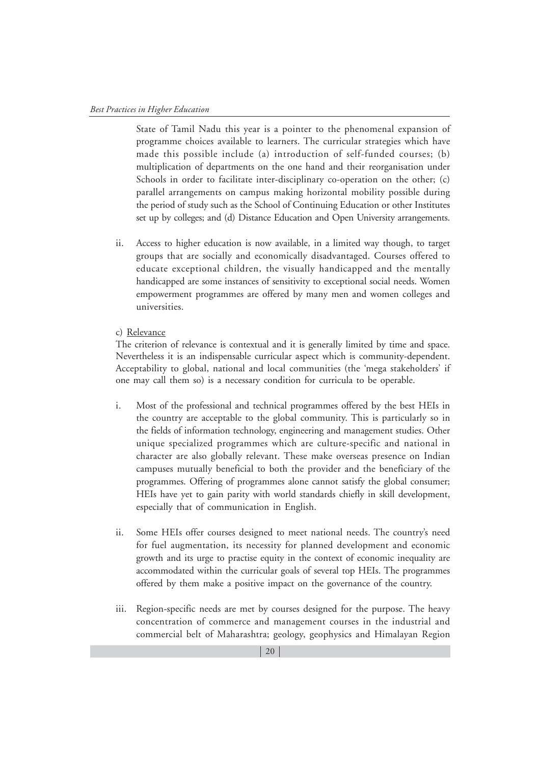State of Tamil Nadu this year is a pointer to the phenomenal expansion of programme choices available to learners. The curricular strategies which have made this possible include (a) introduction of self-funded courses; (b) multiplication of departments on the one hand and their reorganisation under Schools in order to facilitate inter-disciplinary co-operation on the other; (c) parallel arrangements on campus making horizontal mobility possible during the period of study such as the School of Continuing Education or other Institutes set up by colleges; and (d) Distance Education and Open University arrangements.

ii. Access to higher education is now available, in a limited way though, to target groups that are socially and economically disadvantaged. Courses offered to educate exceptional children, the visually handicapped and the mentally handicapped are some instances of sensitivity to exceptional social needs. Women empowerment programmes are offered by many men and women colleges and universities.

#### c) Relevance

The criterion of relevance is contextual and it is generally limited by time and space. Nevertheless it is an indispensable curricular aspect which is community-dependent. Acceptability to global, national and local communities (the 'mega stakeholders' if one may call them so) is a necessary condition for curricula to be operable.

- i. Most of the professional and technical programmes offered by the best HEIs in the country are acceptable to the global community. This is particularly so in the fields of information technology, engineering and management studies. Other unique specialized programmes which are culture-specific and national in character are also globally relevant. These make overseas presence on Indian campuses mutually beneficial to both the provider and the beneficiary of the programmes. Offering of programmes alone cannot satisfy the global consumer; HEIs have yet to gain parity with world standards chiefly in skill development, especially that of communication in English.
- ii. Some HEIs offer courses designed to meet national needs. The country's need for fuel augmentation, its necessity for planned development and economic growth and its urge to practise equity in the context of economic inequality are accommodated within the curricular goals of several top HEIs. The programmes offered by them make a positive impact on the governance of the country.
- iii. Region-specific needs are met by courses designed for the purpose. The heavy concentration of commerce and management courses in the industrial and commercial belt of Maharashtra; geology, geophysics and Himalayan Region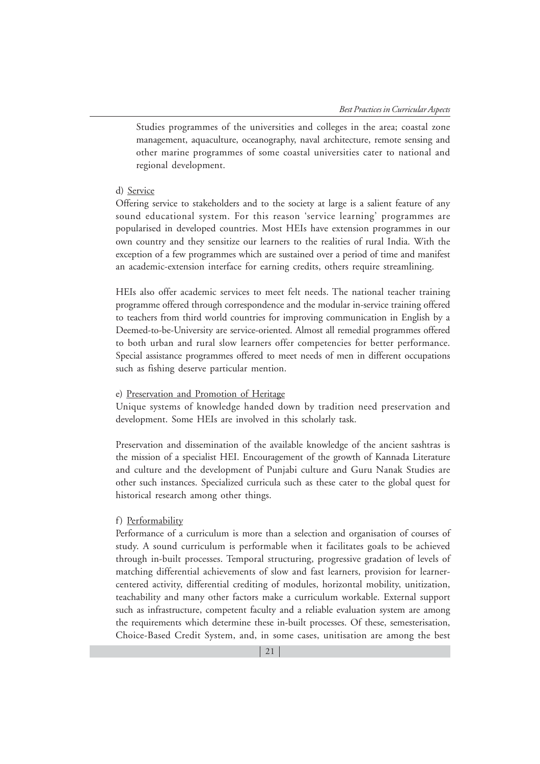Studies programmes of the universities and colleges in the area; coastal zone management, aquaculture, oceanography, naval architecture, remote sensing and other marine programmes of some coastal universities cater to national and regional development.

#### d) Service

Offering service to stakeholders and to the society at large is a salient feature of any sound educational system. For this reason 'service learning' programmes are popularised in developed countries. Most HEIs have extension programmes in our own country and they sensitize our learners to the realities of rural India. With the exception of a few programmes which are sustained over a period of time and manifest an academic-extension interface for earning credits, others require streamlining.

HEIs also offer academic services to meet felt needs. The national teacher training programme offered through correspondence and the modular in-service training offered to teachers from third world countries for improving communication in English by a Deemed-to-be-University are service-oriented. Almost all remedial programmes offered to both urban and rural slow learners offer competencies for better performance. Special assistance programmes offered to meet needs of men in different occupations such as fishing deserve particular mention.

#### e) Preservation and Promotion of Heritage

Unique systems of knowledge handed down by tradition need preservation and development. Some HEIs are involved in this scholarly task.

Preservation and dissemination of the available knowledge of the ancient sashtras is the mission of a specialist HEI. Encouragement of the growth of Kannada Literature and culture and the development of Punjabi culture and Guru Nanak Studies are other such instances. Specialized curricula such as these cater to the global quest for historical research among other things.

# f) Performability

Performance of a curriculum is more than a selection and organisation of courses of study. A sound curriculum is performable when it facilitates goals to be achieved through in-built processes. Temporal structuring, progressive gradation of levels of matching differential achievements of slow and fast learners, provision for learnercentered activity, differential crediting of modules, horizontal mobility, unitization, teachability and many other factors make a curriculum workable. External support such as infrastructure, competent faculty and a reliable evaluation system are among the requirements which determine these in-built processes. Of these, semesterisation, Choice-Based Credit System, and, in some cases, unitisation are among the best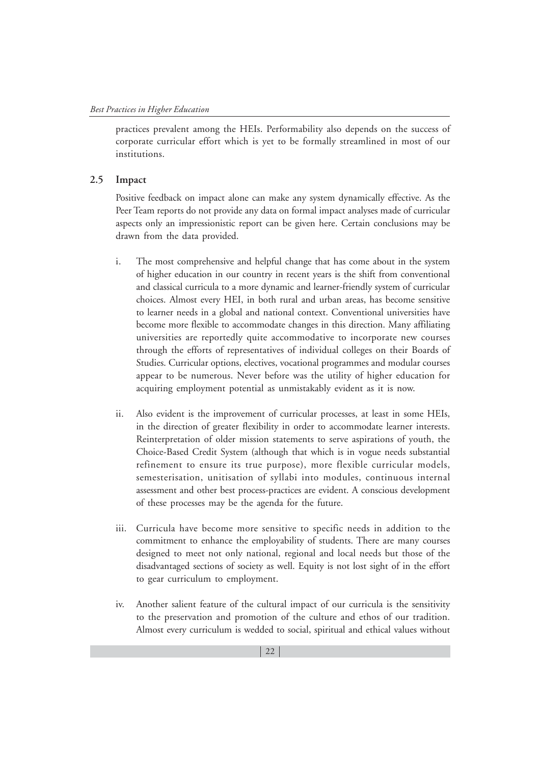practices prevalent among the HEIs. Performability also depends on the success of corporate curricular effort which is yet to be formally streamlined in most of our institutions.

#### **2.5 Impact**

Positive feedback on impact alone can make any system dynamically effective. As the Peer Team reports do not provide any data on formal impact analyses made of curricular aspects only an impressionistic report can be given here. Certain conclusions may be drawn from the data provided.

- i. The most comprehensive and helpful change that has come about in the system of higher education in our country in recent years is the shift from conventional and classical curricula to a more dynamic and learner-friendly system of curricular choices. Almost every HEI, in both rural and urban areas, has become sensitive to learner needs in a global and national context. Conventional universities have become more flexible to accommodate changes in this direction. Many affiliating universities are reportedly quite accommodative to incorporate new courses through the efforts of representatives of individual colleges on their Boards of Studies. Curricular options, electives, vocational programmes and modular courses appear to be numerous. Never before was the utility of higher education for acquiring employment potential as unmistakably evident as it is now.
- ii. Also evident is the improvement of curricular processes, at least in some HEIs, in the direction of greater flexibility in order to accommodate learner interests. Reinterpretation of older mission statements to serve aspirations of youth, the Choice-Based Credit System (although that which is in vogue needs substantial refinement to ensure its true purpose), more flexible curricular models, semesterisation, unitisation of syllabi into modules, continuous internal assessment and other best process-practices are evident. A conscious development of these processes may be the agenda for the future.
- iii. Curricula have become more sensitive to specific needs in addition to the commitment to enhance the employability of students. There are many courses designed to meet not only national, regional and local needs but those of the disadvantaged sections of society as well. Equity is not lost sight of in the effort to gear curriculum to employment.
- iv. Another salient feature of the cultural impact of our curricula is the sensitivity to the preservation and promotion of the culture and ethos of our tradition. Almost every curriculum is wedded to social, spiritual and ethical values without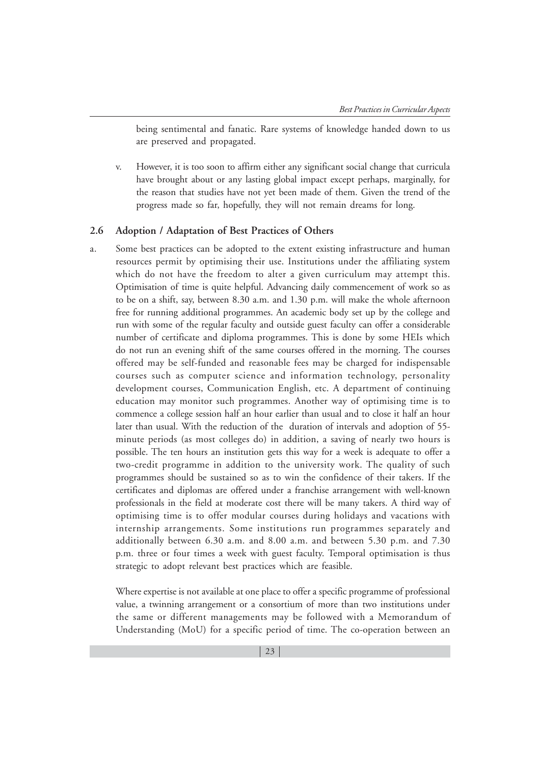being sentimental and fanatic. Rare systems of knowledge handed down to us are preserved and propagated.

v. However, it is too soon to affirm either any significant social change that curricula have brought about or any lasting global impact except perhaps, marginally, for the reason that studies have not yet been made of them. Given the trend of the progress made so far, hopefully, they will not remain dreams for long.

#### **2.6 Adoption / Adaptation of Best Practices of Others**

a. Some best practices can be adopted to the extent existing infrastructure and human resources permit by optimising their use. Institutions under the affiliating system which do not have the freedom to alter a given curriculum may attempt this. Optimisation of time is quite helpful. Advancing daily commencement of work so as to be on a shift, say, between 8.30 a.m. and 1.30 p.m. will make the whole afternoon free for running additional programmes. An academic body set up by the college and run with some of the regular faculty and outside guest faculty can offer a considerable number of certificate and diploma programmes. This is done by some HEIs which do not run an evening shift of the same courses offered in the morning. The courses offered may be self-funded and reasonable fees may be charged for indispensable courses such as computer science and information technology, personality development courses, Communication English, etc. A department of continuing education may monitor such programmes. Another way of optimising time is to commence a college session half an hour earlier than usual and to close it half an hour later than usual. With the reduction of the duration of intervals and adoption of 55 minute periods (as most colleges do) in addition, a saving of nearly two hours is possible. The ten hours an institution gets this way for a week is adequate to offer a two-credit programme in addition to the university work. The quality of such programmes should be sustained so as to win the confidence of their takers. If the certificates and diplomas are offered under a franchise arrangement with well-known professionals in the field at moderate cost there will be many takers. A third way of optimising time is to offer modular courses during holidays and vacations with internship arrangements. Some institutions run programmes separately and additionally between 6.30 a.m. and 8.00 a.m. and between 5.30 p.m. and 7.30 p.m. three or four times a week with guest faculty. Temporal optimisation is thus strategic to adopt relevant best practices which are feasible.

Where expertise is not available at one place to offer a specific programme of professional value, a twinning arrangement or a consortium of more than two institutions under the same or different managements may be followed with a Memorandum of Understanding (MoU) for a specific period of time. The co-operation between an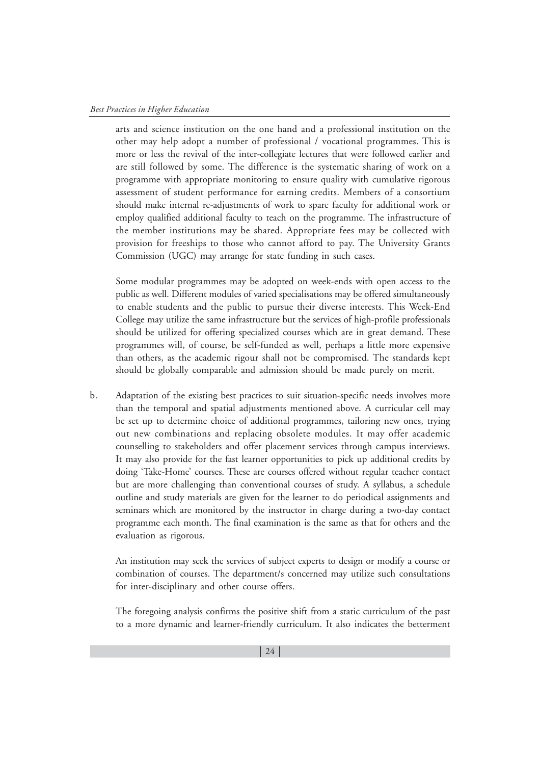arts and science institution on the one hand and a professional institution on the other may help adopt a number of professional / vocational programmes. This is more or less the revival of the inter-collegiate lectures that were followed earlier and are still followed by some. The difference is the systematic sharing of work on a programme with appropriate monitoring to ensure quality with cumulative rigorous assessment of student performance for earning credits. Members of a consortium should make internal re-adjustments of work to spare faculty for additional work or employ qualified additional faculty to teach on the programme. The infrastructure of the member institutions may be shared. Appropriate fees may be collected with provision for freeships to those who cannot afford to pay. The University Grants Commission (UGC) may arrange for state funding in such cases.

Some modular programmes may be adopted on week-ends with open access to the public as well. Different modules of varied specialisations may be offered simultaneously to enable students and the public to pursue their diverse interests. This Week-End College may utilize the same infrastructure but the services of high-profile professionals should be utilized for offering specialized courses which are in great demand. These programmes will, of course, be self-funded as well, perhaps a little more expensive than others, as the academic rigour shall not be compromised. The standards kept should be globally comparable and admission should be made purely on merit.

b. Adaptation of the existing best practices to suit situation-specific needs involves more than the temporal and spatial adjustments mentioned above. A curricular cell may be set up to determine choice of additional programmes, tailoring new ones, trying out new combinations and replacing obsolete modules. It may offer academic counselling to stakeholders and offer placement services through campus interviews. It may also provide for the fast learner opportunities to pick up additional credits by doing 'Take-Home' courses. These are courses offered without regular teacher contact but are more challenging than conventional courses of study. A syllabus, a schedule outline and study materials are given for the learner to do periodical assignments and seminars which are monitored by the instructor in charge during a two-day contact programme each month. The final examination is the same as that for others and the evaluation as rigorous.

An institution may seek the services of subject experts to design or modify a course or combination of courses. The department/s concerned may utilize such consultations for inter-disciplinary and other course offers.

The foregoing analysis confirms the positive shift from a static curriculum of the past to a more dynamic and learner-friendly curriculum. It also indicates the betterment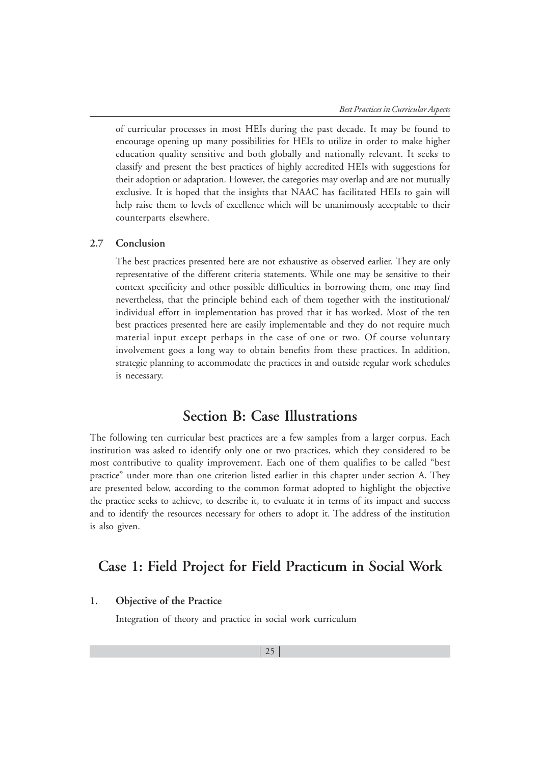of curricular processes in most HEIs during the past decade. It may be found to encourage opening up many possibilities for HEIs to utilize in order to make higher education quality sensitive and both globally and nationally relevant. It seeks to classify and present the best practices of highly accredited HEIs with suggestions for their adoption or adaptation. However, the categories may overlap and are not mutually exclusive. It is hoped that the insights that NAAC has facilitated HEIs to gain will help raise them to levels of excellence which will be unanimously acceptable to their counterparts elsewhere.

# **2.7 Conclusion**

The best practices presented here are not exhaustive as observed earlier. They are only representative of the different criteria statements. While one may be sensitive to their context specificity and other possible difficulties in borrowing them, one may find nevertheless, that the principle behind each of them together with the institutional/ individual effort in implementation has proved that it has worked. Most of the ten best practices presented here are easily implementable and they do not require much material input except perhaps in the case of one or two. Of course voluntary involvement goes a long way to obtain benefits from these practices. In addition, strategic planning to accommodate the practices in and outside regular work schedules is necessary.

# **Section B: Case Illustrations**

The following ten curricular best practices are a few samples from a larger corpus. Each institution was asked to identify only one or two practices, which they considered to be most contributive to quality improvement. Each one of them qualifies to be called "best practice" under more than one criterion listed earlier in this chapter under section A. They are presented below, according to the common format adopted to highlight the objective the practice seeks to achieve, to describe it, to evaluate it in terms of its impact and success and to identify the resources necessary for others to adopt it. The address of the institution is also given.

# **Case 1: Field Project for Field Practicum in Social Work**

# **1. Objective of the Practice**

Integration of theory and practice in social work curriculum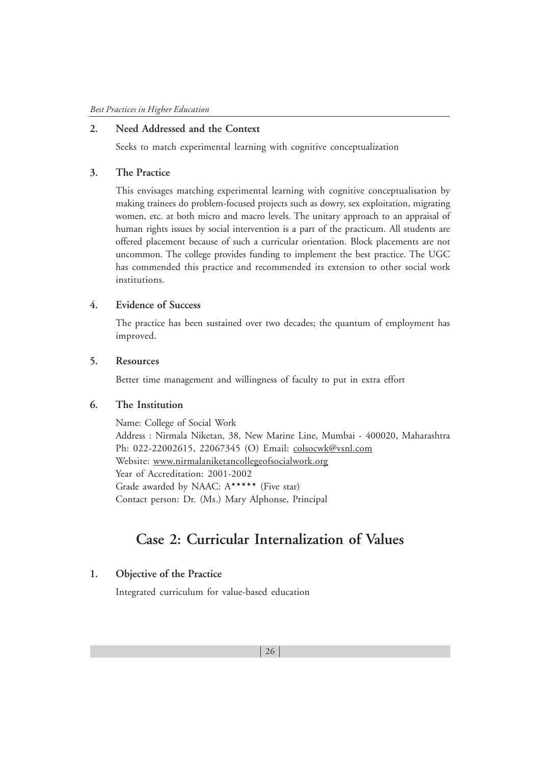# **2. Need Addressed and the Context**

Seeks to match experimental learning with cognitive conceptualization

## **3. The Practice**

This envisages matching experimental learning with cognitive conceptualisation by making trainees do problem-focused projects such as dowry, sex exploitation, migrating women, etc. at both micro and macro levels. The unitary approach to an appraisal of human rights issues by social intervention is a part of the practicum. All students are offered placement because of such a curricular orientation. Block placements are not uncommon. The college provides funding to implement the best practice. The UGC has commended this practice and recommended its extension to other social work institutions.

# **4. Evidence of Success**

The practice has been sustained over two decades; the quantum of employment has improved.

## **5. Resources**

Better time management and willingness of faculty to put in extra effort

# **6. The Institution**

Name: College of Social Work Address : Nirmala Niketan, 38, New Marine Line, Mumbai - 400020, Maharashtra Ph: 022-22002615, 22067345 (O) Email: colsocwk@vsnl.com Website: www.nirmalaniketancollegeofsocialwork.org Year of Accreditation: 2001-2002 Grade awarded by NAAC:  $A^{\star\star\star\star\star}$  (Five star) Contact person: Dr. (Ms.) Mary Alphonse, Principal

# **Case 2: Curricular Internalization of Values**

# **1. Objective of the Practice**

Integrated curriculum for value-based education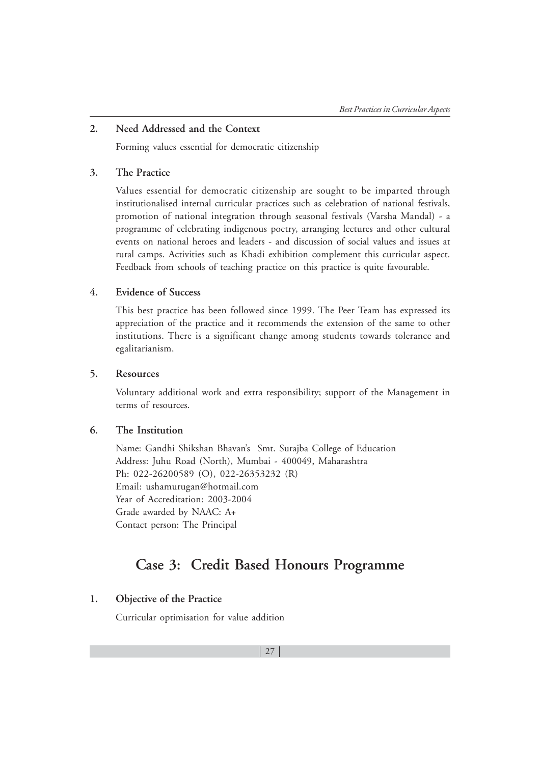# **2. Need Addressed and the Context**

Forming values essential for democratic citizenship

## **3. The Practice**

Values essential for democratic citizenship are sought to be imparted through institutionalised internal curricular practices such as celebration of national festivals, promotion of national integration through seasonal festivals (Varsha Mandal) - a programme of celebrating indigenous poetry, arranging lectures and other cultural events on national heroes and leaders - and discussion of social values and issues at rural camps. Activities such as Khadi exhibition complement this curricular aspect. Feedback from schools of teaching practice on this practice is quite favourable.

# **4. Evidence of Success**

This best practice has been followed since 1999. The Peer Team has expressed its appreciation of the practice and it recommends the extension of the same to other institutions. There is a significant change among students towards tolerance and egalitarianism.

# **5. Resources**

Voluntary additional work and extra responsibility; support of the Management in terms of resources.

#### **6. The Institution**

Name: Gandhi Shikshan Bhavan's Smt. Surajba College of Education Address: Juhu Road (North), Mumbai - 400049, Maharashtra Ph: 022-26200589 (O), 022-26353232 (R) Email: ushamurugan@hotmail.com Year of Accreditation: 2003-2004 Grade awarded by NAAC: A+ Contact person: The Principal

# **Case 3: Credit Based Honours Programme**

# **1. Objective of the Practice**

Curricular optimisation for value addition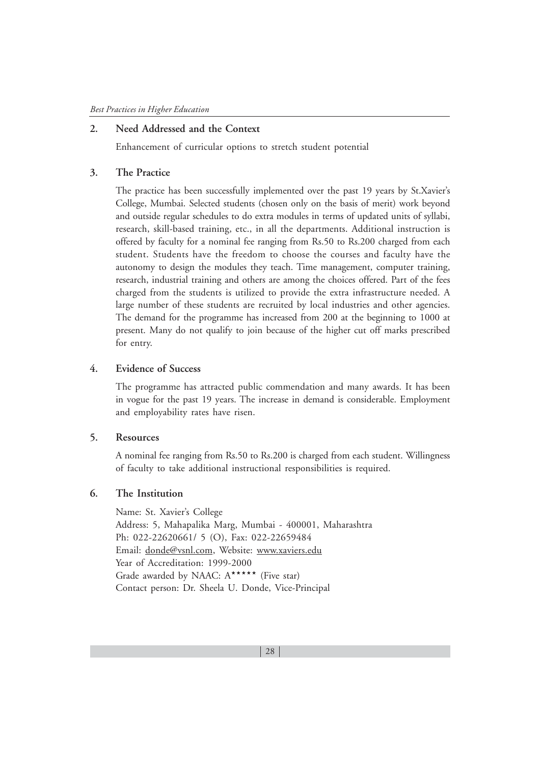# **2. Need Addressed and the Context**

Enhancement of curricular options to stretch student potential

#### **3. The Practice**

The practice has been successfully implemented over the past 19 years by St.Xavier's College, Mumbai. Selected students (chosen only on the basis of merit) work beyond and outside regular schedules to do extra modules in terms of updated units of syllabi, research, skill-based training, etc., in all the departments. Additional instruction is offered by faculty for a nominal fee ranging from Rs.50 to Rs.200 charged from each student. Students have the freedom to choose the courses and faculty have the autonomy to design the modules they teach. Time management, computer training, research, industrial training and others are among the choices offered. Part of the fees charged from the students is utilized to provide the extra infrastructure needed. A large number of these students are recruited by local industries and other agencies. The demand for the programme has increased from 200 at the beginning to 1000 at present. Many do not qualify to join because of the higher cut off marks prescribed for entry.

# **4. Evidence of Success**

The programme has attracted public commendation and many awards. It has been in vogue for the past 19 years. The increase in demand is considerable. Employment and employability rates have risen.

## **5. Resources**

A nominal fee ranging from Rs.50 to Rs.200 is charged from each student. Willingness of faculty to take additional instructional responsibilities is required.

# **6. The Institution**

Name: St. Xavier's College Address: 5, Mahapalika Marg, Mumbai - 400001, Maharashtra Ph: 022-22620661/ 5 (O), Fax: 022-22659484 Email: donde@vsnl.com, Website: www.xaviers.edu Year of Accreditation: 1999-2000 Grade awarded by NAAC:  $A^{\star\star\star\star\star}$  (Five star) Contact person: Dr. Sheela U. Donde, Vice-Principal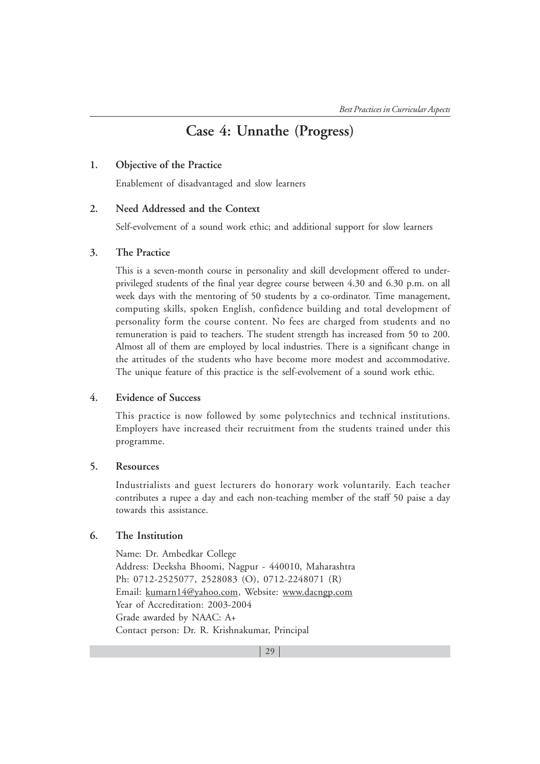# **Case 4: Unnathe (Progress)**

# **1. Objective of the Practice**

Enablement of disadvantaged and slow learners

# **2. Need Addressed and the Context**

Self-evolvement of a sound work ethic; and additional support for slow learners

## **3. The Practice**

This is a seven-month course in personality and skill development offered to underprivileged students of the final year degree course between 4.30 and 6.30 p.m. on all week days with the mentoring of 50 students by a co-ordinator. Time management, computing skills, spoken English, confidence building and total development of personality form the course content. No fees are charged from students and no remuneration is paid to teachers. The student strength has increased from 50 to 200. Almost all of them are employed by local industries. There is a significant change in the attitudes of the students who have become more modest and accommodative. The unique feature of this practice is the self-evolvement of a sound work ethic.

# **4. Evidence of Success**

This practice is now followed by some polytechnics and technical institutions. Employers have increased their recruitment from the students trained under this programme.

#### **5. Resources**

Industrialists and guest lecturers do honorary work voluntarily. Each teacher contributes a rupee a day and each non-teaching member of the staff 50 paise a day towards this assistance.

# **6. The Institution**

Name: Dr. Ambedkar College Address: Deeksha Bhoomi, Nagpur - 440010, Maharashtra Ph: 0712-2525077, 2528083 (O), 0712-2248071 (R) Email: kumarn14@yahoo.com, Website: www.dacngp.com Year of Accreditation: 2003-2004 Grade awarded by NAAC: A+ Contact person: Dr. R. Krishnakumar, Principal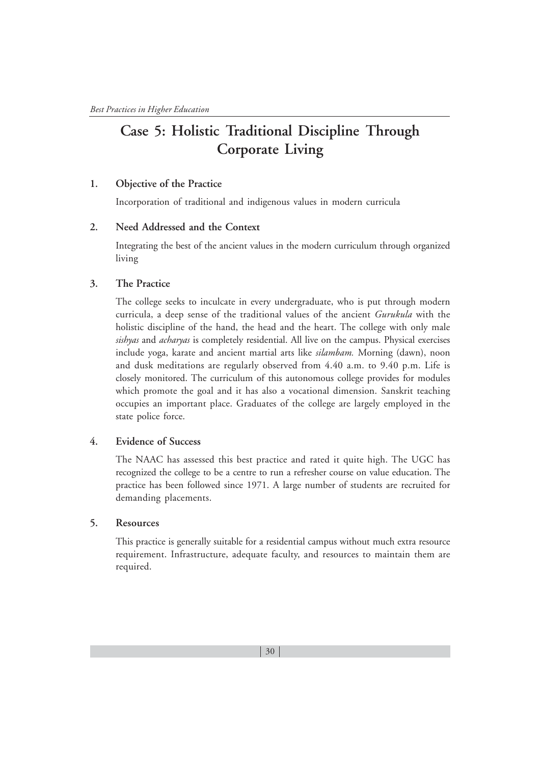# **Case 5: Holistic Traditional Discipline Through Corporate Living**

# **1. Objective of the Practice**

Incorporation of traditional and indigenous values in modern curricula

# **2. Need Addressed and the Context**

Integrating the best of the ancient values in the modern curriculum through organized living

# **3. The Practice**

The college seeks to inculcate in every undergraduate, who is put through modern curricula, a deep sense of the traditional values of the ancient *Gurukula* with the holistic discipline of the hand, the head and the heart. The college with only male *sishyas* and *acharyas* is completely residential. All live on the campus. Physical exercises include yoga, karate and ancient martial arts like *silambam.* Morning (dawn), noon and dusk meditations are regularly observed from 4.40 a.m. to 9.40 p.m. Life is closely monitored. The curriculum of this autonomous college provides for modules which promote the goal and it has also a vocational dimension. Sanskrit teaching occupies an important place. Graduates of the college are largely employed in the state police force.

# **4. Evidence of Success**

The NAAC has assessed this best practice and rated it quite high. The UGC has recognized the college to be a centre to run a refresher course on value education. The practice has been followed since 1971. A large number of students are recruited for demanding placements.

# **5. Resources**

This practice is generally suitable for a residential campus without much extra resource requirement. Infrastructure, adequate faculty, and resources to maintain them are required.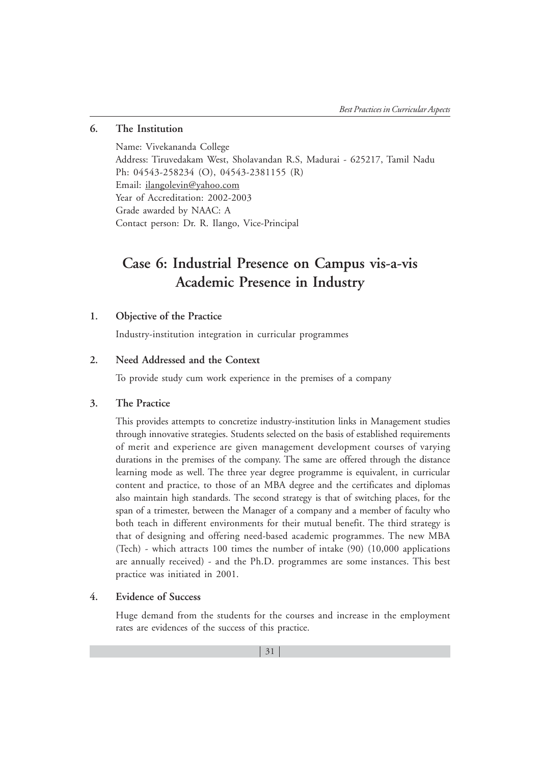# **6. The Institution**

Name: Vivekananda College Address: Tiruvedakam West, Sholavandan R.S, Madurai - 625217, Tamil Nadu Ph: 04543-258234 (O), 04543-2381155 (R) Email: ilangolevin@yahoo.com Year of Accreditation: 2002-2003 Grade awarded by NAAC: A Contact person: Dr. R. Ilango, Vice-Principal

# **Case 6: Industrial Presence on Campus vis-a-vis Academic Presence in Industry**

# **1. Objective of the Practice**

Industry-institution integration in curricular programmes

## **2. Need Addressed and the Context**

To provide study cum work experience in the premises of a company

# **3. The Practice**

This provides attempts to concretize industry-institution links in Management studies through innovative strategies. Students selected on the basis of established requirements of merit and experience are given management development courses of varying durations in the premises of the company. The same are offered through the distance learning mode as well. The three year degree programme is equivalent, in curricular content and practice, to those of an MBA degree and the certificates and diplomas also maintain high standards. The second strategy is that of switching places, for the span of a trimester, between the Manager of a company and a member of faculty who both teach in different environments for their mutual benefit. The third strategy is that of designing and offering need-based academic programmes. The new MBA (Tech) - which attracts 100 times the number of intake (90) (10,000 applications are annually received) - and the Ph.D. programmes are some instances. This best practice was initiated in 2001.

# **4. Evidence of Success**

Huge demand from the students for the courses and increase in the employment rates are evidences of the success of this practice.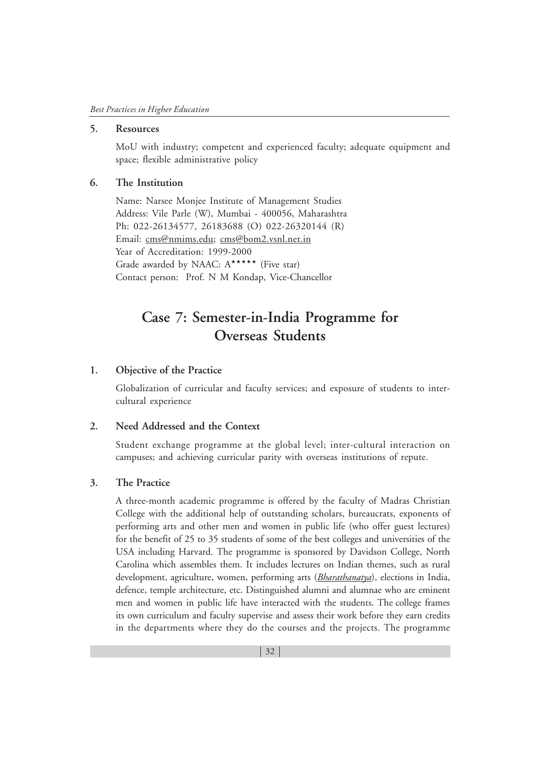# **5. Resources**

MoU with industry; competent and experienced faculty; adequate equipment and space; flexible administrative policy

# **6. The Institution**

Name: Narsee Monjee Institute of Management Studies Address: Vile Parle (W), Mumbai - 400056, Maharashtra Ph: 022-26134577, 26183688 (O) 022-26320144 (R) Email: cms@nmims.edu; cms@bom2.vsnl.net.in Year of Accreditation: 1999-2000 Grade awarded by NAAC: A\*\*\*\*\* (Five star) Contact person: Prof. N M Kondap, Vice-Chancellor

# **Case 7: Semester-in-India Programme for Overseas Students**

#### **1. Objective of the Practice**

Globalization of curricular and faculty services; and exposure of students to intercultural experience

## **2. Need Addressed and the Context**

Student exchange programme at the global level; inter-cultural interaction on campuses; and achieving curricular parity with overseas institutions of repute.

# **3. The Practice**

A three-month academic programme is offered by the faculty of Madras Christian College with the additional help of outstanding scholars, bureaucrats, exponents of performing arts and other men and women in public life (who offer guest lectures) for the benefit of 25 to 35 students of some of the best colleges and universities of the USA including Harvard. The programme is sponsored by Davidson College, North Carolina which assembles them. It includes lectures on Indian themes, such as rural development, agriculture, women, performing arts (*Bharathanatya*), elections in India, defence, temple architecture, etc. Distinguished alumni and alumnae who are eminent men and women in public life have interacted with the students. The college frames its own curriculum and faculty supervise and assess their work before they earn credits in the departments where they do the courses and the projects. The programme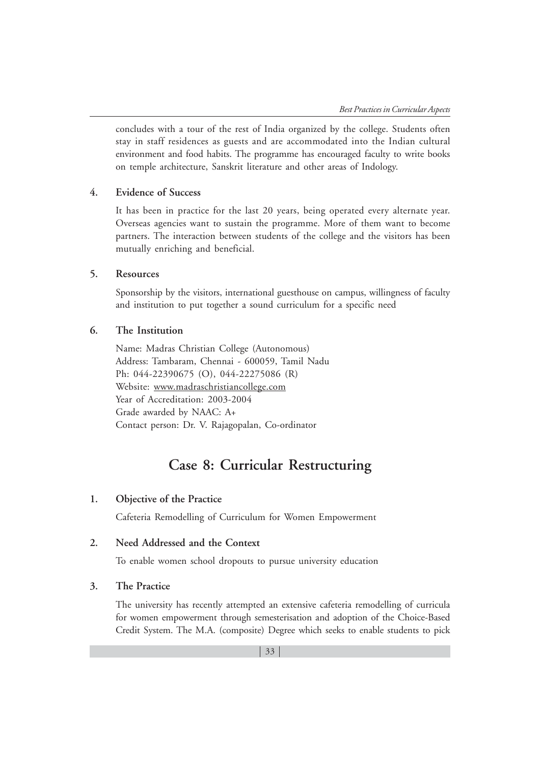concludes with a tour of the rest of India organized by the college. Students often stay in staff residences as guests and are accommodated into the Indian cultural environment and food habits. The programme has encouraged faculty to write books on temple architecture, Sanskrit literature and other areas of Indology.

# **4. Evidence of Success**

It has been in practice for the last 20 years, being operated every alternate year. Overseas agencies want to sustain the programme. More of them want to become partners. The interaction between students of the college and the visitors has been mutually enriching and beneficial.

## **5. Resources**

Sponsorship by the visitors, international guesthouse on campus, willingness of faculty and institution to put together a sound curriculum for a specific need

#### **6. The Institution**

Name: Madras Christian College (Autonomous) Address: Tambaram, Chennai - 600059, Tamil Nadu Ph: 044-22390675 (O), 044-22275086 (R) Website: www.madraschristiancollege.com Year of Accreditation: 2003-2004 Grade awarded by NAAC: A+ Contact person: Dr. V. Rajagopalan, Co-ordinator

# **Case 8: Curricular Restructuring**

## **1. Objective of the Practice**

Cafeteria Remodelling of Curriculum for Women Empowerment

# **2. Need Addressed and the Context**

To enable women school dropouts to pursue university education

#### **3. The Practice**

The university has recently attempted an extensive cafeteria remodelling of curricula for women empowerment through semesterisation and adoption of the Choice-Based Credit System. The M.A. (composite) Degree which seeks to enable students to pick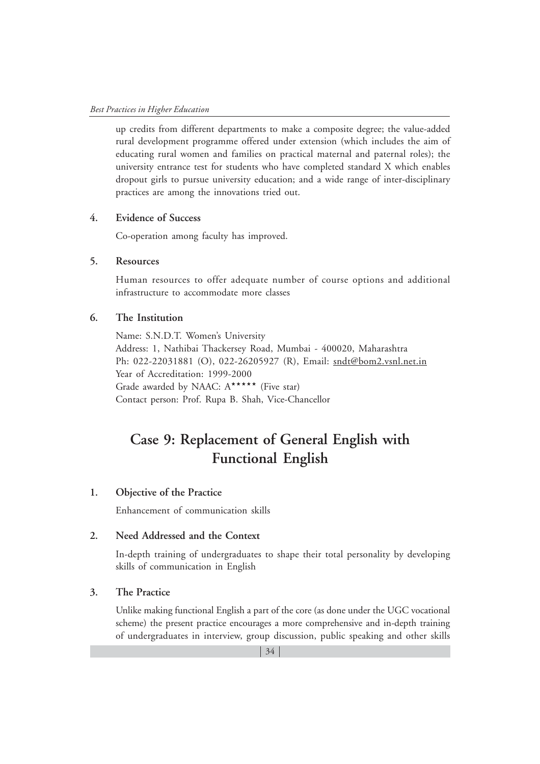up credits from different departments to make a composite degree; the value-added rural development programme offered under extension (which includes the aim of educating rural women and families on practical maternal and paternal roles); the university entrance test for students who have completed standard X which enables dropout girls to pursue university education; and a wide range of inter-disciplinary practices are among the innovations tried out.

# **4. Evidence of Success**

Co-operation among faculty has improved.

## **5. Resources**

Human resources to offer adequate number of course options and additional infrastructure to accommodate more classes

# **6. The Institution**

Name: S.N.D.T. Women's University Address: 1, Nathibai Thackersey Road, Mumbai - 400020, Maharashtra Ph: 022-22031881 (O), 022-26205927 (R), Email: sndt@bom2.vsnl.net.in Year of Accreditation: 1999-2000 Grade awarded by NAAC: A\*\*\*\*\* (Five star) Contact person: Prof. Rupa B. Shah, Vice-Chancellor

# **Case 9: Replacement of General English with Functional English**

## **1. Objective of the Practice**

Enhancement of communication skills

# **2. Need Addressed and the Context**

In-depth training of undergraduates to shape their total personality by developing skills of communication in English

# **3. The Practice**

Unlike making functional English a part of the core (as done under the UGC vocational scheme) the present practice encourages a more comprehensive and in-depth training of undergraduates in interview, group discussion, public speaking and other skills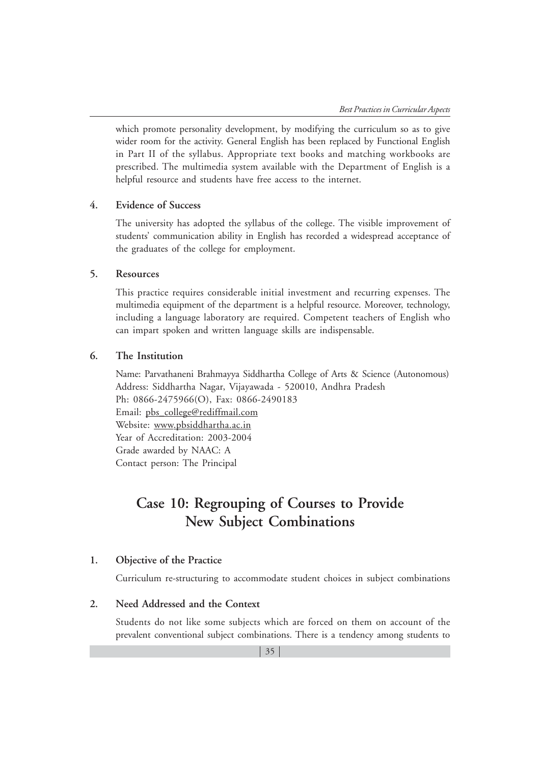which promote personality development, by modifying the curriculum so as to give wider room for the activity. General English has been replaced by Functional English in Part II of the syllabus. Appropriate text books and matching workbooks are prescribed. The multimedia system available with the Department of English is a helpful resource and students have free access to the internet.

## **4. Evidence of Success**

The university has adopted the syllabus of the college. The visible improvement of students' communication ability in English has recorded a widespread acceptance of the graduates of the college for employment.

## **5. Resources**

This practice requires considerable initial investment and recurring expenses. The multimedia equipment of the department is a helpful resource. Moreover, technology, including a language laboratory are required. Competent teachers of English who can impart spoken and written language skills are indispensable.

# **6. The Institution**

Name: Parvathaneni Brahmayya Siddhartha College of Arts & Science (Autonomous) Address: Siddhartha Nagar, Vijayawada - 520010, Andhra Pradesh Ph: 0866-2475966(O), Fax: 0866-2490183 Email: pbs\_college@rediffmail.com Website: www.pbsiddhartha.ac.in Year of Accreditation: 2003-2004 Grade awarded by NAAC: A Contact person: The Principal

# **Case 10: Regrouping of Courses to Provide New Subject Combinations**

# **1. Objective of the Practice**

Curriculum re-structuring to accommodate student choices in subject combinations

#### **2. Need Addressed and the Context**

Students do not like some subjects which are forced on them on account of the prevalent conventional subject combinations. There is a tendency among students to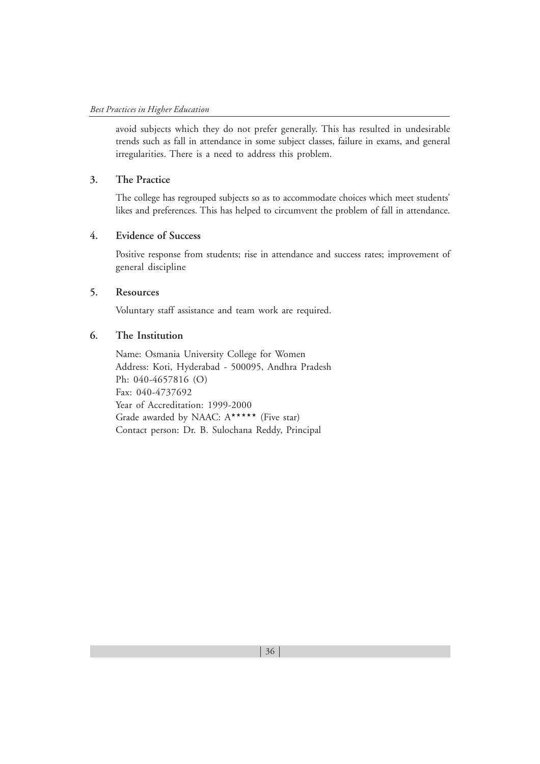avoid subjects which they do not prefer generally. This has resulted in undesirable trends such as fall in attendance in some subject classes, failure in exams, and general irregularities. There is a need to address this problem.

# **3. The Practice**

The college has regrouped subjects so as to accommodate choices which meet students' likes and preferences. This has helped to circumvent the problem of fall in attendance.

# **4. Evidence of Success**

Positive response from students; rise in attendance and success rates; improvement of general discipline

# **5. Resources**

Voluntary staff assistance and team work are required.

# **6. The Institution**

Name: Osmania University College for Women Address: Koti, Hyderabad - 500095, Andhra Pradesh Ph: 040-4657816 (O) Fax: 040-4737692 Year of Accreditation: 1999-2000 Grade awarded by NAAC: A\*\*\*\*\* (Five star) Contact person: Dr. B. Sulochana Reddy, Principal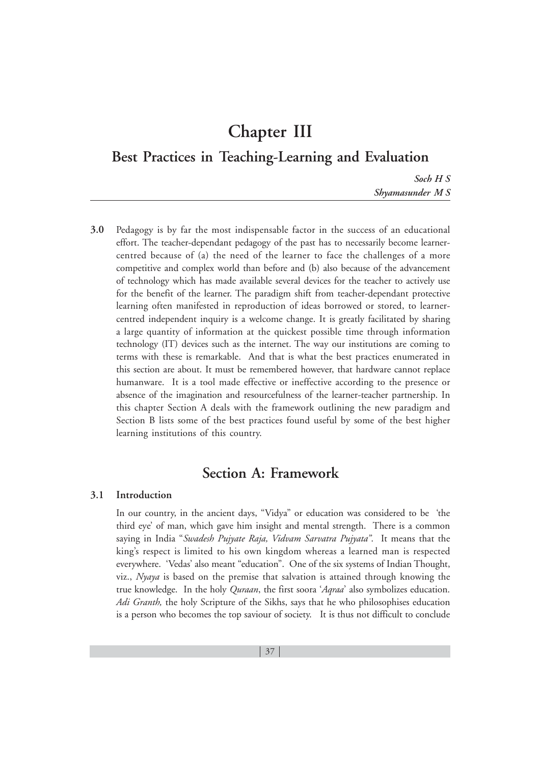# **Chapter III**

**Best Practices in Teaching-Learning and Evaluation**

*Soch H S Shyamasunder M S*

**3.0** Pedagogy is by far the most indispensable factor in the success of an educational effort. The teacher-dependant pedagogy of the past has to necessarily become learnercentred because of (a) the need of the learner to face the challenges of a more competitive and complex world than before and (b) also because of the advancement of technology which has made available several devices for the teacher to actively use for the benefit of the learner. The paradigm shift from teacher-dependant protective learning often manifested in reproduction of ideas borrowed or stored, to learnercentred independent inquiry is a welcome change. It is greatly facilitated by sharing a large quantity of information at the quickest possible time through information technology (IT) devices such as the internet. The way our institutions are coming to terms with these is remarkable. And that is what the best practices enumerated in this section are about. It must be remembered however, that hardware cannot replace humanware. It is a tool made effective or ineffective according to the presence or absence of the imagination and resourcefulness of the learner-teacher partnership. In this chapter Section A deals with the framework outlining the new paradigm and Section B lists some of the best practices found useful by some of the best higher learning institutions of this country.

# **Section A: Framework**

# **3.1 Introduction**

In our country, in the ancient days, "Vidya" or education was considered to be 'the third eye' of man, which gave him insight and mental strength. There is a common saying in India "*Swadesh Pujyate Raja, Vidvam Sarvatra Pujyata"*. It means that the king's respect is limited to his own kingdom whereas a learned man is respected everywhere. 'Vedas' also meant "education". One of the six systems of Indian Thought, viz., *Nyaya* is based on the premise that salvation is attained through knowing the true knowledge. In the holy *Quraan*, the first soora '*Aqraa*' also symbolizes education. *Adi Granth,* the holy Scripture of the Sikhs, says that he who philosophises education is a person who becomes the top saviour of society. It is thus not difficult to conclude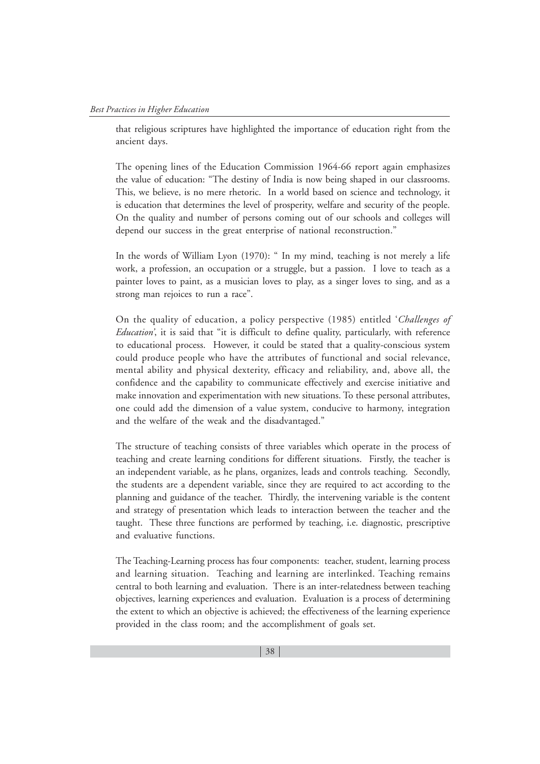that religious scriptures have highlighted the importance of education right from the ancient days.

The opening lines of the Education Commission 1964-66 report again emphasizes the value of education: "The destiny of India is now being shaped in our classrooms. This, we believe, is no mere rhetoric. In a world based on science and technology, it is education that determines the level of prosperity, welfare and security of the people. On the quality and number of persons coming out of our schools and colleges will depend our success in the great enterprise of national reconstruction."

In the words of William Lyon (1970): " In my mind, teaching is not merely a life work, a profession, an occupation or a struggle, but a passion. I love to teach as a painter loves to paint, as a musician loves to play, as a singer loves to sing, and as a strong man rejoices to run a race".

On the quality of education, a policy perspective (1985) entitled '*Challenges of Education'*, it is said that "it is difficult to define quality, particularly, with reference to educational process. However, it could be stated that a quality-conscious system could produce people who have the attributes of functional and social relevance, mental ability and physical dexterity, efficacy and reliability, and, above all, the confidence and the capability to communicate effectively and exercise initiative and make innovation and experimentation with new situations. To these personal attributes, one could add the dimension of a value system, conducive to harmony, integration and the welfare of the weak and the disadvantaged."

The structure of teaching consists of three variables which operate in the process of teaching and create learning conditions for different situations. Firstly, the teacher is an independent variable, as he plans, organizes, leads and controls teaching. Secondly, the students are a dependent variable, since they are required to act according to the planning and guidance of the teacher. Thirdly, the intervening variable is the content and strategy of presentation which leads to interaction between the teacher and the taught. These three functions are performed by teaching, i.e. diagnostic, prescriptive and evaluative functions.

The Teaching-Learning process has four components: teacher, student, learning process and learning situation. Teaching and learning are interlinked. Teaching remains central to both learning and evaluation. There is an inter-relatedness between teaching objectives, learning experiences and evaluation. Evaluation is a process of determining the extent to which an objective is achieved; the effectiveness of the learning experience provided in the class room; and the accomplishment of goals set.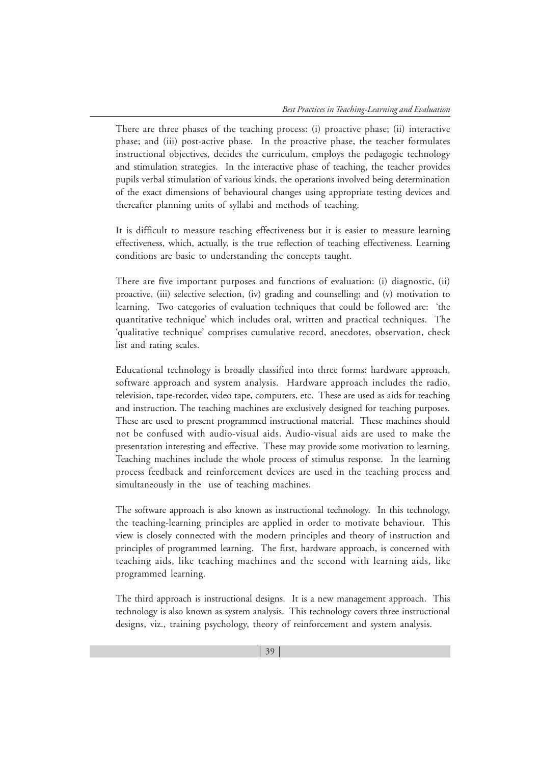There are three phases of the teaching process: (i) proactive phase; (ii) interactive phase; and (iii) post-active phase. In the proactive phase, the teacher formulates instructional objectives, decides the curriculum, employs the pedagogic technology and stimulation strategies. In the interactive phase of teaching, the teacher provides pupils verbal stimulation of various kinds, the operations involved being determination of the exact dimensions of behavioural changes using appropriate testing devices and thereafter planning units of syllabi and methods of teaching.

It is difficult to measure teaching effectiveness but it is easier to measure learning effectiveness, which, actually, is the true reflection of teaching effectiveness. Learning conditions are basic to understanding the concepts taught.

There are five important purposes and functions of evaluation: (i) diagnostic, (ii) proactive, (iii) selective selection, (iv) grading and counselling; and (v) motivation to learning. Two categories of evaluation techniques that could be followed are: 'the quantitative technique' which includes oral, written and practical techniques. The 'qualitative technique' comprises cumulative record, anecdotes, observation, check list and rating scales.

Educational technology is broadly classified into three forms: hardware approach, software approach and system analysis. Hardware approach includes the radio, television, tape-recorder, video tape, computers, etc. These are used as aids for teaching and instruction. The teaching machines are exclusively designed for teaching purposes. These are used to present programmed instructional material. These machines should not be confused with audio-visual aids. Audio-visual aids are used to make the presentation interesting and effective. These may provide some motivation to learning. Teaching machines include the whole process of stimulus response. In the learning process feedback and reinforcement devices are used in the teaching process and simultaneously in the use of teaching machines.

The software approach is also known as instructional technology. In this technology, the teaching-learning principles are applied in order to motivate behaviour. This view is closely connected with the modern principles and theory of instruction and principles of programmed learning. The first, hardware approach, is concerned with teaching aids, like teaching machines and the second with learning aids, like programmed learning.

The third approach is instructional designs. It is a new management approach. This technology is also known as system analysis. This technology covers three instructional designs, viz., training psychology, theory of reinforcement and system analysis.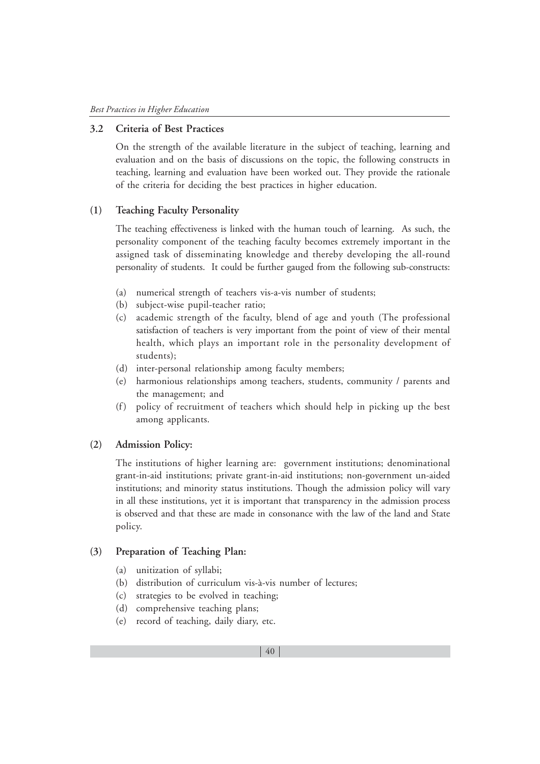# **3.2 Criteria of Best Practices**

On the strength of the available literature in the subject of teaching, learning and evaluation and on the basis of discussions on the topic, the following constructs in teaching, learning and evaluation have been worked out. They provide the rationale of the criteria for deciding the best practices in higher education.

#### **(1) Teaching Faculty Personality**

The teaching effectiveness is linked with the human touch of learning. As such, the personality component of the teaching faculty becomes extremely important in the assigned task of disseminating knowledge and thereby developing the all-round personality of students. It could be further gauged from the following sub-constructs:

- (a) numerical strength of teachers vis-a-vis number of students;
- (b) subject-wise pupil-teacher ratio;
- (c) academic strength of the faculty, blend of age and youth (The professional satisfaction of teachers is very important from the point of view of their mental health, which plays an important role in the personality development of students);
- (d) inter-personal relationship among faculty members;
- (e) harmonious relationships among teachers, students, community / parents and the management; and
- (f) policy of recruitment of teachers which should help in picking up the best among applicants.

#### **(2) Admission Policy:**

The institutions of higher learning are: government institutions; denominational grant-in-aid institutions; private grant-in-aid institutions; non-government un-aided institutions; and minority status institutions. Though the admission policy will vary in all these institutions, yet it is important that transparency in the admission process is observed and that these are made in consonance with the law of the land and State policy.

#### **(3) Preparation of Teaching Plan:**

- (a) unitization of syllabi;
- (b) distribution of curriculum vis-à-vis number of lectures;
- (c) strategies to be evolved in teaching;
- (d) comprehensive teaching plans;
- (e) record of teaching, daily diary, etc.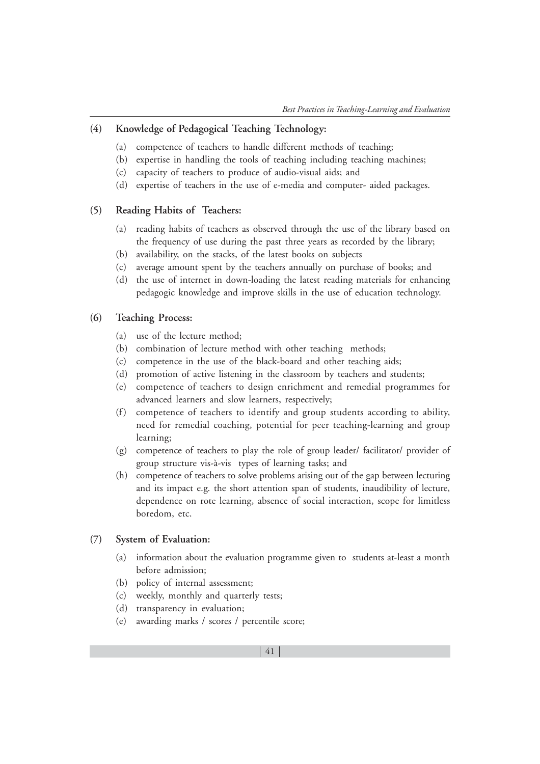# **(4) Knowledge of Pedagogical Teaching Technology:**

- (a) competence of teachers to handle different methods of teaching;
- (b) expertise in handling the tools of teaching including teaching machines;
- (c) capacity of teachers to produce of audio-visual aids; and
- (d) expertise of teachers in the use of e-media and computer- aided packages.

# **(5) Reading Habits of Teachers:**

- (a) reading habits of teachers as observed through the use of the library based on the frequency of use during the past three years as recorded by the library;
- (b) availability, on the stacks, of the latest books on subjects
- (c) average amount spent by the teachers annually on purchase of books; and
- (d) the use of internet in down-loading the latest reading materials for enhancing pedagogic knowledge and improve skills in the use of education technology.

### **(6) Teaching Process:**

- (a) use of the lecture method;
- (b) combination of lecture method with other teaching methods;
- (c) competence in the use of the black-board and other teaching aids;
- (d) promotion of active listening in the classroom by teachers and students;
- (e) competence of teachers to design enrichment and remedial programmes for advanced learners and slow learners, respectively;
- (f) competence of teachers to identify and group students according to ability, need for remedial coaching, potential for peer teaching-learning and group learning;
- (g) competence of teachers to play the role of group leader/ facilitator/ provider of group structure vis-à-vis types of learning tasks; and
- (h) competence of teachers to solve problems arising out of the gap between lecturing and its impact e.g. the short attention span of students, inaudibility of lecture, dependence on rote learning, absence of social interaction, scope for limitless boredom, etc.

#### **(7) System of Evaluation:**

- (a) information about the evaluation programme given to students at-least a month before admission;
- (b) policy of internal assessment;
- (c) weekly, monthly and quarterly tests;
- (d) transparency in evaluation;
- (e) awarding marks / scores / percentile score;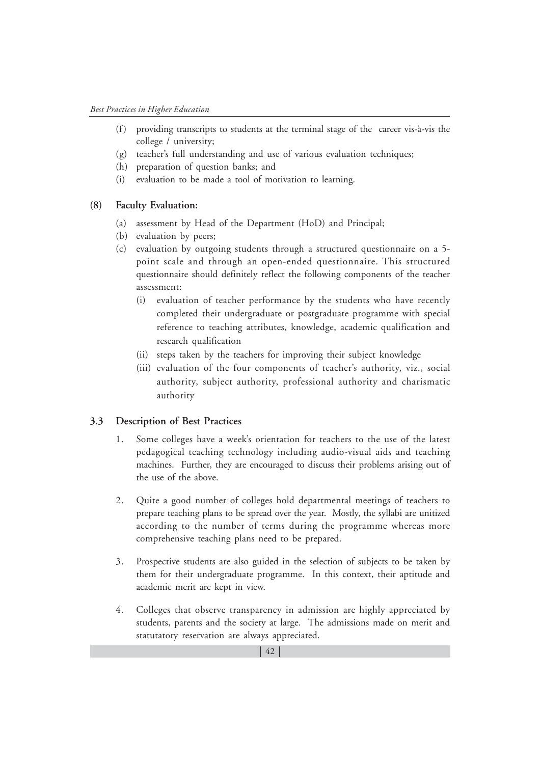- (f) providing transcripts to students at the terminal stage of the career vis-à-vis the college / university;
- (g) teacher's full understanding and use of various evaluation techniques;
- (h) preparation of question banks; and
- (i) evaluation to be made a tool of motivation to learning.

#### **(8) Faculty Evaluation:**

- (a) assessment by Head of the Department (HoD) and Principal;
- (b) evaluation by peers;
- (c) evaluation by outgoing students through a structured questionnaire on a 5 point scale and through an open-ended questionnaire. This structured questionnaire should definitely reflect the following components of the teacher assessment:
	- (i) evaluation of teacher performance by the students who have recently completed their undergraduate or postgraduate programme with special reference to teaching attributes, knowledge, academic qualification and research qualification
	- (ii) steps taken by the teachers for improving their subject knowledge
	- (iii) evaluation of the four components of teacher's authority, viz., social authority, subject authority, professional authority and charismatic authority

#### **3.3 Description of Best Practices**

- 1. Some colleges have a week's orientation for teachers to the use of the latest pedagogical teaching technology including audio-visual aids and teaching machines. Further, they are encouraged to discuss their problems arising out of the use of the above.
- 2. Quite a good number of colleges hold departmental meetings of teachers to prepare teaching plans to be spread over the year. Mostly, the syllabi are unitized according to the number of terms during the programme whereas more comprehensive teaching plans need to be prepared.
- 3. Prospective students are also guided in the selection of subjects to be taken by them for their undergraduate programme. In this context, their aptitude and academic merit are kept in view.
- 4. Colleges that observe transparency in admission are highly appreciated by students, parents and the society at large. The admissions made on merit and statutatory reservation are always appreciated.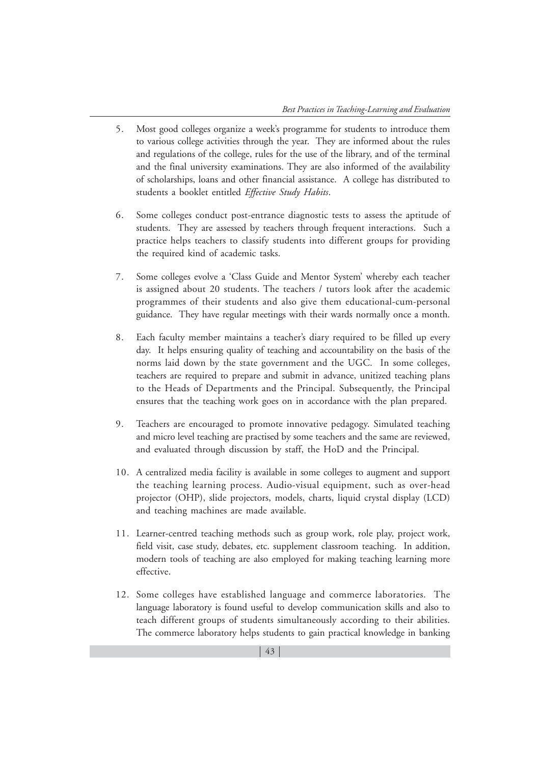- 5. Most good colleges organize a week's programme for students to introduce them to various college activities through the year. They are informed about the rules and regulations of the college, rules for the use of the library, and of the terminal and the final university examinations. They are also informed of the availability of scholarships, loans and other financial assistance. A college has distributed to students a booklet entitled *Effective Study Habits*.
- 6. Some colleges conduct post-entrance diagnostic tests to assess the aptitude of students. They are assessed by teachers through frequent interactions. Such a practice helps teachers to classify students into different groups for providing the required kind of academic tasks.
- 7. Some colleges evolve a 'Class Guide and Mentor System' whereby each teacher is assigned about 20 students. The teachers / tutors look after the academic programmes of their students and also give them educational-cum-personal guidance. They have regular meetings with their wards normally once a month.
- 8. Each faculty member maintains a teacher's diary required to be filled up every day. It helps ensuring quality of teaching and accountability on the basis of the norms laid down by the state government and the UGC. In some colleges, teachers are required to prepare and submit in advance, unitized teaching plans to the Heads of Departments and the Principal. Subsequently, the Principal ensures that the teaching work goes on in accordance with the plan prepared.
- 9. Teachers are encouraged to promote innovative pedagogy. Simulated teaching and micro level teaching are practised by some teachers and the same are reviewed, and evaluated through discussion by staff, the HoD and the Principal.
- 10. A centralized media facility is available in some colleges to augment and support the teaching learning process. Audio-visual equipment, such as over-head projector (OHP), slide projectors, models, charts, liquid crystal display (LCD) and teaching machines are made available.
- 11. Learner-centred teaching methods such as group work, role play, project work, field visit, case study, debates, etc. supplement classroom teaching. In addition, modern tools of teaching are also employed for making teaching learning more effective.
- 12. Some colleges have established language and commerce laboratories. The language laboratory is found useful to develop communication skills and also to teach different groups of students simultaneously according to their abilities. The commerce laboratory helps students to gain practical knowledge in banking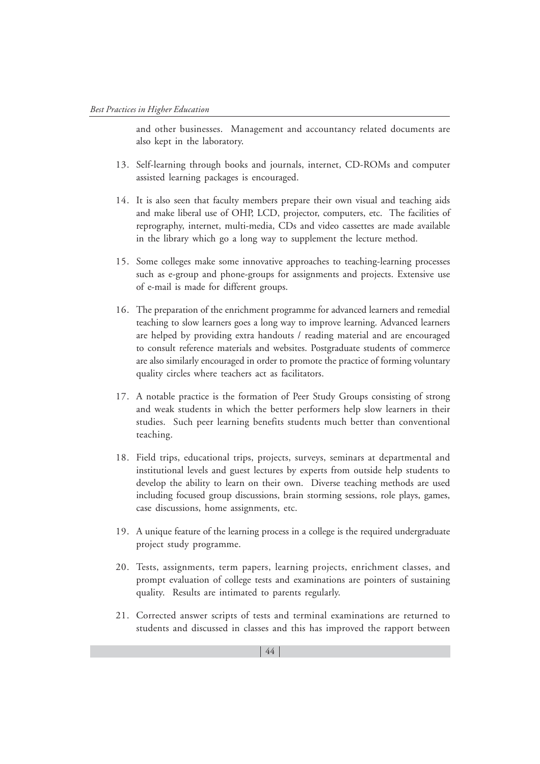and other businesses. Management and accountancy related documents are also kept in the laboratory.

- 13. Self-learning through books and journals, internet, CD-ROMs and computer assisted learning packages is encouraged.
- 14. It is also seen that faculty members prepare their own visual and teaching aids and make liberal use of OHP, LCD, projector, computers, etc. The facilities of reprography, internet, multi-media, CDs and video cassettes are made available in the library which go a long way to supplement the lecture method.
- 15. Some colleges make some innovative approaches to teaching-learning processes such as e-group and phone-groups for assignments and projects. Extensive use of e-mail is made for different groups.
- 16. The preparation of the enrichment programme for advanced learners and remedial teaching to slow learners goes a long way to improve learning. Advanced learners are helped by providing extra handouts / reading material and are encouraged to consult reference materials and websites. Postgraduate students of commerce are also similarly encouraged in order to promote the practice of forming voluntary quality circles where teachers act as facilitators.
- 17. A notable practice is the formation of Peer Study Groups consisting of strong and weak students in which the better performers help slow learners in their studies. Such peer learning benefits students much better than conventional teaching.
- 18. Field trips, educational trips, projects, surveys, seminars at departmental and institutional levels and guest lectures by experts from outside help students to develop the ability to learn on their own. Diverse teaching methods are used including focused group discussions, brain storming sessions, role plays, games, case discussions, home assignments, etc.
- 19. A unique feature of the learning process in a college is the required undergraduate project study programme.
- 20. Tests, assignments, term papers, learning projects, enrichment classes, and prompt evaluation of college tests and examinations are pointers of sustaining quality. Results are intimated to parents regularly.
- 21. Corrected answer scripts of tests and terminal examinations are returned to students and discussed in classes and this has improved the rapport between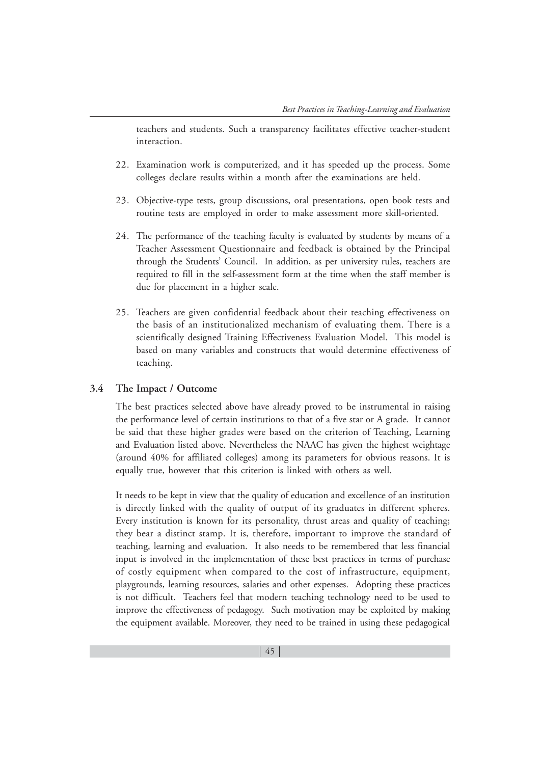teachers and students. Such a transparency facilitates effective teacher-student interaction.

- 22. Examination work is computerized, and it has speeded up the process. Some colleges declare results within a month after the examinations are held.
- 23. Objective-type tests, group discussions, oral presentations, open book tests and routine tests are employed in order to make assessment more skill-oriented.
- 24. The performance of the teaching faculty is evaluated by students by means of a Teacher Assessment Questionnaire and feedback is obtained by the Principal through the Students' Council. In addition, as per university rules, teachers are required to fill in the self-assessment form at the time when the staff member is due for placement in a higher scale.
- 25. Teachers are given confidential feedback about their teaching effectiveness on the basis of an institutionalized mechanism of evaluating them. There is a scientifically designed Training Effectiveness Evaluation Model. This model is based on many variables and constructs that would determine effectiveness of teaching.

#### **3.4 The Impact / Outcome**

The best practices selected above have already proved to be instrumental in raising the performance level of certain institutions to that of a five star or A grade. It cannot be said that these higher grades were based on the criterion of Teaching, Learning and Evaluation listed above. Nevertheless the NAAC has given the highest weightage (around 40% for affiliated colleges) among its parameters for obvious reasons. It is equally true, however that this criterion is linked with others as well.

It needs to be kept in view that the quality of education and excellence of an institution is directly linked with the quality of output of its graduates in different spheres. Every institution is known for its personality, thrust areas and quality of teaching; they bear a distinct stamp. It is, therefore, important to improve the standard of teaching, learning and evaluation. It also needs to be remembered that less financial input is involved in the implementation of these best practices in terms of purchase of costly equipment when compared to the cost of infrastructure, equipment, playgrounds, learning resources, salaries and other expenses. Adopting these practices is not difficult. Teachers feel that modern teaching technology need to be used to improve the effectiveness of pedagogy. Such motivation may be exploited by making the equipment available. Moreover, they need to be trained in using these pedagogical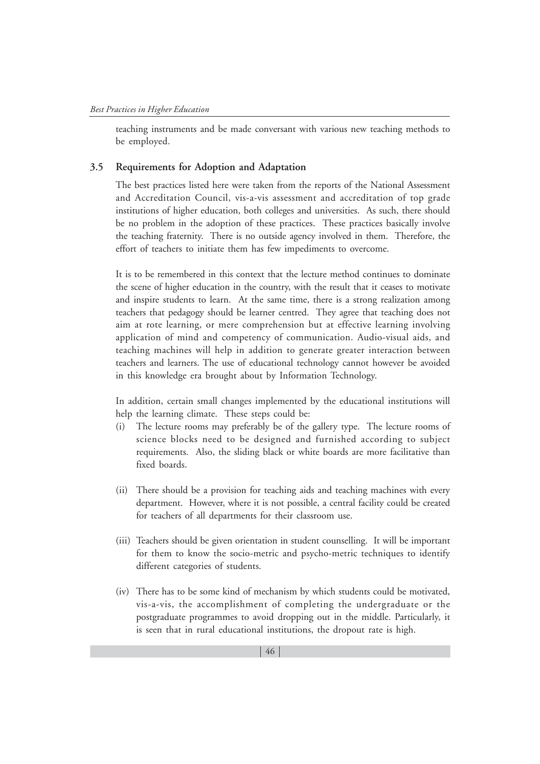teaching instruments and be made conversant with various new teaching methods to be employed.

#### **3.5 Requirements for Adoption and Adaptation**

The best practices listed here were taken from the reports of the National Assessment and Accreditation Council, vis-a-vis assessment and accreditation of top grade institutions of higher education, both colleges and universities. As such, there should be no problem in the adoption of these practices. These practices basically involve the teaching fraternity. There is no outside agency involved in them. Therefore, the effort of teachers to initiate them has few impediments to overcome.

It is to be remembered in this context that the lecture method continues to dominate the scene of higher education in the country, with the result that it ceases to motivate and inspire students to learn. At the same time, there is a strong realization among teachers that pedagogy should be learner centred. They agree that teaching does not aim at rote learning, or mere comprehension but at effective learning involving application of mind and competency of communication. Audio-visual aids, and teaching machines will help in addition to generate greater interaction between teachers and learners. The use of educational technology cannot however be avoided in this knowledge era brought about by Information Technology.

In addition, certain small changes implemented by the educational institutions will help the learning climate. These steps could be:

- (i) The lecture rooms may preferably be of the gallery type. The lecture rooms of science blocks need to be designed and furnished according to subject requirements. Also, the sliding black or white boards are more facilitative than fixed boards.
- (ii) There should be a provision for teaching aids and teaching machines with every department. However, where it is not possible, a central facility could be created for teachers of all departments for their classroom use.
- (iii) Teachers should be given orientation in student counselling. It will be important for them to know the socio-metric and psycho-metric techniques to identify different categories of students.
- (iv) There has to be some kind of mechanism by which students could be motivated, vis-a-vis, the accomplishment of completing the undergraduate or the postgraduate programmes to avoid dropping out in the middle. Particularly, it is seen that in rural educational institutions, the dropout rate is high.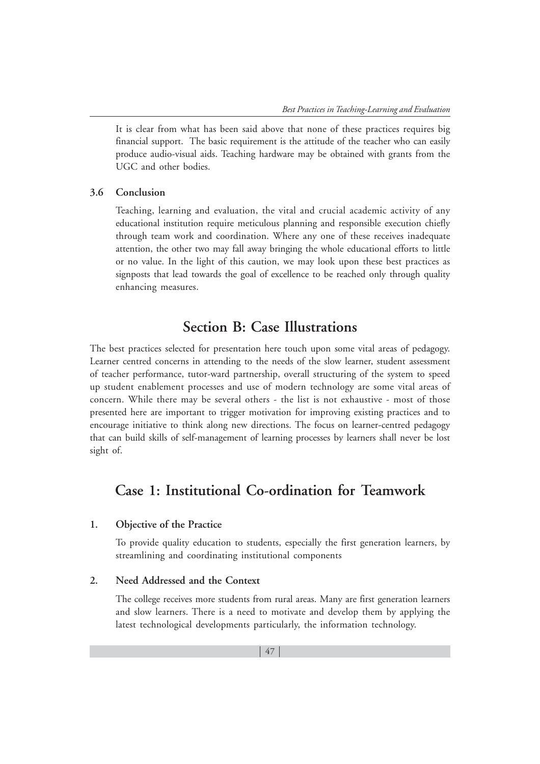It is clear from what has been said above that none of these practices requires big financial support. The basic requirement is the attitude of the teacher who can easily produce audio-visual aids. Teaching hardware may be obtained with grants from the UGC and other bodies.

#### **3.6 Conclusion**

Teaching, learning and evaluation, the vital and crucial academic activity of any educational institution require meticulous planning and responsible execution chiefly through team work and coordination. Where any one of these receives inadequate attention, the other two may fall away bringing the whole educational efforts to little or no value. In the light of this caution, we may look upon these best practices as signposts that lead towards the goal of excellence to be reached only through quality enhancing measures.

# **Section B: Case Illustrations**

The best practices selected for presentation here touch upon some vital areas of pedagogy. Learner centred concerns in attending to the needs of the slow learner, student assessment of teacher performance, tutor-ward partnership, overall structuring of the system to speed up student enablement processes and use of modern technology are some vital areas of concern. While there may be several others - the list is not exhaustive - most of those presented here are important to trigger motivation for improving existing practices and to encourage initiative to think along new directions. The focus on learner-centred pedagogy that can build skills of self-management of learning processes by learners shall never be lost sight of.

# **Case 1: Institutional Co-ordination for Teamwork**

### **1. Objective of the Practice**

To provide quality education to students, especially the first generation learners, by streamlining and coordinating institutional components

### **2. Need Addressed and the Context**

The college receives more students from rural areas. Many are first generation learners and slow learners. There is a need to motivate and develop them by applying the latest technological developments particularly, the information technology.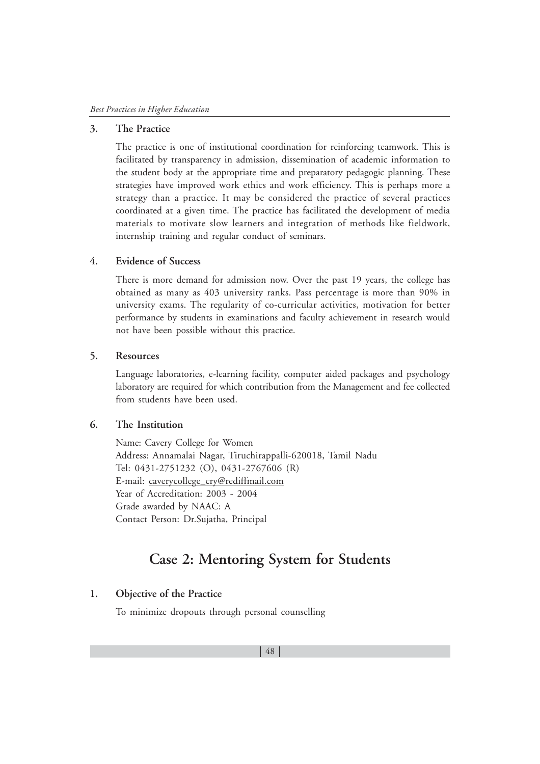#### **3. The Practice**

The practice is one of institutional coordination for reinforcing teamwork. This is facilitated by transparency in admission, dissemination of academic information to the student body at the appropriate time and preparatory pedagogic planning. These strategies have improved work ethics and work efficiency. This is perhaps more a strategy than a practice. It may be considered the practice of several practices coordinated at a given time. The practice has facilitated the development of media materials to motivate slow learners and integration of methods like fieldwork, internship training and regular conduct of seminars.

#### **4. Evidence of Success**

There is more demand for admission now. Over the past 19 years, the college has obtained as many as 403 university ranks. Pass percentage is more than 90% in university exams. The regularity of co-curricular activities, motivation for better performance by students in examinations and faculty achievement in research would not have been possible without this practice.

### **5. Resources**

Language laboratories, e-learning facility, computer aided packages and psychology laboratory are required for which contribution from the Management and fee collected from students have been used.

# **6. The Institution**

Name: Cavery College for Women Address: Annamalai Nagar, Tiruchirappalli-620018, Tamil Nadu Tel: 0431-2751232 (O), 0431-2767606 (R) E-mail: caverycollege\_cry@rediffmail.com Year of Accreditation: 2003 - 2004 Grade awarded by NAAC: A Contact Person: Dr.Sujatha, Principal

# **Case 2: Mentoring System for Students**

# **1. Objective of the Practice**

To minimize dropouts through personal counselling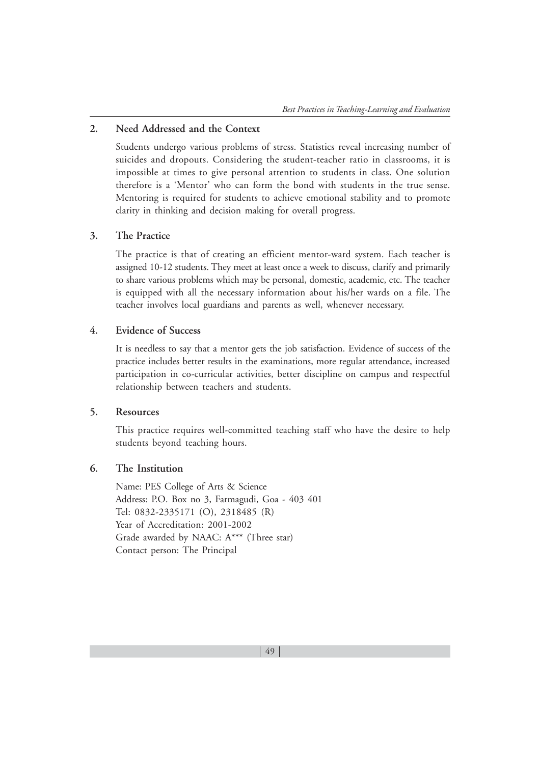# **2. Need Addressed and the Context**

Students undergo various problems of stress. Statistics reveal increasing number of suicides and dropouts. Considering the student-teacher ratio in classrooms, it is impossible at times to give personal attention to students in class. One solution therefore is a 'Mentor' who can form the bond with students in the true sense. Mentoring is required for students to achieve emotional stability and to promote clarity in thinking and decision making for overall progress.

#### **3. The Practice**

The practice is that of creating an efficient mentor-ward system. Each teacher is assigned 10-12 students. They meet at least once a week to discuss, clarify and primarily to share various problems which may be personal, domestic, academic, etc. The teacher is equipped with all the necessary information about his/her wards on a file. The teacher involves local guardians and parents as well, whenever necessary.

### **4. Evidence of Success**

It is needless to say that a mentor gets the job satisfaction. Evidence of success of the practice includes better results in the examinations, more regular attendance, increased participation in co-curricular activities, better discipline on campus and respectful relationship between teachers and students.

### **5. Resources**

This practice requires well-committed teaching staff who have the desire to help students beyond teaching hours.

# **6. The Institution**

Name: PES College of Arts & Science Address: P.O. Box no 3, Farmagudi, Goa - 403 401 Tel: 0832-2335171 (O), 2318485 (R) Year of Accreditation: 2001-2002 Grade awarded by NAAC: A\*\*\* (Three star) Contact person: The Principal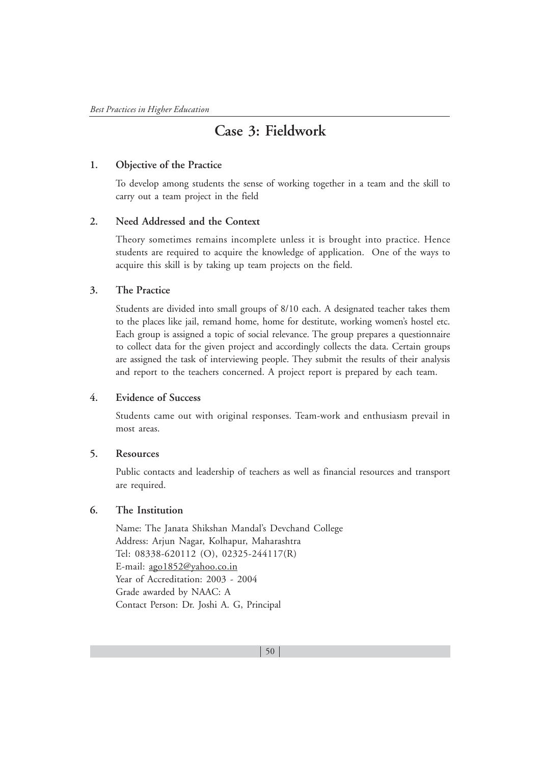# **Case 3: Fieldwork**

# **1. Objective of the Practice**

To develop among students the sense of working together in a team and the skill to carry out a team project in the field

### **2. Need Addressed and the Context**

Theory sometimes remains incomplete unless it is brought into practice. Hence students are required to acquire the knowledge of application. One of the ways to acquire this skill is by taking up team projects on the field.

# **3. The Practice**

Students are divided into small groups of 8/10 each. A designated teacher takes them to the places like jail, remand home, home for destitute, working women's hostel etc. Each group is assigned a topic of social relevance. The group prepares a questionnaire to collect data for the given project and accordingly collects the data. Certain groups are assigned the task of interviewing people. They submit the results of their analysis and report to the teachers concerned. A project report is prepared by each team.

# **4. Evidence of Success**

Students came out with original responses. Team-work and enthusiasm prevail in most areas.

### **5. Resources**

Public contacts and leadership of teachers as well as financial resources and transport are required.

### **6. The Institution**

Name: The Janata Shikshan Mandal's Devchand College Address: Arjun Nagar, Kolhapur, Maharashtra Tel: 08338-620112 (O), 02325-244117(R) E-mail: ago1852@yahoo.co.in Year of Accreditation: 2003 - 2004 Grade awarded by NAAC: A Contact Person: Dr. Joshi A. G, Principal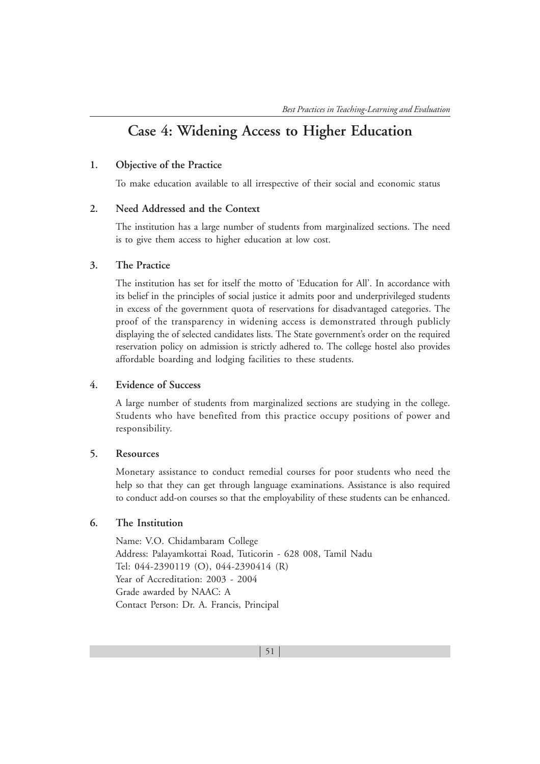# **Case 4: Widening Access to Higher Education**

#### **1. Objective of the Practice**

To make education available to all irrespective of their social and economic status

#### **2. Need Addressed and the Context**

The institution has a large number of students from marginalized sections. The need is to give them access to higher education at low cost.

### **3. The Practice**

The institution has set for itself the motto of 'Education for All'. In accordance with its belief in the principles of social justice it admits poor and underprivileged students in excess of the government quota of reservations for disadvantaged categories. The proof of the transparency in widening access is demonstrated through publicly displaying the of selected candidates lists. The State government's order on the required reservation policy on admission is strictly adhered to. The college hostel also provides affordable boarding and lodging facilities to these students.

### **4. Evidence of Success**

A large number of students from marginalized sections are studying in the college. Students who have benefited from this practice occupy positions of power and responsibility.

### **5. Resources**

Monetary assistance to conduct remedial courses for poor students who need the help so that they can get through language examinations. Assistance is also required to conduct add-on courses so that the employability of these students can be enhanced.

# **6. The Institution**

Name: V.O. Chidambaram College Address: Palayamkottai Road, Tuticorin - 628 008, Tamil Nadu Tel: 044-2390119 (O), 044-2390414 (R) Year of Accreditation: 2003 - 2004 Grade awarded by NAAC: A Contact Person: Dr. A. Francis, Principal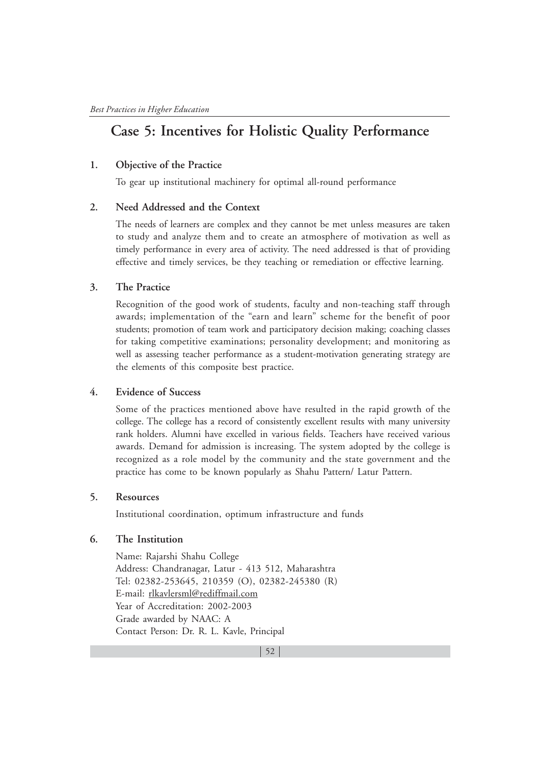# **Case 5: Incentives for Holistic Quality Performance**

### **1. Objective of the Practice**

To gear up institutional machinery for optimal all-round performance

### **2. Need Addressed and the Context**

The needs of learners are complex and they cannot be met unless measures are taken to study and analyze them and to create an atmosphere of motivation as well as timely performance in every area of activity. The need addressed is that of providing effective and timely services, be they teaching or remediation or effective learning.

#### **3. The Practice**

Recognition of the good work of students, faculty and non-teaching staff through awards; implementation of the "earn and learn" scheme for the benefit of poor students; promotion of team work and participatory decision making; coaching classes for taking competitive examinations; personality development; and monitoring as well as assessing teacher performance as a student-motivation generating strategy are the elements of this composite best practice.

# **4. Evidence of Success**

Some of the practices mentioned above have resulted in the rapid growth of the college. The college has a record of consistently excellent results with many university rank holders. Alumni have excelled in various fields. Teachers have received various awards. Demand for admission is increasing. The system adopted by the college is recognized as a role model by the community and the state government and the practice has come to be known popularly as Shahu Pattern/ Latur Pattern.

#### **5. Resources**

Institutional coordination, optimum infrastructure and funds

### **6. The Institution**

Name: Rajarshi Shahu College Address: Chandranagar, Latur - 413 512, Maharashtra Tel: 02382-253645, 210359 (O), 02382-245380 (R) E-mail: rlkavlersml@rediffmail.com Year of Accreditation: 2002-2003 Grade awarded by NAAC: A Contact Person: Dr. R. L. Kavle, Principal

 $\vert$  52  $\vert$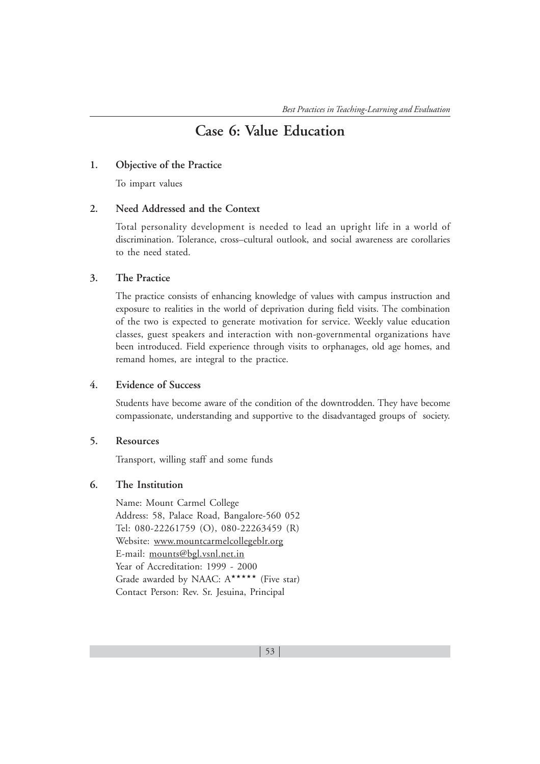# **Case 6: Value Education**

#### **1. Objective of the Practice**

To impart values

#### **2. Need Addressed and the Context**

Total personality development is needed to lead an upright life in a world of discrimination. Tolerance, cross–cultural outlook, and social awareness are corollaries to the need stated.

#### **3. The Practice**

The practice consists of enhancing knowledge of values with campus instruction and exposure to realities in the world of deprivation during field visits. The combination of the two is expected to generate motivation for service. Weekly value education classes, guest speakers and interaction with non-governmental organizations have been introduced. Field experience through visits to orphanages, old age homes, and remand homes, are integral to the practice.

### **4. Evidence of Success**

Students have become aware of the condition of the downtrodden. They have become compassionate, understanding and supportive to the disadvantaged groups of society.

# **5. Resources**

Transport, willing staff and some funds

### **6. The Institution**

Name: Mount Carmel College Address: 58, Palace Road, Bangalore-560 052 Tel: 080-22261759 (O), 080-22263459 (R) Website: www.mountcarmelcollegeblr.org E-mail: mounts@bgl.vsnl.net.in Year of Accreditation: 1999 - 2000 Grade awarded by NAAC: A\*\*\*\*\*\* (Five star) Contact Person: Rev. Sr. Jesuina, Principal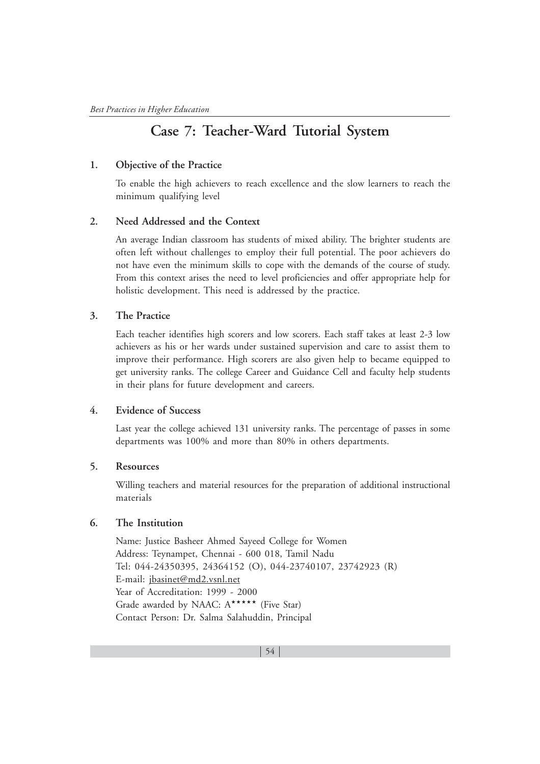# **Case 7: Teacher-Ward Tutorial System**

### **1. Objective of the Practice**

To enable the high achievers to reach excellence and the slow learners to reach the minimum qualifying level

### **2. Need Addressed and the Context**

An average Indian classroom has students of mixed ability. The brighter students are often left without challenges to employ their full potential. The poor achievers do not have even the minimum skills to cope with the demands of the course of study. From this context arises the need to level proficiencies and offer appropriate help for holistic development. This need is addressed by the practice.

# **3. The Practice**

Each teacher identifies high scorers and low scorers. Each staff takes at least 2-3 low achievers as his or her wards under sustained supervision and care to assist them to improve their performance. High scorers are also given help to became equipped to get university ranks. The college Career and Guidance Cell and faculty help students in their plans for future development and careers.

### **4. Evidence of Success**

Last year the college achieved 131 university ranks. The percentage of passes in some departments was 100% and more than 80% in others departments.

### **5. Resources**

Willing teachers and material resources for the preparation of additional instructional materials

### **6. The Institution**

Name: Justice Basheer Ahmed Sayeed College for Women Address: Teynampet, Chennai - 600 018, Tamil Nadu Tel: 044-24350395, 24364152 (O), 044-23740107, 23742923 (R) E-mail: jbasinet@md2.vsnl.net Year of Accreditation: 1999 - 2000 Grade awarded by NAAC:  $A^{\star \star \star \star \star}$  (Five Star) Contact Person: Dr. Salma Salahuddin, Principal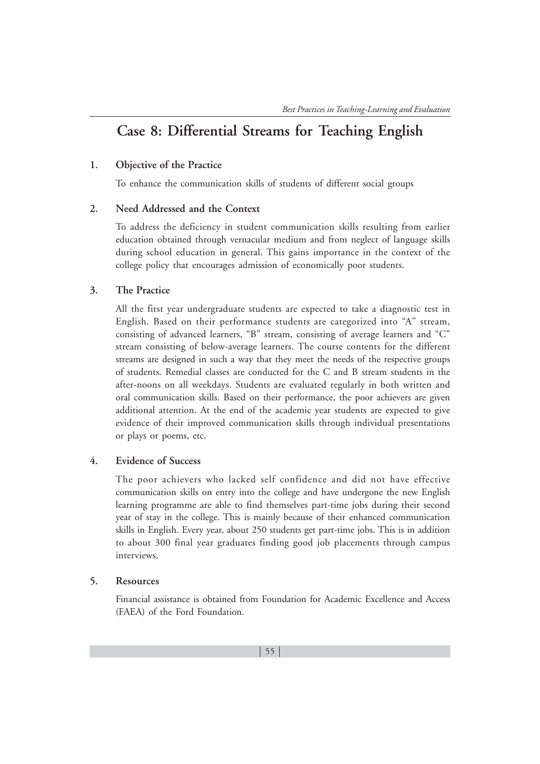# **Case 8: Differential Streams for Teaching English**

#### **1. Objective of the Practice**

To enhance the communication skills of students of different social groups

#### **2. Need Addressed and the Context**

To address the deficiency in student communication skills resulting from earlier education obtained through vernacular medium and from neglect of language skills during school education in general. This gains importance in the context of the college policy that encourages admission of economically poor students.

#### **3. The Practice**

All the first year undergraduate students are expected to take a diagnostic test in English. Based on their performance students are categorized into "A" stream, consisting of advanced learners, "B" stream, consisting of average learners and "C" stream consisting of below-average learners. The course contents for the different streams are designed in such a way that they meet the needs of the respective groups of students. Remedial classes are conducted for the C and B stream students in the after-noons on all weekdays. Students are evaluated regularly in both written and oral communication skills. Based on their performance, the poor achievers are given additional attention. At the end of the academic year students are expected to give evidence of their improved communication skills through individual presentations or plays or poems, etc.

#### **4. Evidence of Success**

The poor achievers who lacked self confidence and did not have effective communication skills on entry into the college and have undergone the new English learning programme are able to find themselves part-time jobs during their second year of stay in the college. This is mainly because of their enhanced communication skills in English. Every year, about 250 students get part-time jobs. This is in addition to about 300 final year graduates finding good job placements through campus interviews.

#### **5. Resources**

Financial assistance is obtained from Foundation for Academic Excellence and Access (FAEA) of the Ford Foundation.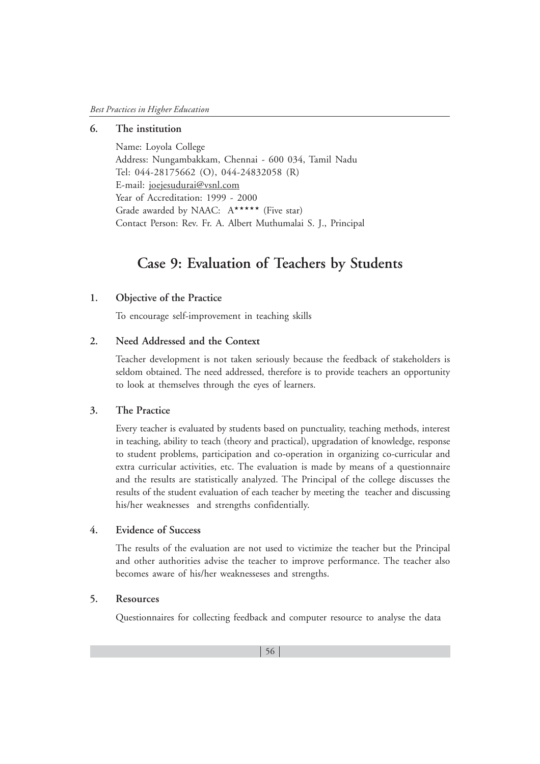# **6. The institution**

Name: Loyola College Address: Nungambakkam, Chennai - 600 034, Tamil Nadu Tel: 044-28175662 (O), 044-24832058 (R) E-mail: joejesudurai@vsnl.com Year of Accreditation: 1999 - 2000 Grade awarded by NAAC:  $A***$  (Five star) Contact Person: Rev. Fr. A. Albert Muthumalai S. J., Principal

# **Case 9: Evaluation of Teachers by Students**

# **1. Objective of the Practice**

To encourage self-improvement in teaching skills

# **2. Need Addressed and the Context**

Teacher development is not taken seriously because the feedback of stakeholders is seldom obtained. The need addressed, therefore is to provide teachers an opportunity to look at themselves through the eyes of learners.

#### **3. The Practice**

Every teacher is evaluated by students based on punctuality, teaching methods, interest in teaching, ability to teach (theory and practical), upgradation of knowledge, response to student problems, participation and co-operation in organizing co-curricular and extra curricular activities, etc. The evaluation is made by means of a questionnaire and the results are statistically analyzed. The Principal of the college discusses the results of the student evaluation of each teacher by meeting the teacher and discussing his/her weaknesses and strengths confidentially.

### **4. Evidence of Success**

The results of the evaluation are not used to victimize the teacher but the Principal and other authorities advise the teacher to improve performance. The teacher also becomes aware of his/her weaknesseses and strengths.

#### **5. Resources**

Questionnaires for collecting feedback and computer resource to analyse the data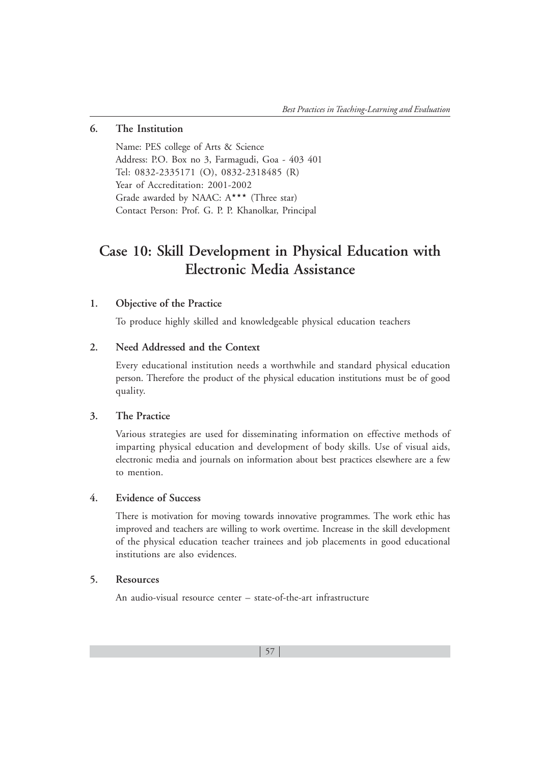#### **6. The Institution**

Name: PES college of Arts & Science Address: P.O. Box no 3, Farmagudi, Goa - 403 401 Tel: 0832-2335171 (O), 0832-2318485 (R) Year of Accreditation: 2001-2002 Grade awarded by NAAC:  $A^{\star \star \star}$  (Three star) Contact Person: Prof. G. P. P. Khanolkar, Principal

# **Case 10: Skill Development in Physical Education with Electronic Media Assistance**

# **1. Objective of the Practice**

To produce highly skilled and knowledgeable physical education teachers

### **2. Need Addressed and the Context**

Every educational institution needs a worthwhile and standard physical education person. Therefore the product of the physical education institutions must be of good quality.

### **3. The Practice**

Various strategies are used for disseminating information on effective methods of imparting physical education and development of body skills. Use of visual aids, electronic media and journals on information about best practices elsewhere are a few to mention.

#### **4. Evidence of Success**

There is motivation for moving towards innovative programmes. The work ethic has improved and teachers are willing to work overtime. Increase in the skill development of the physical education teacher trainees and job placements in good educational institutions are also evidences.

# **5. Resources**

An audio-visual resource center – state-of-the-art infrastructure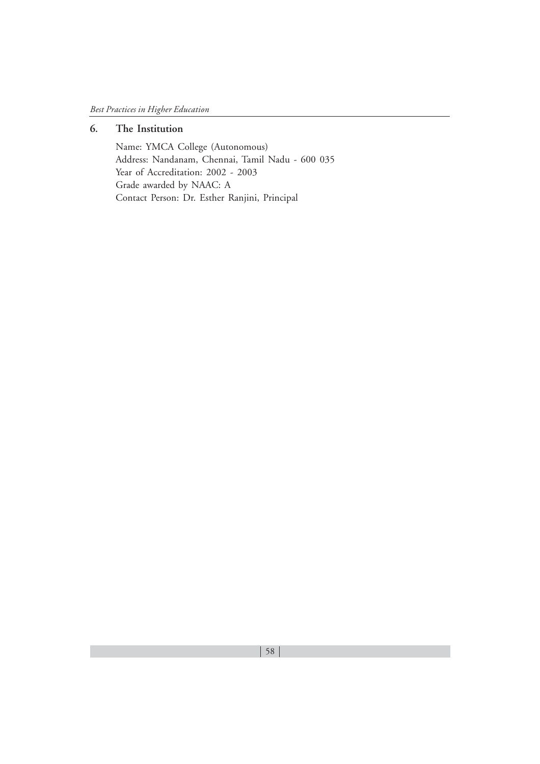# **6. The Institution**

Name: YMCA College (Autonomous) Address: Nandanam, Chennai, Tamil Nadu - 600 035 Year of Accreditation: 2002 - 2003 Grade awarded by NAAC: A Contact Person: Dr. Esther Ranjini, Principal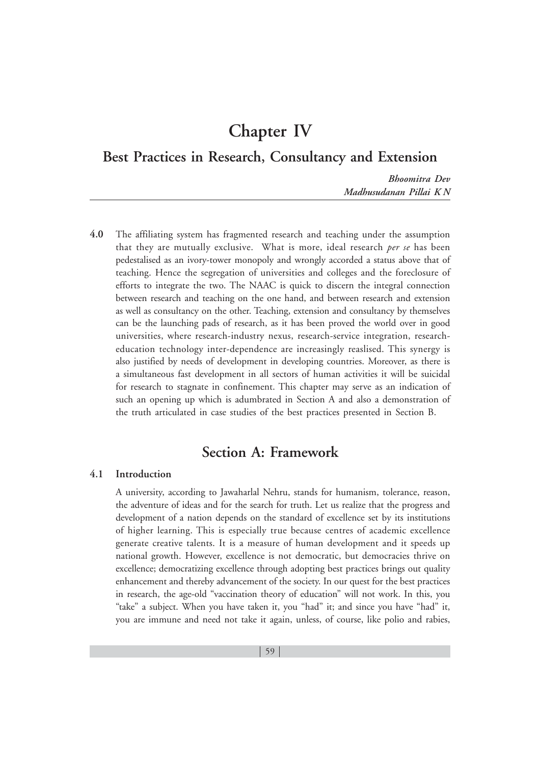# **Chapter IV**

**Best Practices in Research, Consultancy and Extension**

*Bhoomitra Dev Madhusudanan Pillai K N*

**4.0** The affiliating system has fragmented research and teaching under the assumption that they are mutually exclusive. What is more, ideal research *per se* has been pedestalised as an ivory-tower monopoly and wrongly accorded a status above that of teaching. Hence the segregation of universities and colleges and the foreclosure of efforts to integrate the two. The NAAC is quick to discern the integral connection between research and teaching on the one hand, and between research and extension as well as consultancy on the other. Teaching, extension and consultancy by themselves can be the launching pads of research, as it has been proved the world over in good universities, where research-industry nexus, research-service integration, researcheducation technology inter-dependence are increasingly reaslised. This synergy is also justified by needs of development in developing countries. Moreover, as there is a simultaneous fast development in all sectors of human activities it will be suicidal for research to stagnate in confinement. This chapter may serve as an indication of such an opening up which is adumbrated in Section A and also a demonstration of the truth articulated in case studies of the best practices presented in Section B.

# **Section A: Framework**

#### **4.1 Introduction**

A university, according to Jawaharlal Nehru, stands for humanism, tolerance, reason, the adventure of ideas and for the search for truth. Let us realize that the progress and development of a nation depends on the standard of excellence set by its institutions of higher learning. This is especially true because centres of academic excellence generate creative talents. It is a measure of human development and it speeds up national growth. However, excellence is not democratic, but democracies thrive on excellence; democratizing excellence through adopting best practices brings out quality enhancement and thereby advancement of the society. In our quest for the best practices in research, the age-old "vaccination theory of education" will not work. In this, you "take" a subject. When you have taken it, you "had" it; and since you have "had" it, you are immune and need not take it again, unless, of course, like polio and rabies,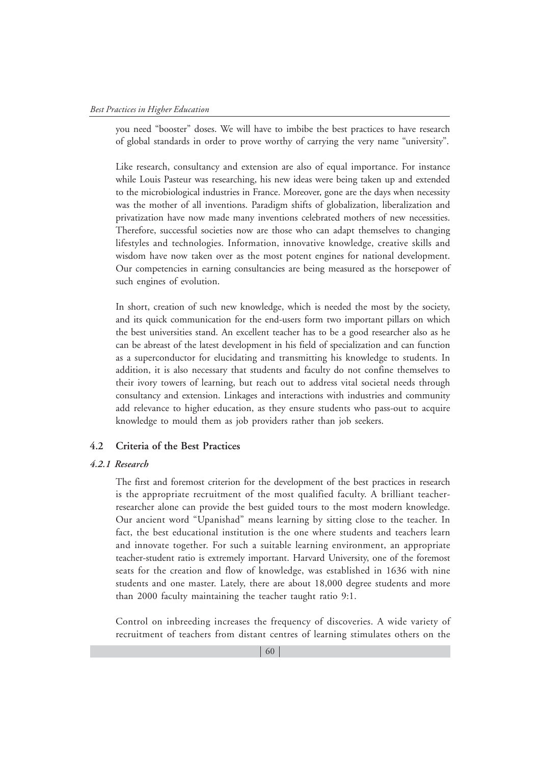you need "booster" doses. We will have to imbibe the best practices to have research of global standards in order to prove worthy of carrying the very name "university".

Like research, consultancy and extension are also of equal importance. For instance while Louis Pasteur was researching, his new ideas were being taken up and extended to the microbiological industries in France. Moreover, gone are the days when necessity was the mother of all inventions. Paradigm shifts of globalization, liberalization and privatization have now made many inventions celebrated mothers of new necessities. Therefore, successful societies now are those who can adapt themselves to changing lifestyles and technologies. Information, innovative knowledge, creative skills and wisdom have now taken over as the most potent engines for national development. Our competencies in earning consultancies are being measured as the horsepower of such engines of evolution.

In short, creation of such new knowledge, which is needed the most by the society, and its quick communication for the end-users form two important pillars on which the best universities stand. An excellent teacher has to be a good researcher also as he can be abreast of the latest development in his field of specialization and can function as a superconductor for elucidating and transmitting his knowledge to students. In addition, it is also necessary that students and faculty do not confine themselves to their ivory towers of learning, but reach out to address vital societal needs through consultancy and extension. Linkages and interactions with industries and community add relevance to higher education, as they ensure students who pass-out to acquire knowledge to mould them as job providers rather than job seekers.

### **4.2 Criteria of the Best Practices**

#### *4.2.1 Research*

The first and foremost criterion for the development of the best practices in research is the appropriate recruitment of the most qualified faculty. A brilliant teacherresearcher alone can provide the best guided tours to the most modern knowledge. Our ancient word "Upanishad" means learning by sitting close to the teacher. In fact, the best educational institution is the one where students and teachers learn and innovate together. For such a suitable learning environment, an appropriate teacher-student ratio is extremely important. Harvard University, one of the foremost seats for the creation and flow of knowledge, was established in 1636 with nine students and one master. Lately, there are about 18,000 degree students and more than 2000 faculty maintaining the teacher taught ratio 9:1.

Control on inbreeding increases the frequency of discoveries. A wide variety of recruitment of teachers from distant centres of learning stimulates others on the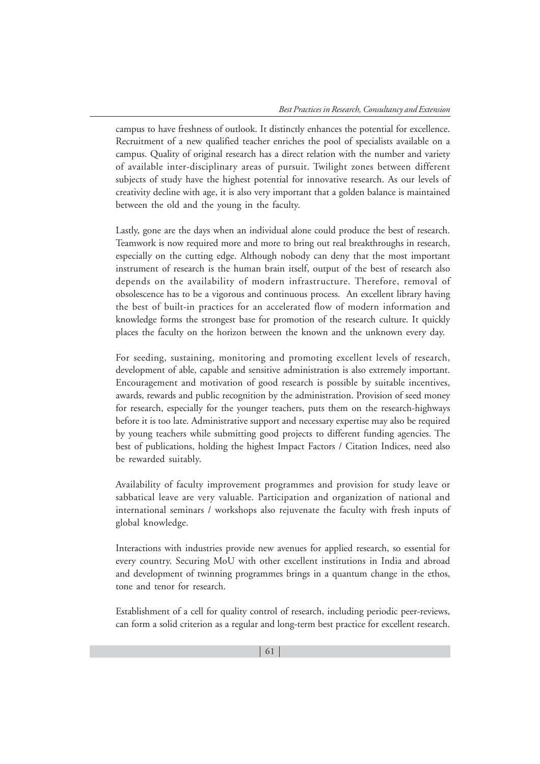campus to have freshness of outlook. It distinctly enhances the potential for excellence. Recruitment of a new qualified teacher enriches the pool of specialists available on a campus. Quality of original research has a direct relation with the number and variety of available inter-disciplinary areas of pursuit. Twilight zones between different subjects of study have the highest potential for innovative research. As our levels of creativity decline with age, it is also very important that a golden balance is maintained between the old and the young in the faculty.

Lastly, gone are the days when an individual alone could produce the best of research. Teamwork is now required more and more to bring out real breakthroughs in research, especially on the cutting edge. Although nobody can deny that the most important instrument of research is the human brain itself, output of the best of research also depends on the availability of modern infrastructure. Therefore, removal of obsolescence has to be a vigorous and continuous process. An excellent library having the best of built-in practices for an accelerated flow of modern information and knowledge forms the strongest base for promotion of the research culture. It quickly places the faculty on the horizon between the known and the unknown every day.

For seeding, sustaining, monitoring and promoting excellent levels of research, development of able, capable and sensitive administration is also extremely important. Encouragement and motivation of good research is possible by suitable incentives, awards, rewards and public recognition by the administration. Provision of seed money for research, especially for the younger teachers, puts them on the research-highways before it is too late. Administrative support and necessary expertise may also be required by young teachers while submitting good projects to different funding agencies. The best of publications, holding the highest Impact Factors / Citation Indices, need also be rewarded suitably.

Availability of faculty improvement programmes and provision for study leave or sabbatical leave are very valuable. Participation and organization of national and international seminars / workshops also rejuvenate the faculty with fresh inputs of global knowledge.

Interactions with industries provide new avenues for applied research, so essential for every country. Securing MoU with other excellent institutions in India and abroad and development of twinning programmes brings in a quantum change in the ethos, tone and tenor for research.

Establishment of a cell for quality control of research, including periodic peer-reviews, can form a solid criterion as a regular and long-term best practice for excellent research.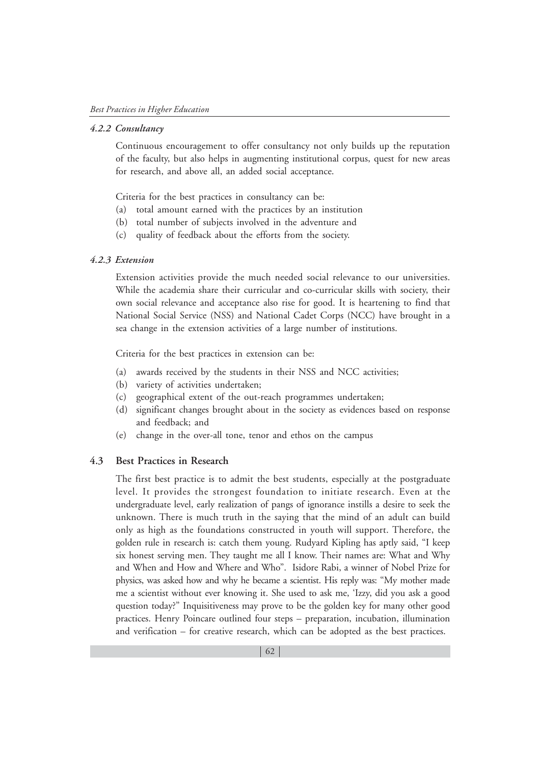#### *4.2.2 Consultancy*

Continuous encouragement to offer consultancy not only builds up the reputation of the faculty, but also helps in augmenting institutional corpus, quest for new areas for research, and above all, an added social acceptance.

Criteria for the best practices in consultancy can be:

- (a) total amount earned with the practices by an institution
- (b) total number of subjects involved in the adventure and
- (c) quality of feedback about the efforts from the society.

#### *4.2.3 Extension*

Extension activities provide the much needed social relevance to our universities. While the academia share their curricular and co-curricular skills with society, their own social relevance and acceptance also rise for good. It is heartening to find that National Social Service (NSS) and National Cadet Corps (NCC) have brought in a sea change in the extension activities of a large number of institutions.

Criteria for the best practices in extension can be:

- (a) awards received by the students in their NSS and NCC activities;
- (b) variety of activities undertaken;
- (c) geographical extent of the out-reach programmes undertaken;
- (d) significant changes brought about in the society as evidences based on response and feedback; and
- (e) change in the over-all tone, tenor and ethos on the campus

#### **4.3 Best Practices in Research**

The first best practice is to admit the best students, especially at the postgraduate level. It provides the strongest foundation to initiate research. Even at the undergraduate level, early realization of pangs of ignorance instills a desire to seek the unknown. There is much truth in the saying that the mind of an adult can build only as high as the foundations constructed in youth will support. Therefore, the golden rule in research is: catch them young. Rudyard Kipling has aptly said, "I keep six honest serving men. They taught me all I know. Their names are: What and Why and When and How and Where and Who". Isidore Rabi, a winner of Nobel Prize for physics, was asked how and why he became a scientist. His reply was: "My mother made me a scientist without ever knowing it. She used to ask me, 'Izzy, did you ask a good question today?" Inquisitiveness may prove to be the golden key for many other good practices. Henry Poincare outlined four steps – preparation, incubation, illumination and verification – for creative research, which can be adopted as the best practices.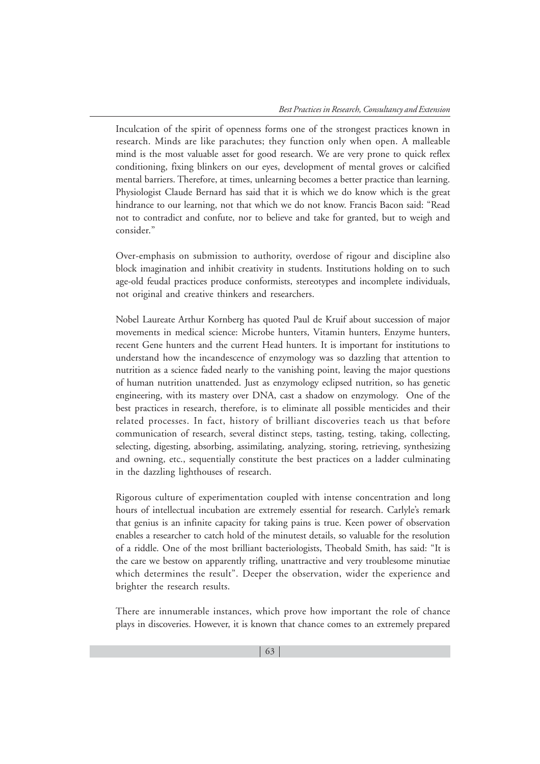Inculcation of the spirit of openness forms one of the strongest practices known in research. Minds are like parachutes; they function only when open. A malleable mind is the most valuable asset for good research. We are very prone to quick reflex conditioning, fixing blinkers on our eyes, development of mental groves or calcified mental barriers. Therefore, at times, unlearning becomes a better practice than learning. Physiologist Claude Bernard has said that it is which we do know which is the great hindrance to our learning, not that which we do not know. Francis Bacon said: "Read not to contradict and confute, nor to believe and take for granted, but to weigh and consider."

Over-emphasis on submission to authority, overdose of rigour and discipline also block imagination and inhibit creativity in students. Institutions holding on to such age-old feudal practices produce conformists, stereotypes and incomplete individuals, not original and creative thinkers and researchers.

Nobel Laureate Arthur Kornberg has quoted Paul de Kruif about succession of major movements in medical science: Microbe hunters, Vitamin hunters, Enzyme hunters, recent Gene hunters and the current Head hunters. It is important for institutions to understand how the incandescence of enzymology was so dazzling that attention to nutrition as a science faded nearly to the vanishing point, leaving the major questions of human nutrition unattended. Just as enzymology eclipsed nutrition, so has genetic engineering, with its mastery over DNA, cast a shadow on enzymology. One of the best practices in research, therefore, is to eliminate all possible menticides and their related processes. In fact, history of brilliant discoveries teach us that before communication of research, several distinct steps, tasting, testing, taking, collecting, selecting, digesting, absorbing, assimilating, analyzing, storing, retrieving, synthesizing and owning, etc., sequentially constitute the best practices on a ladder culminating in the dazzling lighthouses of research.

Rigorous culture of experimentation coupled with intense concentration and long hours of intellectual incubation are extremely essential for research. Carlyle's remark that genius is an infinite capacity for taking pains is true. Keen power of observation enables a researcher to catch hold of the minutest details, so valuable for the resolution of a riddle. One of the most brilliant bacteriologists, Theobald Smith, has said: "It is the care we bestow on apparently trifling, unattractive and very troublesome minutiae which determines the result". Deeper the observation, wider the experience and brighter the research results.

There are innumerable instances, which prove how important the role of chance plays in discoveries. However, it is known that chance comes to an extremely prepared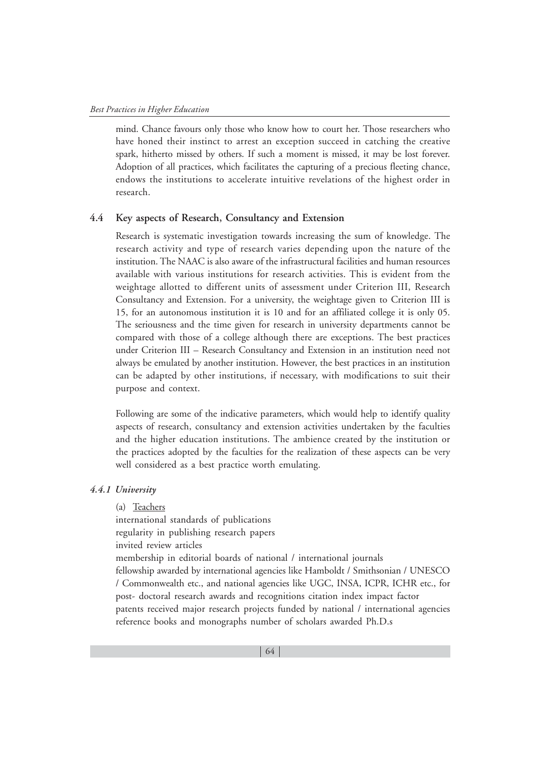mind. Chance favours only those who know how to court her. Those researchers who have honed their instinct to arrest an exception succeed in catching the creative spark, hitherto missed by others. If such a moment is missed, it may be lost forever. Adoption of all practices, which facilitates the capturing of a precious fleeting chance, endows the institutions to accelerate intuitive revelations of the highest order in research.

#### **4.4 Key aspects of Research, Consultancy and Extension**

Research is systematic investigation towards increasing the sum of knowledge. The research activity and type of research varies depending upon the nature of the institution. The NAAC is also aware of the infrastructural facilities and human resources available with various institutions for research activities. This is evident from the weightage allotted to different units of assessment under Criterion III, Research Consultancy and Extension. For a university, the weightage given to Criterion III is 15, for an autonomous institution it is 10 and for an affiliated college it is only 05. The seriousness and the time given for research in university departments cannot be compared with those of a college although there are exceptions. The best practices under Criterion III – Research Consultancy and Extension in an institution need not always be emulated by another institution. However, the best practices in an institution can be adapted by other institutions, if necessary, with modifications to suit their purpose and context.

Following are some of the indicative parameters, which would help to identify quality aspects of research, consultancy and extension activities undertaken by the faculties and the higher education institutions. The ambience created by the institution or the practices adopted by the faculties for the realization of these aspects can be very well considered as a best practice worth emulating.

#### *4.4.1 University*

(a) Teachers international standards of publications regularity in publishing research papers invited review articles membership in editorial boards of national / international journals fellowship awarded by international agencies like Hamboldt / Smithsonian / UNESCO / Commonwealth etc., and national agencies like UGC, INSA, ICPR, ICHR etc., for post- doctoral research awards and recognitions citation index impact factor patents received major research projects funded by national / international agencies reference books and monographs number of scholars awarded Ph.D.s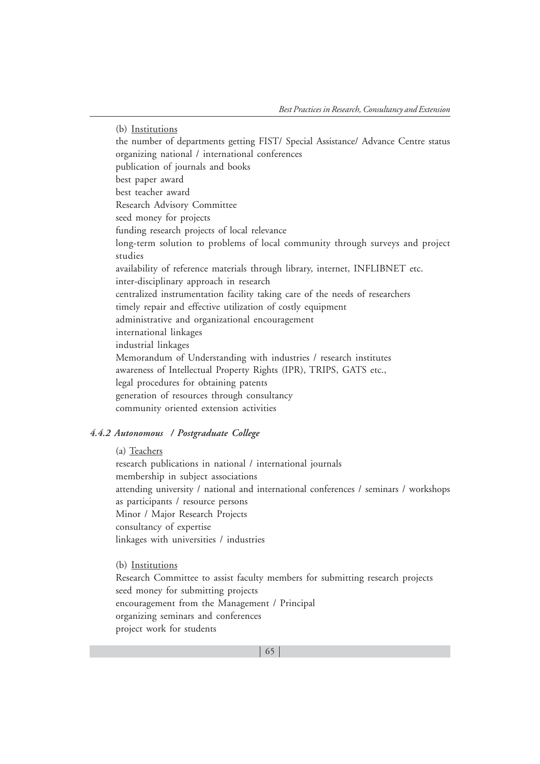(b) Institutions the number of departments getting FIST/ Special Assistance/ Advance Centre status organizing national / international conferences publication of journals and books best paper award best teacher award Research Advisory Committee seed money for projects funding research projects of local relevance long-term solution to problems of local community through surveys and project studies availability of reference materials through library, internet, INFLIBNET etc. inter-disciplinary approach in research centralized instrumentation facility taking care of the needs of researchers timely repair and effective utilization of costly equipment administrative and organizational encouragement international linkages industrial linkages Memorandum of Understanding with industries / research institutes awareness of Intellectual Property Rights (IPR), TRIPS, GATS etc., legal procedures for obtaining patents generation of resources through consultancy community oriented extension activities

#### *4.4.2 Autonomous / Postgraduate College*

(a) Teachers

research publications in national / international journals membership in subject associations attending university / national and international conferences / seminars / workshops as participants / resource persons Minor / Major Research Projects consultancy of expertise linkages with universities / industries

(b) Institutions

Research Committee to assist faculty members for submitting research projects seed money for submitting projects encouragement from the Management / Principal organizing seminars and conferences project work for students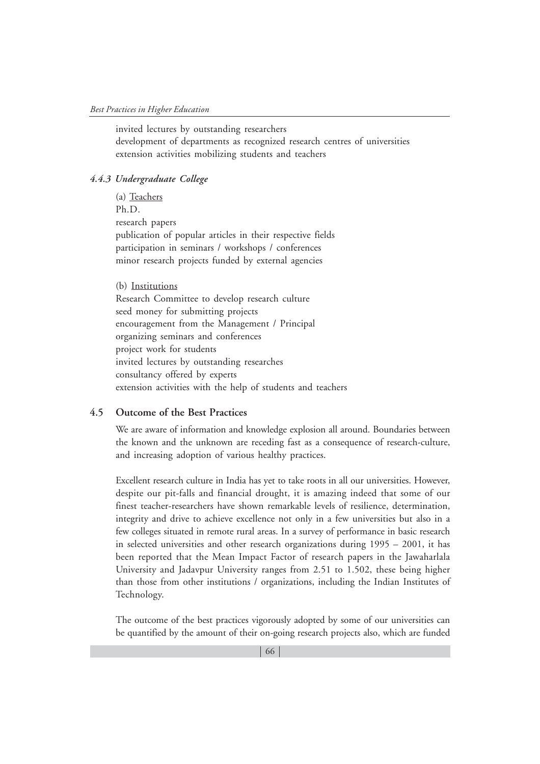invited lectures by outstanding researchers development of departments as recognized research centres of universities extension activities mobilizing students and teachers

#### *4.4.3 Undergraduate College*

(a) Teachers Ph.D. research papers publication of popular articles in their respective fields participation in seminars / workshops / conferences minor research projects funded by external agencies

(b) Institutions Research Committee to develop research culture seed money for submitting projects encouragement from the Management / Principal organizing seminars and conferences project work for students invited lectures by outstanding researches consultancy offered by experts extension activities with the help of students and teachers

#### **4.5 Outcome of the Best Practices**

We are aware of information and knowledge explosion all around. Boundaries between the known and the unknown are receding fast as a consequence of research-culture, and increasing adoption of various healthy practices.

Excellent research culture in India has yet to take roots in all our universities. However, despite our pit-falls and financial drought, it is amazing indeed that some of our finest teacher-researchers have shown remarkable levels of resilience, determination, integrity and drive to achieve excellence not only in a few universities but also in a few colleges situated in remote rural areas. In a survey of performance in basic research in selected universities and other research organizations during 1995 – 2001, it has been reported that the Mean Impact Factor of research papers in the Jawaharlala University and Jadavpur University ranges from 2.51 to 1.502, these being higher than those from other institutions / organizations, including the Indian Institutes of Technology.

The outcome of the best practices vigorously adopted by some of our universities can be quantified by the amount of their on-going research projects also, which are funded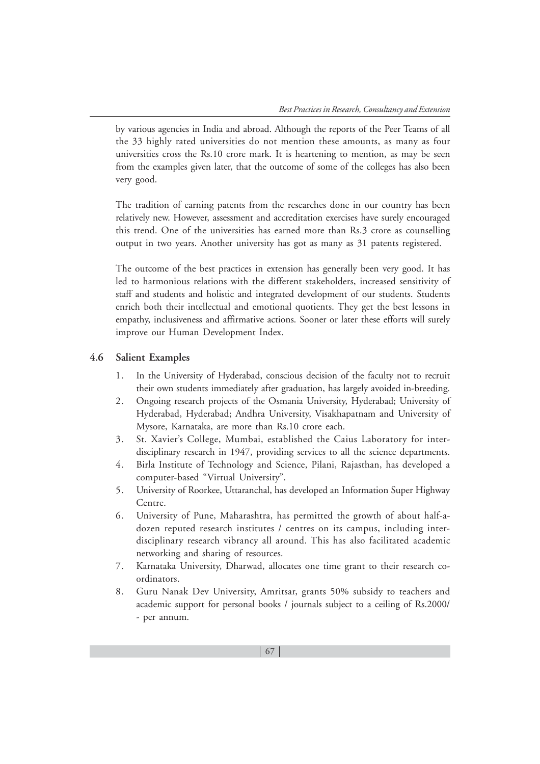by various agencies in India and abroad. Although the reports of the Peer Teams of all the 33 highly rated universities do not mention these amounts, as many as four universities cross the Rs.10 crore mark. It is heartening to mention, as may be seen from the examples given later, that the outcome of some of the colleges has also been very good.

The tradition of earning patents from the researches done in our country has been relatively new. However, assessment and accreditation exercises have surely encouraged this trend. One of the universities has earned more than Rs.3 crore as counselling output in two years. Another university has got as many as 31 patents registered.

The outcome of the best practices in extension has generally been very good. It has led to harmonious relations with the different stakeholders, increased sensitivity of staff and students and holistic and integrated development of our students. Students enrich both their intellectual and emotional quotients. They get the best lessons in empathy, inclusiveness and affirmative actions. Sooner or later these efforts will surely improve our Human Development Index.

#### **4.6 Salient Examples**

- 1. In the University of Hyderabad, conscious decision of the faculty not to recruit their own students immediately after graduation, has largely avoided in-breeding.
- 2. Ongoing research projects of the Osmania University, Hyderabad; University of Hyderabad, Hyderabad; Andhra University, Visakhapatnam and University of Mysore, Karnataka, are more than Rs.10 crore each.
- 3. St. Xavier's College, Mumbai, established the Caius Laboratory for interdisciplinary research in 1947, providing services to all the science departments.
- 4. Birla Institute of Technology and Science, Pilani, Rajasthan, has developed a computer-based "Virtual University".
- 5. University of Roorkee, Uttaranchal, has developed an Information Super Highway Centre.
- 6. University of Pune, Maharashtra, has permitted the growth of about half-adozen reputed research institutes / centres on its campus, including interdisciplinary research vibrancy all around. This has also facilitated academic networking and sharing of resources.
- 7. Karnataka University, Dharwad, allocates one time grant to their research coordinators.
- 8. Guru Nanak Dev University, Amritsar, grants 50% subsidy to teachers and academic support for personal books / journals subject to a ceiling of Rs.2000/ - per annum.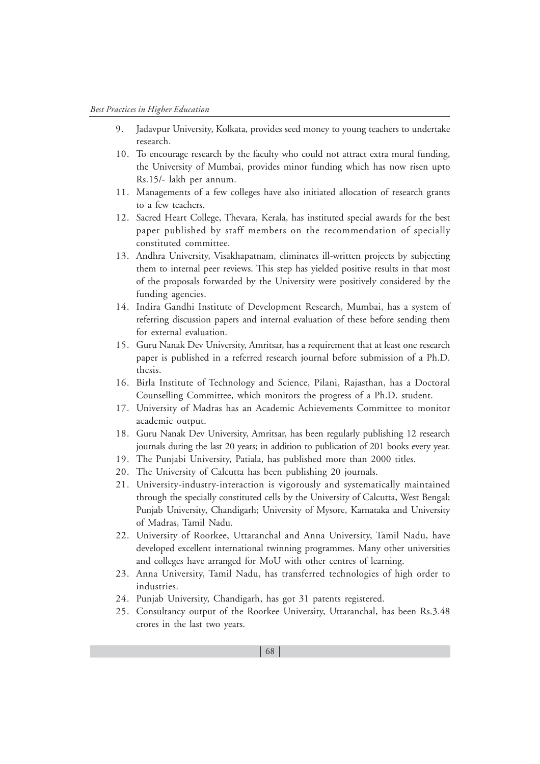- 9. Jadavpur University, Kolkata, provides seed money to young teachers to undertake research.
- 10. To encourage research by the faculty who could not attract extra mural funding, the University of Mumbai, provides minor funding which has now risen upto Rs.15/- lakh per annum.
- 11. Managements of a few colleges have also initiated allocation of research grants to a few teachers.
- 12. Sacred Heart College, Thevara, Kerala, has instituted special awards for the best paper published by staff members on the recommendation of specially constituted committee.
- 13. Andhra University, Visakhapatnam, eliminates ill-written projects by subjecting them to internal peer reviews. This step has yielded positive results in that most of the proposals forwarded by the University were positively considered by the funding agencies.
- 14. Indira Gandhi Institute of Development Research, Mumbai, has a system of referring discussion papers and internal evaluation of these before sending them for external evaluation.
- 15. Guru Nanak Dev University, Amritsar, has a requirement that at least one research paper is published in a referred research journal before submission of a Ph.D. thesis.
- 16. Birla Institute of Technology and Science, Pilani, Rajasthan, has a Doctoral Counselling Committee, which monitors the progress of a Ph.D. student.
- 17. University of Madras has an Academic Achievements Committee to monitor academic output.
- 18. Guru Nanak Dev University, Amritsar, has been regularly publishing 12 research journals during the last 20 years; in addition to publication of 201 books every year.
- 19. The Punjabi University, Patiala, has published more than 2000 titles.
- 20. The University of Calcutta has been publishing 20 journals.
- 21. University-industry-interaction is vigorously and systematically maintained through the specially constituted cells by the University of Calcutta, West Bengal; Punjab University, Chandigarh; University of Mysore, Karnataka and University of Madras, Tamil Nadu.
- 22. University of Roorkee, Uttaranchal and Anna University, Tamil Nadu, have developed excellent international twinning programmes. Many other universities and colleges have arranged for MoU with other centres of learning.
- 23. Anna University, Tamil Nadu, has transferred technologies of high order to industries.
- 24. Punjab University, Chandigarh, has got 31 patents registered.
- 25. Consultancy output of the Roorkee University, Uttaranchal, has been Rs.3.48 crores in the last two years.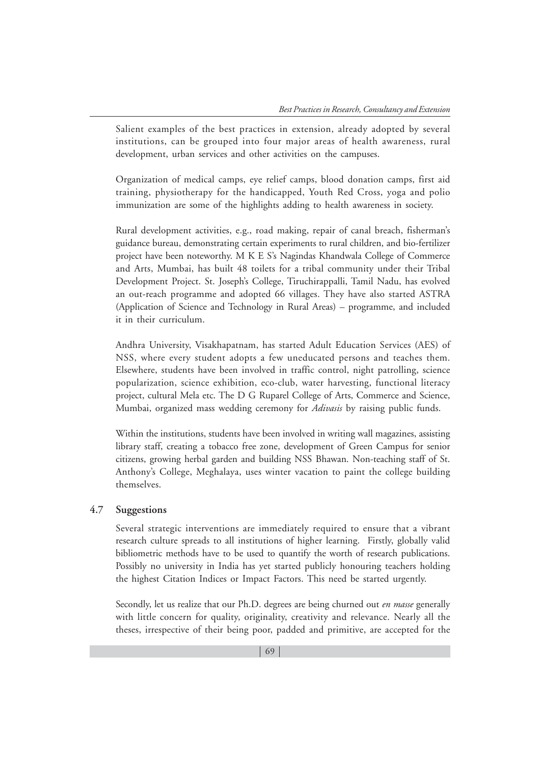Salient examples of the best practices in extension, already adopted by several institutions, can be grouped into four major areas of health awareness, rural development, urban services and other activities on the campuses.

Organization of medical camps, eye relief camps, blood donation camps, first aid training, physiotherapy for the handicapped, Youth Red Cross, yoga and polio immunization are some of the highlights adding to health awareness in society.

Rural development activities, e.g., road making, repair of canal breach, fisherman's guidance bureau, demonstrating certain experiments to rural children, and bio-fertilizer project have been noteworthy. M K E S's Nagindas Khandwala College of Commerce and Arts, Mumbai, has built 48 toilets for a tribal community under their Tribal Development Project. St. Joseph's College, Tiruchirappalli, Tamil Nadu, has evolved an out-reach programme and adopted 66 villages. They have also started ASTRA (Application of Science and Technology in Rural Areas) – programme, and included it in their curriculum.

Andhra University, Visakhapatnam, has started Adult Education Services (AES) of NSS, where every student adopts a few uneducated persons and teaches them. Elsewhere, students have been involved in traffic control, night patrolling, science popularization, science exhibition, eco-club, water harvesting, functional literacy project, cultural Mela etc. The D G Ruparel College of Arts, Commerce and Science, Mumbai, organized mass wedding ceremony for *Adivasis* by raising public funds.

Within the institutions, students have been involved in writing wall magazines, assisting library staff, creating a tobacco free zone, development of Green Campus for senior citizens, growing herbal garden and building NSS Bhawan. Non-teaching staff of St. Anthony's College, Meghalaya, uses winter vacation to paint the college building themselves.

# **4.7 Suggestions**

Several strategic interventions are immediately required to ensure that a vibrant research culture spreads to all institutions of higher learning. Firstly, globally valid bibliometric methods have to be used to quantify the worth of research publications. Possibly no university in India has yet started publicly honouring teachers holding the highest Citation Indices or Impact Factors. This need be started urgently.

Secondly, let us realize that our Ph.D. degrees are being churned out *en masse* generally with little concern for quality, originality, creativity and relevance. Nearly all the theses, irrespective of their being poor, padded and primitive, are accepted for the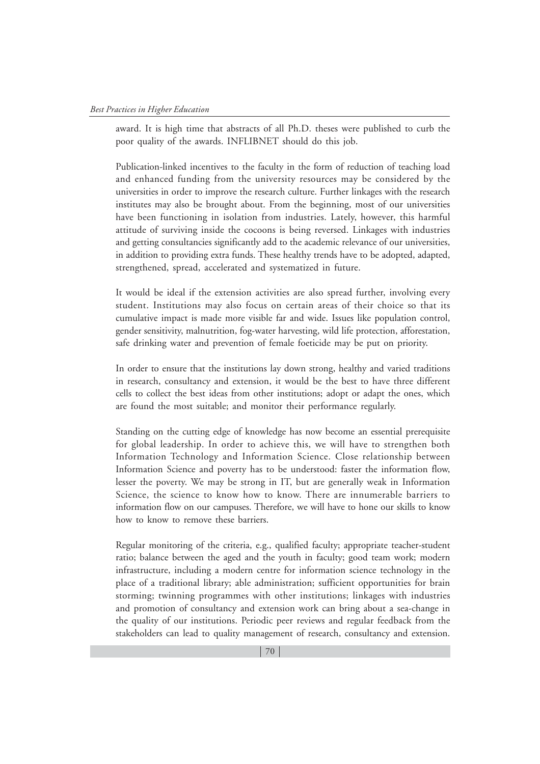award. It is high time that abstracts of all Ph.D. theses were published to curb the poor quality of the awards. INFLIBNET should do this job.

Publication-linked incentives to the faculty in the form of reduction of teaching load and enhanced funding from the university resources may be considered by the universities in order to improve the research culture. Further linkages with the research institutes may also be brought about. From the beginning, most of our universities have been functioning in isolation from industries. Lately, however, this harmful attitude of surviving inside the cocoons is being reversed. Linkages with industries and getting consultancies significantly add to the academic relevance of our universities, in addition to providing extra funds. These healthy trends have to be adopted, adapted, strengthened, spread, accelerated and systematized in future.

It would be ideal if the extension activities are also spread further, involving every student. Institutions may also focus on certain areas of their choice so that its cumulative impact is made more visible far and wide. Issues like population control, gender sensitivity, malnutrition, fog-water harvesting, wild life protection, afforestation, safe drinking water and prevention of female foeticide may be put on priority.

In order to ensure that the institutions lay down strong, healthy and varied traditions in research, consultancy and extension, it would be the best to have three different cells to collect the best ideas from other institutions; adopt or adapt the ones, which are found the most suitable; and monitor their performance regularly.

Standing on the cutting edge of knowledge has now become an essential prerequisite for global leadership. In order to achieve this, we will have to strengthen both Information Technology and Information Science. Close relationship between Information Science and poverty has to be understood: faster the information flow, lesser the poverty. We may be strong in IT, but are generally weak in Information Science, the science to know how to know. There are innumerable barriers to information flow on our campuses. Therefore, we will have to hone our skills to know how to know to remove these barriers.

Regular monitoring of the criteria, e.g., qualified faculty; appropriate teacher-student ratio; balance between the aged and the youth in faculty; good team work; modern infrastructure, including a modern centre for information science technology in the place of a traditional library; able administration; sufficient opportunities for brain storming; twinning programmes with other institutions; linkages with industries and promotion of consultancy and extension work can bring about a sea-change in the quality of our institutions. Periodic peer reviews and regular feedback from the stakeholders can lead to quality management of research, consultancy and extension.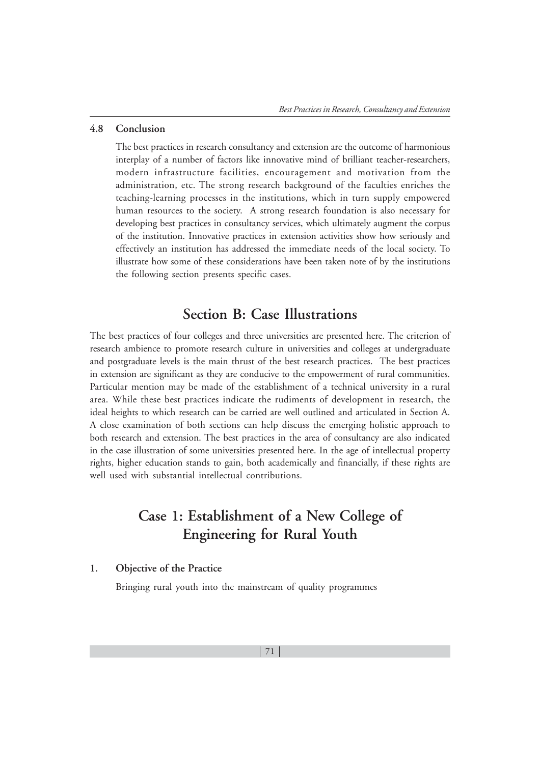#### **4.8 Conclusion**

The best practices in research consultancy and extension are the outcome of harmonious interplay of a number of factors like innovative mind of brilliant teacher-researchers, modern infrastructure facilities, encouragement and motivation from the administration, etc. The strong research background of the faculties enriches the teaching-learning processes in the institutions, which in turn supply empowered human resources to the society. A strong research foundation is also necessary for developing best practices in consultancy services, which ultimately augment the corpus of the institution. Innovative practices in extension activities show how seriously and effectively an institution has addressed the immediate needs of the local society. To illustrate how some of these considerations have been taken note of by the institutions the following section presents specific cases.

# **Section B: Case Illustrations**

The best practices of four colleges and three universities are presented here. The criterion of research ambience to promote research culture in universities and colleges at undergraduate and postgraduate levels is the main thrust of the best research practices. The best practices in extension are significant as they are conducive to the empowerment of rural communities. Particular mention may be made of the establishment of a technical university in a rural area. While these best practices indicate the rudiments of development in research, the ideal heights to which research can be carried are well outlined and articulated in Section A. A close examination of both sections can help discuss the emerging holistic approach to both research and extension. The best practices in the area of consultancy are also indicated in the case illustration of some universities presented here. In the age of intellectual property rights, higher education stands to gain, both academically and financially, if these rights are well used with substantial intellectual contributions.

# **Case 1: Establishment of a New College of Engineering for Rural Youth**

#### **1. Objective of the Practice**

Bringing rural youth into the mainstream of quality programmes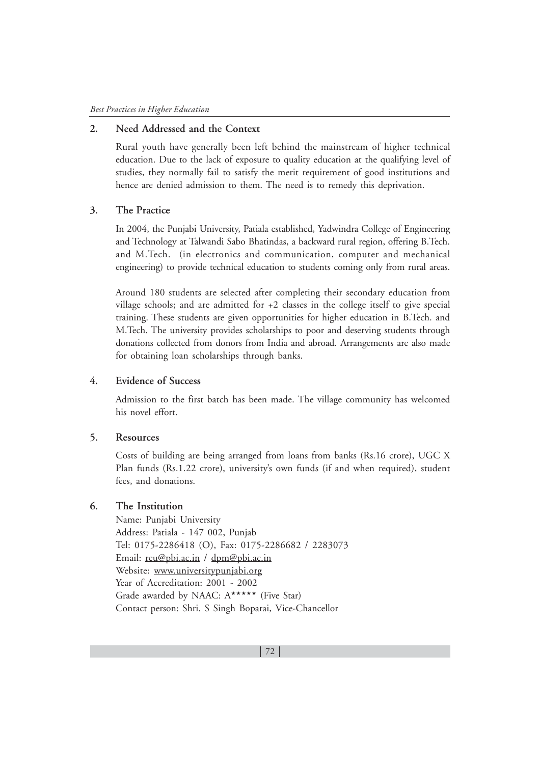# **2. Need Addressed and the Context**

Rural youth have generally been left behind the mainstream of higher technical education. Due to the lack of exposure to quality education at the qualifying level of studies, they normally fail to satisfy the merit requirement of good institutions and hence are denied admission to them. The need is to remedy this deprivation.

### **3. The Practice**

In 2004, the Punjabi University, Patiala established, Yadwindra College of Engineering and Technology at Talwandi Sabo Bhatindas, a backward rural region, offering B.Tech. and M.Tech. (in electronics and communication, computer and mechanical engineering) to provide technical education to students coming only from rural areas.

Around 180 students are selected after completing their secondary education from village schools; and are admitted for +2 classes in the college itself to give special training. These students are given opportunities for higher education in B.Tech. and M.Tech. The university provides scholarships to poor and deserving students through donations collected from donors from India and abroad. Arrangements are also made for obtaining loan scholarships through banks.

### **4. Evidence of Success**

Admission to the first batch has been made. The village community has welcomed his novel effort.

#### **5. Resources**

Costs of building are being arranged from loans from banks (Rs.16 crore), UGC X Plan funds (Rs.1.22 crore), university's own funds (if and when required), student fees, and donations.

#### **6. The Institution**

Name: Punjabi University Address: Patiala - 147 002, Punjab Tel: 0175-2286418 (O), Fax: 0175-2286682 / 2283073 Email: reu@pbi.ac.in / dpm@pbi.ac.in Website: www.universitypunjabi.org Year of Accreditation: 2001 - 2002 Grade awarded by NAAC: A\*\*\*\*\*\* (Five Star) Contact person: Shri. S Singh Boparai, Vice-Chancellor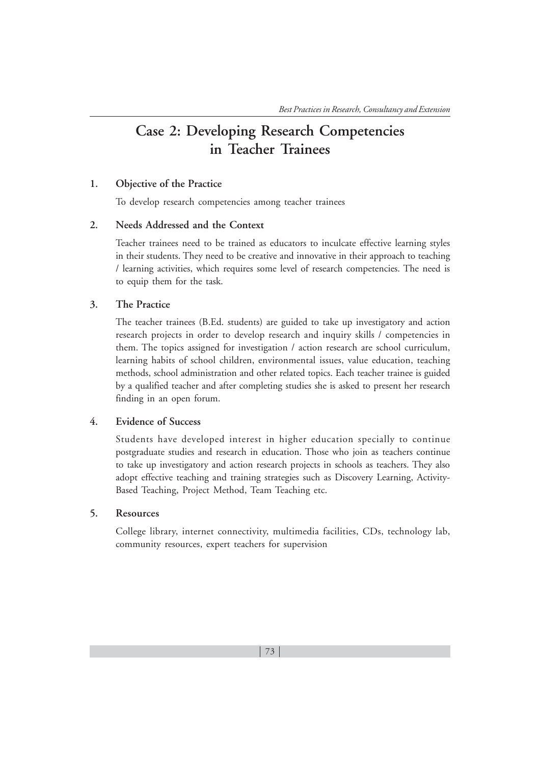# **Case 2: Developing Research Competencies in Teacher Trainees**

# **1. Objective of the Practice**

To develop research competencies among teacher trainees

# **2. Needs Addressed and the Context**

Teacher trainees need to be trained as educators to inculcate effective learning styles in their students. They need to be creative and innovative in their approach to teaching / learning activities, which requires some level of research competencies. The need is to equip them for the task.

# **3. The Practice**

The teacher trainees (B.Ed. students) are guided to take up investigatory and action research projects in order to develop research and inquiry skills / competencies in them. The topics assigned for investigation / action research are school curriculum, learning habits of school children, environmental issues, value education, teaching methods, school administration and other related topics. Each teacher trainee is guided by a qualified teacher and after completing studies she is asked to present her research finding in an open forum.

### **4. Evidence of Success**

Students have developed interest in higher education specially to continue postgraduate studies and research in education. Those who join as teachers continue to take up investigatory and action research projects in schools as teachers. They also adopt effective teaching and training strategies such as Discovery Learning, Activity-Based Teaching, Project Method, Team Teaching etc.

# **5. Resources**

College library, internet connectivity, multimedia facilities, CDs, technology lab, community resources, expert teachers for supervision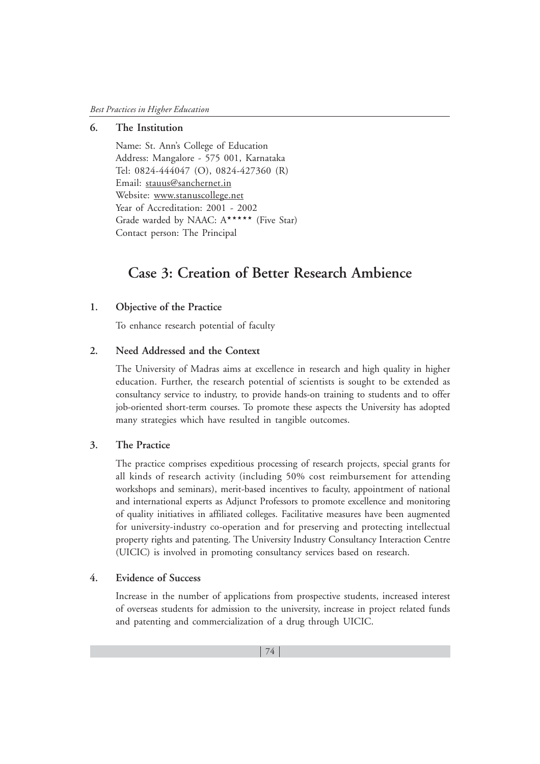### **6. The Institution**

Name: St. Ann's College of Education Address: Mangalore - 575 001, Karnataka Tel: 0824-444047 (O), 0824-427360 (R) Email: stauus@sanchernet.in Website: www.stanuscollege.net Year of Accreditation: 2001 - 2002 Grade warded by NAAC: A\*\*\*\*\* (Five Star) Contact person: The Principal

# **Case 3: Creation of Better Research Ambience**

#### **1. Objective of the Practice**

To enhance research potential of faculty

#### **2. Need Addressed and the Context**

The University of Madras aims at excellence in research and high quality in higher education. Further, the research potential of scientists is sought to be extended as consultancy service to industry, to provide hands-on training to students and to offer job-oriented short-term courses. To promote these aspects the University has adopted many strategies which have resulted in tangible outcomes.

# **3. The Practice**

The practice comprises expeditious processing of research projects, special grants for all kinds of research activity (including 50% cost reimbursement for attending workshops and seminars), merit-based incentives to faculty, appointment of national and international experts as Adjunct Professors to promote excellence and monitoring of quality initiatives in affiliated colleges. Facilitative measures have been augmented for university-industry co-operation and for preserving and protecting intellectual property rights and patenting. The University Industry Consultancy Interaction Centre (UICIC) is involved in promoting consultancy services based on research.

# **4. Evidence of Success**

Increase in the number of applications from prospective students, increased interest of overseas students for admission to the university, increase in project related funds and patenting and commercialization of a drug through UICIC.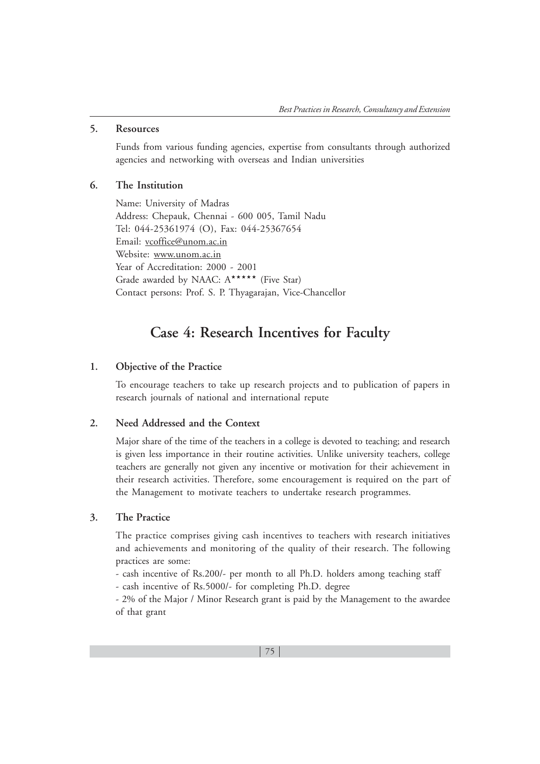#### **5. Resources**

Funds from various funding agencies, expertise from consultants through authorized agencies and networking with overseas and Indian universities

## **6. The Institution**

Name: University of Madras Address: Chepauk, Chennai - 600 005, Tamil Nadu Tel: 044-25361974 (O), Fax: 044-25367654 Email: vcoffice@unom.ac.in Website: www.unom.ac.in Year of Accreditation: 2000 - 2001 Grade awarded by NAAC: A\*\*\*\*\*\* (Five Star) Contact persons: Prof. S. P. Thyagarajan, Vice-Chancellor

# **Case 4: Research Incentives for Faculty**

#### **1. Objective of the Practice**

To encourage teachers to take up research projects and to publication of papers in research journals of national and international repute

# **2. Need Addressed and the Context**

Major share of the time of the teachers in a college is devoted to teaching; and research is given less importance in their routine activities. Unlike university teachers, college teachers are generally not given any incentive or motivation for their achievement in their research activities. Therefore, some encouragement is required on the part of the Management to motivate teachers to undertake research programmes.

# **3. The Practice**

The practice comprises giving cash incentives to teachers with research initiatives and achievements and monitoring of the quality of their research. The following practices are some:

- cash incentive of Rs.200/- per month to all Ph.D. holders among teaching staff

- cash incentive of Rs.5000/- for completing Ph.D. degree

- 2% of the Major / Minor Research grant is paid by the Management to the awardee of that grant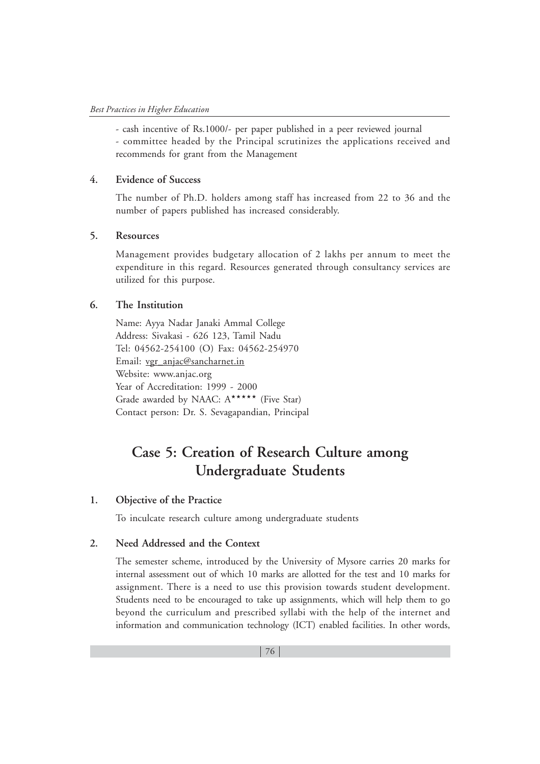- cash incentive of Rs.1000/- per paper published in a peer reviewed journal - committee headed by the Principal scrutinizes the applications received and recommends for grant from the Management

## **4. Evidence of Success**

The number of Ph.D. holders among staff has increased from 22 to 36 and the number of papers published has increased considerably.

# **5. Resources**

Management provides budgetary allocation of 2 lakhs per annum to meet the expenditure in this regard. Resources generated through consultancy services are utilized for this purpose.

# **6. The Institution**

Name: Ayya Nadar Janaki Ammal College Address: Sivakasi - 626 123, Tamil Nadu Tel: 04562-254100 (O) Fax: 04562-254970 Email: vgr\_anjac@sancharnet.in Website: www.anjac.org Year of Accreditation: 1999 - 2000 Grade awarded by NAAC: A\*\*\*\*\*\* (Five Star) Contact person: Dr. S. Sevagapandian, Principal

# **Case 5: Creation of Research Culture among Undergraduate Students**

## **1. Objective of the Practice**

To inculcate research culture among undergraduate students

# **2. Need Addressed and the Context**

The semester scheme, introduced by the University of Mysore carries 20 marks for internal assessment out of which 10 marks are allotted for the test and 10 marks for assignment. There is a need to use this provision towards student development. Students need to be encouraged to take up assignments, which will help them to go beyond the curriculum and prescribed syllabi with the help of the internet and information and communication technology (ICT) enabled facilities. In other words,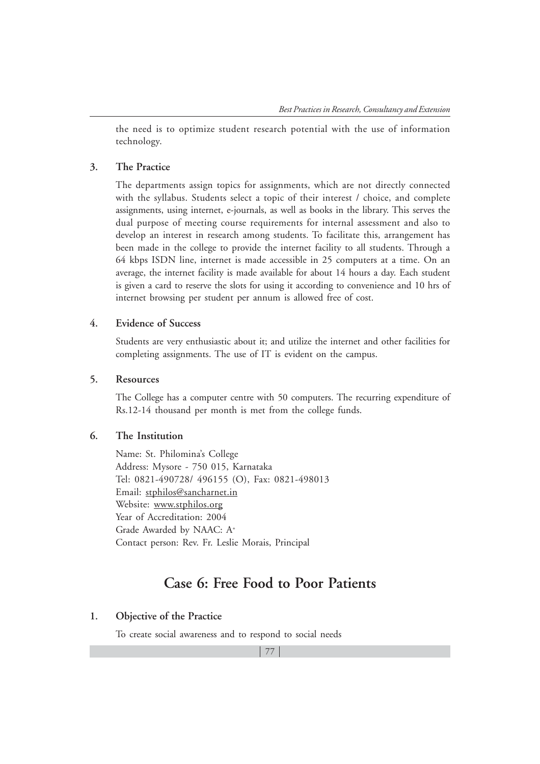the need is to optimize student research potential with the use of information technology.

### **3. The Practice**

The departments assign topics for assignments, which are not directly connected with the syllabus. Students select a topic of their interest / choice, and complete assignments, using internet, e-journals, as well as books in the library. This serves the dual purpose of meeting course requirements for internal assessment and also to develop an interest in research among students. To facilitate this, arrangement has been made in the college to provide the internet facility to all students. Through a 64 kbps ISDN line, internet is made accessible in 25 computers at a time. On an average, the internet facility is made available for about 14 hours a day. Each student is given a card to reserve the slots for using it according to convenience and 10 hrs of internet browsing per student per annum is allowed free of cost.

# **4. Evidence of Success**

Students are very enthusiastic about it; and utilize the internet and other facilities for completing assignments. The use of IT is evident on the campus.

#### **5. Resources**

The College has a computer centre with 50 computers. The recurring expenditure of Rs.12-14 thousand per month is met from the college funds.

# **6. The Institution**

Name: St. Philomina's College Address: Mysore - 750 015, Karnataka Tel: 0821-490728/ 496155 (O), Fax: 0821-498013 Email: stphilos@sancharnet.in Website: www.stphilos.org Year of Accreditation: 2004 Grade Awarded by NAAC: A+ Contact person: Rev. Fr. Leslie Morais, Principal

# **Case 6: Free Food to Poor Patients**

#### **1. Objective of the Practice**

To create social awareness and to respond to social needs

77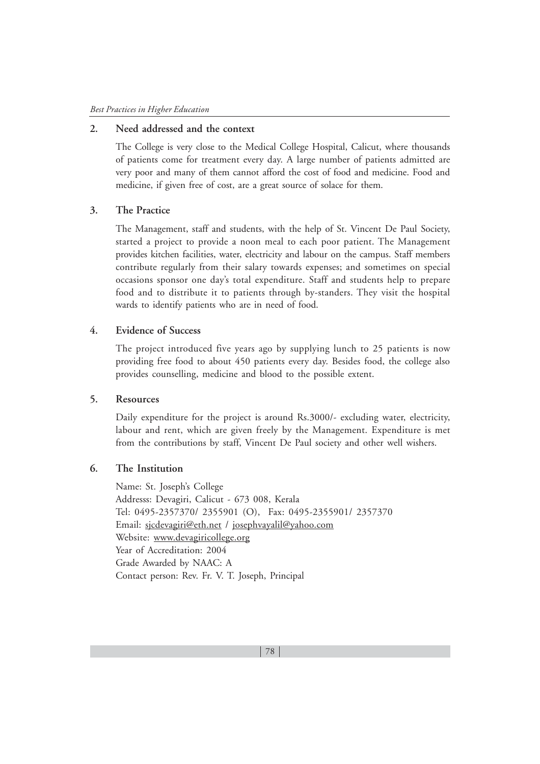# **2. Need addressed and the context**

The College is very close to the Medical College Hospital, Calicut, where thousands of patients come for treatment every day. A large number of patients admitted are very poor and many of them cannot afford the cost of food and medicine. Food and medicine, if given free of cost, are a great source of solace for them.

# **3. The Practice**

The Management, staff and students, with the help of St. Vincent De Paul Society, started a project to provide a noon meal to each poor patient. The Management provides kitchen facilities, water, electricity and labour on the campus. Staff members contribute regularly from their salary towards expenses; and sometimes on special occasions sponsor one day's total expenditure. Staff and students help to prepare food and to distribute it to patients through by-standers. They visit the hospital wards to identify patients who are in need of food.

# **4. Evidence of Success**

The project introduced five years ago by supplying lunch to 25 patients is now providing free food to about 450 patients every day. Besides food, the college also provides counselling, medicine and blood to the possible extent.

#### **5. Resources**

Daily expenditure for the project is around Rs.3000/- excluding water, electricity, labour and rent, which are given freely by the Management. Expenditure is met from the contributions by staff, Vincent De Paul society and other well wishers.

### **6. The Institution**

Name: St. Joseph's College Addresss: Devagiri, Calicut - 673 008, Kerala Tel: 0495-2357370/ 2355901 (O), Fax: 0495-2355901/ 2357370 Email: sjcdevagiri@eth.net / josephvayalil@yahoo.com Website: www.devagiricollege.org Year of Accreditation: 2004 Grade Awarded by NAAC: A Contact person: Rev. Fr. V. T. Joseph, Principal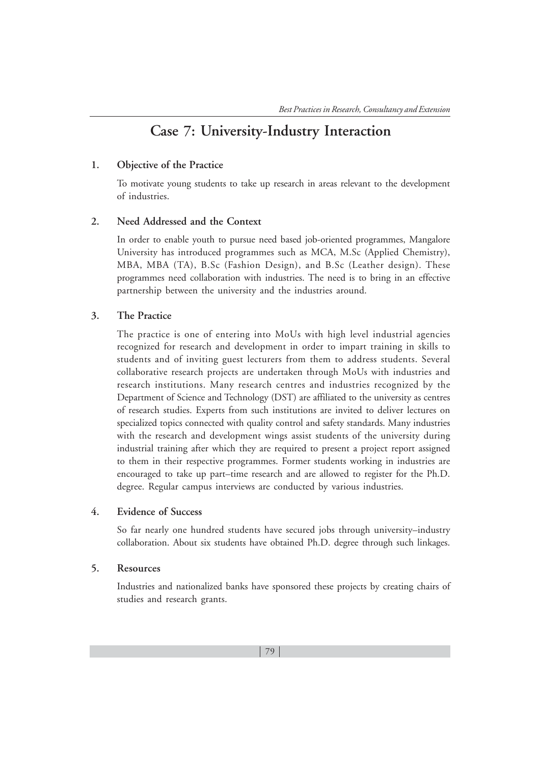# **Case 7: University-Industry Interaction**

# **1. Objective of the Practice**

To motivate young students to take up research in areas relevant to the development of industries.

#### **2. Need Addressed and the Context**

In order to enable youth to pursue need based job-oriented programmes, Mangalore University has introduced programmes such as MCA, M.Sc (Applied Chemistry), MBA, MBA (TA), B.Sc (Fashion Design), and B.Sc (Leather design). These programmes need collaboration with industries. The need is to bring in an effective partnership between the university and the industries around.

# **3. The Practice**

The practice is one of entering into MoUs with high level industrial agencies recognized for research and development in order to impart training in skills to students and of inviting guest lecturers from them to address students. Several collaborative research projects are undertaken through MoUs with industries and research institutions. Many research centres and industries recognized by the Department of Science and Technology (DST) are affiliated to the university as centres of research studies. Experts from such institutions are invited to deliver lectures on specialized topics connected with quality control and safety standards. Many industries with the research and development wings assist students of the university during industrial training after which they are required to present a project report assigned to them in their respective programmes. Former students working in industries are encouraged to take up part–time research and are allowed to register for the Ph.D. degree. Regular campus interviews are conducted by various industries.

# **4. Evidence of Success**

So far nearly one hundred students have secured jobs through university–industry collaboration. About six students have obtained Ph.D. degree through such linkages.

#### **5. Resources**

Industries and nationalized banks have sponsored these projects by creating chairs of studies and research grants.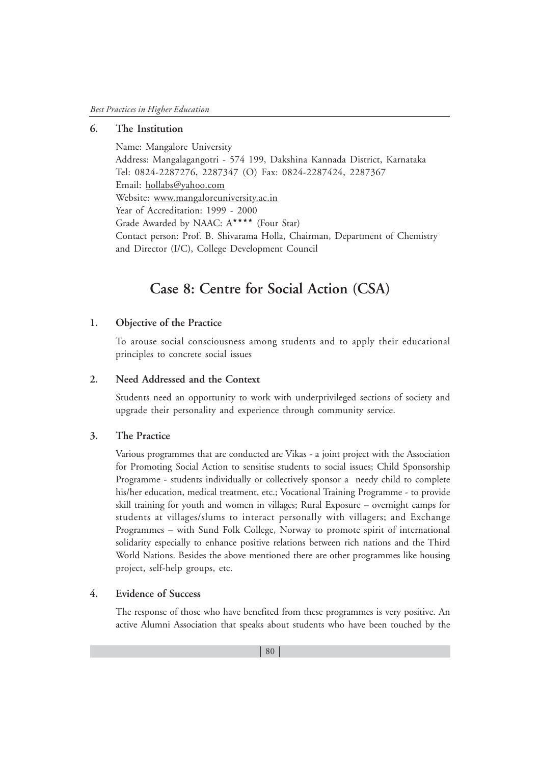# **6. The Institution**

Name: Mangalore University Address: Mangalagangotri - 574 199, Dakshina Kannada District, Karnataka Tel: 0824-2287276, 2287347 (O) Fax: 0824-2287424, 2287367 Email: hollabs@yahoo.com Website: www.mangaloreuniversity.ac.in Year of Accreditation: 1999 - 2000 Grade Awarded by NAAC: A\*\*\*\* (Four Star) Contact person: Prof. B. Shivarama Holla, Chairman, Department of Chemistry and Director (I/C), College Development Council

# **Case 8: Centre for Social Action (CSA)**

# **1. Objective of the Practice**

To arouse social consciousness among students and to apply their educational principles to concrete social issues

#### **2. Need Addressed and the Context**

Students need an opportunity to work with underprivileged sections of society and upgrade their personality and experience through community service.

# **3. The Practice**

Various programmes that are conducted are Vikas - a joint project with the Association for Promoting Social Action to sensitise students to social issues; Child Sponsorship Programme - students individually or collectively sponsor a needy child to complete his/her education, medical treatment, etc.; Vocational Training Programme - to provide skill training for youth and women in villages; Rural Exposure – overnight camps for students at villages/slums to interact personally with villagers; and Exchange Programmes – with Sund Folk College, Norway to promote spirit of international solidarity especially to enhance positive relations between rich nations and the Third World Nations. Besides the above mentioned there are other programmes like housing project, self-help groups, etc.

# **4. Evidence of Success**

The response of those who have benefited from these programmes is very positive. An active Alumni Association that speaks about students who have been touched by the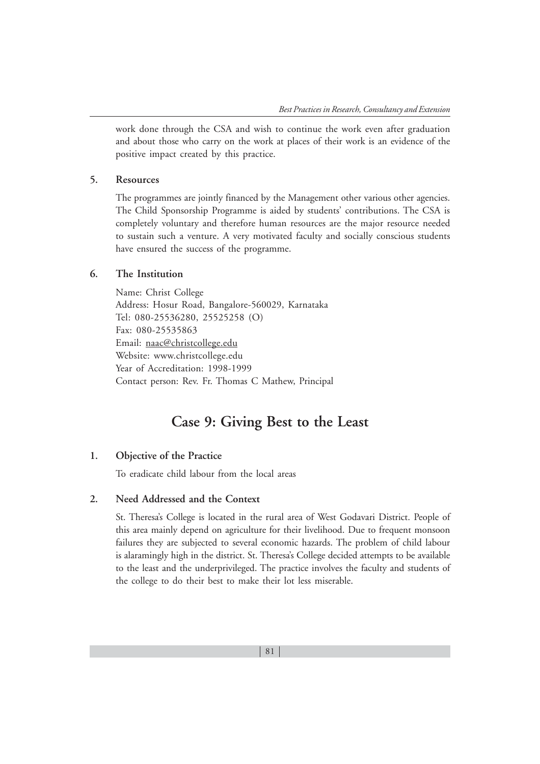work done through the CSA and wish to continue the work even after graduation and about those who carry on the work at places of their work is an evidence of the positive impact created by this practice.

#### **5. Resources**

The programmes are jointly financed by the Management other various other agencies. The Child Sponsorship Programme is aided by students' contributions. The CSA is completely voluntary and therefore human resources are the major resource needed to sustain such a venture. A very motivated faculty and socially conscious students have ensured the success of the programme.

# **6. The Institution**

Name: Christ College Address: Hosur Road, Bangalore-560029, Karnataka Tel: 080-25536280, 25525258 (O) Fax: 080-25535863 Email: naac@christcollege.edu Website: www.christcollege.edu Year of Accreditation: 1998-1999 Contact person: Rev. Fr. Thomas C Mathew, Principal

# **Case 9: Giving Best to the Least**

#### **1. Objective of the Practice**

To eradicate child labour from the local areas

#### **2. Need Addressed and the Context**

St. Theresa's College is located in the rural area of West Godavari District. People of this area mainly depend on agriculture for their livelihood. Due to frequent monsoon failures they are subjected to several economic hazards. The problem of child labour is alaramingly high in the district. St. Theresa's College decided attempts to be available to the least and the underprivileged. The practice involves the faculty and students of the college to do their best to make their lot less miserable.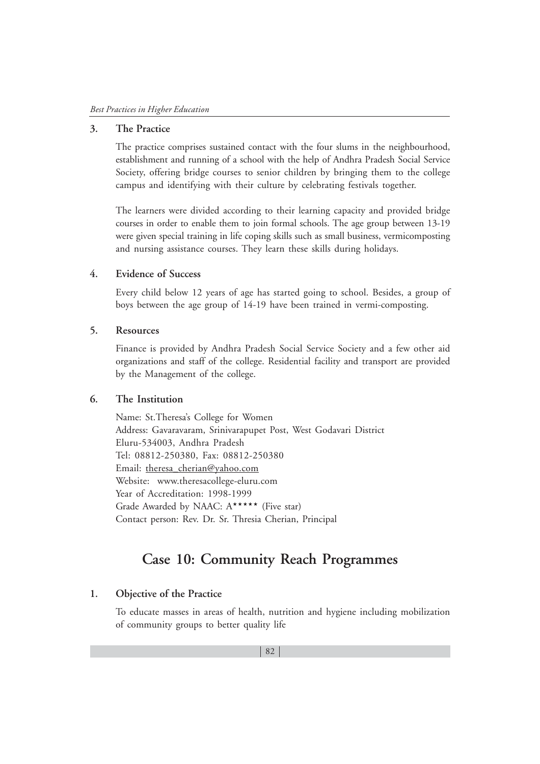#### **3. The Practice**

The practice comprises sustained contact with the four slums in the neighbourhood, establishment and running of a school with the help of Andhra Pradesh Social Service Society, offering bridge courses to senior children by bringing them to the college campus and identifying with their culture by celebrating festivals together.

The learners were divided according to their learning capacity and provided bridge courses in order to enable them to join formal schools. The age group between 13-19 were given special training in life coping skills such as small business, vermicomposting and nursing assistance courses. They learn these skills during holidays.

# **4. Evidence of Success**

Every child below 12 years of age has started going to school. Besides, a group of boys between the age group of 14-19 have been trained in vermi-composting.

#### **5. Resources**

Finance is provided by Andhra Pradesh Social Service Society and a few other aid organizations and staff of the college. Residential facility and transport are provided by the Management of the college.

#### **6. The Institution**

Name: St.Theresa's College for Women Address: Gavaravaram, Srinivarapupet Post, West Godavari District Eluru-534003, Andhra Pradesh Tel: 08812-250380, Fax: 08812-250380 Email: theresa\_cherian@yahoo.com Website: www.theresacollege-eluru.com Year of Accreditation: 1998-1999 Grade Awarded by NAAC: A\*\*\*\*\* (Five star) Contact person: Rev. Dr. Sr. Thresia Cherian, Principal

# **Case 10: Community Reach Programmes**

# **1. Objective of the Practice**

To educate masses in areas of health, nutrition and hygiene including mobilization of community groups to better quality life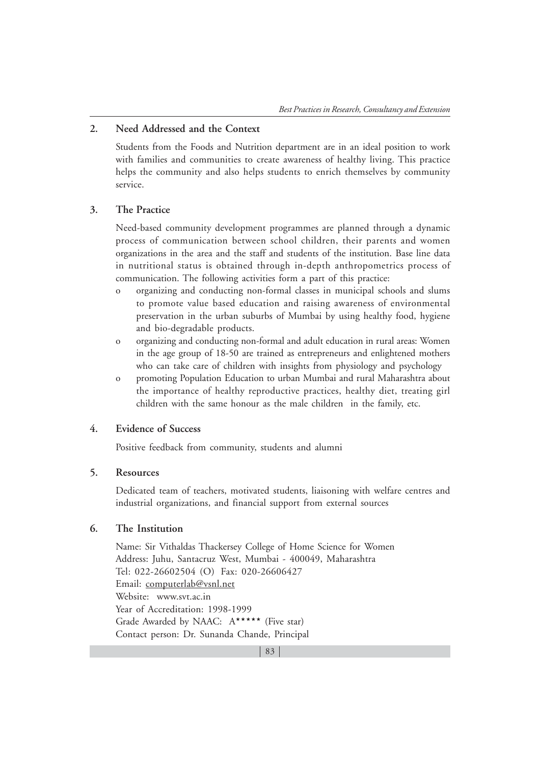# **2. Need Addressed and the Context**

Students from the Foods and Nutrition department are in an ideal position to work with families and communities to create awareness of healthy living. This practice helps the community and also helps students to enrich themselves by community service.

# **3. The Practice**

Need-based community development programmes are planned through a dynamic process of communication between school children, their parents and women organizations in the area and the staff and students of the institution. Base line data in nutritional status is obtained through in-depth anthropometrics process of communication. The following activities form a part of this practice:

- o organizing and conducting non-formal classes in municipal schools and slums to promote value based education and raising awareness of environmental preservation in the urban suburbs of Mumbai by using healthy food, hygiene and bio-degradable products.
- o organizing and conducting non-formal and adult education in rural areas: Women in the age group of 18-50 are trained as entrepreneurs and enlightened mothers who can take care of children with insights from physiology and psychology
- o promoting Population Education to urban Mumbai and rural Maharashtra about the importance of healthy reproductive practices, healthy diet, treating girl children with the same honour as the male children in the family, etc.

#### **4. Evidence of Success**

Positive feedback from community, students and alumni

#### **5. Resources**

Dedicated team of teachers, motivated students, liaisoning with welfare centres and industrial organizations, and financial support from external sources

# **6. The Institution**

Name: Sir Vithaldas Thackersey College of Home Science for Women Address: Juhu, Santacruz West, Mumbai - 400049, Maharashtra Tel: 022-26602504 (O) Fax: 020-26606427 Email: computerlab@vsnl.net Website: www.svt.ac.in Year of Accreditation: 1998-1999 Grade Awarded by NAAC: A\*\*\*\*\* (Five star) Contact person: Dr. Sunanda Chande, Principal

83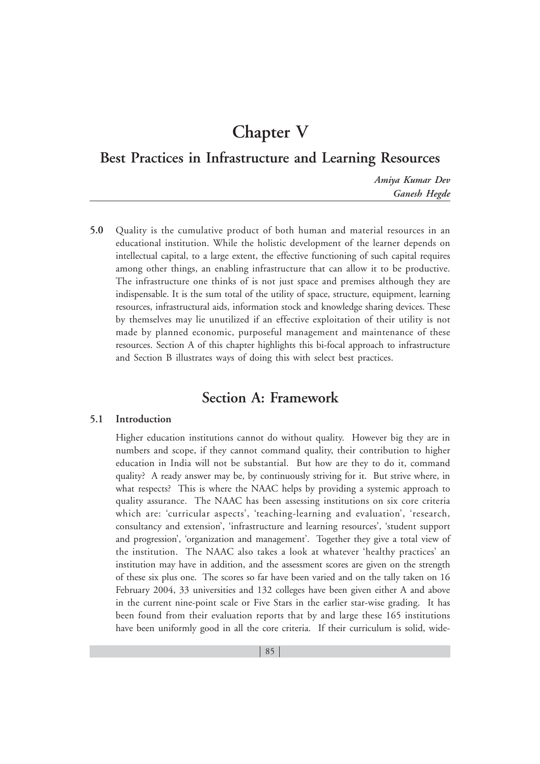# **Chapter V**

# **Best Practices in Infrastructure and Learning Resources**

*Amiya Kumar Dev Ganesh Hegde*

**5.0** Quality is the cumulative product of both human and material resources in an educational institution. While the holistic development of the learner depends on intellectual capital, to a large extent, the effective functioning of such capital requires among other things, an enabling infrastructure that can allow it to be productive. The infrastructure one thinks of is not just space and premises although they are indispensable. It is the sum total of the utility of space, structure, equipment, learning resources, infrastructural aids, information stock and knowledge sharing devices. These by themselves may lie unutilized if an effective exploitation of their utility is not made by planned economic, purposeful management and maintenance of these resources. Section A of this chapter highlights this bi-focal approach to infrastructure and Section B illustrates ways of doing this with select best practices.

# **Section A: Framework**

## **5.1 Introduction**

Higher education institutions cannot do without quality. However big they are in numbers and scope, if they cannot command quality, their contribution to higher education in India will not be substantial. But how are they to do it, command quality? A ready answer may be, by continuously striving for it. But strive where, in what respects? This is where the NAAC helps by providing a systemic approach to quality assurance. The NAAC has been assessing institutions on six core criteria which are: 'curricular aspects', 'teaching-learning and evaluation', 'research, consultancy and extension', 'infrastructure and learning resources', 'student support and progression', 'organization and management'. Together they give a total view of the institution. The NAAC also takes a look at whatever 'healthy practices' an institution may have in addition, and the assessment scores are given on the strength of these six plus one. The scores so far have been varied and on the tally taken on 16 February 2004, 33 universities and 132 colleges have been given either A and above in the current nine-point scale or Five Stars in the earlier star-wise grading. It has been found from their evaluation reports that by and large these 165 institutions have been uniformly good in all the core criteria. If their curriculum is solid, wide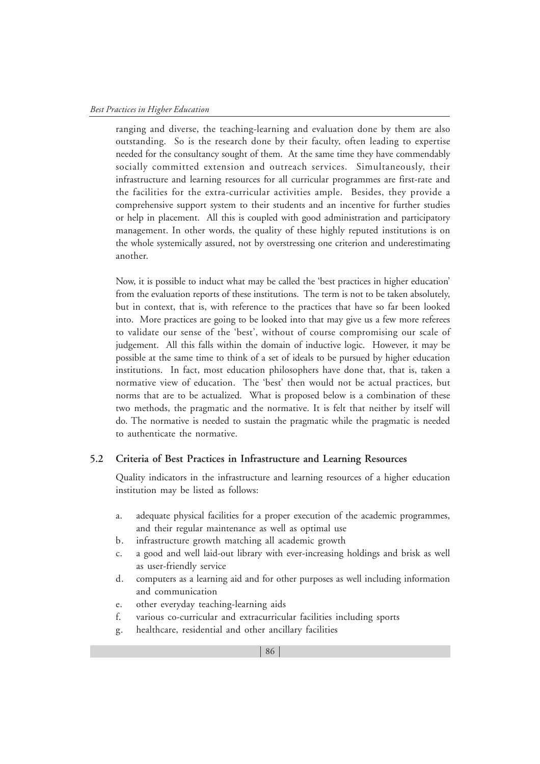ranging and diverse, the teaching-learning and evaluation done by them are also outstanding. So is the research done by their faculty, often leading to expertise needed for the consultancy sought of them. At the same time they have commendably socially committed extension and outreach services. Simultaneously, their infrastructure and learning resources for all curricular programmes are first-rate and the facilities for the extra-curricular activities ample. Besides, they provide a comprehensive support system to their students and an incentive for further studies or help in placement. All this is coupled with good administration and participatory management. In other words, the quality of these highly reputed institutions is on the whole systemically assured, not by overstressing one criterion and underestimating another.

Now, it is possible to induct what may be called the 'best practices in higher education' from the evaluation reports of these institutions. The term is not to be taken absolutely, but in context, that is, with reference to the practices that have so far been looked into. More practices are going to be looked into that may give us a few more referees to validate our sense of the 'best', without of course compromising our scale of judgement. All this falls within the domain of inductive logic. However, it may be possible at the same time to think of a set of ideals to be pursued by higher education institutions. In fact, most education philosophers have done that, that is, taken a normative view of education. The 'best' then would not be actual practices, but norms that are to be actualized. What is proposed below is a combination of these two methods, the pragmatic and the normative. It is felt that neither by itself will do. The normative is needed to sustain the pragmatic while the pragmatic is needed to authenticate the normative.

#### **5.2 Criteria of Best Practices in Infrastructure and Learning Resources**

Quality indicators in the infrastructure and learning resources of a higher education institution may be listed as follows:

- a. adequate physical facilities for a proper execution of the academic programmes, and their regular maintenance as well as optimal use
- b. infrastructure growth matching all academic growth
- c. a good and well laid-out library with ever-increasing holdings and brisk as well as user-friendly service
- d. computers as a learning aid and for other purposes as well including information and communication
- e. other everyday teaching-learning aids
- f. various co-curricular and extracurricular facilities including sports
- g. healthcare, residential and other ancillary facilities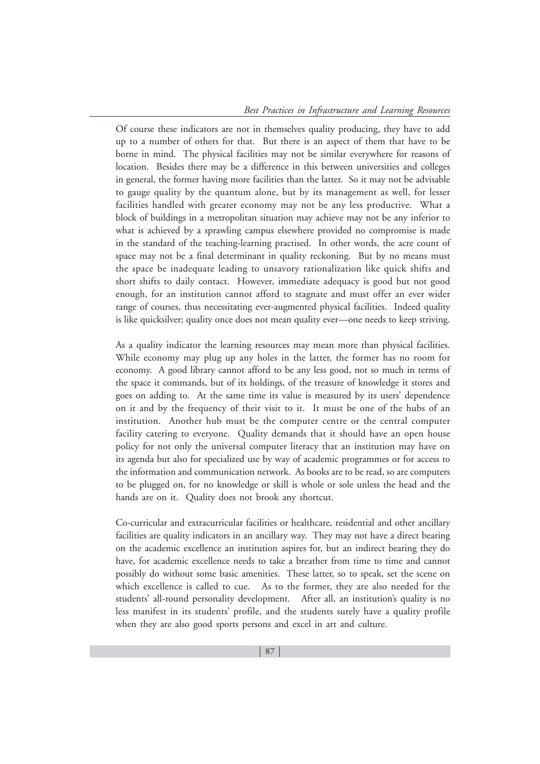Of course these indicators are not in themselves quality producing, they have to add up to a number of others for that. But there is an aspect of them that have to be borne in mind. The physical facilities may not be similar everywhere for reasons of location. Besides there may be a difference in this between universities and colleges in general, the former having more facilities than the latter. So it may not be advisable to gauge quality by the quantum alone, but by its management as well, for lesser facilities handled with greater economy may not be any less productive. What a block of buildings in a metropolitan situation may achieve may not be any inferior to what is achieved by a sprawling campus elsewhere provided no compromise is made in the standard of the teaching-learning practised. In other words, the acre count of space may not be a final determinant in quality reckoning. But by no means must the space be inadequate leading to unsavory rationalization like quick shifts and short shifts to daily contact. However, immediate adequacy is good but not good enough, for an institution cannot afford to stagnate and must offer an ever wider range of courses, thus necessitating ever-augmented physical facilities. Indeed quality is like quicksilver; quality once does not mean quality ever—one needs to keep striving.

As a quality indicator the learning resources may mean more than physical facilities. While economy may plug up any holes in the latter, the former has no room for economy. A good library cannot afford to be any less good, not so much in terms of the space it commands, but of its holdings, of the treasure of knowledge it stores and goes on adding to. At the same time its value is measured by its users' dependence on it and by the frequency of their visit to it. It must be one of the hubs of an institution. Another hub must be the computer centre or the central computer facility catering to everyone. Quality demands that it should have an open house policy for not only the universal computer literacy that an institution may have on its agenda but also for specialized use by way of academic programmes or for access to the information and communication network. As books are to be read, so are computers to be plugged on, for no knowledge or skill is whole or sole unless the head and the hands are on it. Quality does not brook any shortcut.

Co-curricular and extracurricular facilities or healthcare, residential and other ancillary facilities are quality indicators in an ancillary way. They may not have a direct bearing on the academic excellence an institution aspires for, but an indirect bearing they do have, for academic excellence needs to take a breather from time to time and cannot possibly do without some basic amenities. These latter, so to speak, set the scene on which excellence is called to cue. As to the former, they are also needed for the students' all-round personality development. After all, an institution's quality is no less manifest in its students' profile, and the students surely have a quality profile when they are also good sports persons and excel in art and culture.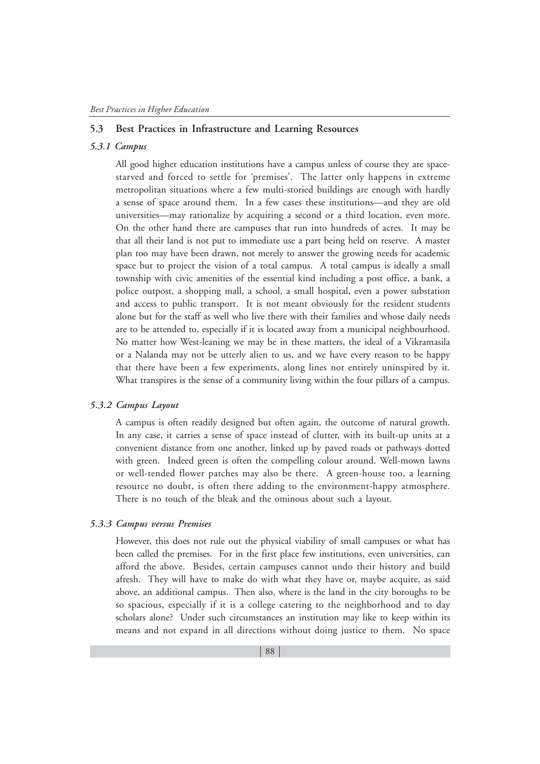# **5.3 Best Practices in Infrastructure and Learning Resources**

#### *5.3.1 Campus*

All good higher education institutions have a campus unless of course they are spacestarved and forced to settle for 'premises'. The latter only happens in extreme metropolitan situations where a few multi-storied buildings are enough with hardly a sense of space around them. In a few cases these institutions—and they are old universities—may rationalize by acquiring a second or a third location, even more. On the other hand there are campuses that run into hundreds of acres. It may be that all their land is not put to immediate use a part being held on reserve. A master plan too may have been drawn, not merely to answer the growing needs for academic space but to project the vision of a total campus. A total campus is ideally a small township with civic amenities of the essential kind including a post office, a bank, a police outpost, a shopping mall, a school, a small hospital, even a power substation and access to public transport. It is not meant obviously for the resident students alone but for the staff as well who live there with their families and whose daily needs are to be attended to, especially if it is located away from a municipal neighbourhood. No matter how West-leaning we may be in these matters, the ideal of a Vikramasila or a Nalanda may not be utterly alien to us, and we have every reason to be happy that there have been a few experiments, along lines not entirely uninspired by it. What transpires is the sense of a community living within the four pillars of a campus.

#### *5.3.2 Campus Layout*

A campus is often readily designed but often again, the outcome of natural growth. In any case, it carries a sense of space instead of clutter, with its built-up units at a convenient distance from one another, linked up by paved roads or pathways dotted with green. Indeed green is often the compelling colour around. Well-mown lawns or well-tended flower patches may also be there. A green-house too, a learning resource no doubt, is often there adding to the environment-happy atmosphere. There is no touch of the bleak and the ominous about such a layout.

#### *5.3.3 Campus versus Premises*

However, this does not rule out the physical viability of small campuses or what has been called the premises. For in the first place few institutions, even universities, can afford the above. Besides, certain campuses cannot undo their history and build afresh. They will have to make do with what they have or, maybe acquire, as said above, an additional campus. Then also, where is the land in the city boroughs to be so spacious, especially if it is a college catering to the neighborhood and to day scholars alone? Under such circumstances an institution may like to keep within its means and not expand in all directions without doing justice to them. No space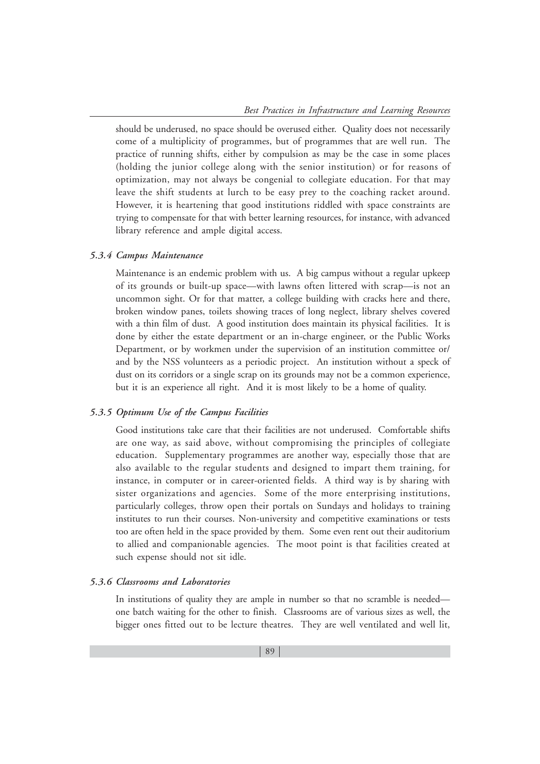should be underused, no space should be overused either. Quality does not necessarily come of a multiplicity of programmes, but of programmes that are well run. The practice of running shifts, either by compulsion as may be the case in some places (holding the junior college along with the senior institution) or for reasons of optimization, may not always be congenial to collegiate education. For that may leave the shift students at lurch to be easy prey to the coaching racket around. However, it is heartening that good institutions riddled with space constraints are trying to compensate for that with better learning resources, for instance, with advanced library reference and ample digital access.

#### *5.3.4 Campus Maintenance*

Maintenance is an endemic problem with us. A big campus without a regular upkeep of its grounds or built-up space—with lawns often littered with scrap—is not an uncommon sight. Or for that matter, a college building with cracks here and there, broken window panes, toilets showing traces of long neglect, library shelves covered with a thin film of dust. A good institution does maintain its physical facilities. It is done by either the estate department or an in-charge engineer, or the Public Works Department, or by workmen under the supervision of an institution committee or/ and by the NSS volunteers as a periodic project. An institution without a speck of dust on its corridors or a single scrap on its grounds may not be a common experience, but it is an experience all right. And it is most likely to be a home of quality.

#### *5.3.5 Optimum Use of the Campus Facilities*

Good institutions take care that their facilities are not underused. Comfortable shifts are one way, as said above, without compromising the principles of collegiate education. Supplementary programmes are another way, especially those that are also available to the regular students and designed to impart them training, for instance, in computer or in career-oriented fields. A third way is by sharing with sister organizations and agencies. Some of the more enterprising institutions, particularly colleges, throw open their portals on Sundays and holidays to training institutes to run their courses. Non-university and competitive examinations or tests too are often held in the space provided by them. Some even rent out their auditorium to allied and companionable agencies. The moot point is that facilities created at such expense should not sit idle.

# *5.3.6 Classrooms and Laboratories*

In institutions of quality they are ample in number so that no scramble is needed one batch waiting for the other to finish. Classrooms are of various sizes as well, the bigger ones fitted out to be lecture theatres. They are well ventilated and well lit,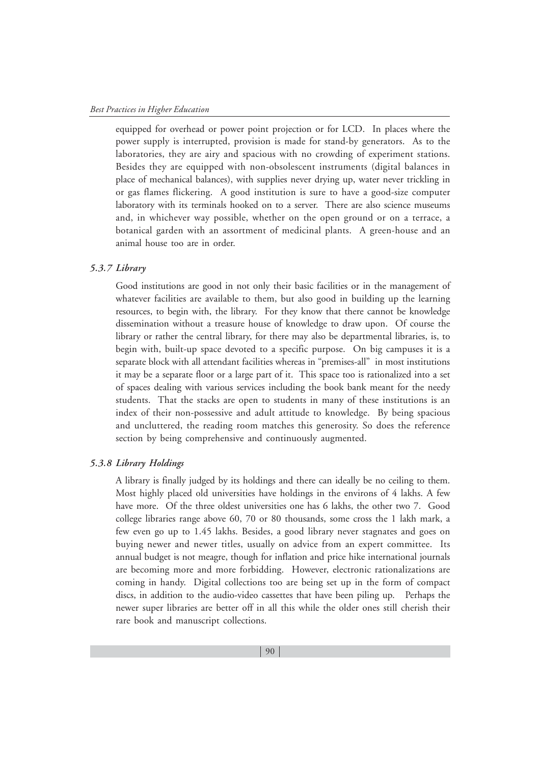equipped for overhead or power point projection or for LCD. In places where the power supply is interrupted, provision is made for stand-by generators. As to the laboratories, they are airy and spacious with no crowding of experiment stations. Besides they are equipped with non-obsolescent instruments (digital balances in place of mechanical balances), with supplies never drying up, water never trickling in or gas flames flickering. A good institution is sure to have a good-size computer laboratory with its terminals hooked on to a server. There are also science museums and, in whichever way possible, whether on the open ground or on a terrace, a botanical garden with an assortment of medicinal plants. A green-house and an animal house too are in order.

#### *5.3.7 Library*

Good institutions are good in not only their basic facilities or in the management of whatever facilities are available to them, but also good in building up the learning resources, to begin with, the library. For they know that there cannot be knowledge dissemination without a treasure house of knowledge to draw upon. Of course the library or rather the central library, for there may also be departmental libraries, is, to begin with, built-up space devoted to a specific purpose. On big campuses it is a separate block with all attendant facilities whereas in "premises-all" in most institutions it may be a separate floor or a large part of it. This space too is rationalized into a set of spaces dealing with various services including the book bank meant for the needy students. That the stacks are open to students in many of these institutions is an index of their non-possessive and adult attitude to knowledge. By being spacious and uncluttered, the reading room matches this generosity. So does the reference section by being comprehensive and continuously augmented.

#### *5.3.8 Library Holdings*

A library is finally judged by its holdings and there can ideally be no ceiling to them. Most highly placed old universities have holdings in the environs of 4 lakhs. A few have more. Of the three oldest universities one has 6 lakhs, the other two 7. Good college libraries range above 60, 70 or 80 thousands, some cross the 1 lakh mark, a few even go up to 1.45 lakhs. Besides, a good library never stagnates and goes on buying newer and newer titles, usually on advice from an expert committee. Its annual budget is not meagre, though for inflation and price hike international journals are becoming more and more forbidding. However, electronic rationalizations are coming in handy. Digital collections too are being set up in the form of compact discs, in addition to the audio-video cassettes that have been piling up. Perhaps the newer super libraries are better off in all this while the older ones still cherish their rare book and manuscript collections.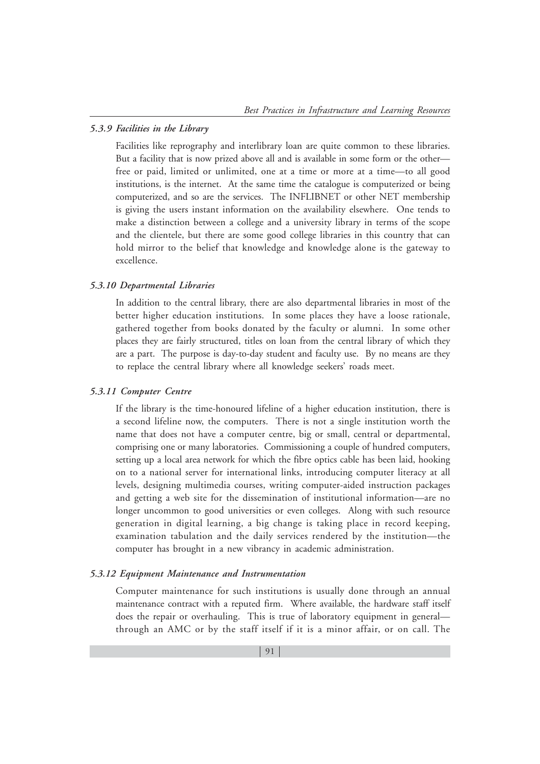#### *5.3.9 Facilities in the Library*

Facilities like reprography and interlibrary loan are quite common to these libraries. But a facility that is now prized above all and is available in some form or the other free or paid, limited or unlimited, one at a time or more at a time—to all good institutions, is the internet. At the same time the catalogue is computerized or being computerized, and so are the services. The INFLIBNET or other NET membership is giving the users instant information on the availability elsewhere. One tends to make a distinction between a college and a university library in terms of the scope and the clientele, but there are some good college libraries in this country that can hold mirror to the belief that knowledge and knowledge alone is the gateway to excellence.

#### *5.3.10 Departmental Libraries*

In addition to the central library, there are also departmental libraries in most of the better higher education institutions. In some places they have a loose rationale, gathered together from books donated by the faculty or alumni. In some other places they are fairly structured, titles on loan from the central library of which they are a part. The purpose is day-to-day student and faculty use. By no means are they to replace the central library where all knowledge seekers' roads meet.

#### *5.3.11 Computer Centre*

If the library is the time-honoured lifeline of a higher education institution, there is a second lifeline now, the computers. There is not a single institution worth the name that does not have a computer centre, big or small, central or departmental, comprising one or many laboratories. Commissioning a couple of hundred computers, setting up a local area network for which the fibre optics cable has been laid, hooking on to a national server for international links, introducing computer literacy at all levels, designing multimedia courses, writing computer-aided instruction packages and getting a web site for the dissemination of institutional information—are no longer uncommon to good universities or even colleges. Along with such resource generation in digital learning, a big change is taking place in record keeping, examination tabulation and the daily services rendered by the institution—the computer has brought in a new vibrancy in academic administration.

#### *5.3.12 Equipment Maintenance and Instrumentation*

Computer maintenance for such institutions is usually done through an annual maintenance contract with a reputed firm. Where available, the hardware staff itself does the repair or overhauling. This is true of laboratory equipment in general through an AMC or by the staff itself if it is a minor affair, or on call. The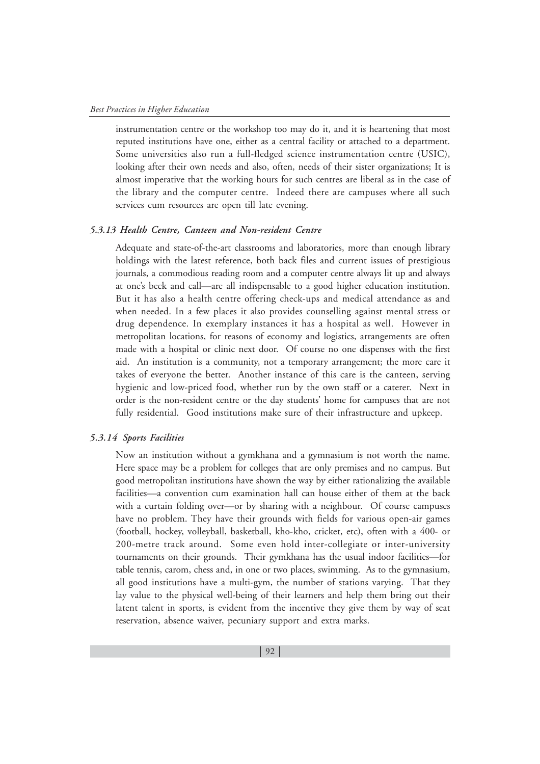instrumentation centre or the workshop too may do it, and it is heartening that most reputed institutions have one, either as a central facility or attached to a department. Some universities also run a full-fledged science instrumentation centre (USIC), looking after their own needs and also, often, needs of their sister organizations; It is almost imperative that the working hours for such centres are liberal as in the case of the library and the computer centre. Indeed there are campuses where all such services cum resources are open till late evening.

#### *5.3.13 Health Centre, Canteen and Non-resident Centre*

Adequate and state-of-the-art classrooms and laboratories, more than enough library holdings with the latest reference, both back files and current issues of prestigious journals, a commodious reading room and a computer centre always lit up and always at one's beck and call—are all indispensable to a good higher education institution. But it has also a health centre offering check-ups and medical attendance as and when needed. In a few places it also provides counselling against mental stress or drug dependence. In exemplary instances it has a hospital as well. However in metropolitan locations, for reasons of economy and logistics, arrangements are often made with a hospital or clinic next door. Of course no one dispenses with the first aid. An institution is a community, not a temporary arrangement; the more care it takes of everyone the better. Another instance of this care is the canteen, serving hygienic and low-priced food, whether run by the own staff or a caterer. Next in order is the non-resident centre or the day students' home for campuses that are not fully residential. Good institutions make sure of their infrastructure and upkeep.

#### *5.3.14 Sports Facilities*

Now an institution without a gymkhana and a gymnasium is not worth the name. Here space may be a problem for colleges that are only premises and no campus. But good metropolitan institutions have shown the way by either rationalizing the available facilities—a convention cum examination hall can house either of them at the back with a curtain folding over—or by sharing with a neighbour. Of course campuses have no problem. They have their grounds with fields for various open-air games (football, hockey, volleyball, basketball, kho-kho, cricket, etc), often with a 400- or 200-metre track around. Some even hold inter-collegiate or inter-university tournaments on their grounds. Their gymkhana has the usual indoor facilities—for table tennis, carom, chess and, in one or two places, swimming. As to the gymnasium, all good institutions have a multi-gym, the number of stations varying. That they lay value to the physical well-being of their learners and help them bring out their latent talent in sports, is evident from the incentive they give them by way of seat reservation, absence waiver, pecuniary support and extra marks.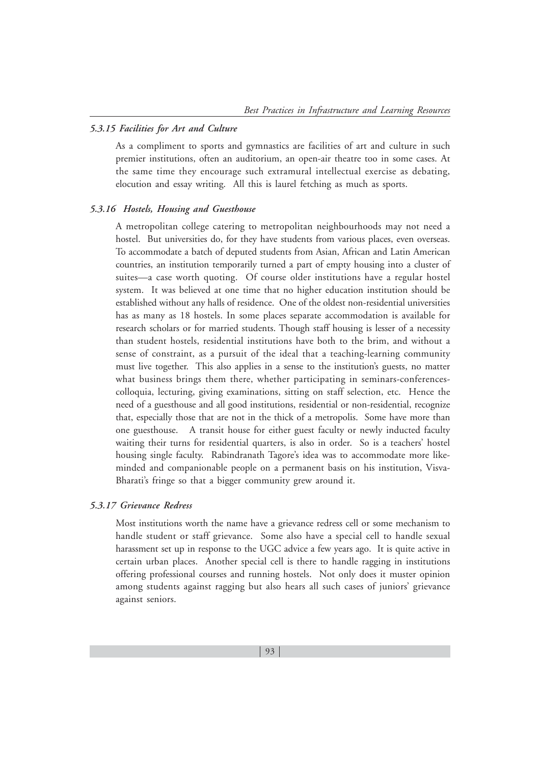#### *5.3.15 Facilities for Art and Culture*

As a compliment to sports and gymnastics are facilities of art and culture in such premier institutions, often an auditorium, an open-air theatre too in some cases. At the same time they encourage such extramural intellectual exercise as debating, elocution and essay writing. All this is laurel fetching as much as sports.

#### *5.3.16 Hostels, Housing and Guesthouse*

A metropolitan college catering to metropolitan neighbourhoods may not need a hostel. But universities do, for they have students from various places, even overseas. To accommodate a batch of deputed students from Asian, African and Latin American countries, an institution temporarily turned a part of empty housing into a cluster of suites—a case worth quoting. Of course older institutions have a regular hostel system. It was believed at one time that no higher education institution should be established without any halls of residence. One of the oldest non-residential universities has as many as 18 hostels. In some places separate accommodation is available for research scholars or for married students. Though staff housing is lesser of a necessity than student hostels, residential institutions have both to the brim, and without a sense of constraint, as a pursuit of the ideal that a teaching-learning community must live together. This also applies in a sense to the institution's guests, no matter what business brings them there, whether participating in seminars-conferencescolloquia, lecturing, giving examinations, sitting on staff selection, etc. Hence the need of a guesthouse and all good institutions, residential or non-residential, recognize that, especially those that are not in the thick of a metropolis. Some have more than one guesthouse. A transit house for either guest faculty or newly inducted faculty waiting their turns for residential quarters, is also in order. So is a teachers' hostel housing single faculty. Rabindranath Tagore's idea was to accommodate more likeminded and companionable people on a permanent basis on his institution, Visva-Bharati's fringe so that a bigger community grew around it.

#### *5.3.17 Grievance Redress*

Most institutions worth the name have a grievance redress cell or some mechanism to handle student or staff grievance. Some also have a special cell to handle sexual harassment set up in response to the UGC advice a few years ago. It is quite active in certain urban places. Another special cell is there to handle ragging in institutions offering professional courses and running hostels. Not only does it muster opinion among students against ragging but also hears all such cases of juniors' grievance against seniors.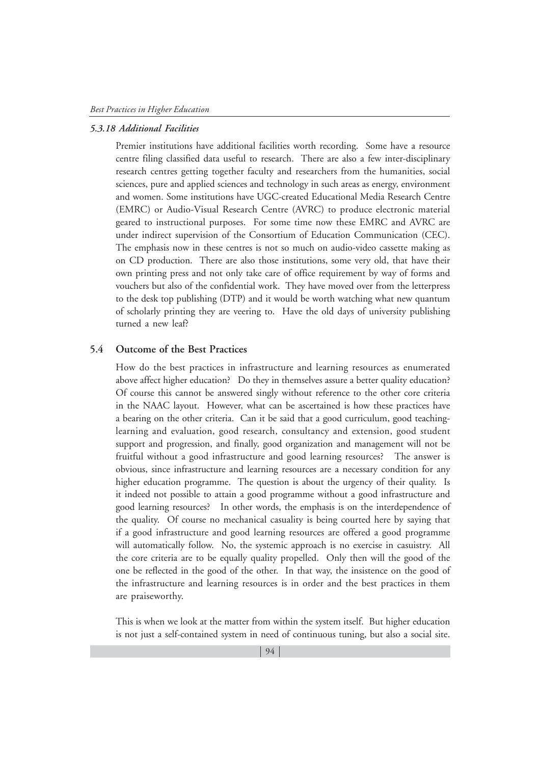#### *5.3.18 Additional Facilities*

Premier institutions have additional facilities worth recording. Some have a resource centre filing classified data useful to research. There are also a few inter-disciplinary research centres getting together faculty and researchers from the humanities, social sciences, pure and applied sciences and technology in such areas as energy, environment and women. Some institutions have UGC-created Educational Media Research Centre (EMRC) or Audio-Visual Research Centre (AVRC) to produce electronic material geared to instructional purposes. For some time now these EMRC and AVRC are under indirect supervision of the Consortium of Education Communication (CEC). The emphasis now in these centres is not so much on audio-video cassette making as on CD production. There are also those institutions, some very old, that have their own printing press and not only take care of office requirement by way of forms and vouchers but also of the confidential work. They have moved over from the letterpress to the desk top publishing (DTP) and it would be worth watching what new quantum of scholarly printing they are veering to. Have the old days of university publishing turned a new leaf?

#### **5.4 Outcome of the Best Practices**

How do the best practices in infrastructure and learning resources as enumerated above affect higher education? Do they in themselves assure a better quality education? Of course this cannot be answered singly without reference to the other core criteria in the NAAC layout. However, what can be ascertained is how these practices have a bearing on the other criteria. Can it be said that a good curriculum, good teachinglearning and evaluation, good research, consultancy and extension, good student support and progression, and finally, good organization and management will not be fruitful without a good infrastructure and good learning resources? The answer is obvious, since infrastructure and learning resources are a necessary condition for any higher education programme. The question is about the urgency of their quality. Is it indeed not possible to attain a good programme without a good infrastructure and good learning resources? In other words, the emphasis is on the interdependence of the quality. Of course no mechanical casuality is being courted here by saying that if a good infrastructure and good learning resources are offered a good programme will automatically follow. No, the systemic approach is no exercise in casuistry. All the core criteria are to be equally quality propelled. Only then will the good of the one be reflected in the good of the other. In that way, the insistence on the good of the infrastructure and learning resources is in order and the best practices in them are praiseworthy.

This is when we look at the matter from within the system itself. But higher education is not just a self-contained system in need of continuous tuning, but also a social site.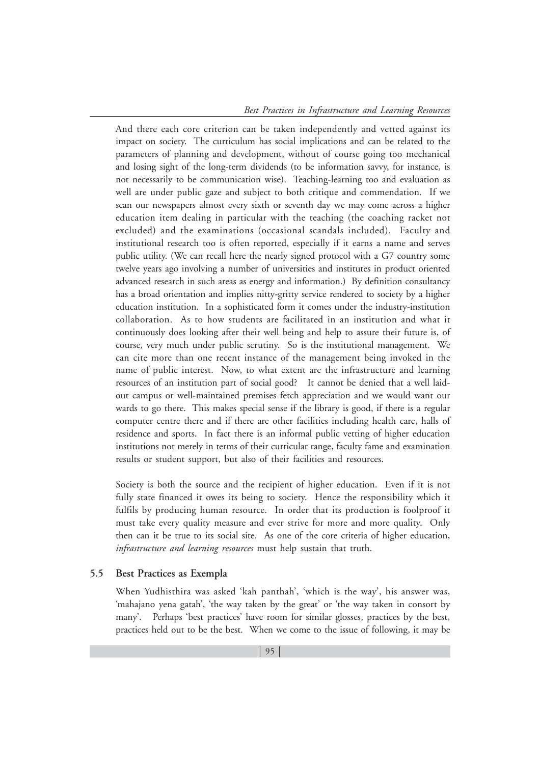And there each core criterion can be taken independently and vetted against its impact on society. The curriculum has social implications and can be related to the parameters of planning and development, without of course going too mechanical and losing sight of the long-term dividends (to be information savvy, for instance, is not necessarily to be communication wise). Teaching-learning too and evaluation as well are under public gaze and subject to both critique and commendation. If we scan our newspapers almost every sixth or seventh day we may come across a higher education item dealing in particular with the teaching (the coaching racket not excluded) and the examinations (occasional scandals included). Faculty and institutional research too is often reported, especially if it earns a name and serves public utility. (We can recall here the nearly signed protocol with a G7 country some twelve years ago involving a number of universities and institutes in product oriented advanced research in such areas as energy and information.) By definition consultancy has a broad orientation and implies nitty-gritty service rendered to society by a higher education institution. In a sophisticated form it comes under the industry-institution collaboration. As to how students are facilitated in an institution and what it continuously does looking after their well being and help to assure their future is, of course, very much under public scrutiny. So is the institutional management. We can cite more than one recent instance of the management being invoked in the name of public interest. Now, to what extent are the infrastructure and learning resources of an institution part of social good? It cannot be denied that a well laidout campus or well-maintained premises fetch appreciation and we would want our wards to go there. This makes special sense if the library is good, if there is a regular computer centre there and if there are other facilities including health care, halls of residence and sports. In fact there is an informal public vetting of higher education institutions not merely in terms of their curricular range, faculty fame and examination results or student support, but also of their facilities and resources.

Society is both the source and the recipient of higher education. Even if it is not fully state financed it owes its being to society. Hence the responsibility which it fulfils by producing human resource. In order that its production is foolproof it must take every quality measure and ever strive for more and more quality. Only then can it be true to its social site. As one of the core criteria of higher education, *infrastructure and learning resources* must help sustain that truth.

## **5.5 Best Practices as Exempla**

When Yudhisthira was asked 'kah panthah', 'which is the way', his answer was, 'mahajano yena gatah', 'the way taken by the great' or 'the way taken in consort by many'. Perhaps 'best practices' have room for similar glosses, practices by the best, practices held out to be the best. When we come to the issue of following, it may be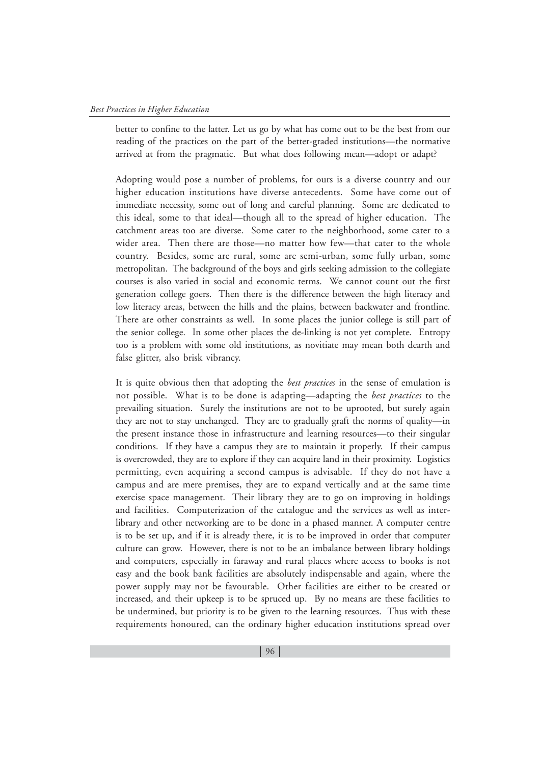better to confine to the latter. Let us go by what has come out to be the best from our reading of the practices on the part of the better-graded institutions—the normative arrived at from the pragmatic. But what does following mean—adopt or adapt?

Adopting would pose a number of problems, for ours is a diverse country and our higher education institutions have diverse antecedents. Some have come out of immediate necessity, some out of long and careful planning. Some are dedicated to this ideal, some to that ideal—though all to the spread of higher education. The catchment areas too are diverse. Some cater to the neighborhood, some cater to a wider area. Then there are those—no matter how few—that cater to the whole country. Besides, some are rural, some are semi-urban, some fully urban, some metropolitan. The background of the boys and girls seeking admission to the collegiate courses is also varied in social and economic terms. We cannot count out the first generation college goers. Then there is the difference between the high literacy and low literacy areas, between the hills and the plains, between backwater and frontline. There are other constraints as well. In some places the junior college is still part of the senior college. In some other places the de-linking is not yet complete. Entropy too is a problem with some old institutions, as novitiate may mean both dearth and false glitter, also brisk vibrancy.

It is quite obvious then that adopting the *best practices* in the sense of emulation is not possible. What is to be done is adapting—adapting the *best practices* to the prevailing situation. Surely the institutions are not to be uprooted, but surely again they are not to stay unchanged. They are to gradually graft the norms of quality—in the present instance those in infrastructure and learning resources—to their singular conditions. If they have a campus they are to maintain it properly. If their campus is overcrowded, they are to explore if they can acquire land in their proximity. Logistics permitting, even acquiring a second campus is advisable. If they do not have a campus and are mere premises, they are to expand vertically and at the same time exercise space management. Their library they are to go on improving in holdings and facilities. Computerization of the catalogue and the services as well as interlibrary and other networking are to be done in a phased manner. A computer centre is to be set up, and if it is already there, it is to be improved in order that computer culture can grow. However, there is not to be an imbalance between library holdings and computers, especially in faraway and rural places where access to books is not easy and the book bank facilities are absolutely indispensable and again, where the power supply may not be favourable. Other facilities are either to be created or increased, and their upkeep is to be spruced up. By no means are these facilities to be undermined, but priority is to be given to the learning resources. Thus with these requirements honoured, can the ordinary higher education institutions spread over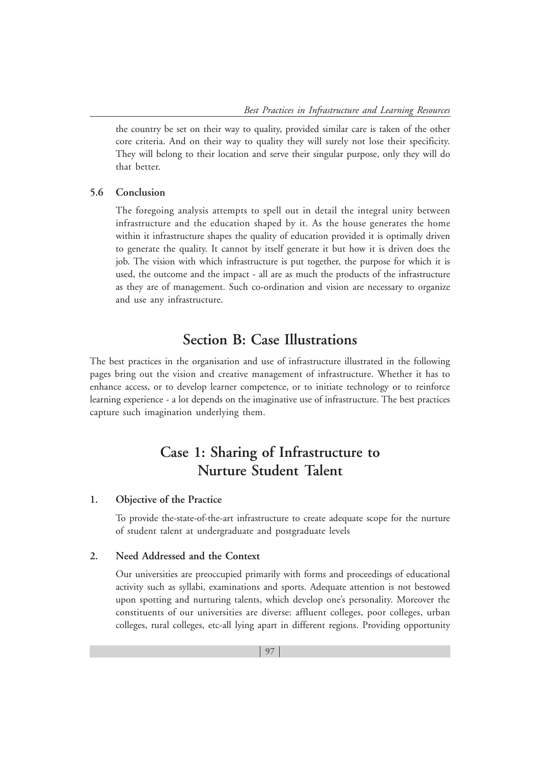the country be set on their way to quality, provided similar care is taken of the other core criteria. And on their way to quality they will surely not lose their specificity. They will belong to their location and serve their singular purpose, only they will do that better.

#### **5.6 Conclusion**

The foregoing analysis attempts to spell out in detail the integral unity between infrastructure and the education shaped by it. As the house generates the home within it infrastructure shapes the quality of education provided it is optimally driven to generate the quality. It cannot by itself generate it but how it is driven does the job. The vision with which infrastructure is put together, the purpose for which it is used, the outcome and the impact - all are as much the products of the infrastructure as they are of management. Such co-ordination and vision are necessary to organize and use any infrastructure.

# **Section B: Case Illustrations**

The best practices in the organisation and use of infrastructure illustrated in the following pages bring out the vision and creative management of infrastructure. Whether it has to enhance access, or to develop learner competence, or to initiate technology or to reinforce learning experience - a lot depends on the imaginative use of infrastructure. The best practices capture such imagination underlying them.

# **Case 1: Sharing of Infrastructure to Nurture Student Talent**

#### **1. Objective of the Practice**

To provide the-state-of-the-art infrastructure to create adequate scope for the nurture of student talent at undergraduate and postgraduate levels

#### **2. Need Addressed and the Context**

Our universities are preoccupied primarily with forms and proceedings of educational activity such as syllabi, examinations and sports. Adequate attention is not bestowed upon spotting and nurturing talents, which develop one's personality. Moreover the constituents of our universities are diverse: affluent colleges, poor colleges, urban colleges, rural colleges, etc-all lying apart in different regions. Providing opportunity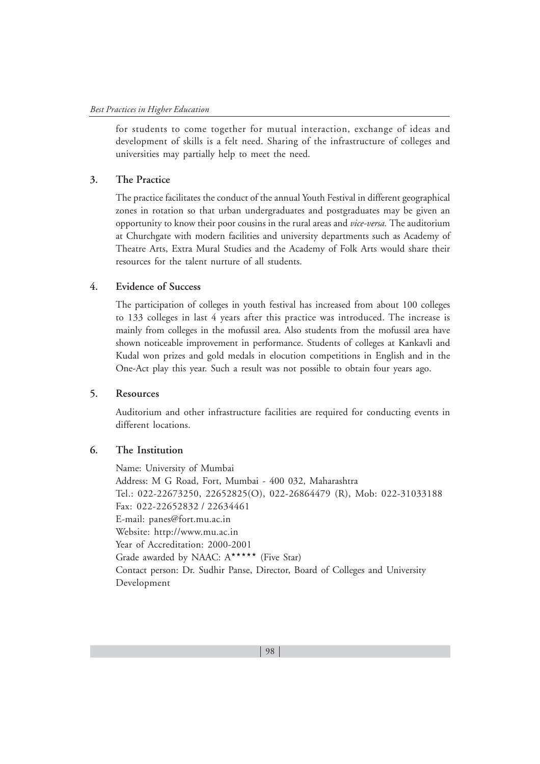for students to come together for mutual interaction, exchange of ideas and development of skills is a felt need. Sharing of the infrastructure of colleges and universities may partially help to meet the need.

#### **3. The Practice**

The practice facilitates the conduct of the annual Youth Festival in different geographical zones in rotation so that urban undergraduates and postgraduates may be given an opportunity to know their poor cousins in the rural areas and *vice-versa.* The auditorium at Churchgate with modern facilities and university departments such as Academy of Theatre Arts, Extra Mural Studies and the Academy of Folk Arts would share their resources for the talent nurture of all students.

### **4. Evidence of Success**

The participation of colleges in youth festival has increased from about 100 colleges to 133 colleges in last 4 years after this practice was introduced. The increase is mainly from colleges in the mofussil area. Also students from the mofussil area have shown noticeable improvement in performance. Students of colleges at Kankavli and Kudal won prizes and gold medals in elocution competitions in English and in the One-Act play this year. Such a result was not possible to obtain four years ago.

#### **5. Resources**

Auditorium and other infrastructure facilities are required for conducting events in different locations.

## **6. The Institution**

Name: University of Mumbai Address: M G Road, Fort, Mumbai - 400 032, Maharashtra Tel.: 022-22673250, 22652825(O), 022-26864479 (R), Mob: 022-31033188 Fax: 022-22652832 / 22634461 E-mail: panes@fort.mu.ac.in Website: http://www.mu.ac.in Year of Accreditation: 2000-2001 Grade awarded by NAAC:  $A^{\star \star \star \star \star}$  (Five Star) Contact person: Dr. Sudhir Panse, Director, Board of Colleges and University Development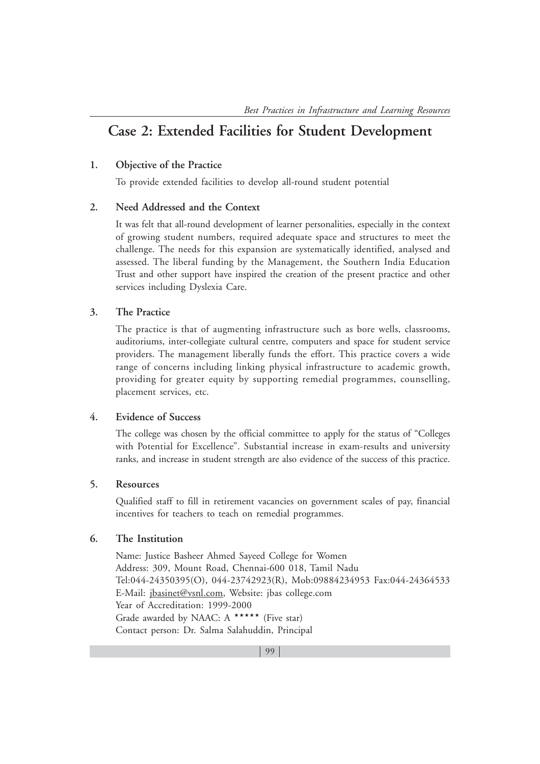# **Case 2: Extended Facilities for Student Development**

## **1. Objective of the Practice**

To provide extended facilities to develop all-round student potential

# **2. Need Addressed and the Context**

It was felt that all-round development of learner personalities, especially in the context of growing student numbers, required adequate space and structures to meet the challenge. The needs for this expansion are systematically identified, analysed and assessed. The liberal funding by the Management, the Southern India Education Trust and other support have inspired the creation of the present practice and other services including Dyslexia Care.

# **3. The Practice**

The practice is that of augmenting infrastructure such as bore wells, classrooms, auditoriums, inter-collegiate cultural centre, computers and space for student service providers. The management liberally funds the effort. This practice covers a wide range of concerns including linking physical infrastructure to academic growth, providing for greater equity by supporting remedial programmes, counselling, placement services, etc.

#### **4. Evidence of Success**

The college was chosen by the official committee to apply for the status of "Colleges with Potential for Excellence". Substantial increase in exam-results and university ranks, and increase in student strength are also evidence of the success of this practice.

# **5. Resources**

Qualified staff to fill in retirement vacancies on government scales of pay, financial incentives for teachers to teach on remedial programmes.

# **6. The Institution**

Name: Justice Basheer Ahmed Sayeed College for Women Address: 309, Mount Road, Chennai-600 018, Tamil Nadu Tel:044-24350395(O), 044-23742923(R), Mob:09884234953 Fax:044-24364533 E-Mail: jbasinet@vsnl.com, Website: jbas college.com Year of Accreditation: 1999-2000 Grade awarded by NAAC: A \*\*\*\*\* (Five star) Contact person: Dr. Salma Salahuddin, Principal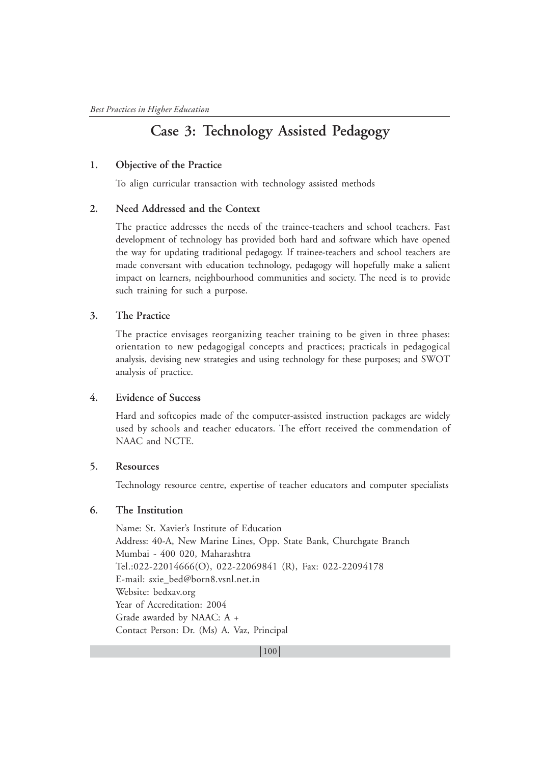# **Case 3: Technology Assisted Pedagogy**

## **1. Objective of the Practice**

To align curricular transaction with technology assisted methods

#### **2. Need Addressed and the Context**

The practice addresses the needs of the trainee-teachers and school teachers. Fast development of technology has provided both hard and software which have opened the way for updating traditional pedagogy. If trainee-teachers and school teachers are made conversant with education technology, pedagogy will hopefully make a salient impact on learners, neighbourhood communities and society. The need is to provide such training for such a purpose.

# **3. The Practice**

The practice envisages reorganizing teacher training to be given in three phases: orientation to new pedagogigal concepts and practices; practicals in pedagogical analysis, devising new strategies and using technology for these purposes; and SWOT analysis of practice.

#### **4. Evidence of Success**

Hard and softcopies made of the computer-assisted instruction packages are widely used by schools and teacher educators. The effort received the commendation of NAAC and NCTE.

# **5. Resources**

Technology resource centre, expertise of teacher educators and computer specialists

### **6. The Institution**

Name: St. Xavier's Institute of Education Address: 40-A, New Marine Lines, Opp. State Bank, Churchgate Branch Mumbai - 400 020, Maharashtra Tel.:022-22014666(O), 022-22069841 (R), Fax: 022-22094178 E-mail: sxie\_bed@born8.vsnl.net.in Website: bedxav.org Year of Accreditation: 2004 Grade awarded by NAAC: A + Contact Person: Dr. (Ms) A. Vaz, Principal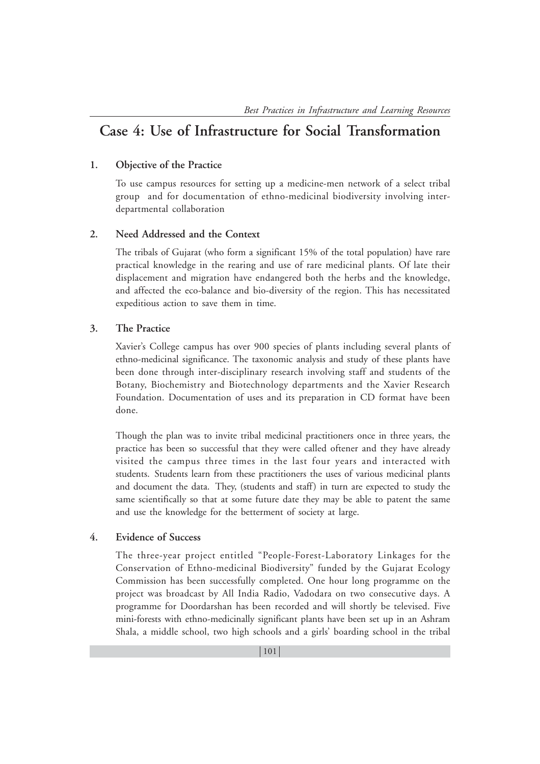# **Case 4: Use of Infrastructure for Social Transformation**

# **1. Objective of the Practice**

To use campus resources for setting up a medicine-men network of a select tribal group and for documentation of ethno-medicinal biodiversity involving interdepartmental collaboration

# **2. Need Addressed and the Context**

The tribals of Gujarat (who form a significant 15% of the total population) have rare practical knowledge in the rearing and use of rare medicinal plants. Of late their displacement and migration have endangered both the herbs and the knowledge, and affected the eco-balance and bio-diversity of the region. This has necessitated expeditious action to save them in time.

# **3. The Practice**

Xavier's College campus has over 900 species of plants including several plants of ethno-medicinal significance. The taxonomic analysis and study of these plants have been done through inter-disciplinary research involving staff and students of the Botany, Biochemistry and Biotechnology departments and the Xavier Research Foundation. Documentation of uses and its preparation in CD format have been done.

Though the plan was to invite tribal medicinal practitioners once in three years, the practice has been so successful that they were called oftener and they have already visited the campus three times in the last four years and interacted with students. Students learn from these practitioners the uses of various medicinal plants and document the data. They, (students and staff) in turn are expected to study the same scientifically so that at some future date they may be able to patent the same and use the knowledge for the betterment of society at large.

## **4. Evidence of Success**

The three-year project entitled "People-Forest-Laboratory Linkages for the Conservation of Ethno-medicinal Biodiversity" funded by the Gujarat Ecology Commission has been successfully completed. One hour long programme on the project was broadcast by All India Radio, Vadodara on two consecutive days. A programme for Doordarshan has been recorded and will shortly be televised. Five mini-forests with ethno-medicinally significant plants have been set up in an Ashram Shala, a middle school, two high schools and a girls' boarding school in the tribal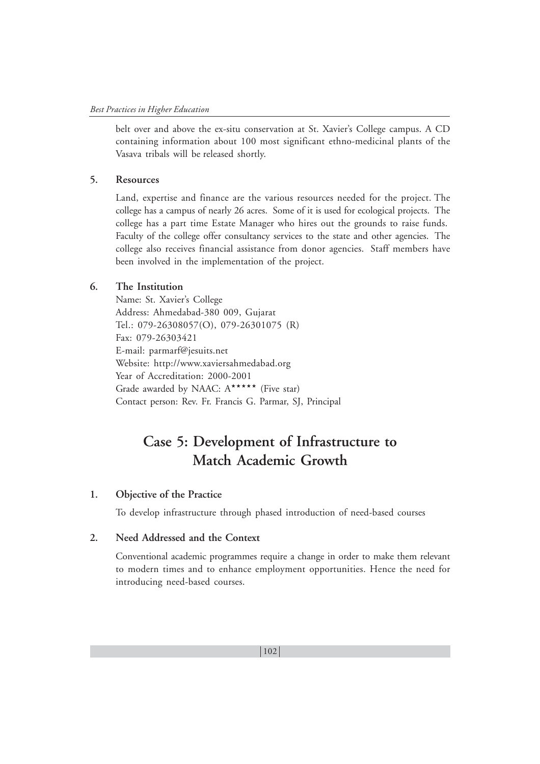belt over and above the ex-situ conservation at St. Xavier's College campus. A CD containing information about 100 most significant ethno-medicinal plants of the Vasava tribals will be released shortly.

#### **5. Resources**

Land, expertise and finance are the various resources needed for the project. The college has a campus of nearly 26 acres. Some of it is used for ecological projects. The college has a part time Estate Manager who hires out the grounds to raise funds. Faculty of the college offer consultancy services to the state and other agencies. The college also receives financial assistance from donor agencies. Staff members have been involved in the implementation of the project.

# **6. The Institution**

Name: St. Xavier's College Address: Ahmedabad-380 009, Gujarat Tel.: 079-26308057(O), 079-26301075 (R) Fax: 079-26303421 E-mail: parmarf@jesuits.net Website: http://www.xaviersahmedabad.org Year of Accreditation: 2000-2001 Grade awarded by NAAC: A\*\*\*\*\*\* (Five star) Contact person: Rev. Fr. Francis G. Parmar, SJ, Principal

# **Case 5: Development of Infrastructure to Match Academic Growth**

### **1. Objective of the Practice**

To develop infrastructure through phased introduction of need-based courses

## **2. Need Addressed and the Context**

Conventional academic programmes require a change in order to make them relevant to modern times and to enhance employment opportunities. Hence the need for introducing need-based courses.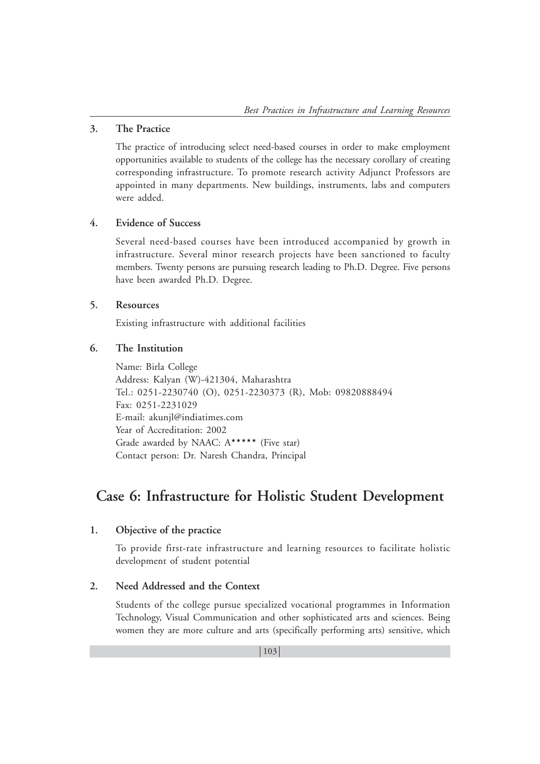# **3. The Practice**

The practice of introducing select need-based courses in order to make employment opportunities available to students of the college has the necessary corollary of creating corresponding infrastructure. To promote research activity Adjunct Professors are appointed in many departments. New buildings, instruments, labs and computers were added.

# **4. Evidence of Success**

Several need-based courses have been introduced accompanied by growth in infrastructure. Several minor research projects have been sanctioned to faculty members. Twenty persons are pursuing research leading to Ph.D. Degree. Five persons have been awarded Ph.D. Degree.

# **5. Resources**

Existing infrastructure with additional facilities

# **6. The Institution**

Name: Birla College Address: Kalyan (W)-421304, Maharashtra Tel.: 0251-2230740 (O), 0251-2230373 (R), Mob: 09820888494 Fax: 0251-2231029 E-mail: akunjl@indiatimes.com Year of Accreditation: 2002 Grade awarded by NAAC: A\*\*\*\*\*\* (Five star) Contact person: Dr. Naresh Chandra, Principal

# **Case 6: Infrastructure for Holistic Student Development**

# **1. Objective of the practice**

To provide first-rate infrastructure and learning resources to facilitate holistic development of student potential

# **2. Need Addressed and the Context**

Students of the college pursue specialized vocational programmes in Information Technology, Visual Communication and other sophisticated arts and sciences. Being women they are more culture and arts (specifically performing arts) sensitive, which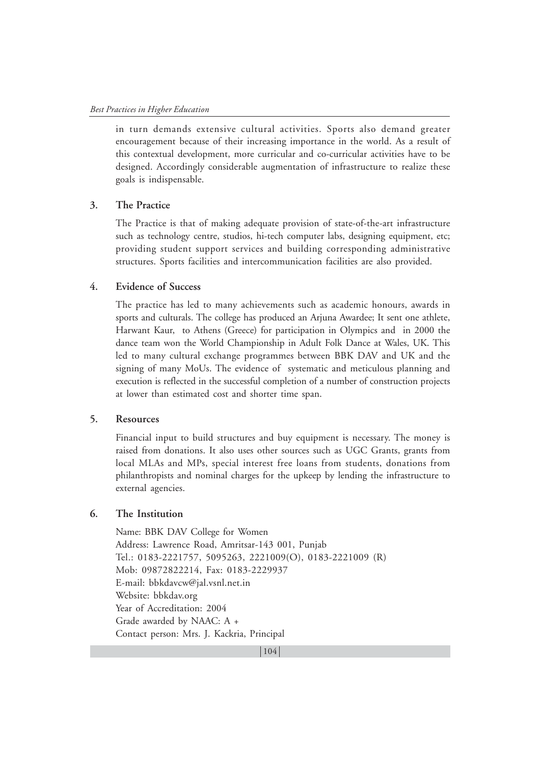in turn demands extensive cultural activities. Sports also demand greater encouragement because of their increasing importance in the world. As a result of this contextual development, more curricular and co-curricular activities have to be designed. Accordingly considerable augmentation of infrastructure to realize these goals is indispensable.

#### **3. The Practice**

The Practice is that of making adequate provision of state-of-the-art infrastructure such as technology centre, studios, hi-tech computer labs, designing equipment, etc; providing student support services and building corresponding administrative structures. Sports facilities and intercommunication facilities are also provided.

#### **4. Evidence of Success**

The practice has led to many achievements such as academic honours, awards in sports and culturals. The college has produced an Arjuna Awardee; It sent one athlete, Harwant Kaur, to Athens (Greece) for participation in Olympics and in 2000 the dance team won the World Championship in Adult Folk Dance at Wales, UK. This led to many cultural exchange programmes between BBK DAV and UK and the signing of many MoUs. The evidence of systematic and meticulous planning and execution is reflected in the successful completion of a number of construction projects at lower than estimated cost and shorter time span.

#### **5. Resources**

Financial input to build structures and buy equipment is necessary. The money is raised from donations. It also uses other sources such as UGC Grants, grants from local MLAs and MPs, special interest free loans from students, donations from philanthropists and nominal charges for the upkeep by lending the infrastructure to external agencies.

# **6. The Institution**

Name: BBK DAV College for Women Address: Lawrence Road, Amritsar-143 001, Punjab Tel.: 0183-2221757, 5095263, 2221009(O), 0183-2221009 (R) Mob: 09872822214, Fax: 0183-2229937 E-mail: bbkdavcw@jal.vsnl.net.in Website: bbkdav.org Year of Accreditation: 2004 Grade awarded by NAAC: A + Contact person: Mrs. J. Kackria, Principal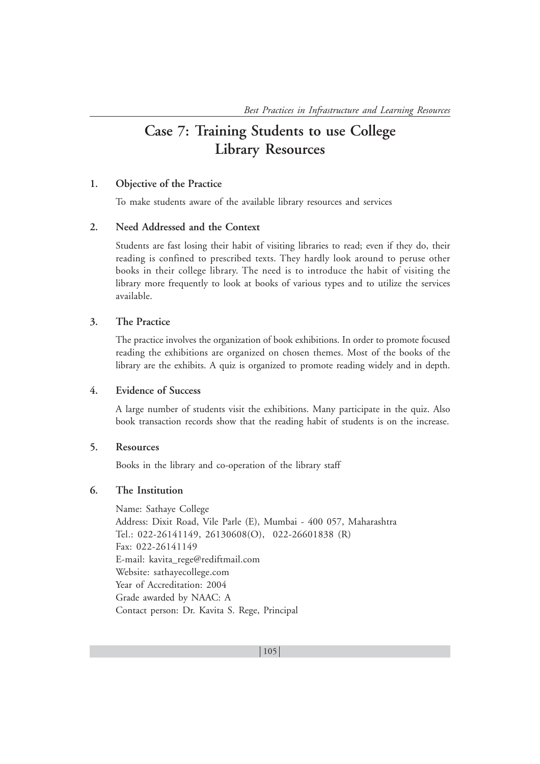# **Case 7: Training Students to use College Library Resources**

# **1. Objective of the Practice**

To make students aware of the available library resources and services

# **2. Need Addressed and the Context**

Students are fast losing their habit of visiting libraries to read; even if they do, their reading is confined to prescribed texts. They hardly look around to peruse other books in their college library. The need is to introduce the habit of visiting the library more frequently to look at books of various types and to utilize the services available.

# **3. The Practice**

The practice involves the organization of book exhibitions. In order to promote focused reading the exhibitions are organized on chosen themes. Most of the books of the library are the exhibits. A quiz is organized to promote reading widely and in depth.

### **4. Evidence of Success**

A large number of students visit the exhibitions. Many participate in the quiz. Also book transaction records show that the reading habit of students is on the increase.

# **5. Resources**

Books in the library and co-operation of the library staff

### **6. The Institution**

Name: Sathaye College Address: Dixit Road, Vile Parle (E), Mumbai - 400 057, Maharashtra Tel.: 022-26141149, 26130608(O), 022-26601838 (R) Fax: 022-26141149 E-mail: kavita\_rege@rediftmail.com Website: sathayecollege.com Year of Accreditation: 2004 Grade awarded by NAAC: A Contact person: Dr. Kavita S. Rege, Principal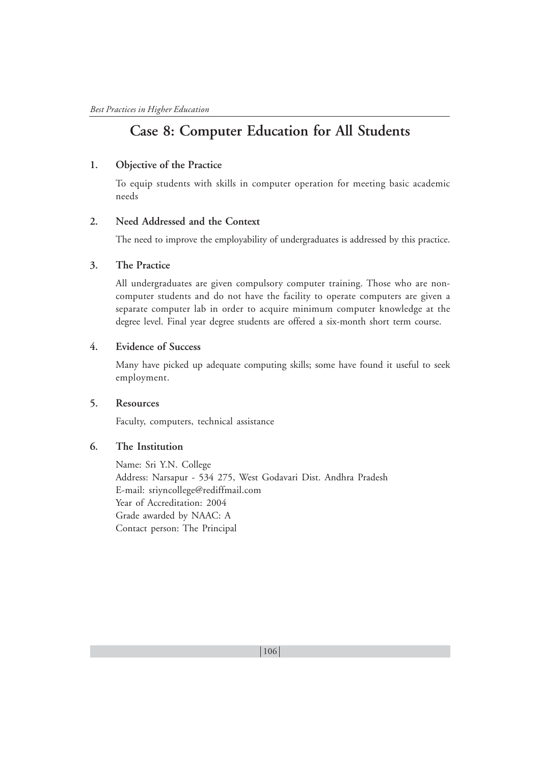# **Case 8: Computer Education for All Students**

# **1. Objective of the Practice**

To equip students with skills in computer operation for meeting basic academic needs

## **2. Need Addressed and the Context**

The need to improve the employability of undergraduates is addressed by this practice.

#### **3. The Practice**

All undergraduates are given compulsory computer training. Those who are noncomputer students and do not have the facility to operate computers are given a separate computer lab in order to acquire minimum computer knowledge at the degree level. Final year degree students are offered a six-month short term course.

#### **4. Evidence of Success**

Many have picked up adequate computing skills; some have found it useful to seek employment.

# **5. Resources**

Faculty, computers, technical assistance

# **6. The Institution**

Name: Sri Y.N. College Address: Narsapur - 534 275, West Godavari Dist. Andhra Pradesh E-mail: sriyncollege@rediffmail.com Year of Accreditation: 2004 Grade awarded by NAAC: A Contact person: The Principal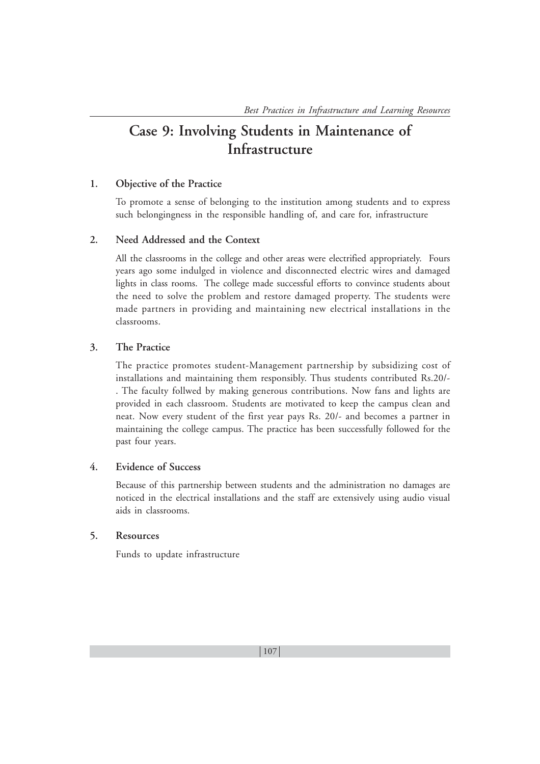# **Case 9: Involving Students in Maintenance of Infrastructure**

# **1. Objective of the Practice**

To promote a sense of belonging to the institution among students and to express such belongingness in the responsible handling of, and care for, infrastructure

#### **2. Need Addressed and the Context**

All the classrooms in the college and other areas were electrified appropriately. Fours years ago some indulged in violence and disconnected electric wires and damaged lights in class rooms. The college made successful efforts to convince students about the need to solve the problem and restore damaged property. The students were made partners in providing and maintaining new electrical installations in the classrooms.

## **3. The Practice**

The practice promotes student-Management partnership by subsidizing cost of installations and maintaining them responsibly. Thus students contributed Rs.20/- . The faculty follwed by making generous contributions. Now fans and lights are provided in each classroom. Students are motivated to keep the campus clean and neat. Now every student of the first year pays Rs. 20/- and becomes a partner in maintaining the college campus. The practice has been successfully followed for the past four years.

#### **4. Evidence of Success**

Because of this partnership between students and the administration no damages are noticed in the electrical installations and the staff are extensively using audio visual aids in classrooms.

# **5. Resources**

Funds to update infrastructure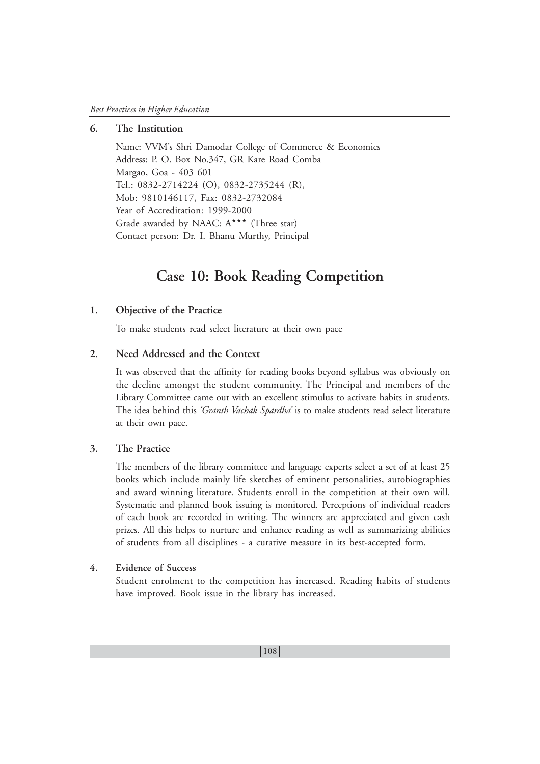# **6. The Institution**

Name: VVM's Shri Damodar College of Commerce & Economics Address: P. O. Box No.347, GR Kare Road Comba Margao, Goa - 403 601 Tel.: 0832-2714224 (O), 0832-2735244 (R), Mob: 9810146117, Fax: 0832-2732084 Year of Accreditation: 1999-2000 Grade awarded by NAAC:  $A^{\star\star\star}$  (Three star) Contact person: Dr. I. Bhanu Murthy, Principal

# **Case 10: Book Reading Competition**

#### **1. Objective of the Practice**

To make students read select literature at their own pace

# **2. Need Addressed and the Context**

It was observed that the affinity for reading books beyond syllabus was obviously on the decline amongst the student community. The Principal and members of the Library Committee came out with an excellent stimulus to activate habits in students. The idea behind this *'Granth Vachak Spardha'* is to make students read select literature at their own pace.

#### **3. The Practice**

The members of the library committee and language experts select a set of at least 25 books which include mainly life sketches of eminent personalities, autobiographies and award winning literature. Students enroll in the competition at their own will. Systematic and planned book issuing is monitored. Perceptions of individual readers of each book are recorded in writing. The winners are appreciated and given cash prizes. All this helps to nurture and enhance reading as well as summarizing abilities of students from all disciplines - a curative measure in its best-accepted form.

#### **4. Evidence of Success**

Student enrolment to the competition has increased. Reading habits of students have improved. Book issue in the library has increased.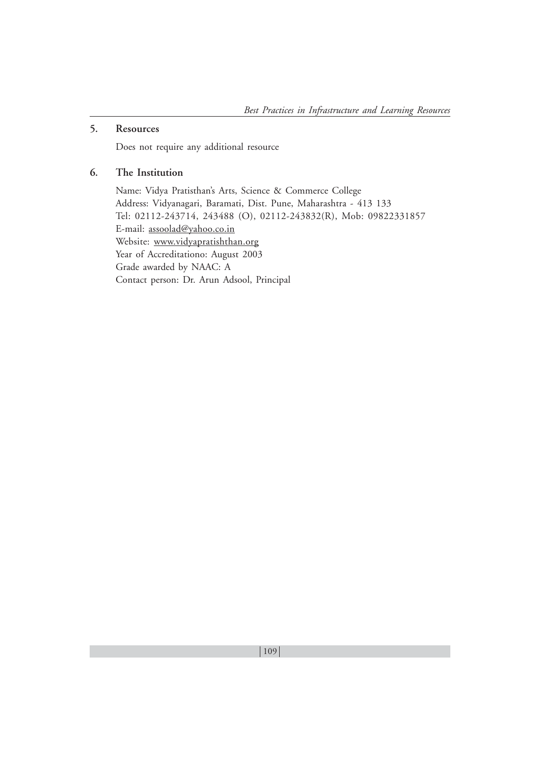# **5. Resources**

Does not require any additional resource

# **6. The Institution**

Name: Vidya Pratisthan's Arts, Science & Commerce College Address: Vidyanagari, Baramati, Dist. Pune, Maharashtra - 413 133 Tel: 02112-243714, 243488 (O), 02112-243832(R), Mob: 09822331857 E-mail: assoolad@yahoo.co.in Website: www.vidyapratishthan.org Year of Accreditationo: August 2003 Grade awarded by NAAC: A Contact person: Dr. Arun Adsool, Principal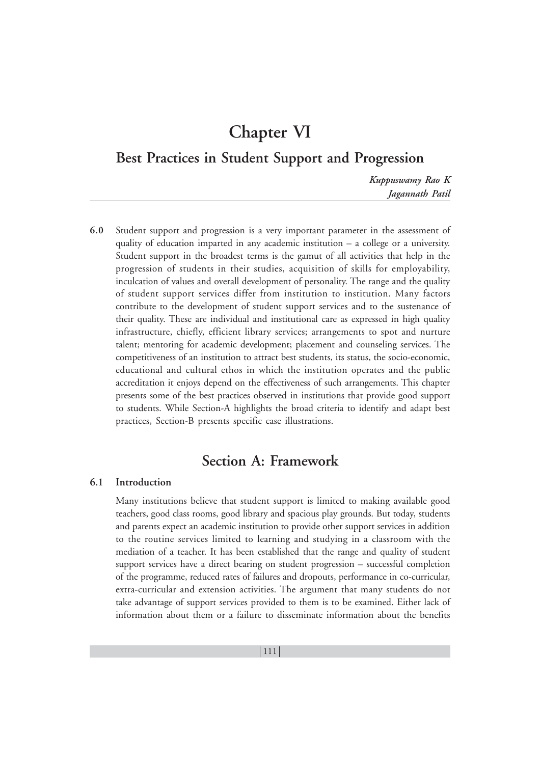# **Chapter VI**

**Best Practices in Student Support and Progression**

*Kuppuswamy Rao K Jagannath Patil*

**6.0** Student support and progression is a very important parameter in the assessment of quality of education imparted in any academic institution – a college or a university. Student support in the broadest terms is the gamut of all activities that help in the progression of students in their studies, acquisition of skills for employability, inculcation of values and overall development of personality. The range and the quality of student support services differ from institution to institution. Many factors contribute to the development of student support services and to the sustenance of their quality. These are individual and institutional care as expressed in high quality infrastructure, chiefly, efficient library services; arrangements to spot and nurture talent; mentoring for academic development; placement and counseling services. The competitiveness of an institution to attract best students, its status, the socio-economic, educational and cultural ethos in which the institution operates and the public accreditation it enjoys depend on the effectiveness of such arrangements. This chapter presents some of the best practices observed in institutions that provide good support to students. While Section-A highlights the broad criteria to identify and adapt best practices, Section-B presents specific case illustrations.

## **Section A: Framework**

## **6.1 Introduction**

Many institutions believe that student support is limited to making available good teachers, good class rooms, good library and spacious play grounds. But today, students and parents expect an academic institution to provide other support services in addition to the routine services limited to learning and studying in a classroom with the mediation of a teacher. It has been established that the range and quality of student support services have a direct bearing on student progression – successful completion of the programme, reduced rates of failures and dropouts, performance in co-curricular, extra-curricular and extension activities. The argument that many students do not take advantage of support services provided to them is to be examined. Either lack of information about them or a failure to disseminate information about the benefits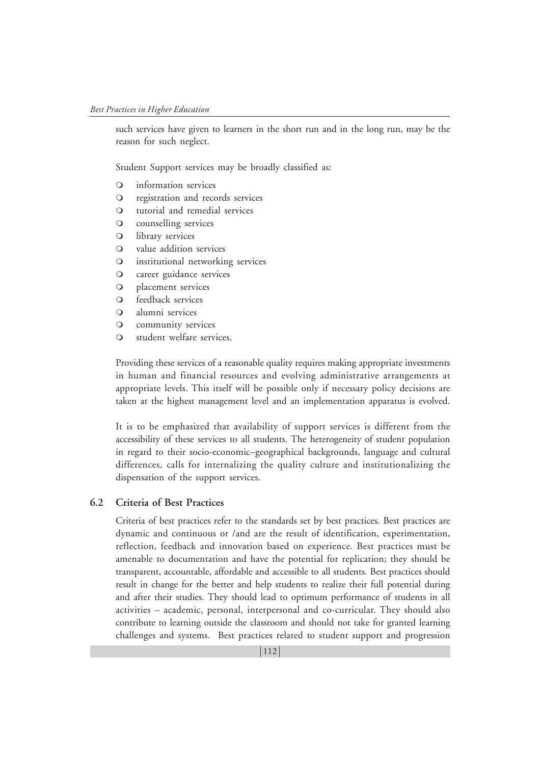such services have given to learners in the short run and in the long run, may be the reason for such neglect.

Student Support services may be broadly classified as:

- information services
- registration and records services
- O tutorial and remedial services
- counselling services
- library services
- value addition services
- institutional networking services
- **Q** career guidance services
- placement services
- O feedback services
- alumni services
- community services
- O student welfare services.

Providing these services of a reasonable quality requires making appropriate investments in human and financial resources and evolving administrative arrangements at appropriate levels. This itself will be possible only if necessary policy decisions are taken at the highest management level and an implementation apparatus is evolved.

It is to be emphasized that availability of support services is different from the accessibility of these services to all students. The heterogeneity of student population in regard to their socio-economic–geographical backgrounds, language and cultural differences, calls for internalizing the quality culture and institutionalizing the dispensation of the support services.

## **6.2 Criteria of Best Practices**

Criteria of best practices refer to the standards set by best practices. Best practices are dynamic and continuous or /and are the result of identification, experimentation, reflection, feedback and innovation based on experience. Best practices must be amenable to documentation and have the potential for replication; they should be transparent, accountable, affordable and accessible to all students. Best practices should result in change for the better and help students to realize their full potential during and after their studies. They should lead to optimum performance of students in all activities – academic, personal, interpersonal and co-curricular. They should also contribute to learning outside the classroom and should not take for granted learning challenges and systems. Best practices related to student support and progression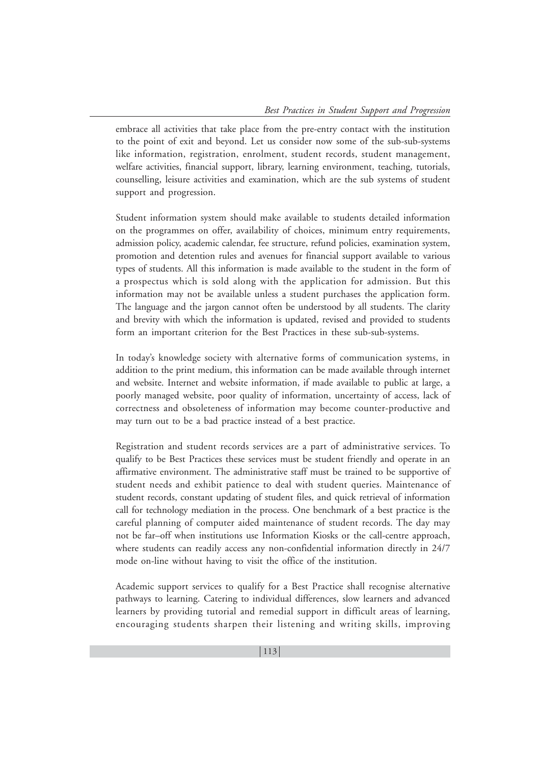embrace all activities that take place from the pre-entry contact with the institution to the point of exit and beyond. Let us consider now some of the sub-sub-systems like information, registration, enrolment, student records, student management, welfare activities, financial support, library, learning environment, teaching, tutorials, counselling, leisure activities and examination, which are the sub systems of student support and progression.

Student information system should make available to students detailed information on the programmes on offer, availability of choices, minimum entry requirements, admission policy, academic calendar, fee structure, refund policies, examination system, promotion and detention rules and avenues for financial support available to various types of students. All this information is made available to the student in the form of a prospectus which is sold along with the application for admission. But this information may not be available unless a student purchases the application form. The language and the jargon cannot often be understood by all students. The clarity and brevity with which the information is updated, revised and provided to students form an important criterion for the Best Practices in these sub-sub-systems.

In today's knowledge society with alternative forms of communication systems, in addition to the print medium, this information can be made available through internet and website. Internet and website information, if made available to public at large, a poorly managed website, poor quality of information, uncertainty of access, lack of correctness and obsoleteness of information may become counter-productive and may turn out to be a bad practice instead of a best practice.

Registration and student records services are a part of administrative services. To qualify to be Best Practices these services must be student friendly and operate in an affirmative environment. The administrative staff must be trained to be supportive of student needs and exhibit patience to deal with student queries. Maintenance of student records, constant updating of student files, and quick retrieval of information call for technology mediation in the process. One benchmark of a best practice is the careful planning of computer aided maintenance of student records. The day may not be far–off when institutions use Information Kiosks or the call-centre approach, where students can readily access any non-confidential information directly in 24/7 mode on-line without having to visit the office of the institution.

Academic support services to qualify for a Best Practice shall recognise alternative pathways to learning. Catering to individual differences, slow learners and advanced learners by providing tutorial and remedial support in difficult areas of learning, encouraging students sharpen their listening and writing skills, improving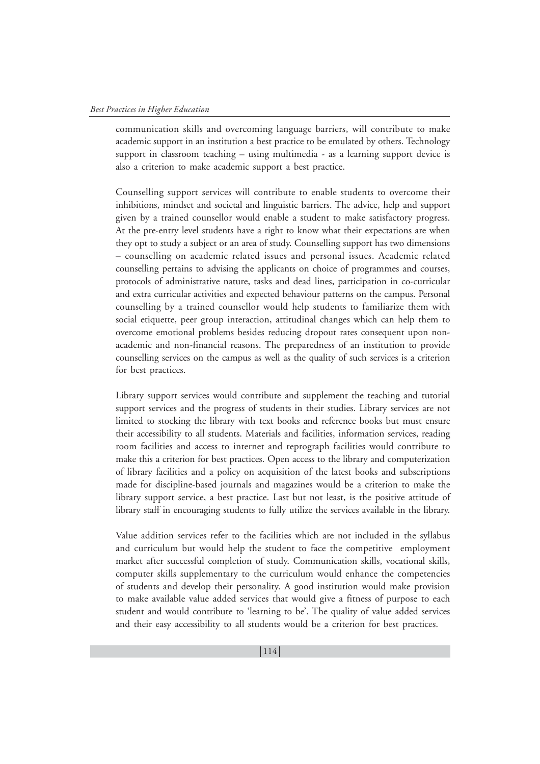communication skills and overcoming language barriers, will contribute to make academic support in an institution a best practice to be emulated by others. Technology support in classroom teaching – using multimedia - as a learning support device is also a criterion to make academic support a best practice.

Counselling support services will contribute to enable students to overcome their inhibitions, mindset and societal and linguistic barriers. The advice, help and support given by a trained counsellor would enable a student to make satisfactory progress. At the pre-entry level students have a right to know what their expectations are when they opt to study a subject or an area of study. Counselling support has two dimensions – counselling on academic related issues and personal issues. Academic related counselling pertains to advising the applicants on choice of programmes and courses, protocols of administrative nature, tasks and dead lines, participation in co-curricular and extra curricular activities and expected behaviour patterns on the campus. Personal counselling by a trained counsellor would help students to familiarize them with social etiquette, peer group interaction, attitudinal changes which can help them to overcome emotional problems besides reducing dropout rates consequent upon nonacademic and non-financial reasons. The preparedness of an institution to provide counselling services on the campus as well as the quality of such services is a criterion for best practices.

Library support services would contribute and supplement the teaching and tutorial support services and the progress of students in their studies. Library services are not limited to stocking the library with text books and reference books but must ensure their accessibility to all students. Materials and facilities, information services, reading room facilities and access to internet and reprograph facilities would contribute to make this a criterion for best practices. Open access to the library and computerization of library facilities and a policy on acquisition of the latest books and subscriptions made for discipline-based journals and magazines would be a criterion to make the library support service, a best practice. Last but not least, is the positive attitude of library staff in encouraging students to fully utilize the services available in the library.

Value addition services refer to the facilities which are not included in the syllabus and curriculum but would help the student to face the competitive employment market after successful completion of study. Communication skills, vocational skills, computer skills supplementary to the curriculum would enhance the competencies of students and develop their personality. A good institution would make provision to make available value added services that would give a fitness of purpose to each student and would contribute to 'learning to be'. The quality of value added services and their easy accessibility to all students would be a criterion for best practices.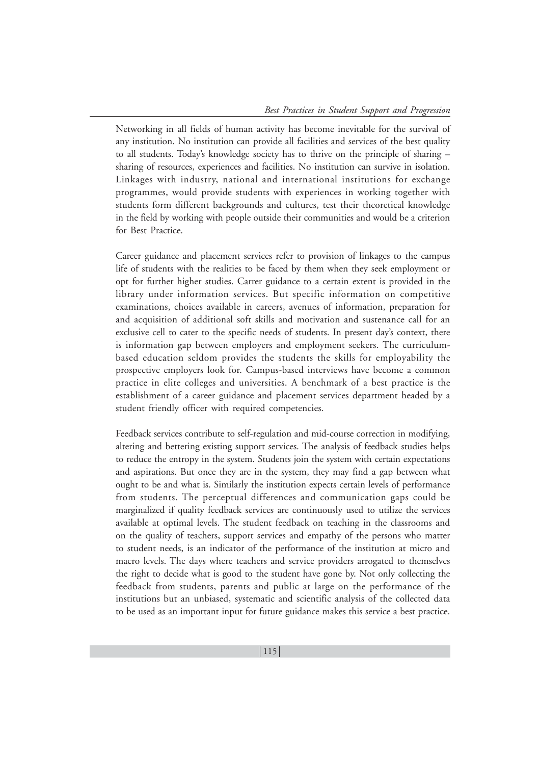Networking in all fields of human activity has become inevitable for the survival of any institution. No institution can provide all facilities and services of the best quality to all students. Today's knowledge society has to thrive on the principle of sharing – sharing of resources, experiences and facilities. No institution can survive in isolation. Linkages with industry, national and international institutions for exchange programmes, would provide students with experiences in working together with students form different backgrounds and cultures, test their theoretical knowledge in the field by working with people outside their communities and would be a criterion for Best Practice.

Career guidance and placement services refer to provision of linkages to the campus life of students with the realities to be faced by them when they seek employment or opt for further higher studies. Carrer guidance to a certain extent is provided in the library under information services. But specific information on competitive examinations, choices available in careers, avenues of information, preparation for and acquisition of additional soft skills and motivation and sustenance call for an exclusive cell to cater to the specific needs of students. In present day's context, there is information gap between employers and employment seekers. The curriculumbased education seldom provides the students the skills for employability the prospective employers look for. Campus-based interviews have become a common practice in elite colleges and universities. A benchmark of a best practice is the establishment of a career guidance and placement services department headed by a student friendly officer with required competencies.

Feedback services contribute to self-regulation and mid-course correction in modifying, altering and bettering existing support services. The analysis of feedback studies helps to reduce the entropy in the system. Students join the system with certain expectations and aspirations. But once they are in the system, they may find a gap between what ought to be and what is. Similarly the institution expects certain levels of performance from students. The perceptual differences and communication gaps could be marginalized if quality feedback services are continuously used to utilize the services available at optimal levels. The student feedback on teaching in the classrooms and on the quality of teachers, support services and empathy of the persons who matter to student needs, is an indicator of the performance of the institution at micro and macro levels. The days where teachers and service providers arrogated to themselves the right to decide what is good to the student have gone by. Not only collecting the feedback from students, parents and public at large on the performance of the institutions but an unbiased, systematic and scientific analysis of the collected data to be used as an important input for future guidance makes this service a best practice.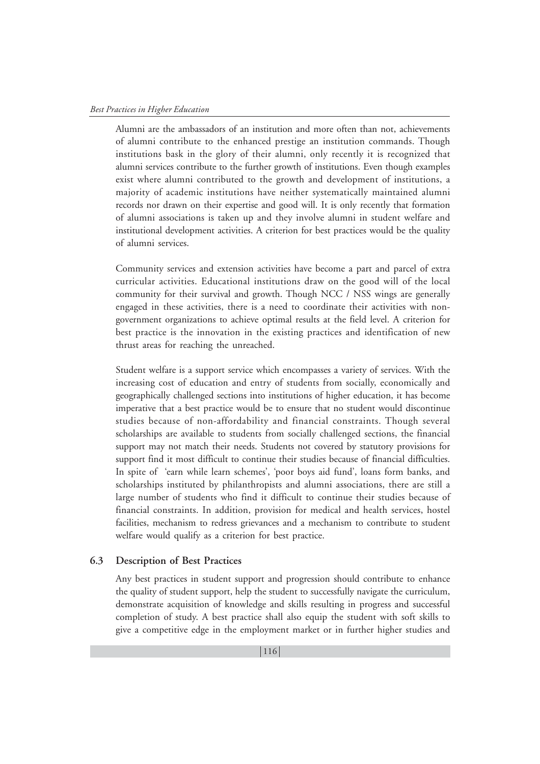Alumni are the ambassadors of an institution and more often than not, achievements of alumni contribute to the enhanced prestige an institution commands. Though institutions bask in the glory of their alumni, only recently it is recognized that alumni services contribute to the further growth of institutions. Even though examples exist where alumni contributed to the growth and development of institutions, a majority of academic institutions have neither systematically maintained alumni records nor drawn on their expertise and good will. It is only recently that formation of alumni associations is taken up and they involve alumni in student welfare and institutional development activities. A criterion for best practices would be the quality of alumni services.

Community services and extension activities have become a part and parcel of extra curricular activities. Educational institutions draw on the good will of the local community for their survival and growth. Though NCC / NSS wings are generally engaged in these activities, there is a need to coordinate their activities with nongovernment organizations to achieve optimal results at the field level. A criterion for best practice is the innovation in the existing practices and identification of new thrust areas for reaching the unreached.

Student welfare is a support service which encompasses a variety of services. With the increasing cost of education and entry of students from socially, economically and geographically challenged sections into institutions of higher education, it has become imperative that a best practice would be to ensure that no student would discontinue studies because of non-affordability and financial constraints. Though several scholarships are available to students from socially challenged sections, the financial support may not match their needs. Students not covered by statutory provisions for support find it most difficult to continue their studies because of financial difficulties. In spite of 'earn while learn schemes', 'poor boys aid fund', loans form banks, and scholarships instituted by philanthropists and alumni associations, there are still a large number of students who find it difficult to continue their studies because of financial constraints. In addition, provision for medical and health services, hostel facilities, mechanism to redress grievances and a mechanism to contribute to student welfare would qualify as a criterion for best practice.

## **6.3 Description of Best Practices**

Any best practices in student support and progression should contribute to enhance the quality of student support, help the student to successfully navigate the curriculum, demonstrate acquisition of knowledge and skills resulting in progress and successful completion of study. A best practice shall also equip the student with soft skills to give a competitive edge in the employment market or in further higher studies and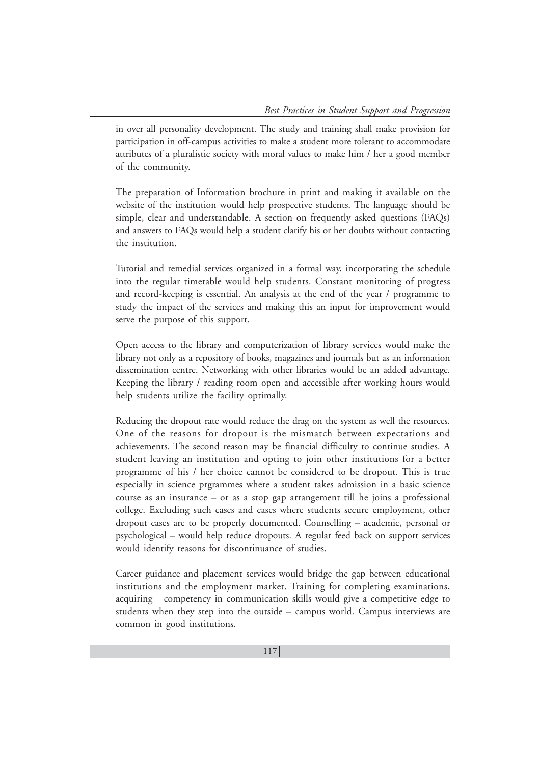in over all personality development. The study and training shall make provision for participation in off-campus activities to make a student more tolerant to accommodate attributes of a pluralistic society with moral values to make him / her a good member of the community.

The preparation of Information brochure in print and making it available on the website of the institution would help prospective students. The language should be simple, clear and understandable. A section on frequently asked questions (FAQs) and answers to FAQs would help a student clarify his or her doubts without contacting the institution.

Tutorial and remedial services organized in a formal way, incorporating the schedule into the regular timetable would help students. Constant monitoring of progress and record-keeping is essential. An analysis at the end of the year / programme to study the impact of the services and making this an input for improvement would serve the purpose of this support.

Open access to the library and computerization of library services would make the library not only as a repository of books, magazines and journals but as an information dissemination centre. Networking with other libraries would be an added advantage. Keeping the library / reading room open and accessible after working hours would help students utilize the facility optimally.

Reducing the dropout rate would reduce the drag on the system as well the resources. One of the reasons for dropout is the mismatch between expectations and achievements. The second reason may be financial difficulty to continue studies. A student leaving an institution and opting to join other institutions for a better programme of his / her choice cannot be considered to be dropout. This is true especially in science prgrammes where a student takes admission in a basic science course as an insurance – or as a stop gap arrangement till he joins a professional college. Excluding such cases and cases where students secure employment, other dropout cases are to be properly documented. Counselling – academic, personal or psychological – would help reduce dropouts. A regular feed back on support services would identify reasons for discontinuance of studies.

Career guidance and placement services would bridge the gap between educational institutions and the employment market. Training for completing examinations, acquiring competency in communication skills would give a competitive edge to students when they step into the outside – campus world. Campus interviews are common in good institutions.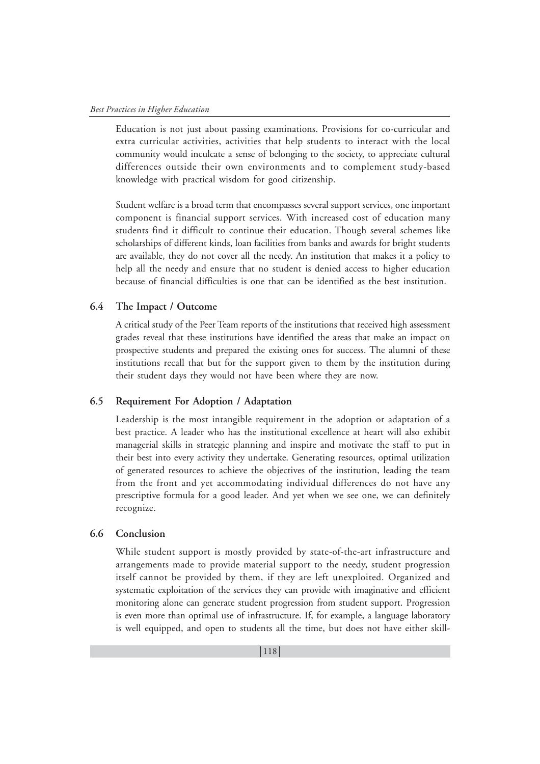Education is not just about passing examinations. Provisions for co-curricular and extra curricular activities, activities that help students to interact with the local community would inculcate a sense of belonging to the society, to appreciate cultural differences outside their own environments and to complement study-based knowledge with practical wisdom for good citizenship.

Student welfare is a broad term that encompasses several support services, one important component is financial support services. With increased cost of education many students find it difficult to continue their education. Though several schemes like scholarships of different kinds, loan facilities from banks and awards for bright students are available, they do not cover all the needy. An institution that makes it a policy to help all the needy and ensure that no student is denied access to higher education because of financial difficulties is one that can be identified as the best institution.

## **6.4 The Impact / Outcome**

A critical study of the Peer Team reports of the institutions that received high assessment grades reveal that these institutions have identified the areas that make an impact on prospective students and prepared the existing ones for success. The alumni of these institutions recall that but for the support given to them by the institution during their student days they would not have been where they are now.

#### **6.5 Requirement For Adoption / Adaptation**

Leadership is the most intangible requirement in the adoption or adaptation of a best practice. A leader who has the institutional excellence at heart will also exhibit managerial skills in strategic planning and inspire and motivate the staff to put in their best into every activity they undertake. Generating resources, optimal utilization of generated resources to achieve the objectives of the institution, leading the team from the front and yet accommodating individual differences do not have any prescriptive formula for a good leader. And yet when we see one, we can definitely recognize.

## **6.6 Conclusion**

While student support is mostly provided by state-of-the-art infrastructure and arrangements made to provide material support to the needy, student progression itself cannot be provided by them, if they are left unexploited. Organized and systematic exploitation of the services they can provide with imaginative and efficient monitoring alone can generate student progression from student support. Progression is even more than optimal use of infrastructure. If, for example, a language laboratory is well equipped, and open to students all the time, but does not have either skill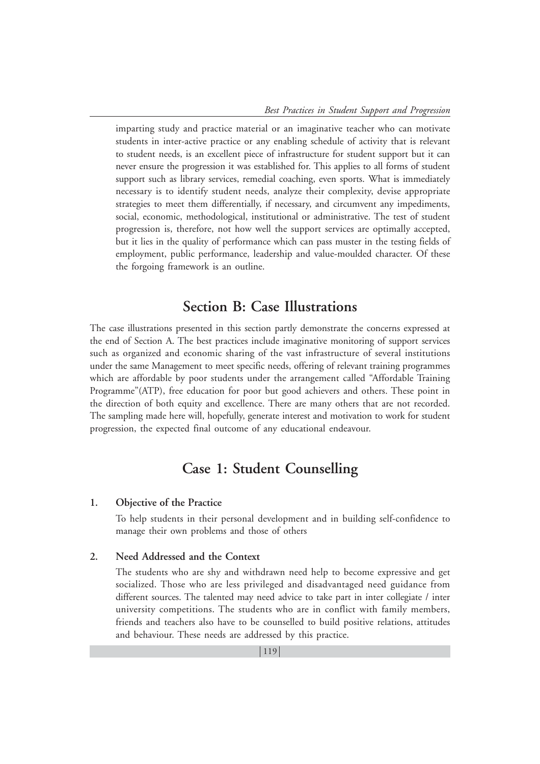imparting study and practice material or an imaginative teacher who can motivate students in inter-active practice or any enabling schedule of activity that is relevant to student needs, is an excellent piece of infrastructure for student support but it can never ensure the progression it was established for. This applies to all forms of student support such as library services, remedial coaching, even sports. What is immediately necessary is to identify student needs, analyze their complexity, devise appropriate strategies to meet them differentially, if necessary, and circumvent any impediments, social, economic, methodological, institutional or administrative. The test of student progression is, therefore, not how well the support services are optimally accepted, but it lies in the quality of performance which can pass muster in the testing fields of employment, public performance, leadership and value-moulded character. Of these the forgoing framework is an outline.

## **Section B: Case Illustrations**

The case illustrations presented in this section partly demonstrate the concerns expressed at the end of Section A. The best practices include imaginative monitoring of support services such as organized and economic sharing of the vast infrastructure of several institutions under the same Management to meet specific needs, offering of relevant training programmes which are affordable by poor students under the arrangement called "Affordable Training Programme"(ATP), free education for poor but good achievers and others. These point in the direction of both equity and excellence. There are many others that are not recorded. The sampling made here will, hopefully, generate interest and motivation to work for student progression, the expected final outcome of any educational endeavour.

## **Case 1: Student Counselling**

## **1. Objective of the Practice**

To help students in their personal development and in building self-confidence to manage their own problems and those of others

## **2. Need Addressed and the Context**

The students who are shy and withdrawn need help to become expressive and get socialized. Those who are less privileged and disadvantaged need guidance from different sources. The talented may need advice to take part in inter collegiate / inter university competitions. The students who are in conflict with family members, friends and teachers also have to be counselled to build positive relations, attitudes and behaviour. These needs are addressed by this practice.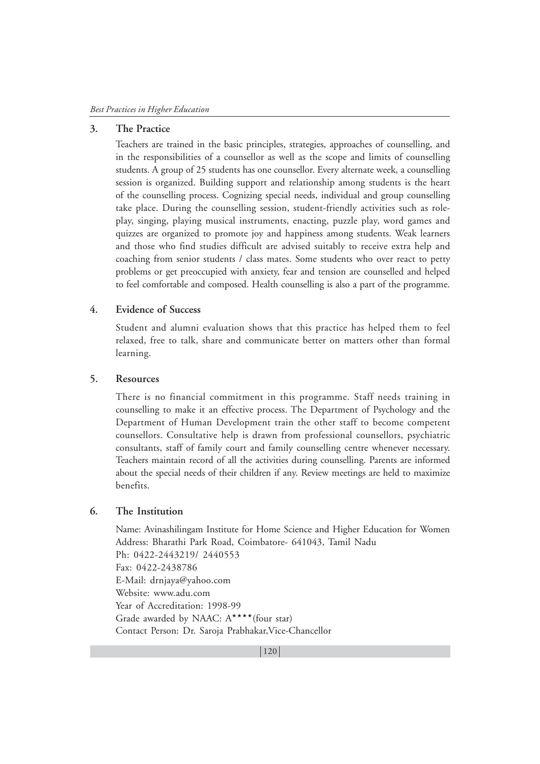#### **3. The Practice**

Teachers are trained in the basic principles, strategies, approaches of counselling, and in the responsibilities of a counsellor as well as the scope and limits of counselling students. A group of 25 students has one counsellor. Every alternate week, a counselling session is organized. Building support and relationship among students is the heart of the counselling process. Cognizing special needs, individual and group counselling take place. During the counselling session, student-friendly activities such as roleplay, singing, playing musical instruments, enacting, puzzle play, word games and quizzes are organized to promote joy and happiness among students. Weak learners and those who find studies difficult are advised suitably to receive extra help and coaching from senior students / class mates. Some students who over react to petty problems or get preoccupied with anxiety, fear and tension are counselled and helped to feel comfortable and composed. Health counselling is also a part of the programme.

## **4. Evidence of Success**

Student and alumni evaluation shows that this practice has helped them to feel relaxed, free to talk, share and communicate better on matters other than formal learning.

#### **5. Resources**

There is no financial commitment in this programme. Staff needs training in counselling to make it an effective process. The Department of Psychology and the Department of Human Development train the other staff to become competent counsellors. Consultative help is drawn from professional counsellors, psychiatric consultants, staff of family court and family counselling centre whenever necessary. Teachers maintain record of all the activities during counselling. Parents are informed about the special needs of their children if any. Review meetings are held to maximize benefits.

#### **6. The Institution**

Name: Avinashilingam Institute for Home Science and Higher Education for Women Address: Bharathi Park Road, Coimbatore- 641043, Tamil Nadu Ph: 0422-2443219/ 2440553 Fax: 0422-2438786 E-Mail: drnjaya@yahoo.com Website: www.adu.com Year of Accreditation: 1998-99 Grade awarded by NAAC:  $A^{\star\star\star\star}$  (four star) Contact Person: Dr. Saroja Prabhakar,Vice-Chancellor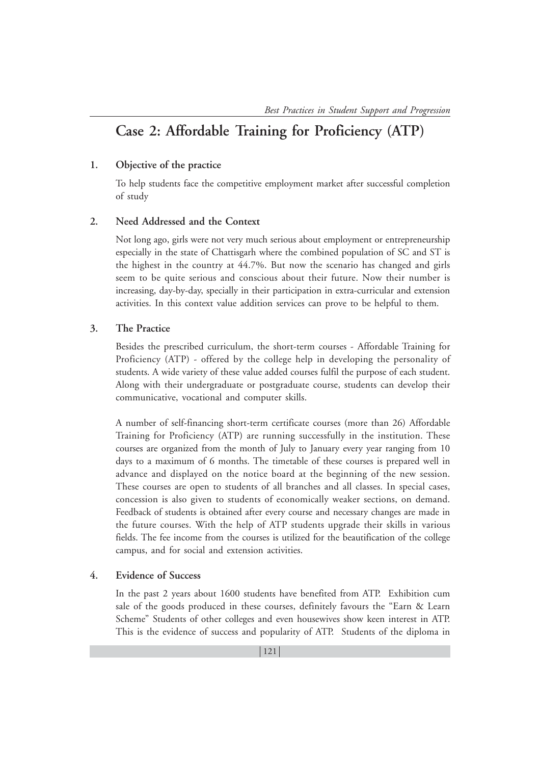## **Case 2: Affordable Training for Proficiency (ATP)**

## **1. Objective of the practice**

To help students face the competitive employment market after successful completion of study

#### **2. Need Addressed and the Context**

Not long ago, girls were not very much serious about employment or entrepreneurship especially in the state of Chattisgarh where the combined population of SC and ST is the highest in the country at 44.7%. But now the scenario has changed and girls seem to be quite serious and conscious about their future. Now their number is increasing, day-by-day, specially in their participation in extra-curricular and extension activities. In this context value addition services can prove to be helpful to them.

#### **3. The Practice**

Besides the prescribed curriculum, the short-term courses - Affordable Training for Proficiency (ATP) - offered by the college help in developing the personality of students. A wide variety of these value added courses fulfil the purpose of each student. Along with their undergraduate or postgraduate course, students can develop their communicative, vocational and computer skills.

A number of self-financing short-term certificate courses (more than 26) Affordable Training for Proficiency (ATP) are running successfully in the institution. These courses are organized from the month of July to January every year ranging from 10 days to a maximum of 6 months. The timetable of these courses is prepared well in advance and displayed on the notice board at the beginning of the new session. These courses are open to students of all branches and all classes. In special cases, concession is also given to students of economically weaker sections, on demand. Feedback of students is obtained after every course and necessary changes are made in the future courses. With the help of ATP students upgrade their skills in various fields. The fee income from the courses is utilized for the beautification of the college campus, and for social and extension activities.

#### **4. Evidence of Success**

In the past 2 years about 1600 students have benefited from ATP. Exhibition cum sale of the goods produced in these courses, definitely favours the "Earn & Learn Scheme" Students of other colleges and even housewives show keen interest in ATP. This is the evidence of success and popularity of ATP. Students of the diploma in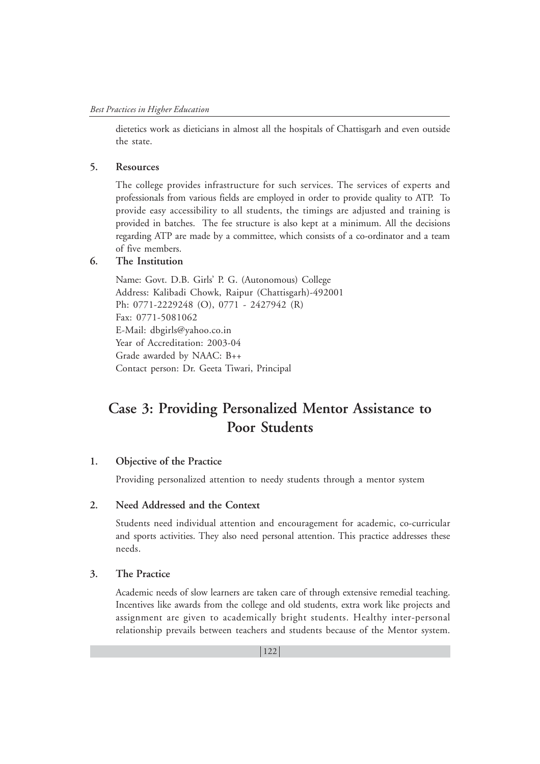dietetics work as dieticians in almost all the hospitals of Chattisgarh and even outside the state.

## **5. Resources**

The college provides infrastructure for such services. The services of experts and professionals from various fields are employed in order to provide quality to ATP. To provide easy accessibility to all students, the timings are adjusted and training is provided in batches. The fee structure is also kept at a minimum. All the decisions regarding ATP are made by a committee, which consists of a co-ordinator and a team of five members.

## **6. The Institution**

Name: Govt. D.B. Girls' P. G. (Autonomous) College Address: Kalibadi Chowk, Raipur (Chattisgarh)-492001 Ph: 0771-2229248 (O), 0771 - 2427942 (R) Fax: 0771-5081062 E-Mail: dbgirls@yahoo.co.in Year of Accreditation: 2003-04 Grade awarded by NAAC: B++ Contact person: Dr. Geeta Tiwari, Principal

## **Case 3: Providing Personalized Mentor Assistance to Poor Students**

## **1. Objective of the Practice**

Providing personalized attention to needy students through a mentor system

## **2. Need Addressed and the Context**

Students need individual attention and encouragement for academic, co-curricular and sports activities. They also need personal attention. This practice addresses these needs.

## **3. The Practice**

Academic needs of slow learners are taken care of through extensive remedial teaching. Incentives like awards from the college and old students, extra work like projects and assignment are given to academically bright students. Healthy inter-personal relationship prevails between teachers and students because of the Mentor system.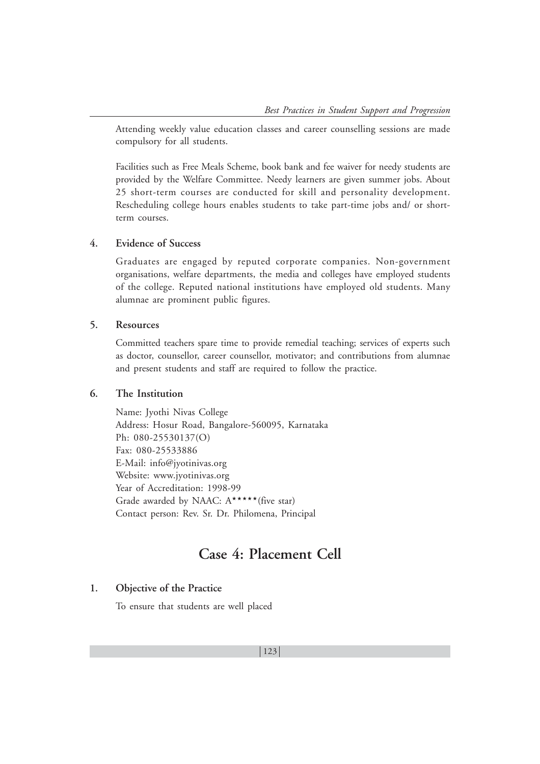Attending weekly value education classes and career counselling sessions are made compulsory for all students.

Facilities such as Free Meals Scheme, book bank and fee waiver for needy students are provided by the Welfare Committee. Needy learners are given summer jobs. About 25 short-term courses are conducted for skill and personality development. Rescheduling college hours enables students to take part-time jobs and/ or shortterm courses.

## **4. Evidence of Success**

Graduates are engaged by reputed corporate companies. Non-government organisations, welfare departments, the media and colleges have employed students of the college. Reputed national institutions have employed old students. Many alumnae are prominent public figures.

## **5. Resources**

Committed teachers spare time to provide remedial teaching; services of experts such as doctor, counsellor, career counsellor, motivator; and contributions from alumnae and present students and staff are required to follow the practice.

### **6. The Institution**

Name: Jyothi Nivas College Address: Hosur Road, Bangalore-560095, Karnataka Ph: 080-25530137(O) Fax: 080-25533886 E-Mail: info@jyotinivas.org Website: www.jyotinivas.org Year of Accreditation: 1998-99 Grade awarded by NAAC:  $A^{\star\star\star\star\star}$  (five star) Contact person: Rev. Sr. Dr. Philomena, Principal

## **Case 4: Placement Cell**

#### **1. Objective of the Practice**

To ensure that students are well placed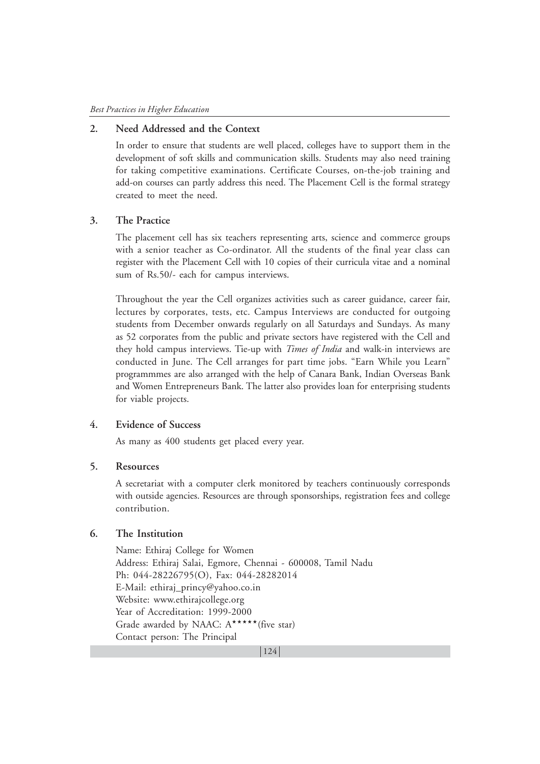### **2. Need Addressed and the Context**

In order to ensure that students are well placed, colleges have to support them in the development of soft skills and communication skills. Students may also need training for taking competitive examinations. Certificate Courses, on-the-job training and add-on courses can partly address this need. The Placement Cell is the formal strategy created to meet the need.

#### **3. The Practice**

The placement cell has six teachers representing arts, science and commerce groups with a senior teacher as Co-ordinator. All the students of the final year class can register with the Placement Cell with 10 copies of their curricula vitae and a nominal sum of Rs.50/- each for campus interviews.

Throughout the year the Cell organizes activities such as career guidance, career fair, lectures by corporates, tests, etc. Campus Interviews are conducted for outgoing students from December onwards regularly on all Saturdays and Sundays. As many as 52 corporates from the public and private sectors have registered with the Cell and they hold campus interviews. Tie-up with *Times of India* and walk-in interviews are conducted in June. The Cell arranges for part time jobs. "Earn While you Learn" programmmes are also arranged with the help of Canara Bank, Indian Overseas Bank and Women Entrepreneurs Bank. The latter also provides loan for enterprising students for viable projects.

### **4. Evidence of Success**

As many as 400 students get placed every year.

#### **5. Resources**

A secretariat with a computer clerk monitored by teachers continuously corresponds with outside agencies. Resources are through sponsorships, registration fees and college contribution.

## **6. The Institution**

Name: Ethiraj College for Women Address: Ethiraj Salai, Egmore, Chennai - 600008, Tamil Nadu Ph: 044-28226795(O), Fax: 044-28282014 E-Mail: ethiraj\_princy@yahoo.co.in Website: www.ethirajcollege.org Year of Accreditation: 1999-2000 Grade awarded by NAAC:  $A****($  five star) Contact person: The Principal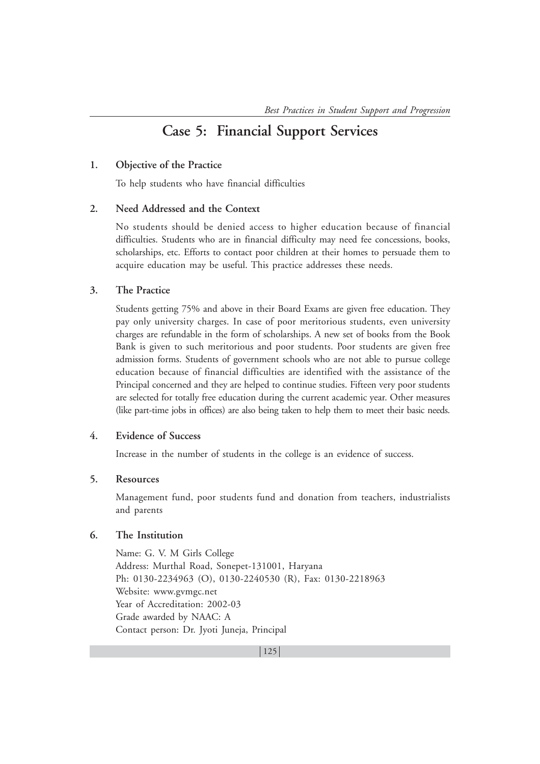## **Case 5: Financial Support Services**

## **1. Objective of the Practice**

To help students who have financial difficulties

## **2. Need Addressed and the Context**

No students should be denied access to higher education because of financial difficulties. Students who are in financial difficulty may need fee concessions, books, scholarships, etc. Efforts to contact poor children at their homes to persuade them to acquire education may be useful. This practice addresses these needs.

## **3. The Practice**

Students getting 75% and above in their Board Exams are given free education. They pay only university charges. In case of poor meritorious students, even university charges are refundable in the form of scholarships. A new set of books from the Book Bank is given to such meritorious and poor students. Poor students are given free admission forms. Students of government schools who are not able to pursue college education because of financial difficulties are identified with the assistance of the Principal concerned and they are helped to continue studies. Fifteen very poor students are selected for totally free education during the current academic year. Other measures (like part-time jobs in offices) are also being taken to help them to meet their basic needs.

## **4. Evidence of Success**

Increase in the number of students in the college is an evidence of success.

## **5. Resources**

Management fund, poor students fund and donation from teachers, industrialists and parents

## **6. The Institution**

Name: G. V. M Girls College Address: Murthal Road, Sonepet-131001, Haryana Ph: 0130-2234963 (O), 0130-2240530 (R), Fax: 0130-2218963 Website: www.gvmgc.net Year of Accreditation: 2002-03 Grade awarded by NAAC: A Contact person: Dr. Jyoti Juneja, Principal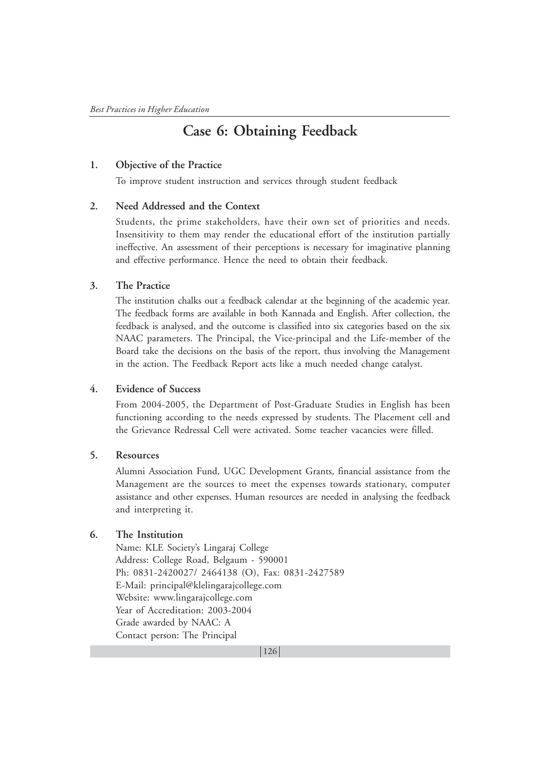## **Case 6: Obtaining Feedback**

## **1. Objective of the Practice**

To improve student instruction and services through student feedback

## **2. Need Addressed and the Context**

Students, the prime stakeholders, have their own set of priorities and needs. Insensitivity to them may render the educational effort of the institution partially ineffective. An assessment of their perceptions is necessary for imaginative planning and effective performance. Hence the need to obtain their feedback.

## **3. The Practice**

The institution chalks out a feedback calendar at the beginning of the academic year. The feedback forms are available in both Kannada and English. After collection, the feedback is analysed, and the outcome is classified into six categories based on the six NAAC parameters. The Principal, the Vice-principal and the Life-member of the Board take the decisions on the basis of the report, thus involving the Management in the action. The Feedback Report acts like a much needed change catalyst.

## **4. Evidence of Success**

From 2004-2005, the Department of Post-Graduate Studies in English has been functioning according to the needs expressed by students. The Placement cell and the Grievance Redressal Cell were activated. Some teacher vacancies were filled.

## **5. Resources**

Alumni Association Fund, UGC Development Grants, financial assistance from the Management are the sources to meet the expenses towards stationary, computer assistance and other expenses. Human resources are needed in analysing the feedback and interpreting it.

## **6. The Institution**

Name: KLE Society's Lingaraj College Address: College Road, Belgaum - 590001 Ph: 0831-2420027/ 2464138 (O), Fax: 0831-2427589 E-Mail: principal@klelingarajcollege.com Website: www.lingarajcollege.com Year of Accreditation: 2003-2004 Grade awarded by NAAC: A Contact person: The Principal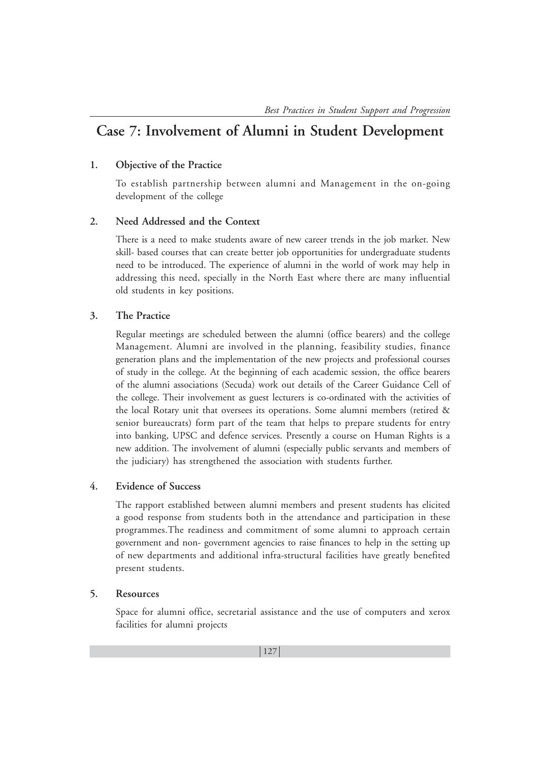## **Case 7: Involvement of Alumni in Student Development**

## **1. Objective of the Practice**

To establish partnership between alumni and Management in the on-going development of the college

## **2. Need Addressed and the Context**

There is a need to make students aware of new career trends in the job market. New skill- based courses that can create better job opportunities for undergraduate students need to be introduced. The experience of alumni in the world of work may help in addressing this need, specially in the North East where there are many influential old students in key positions.

## **3. The Practice**

Regular meetings are scheduled between the alumni (office bearers) and the college Management. Alumni are involved in the planning, feasibility studies, finance generation plans and the implementation of the new projects and professional courses of study in the college. At the beginning of each academic session, the office bearers of the alumni associations (Secuda) work out details of the Career Guidance Cell of the college. Their involvement as guest lecturers is co-ordinated with the activities of the local Rotary unit that oversees its operations. Some alumni members (retired & senior bureaucrats) form part of the team that helps to prepare students for entry into banking, UPSC and defence services. Presently a course on Human Rights is a new addition. The involvement of alumni (especially public servants and members of the judiciary) has strengthened the association with students further.

## **4. Evidence of Success**

The rapport established between alumni members and present students has elicited a good response from students both in the attendance and participation in these programmes.The readiness and commitment of some alumni to approach certain government and non- government agencies to raise finances to help in the setting up of new departments and additional infra-structural facilities have greatly benefited present students.

## **5. Resources**

Space for alumni office, secretarial assistance and the use of computers and xerox facilities for alumni projects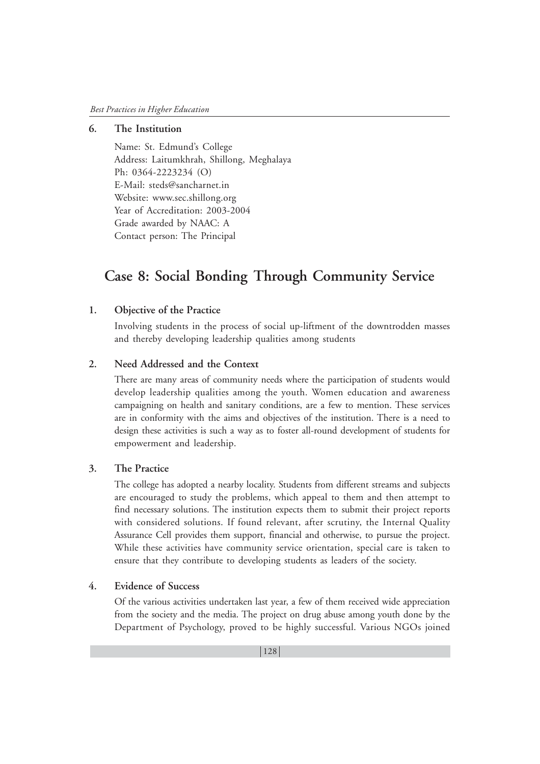## **6. The Institution**

Name: St. Edmund's College Address: Laitumkhrah, Shillong, Meghalaya Ph: 0364-2223234 (O) E-Mail: steds@sancharnet.in Website: www.sec.shillong.org Year of Accreditation: 2003-2004 Grade awarded by NAAC: A Contact person: The Principal

## **Case 8: Social Bonding Through Community Service**

#### **1. Objective of the Practice**

Involving students in the process of social up-liftment of the downtrodden masses and thereby developing leadership qualities among students

## **2. Need Addressed and the Context**

There are many areas of community needs where the participation of students would develop leadership qualities among the youth. Women education and awareness campaigning on health and sanitary conditions, are a few to mention. These services are in conformity with the aims and objectives of the institution. There is a need to design these activities is such a way as to foster all-round development of students for empowerment and leadership.

#### **3. The Practice**

The college has adopted a nearby locality. Students from different streams and subjects are encouraged to study the problems, which appeal to them and then attempt to find necessary solutions. The institution expects them to submit their project reports with considered solutions. If found relevant, after scrutiny, the Internal Quality Assurance Cell provides them support, financial and otherwise, to pursue the project. While these activities have community service orientation, special care is taken to ensure that they contribute to developing students as leaders of the society.

## **4. Evidence of Success**

Of the various activities undertaken last year, a few of them received wide appreciation from the society and the media. The project on drug abuse among youth done by the Department of Psychology, proved to be highly successful. Various NGOs joined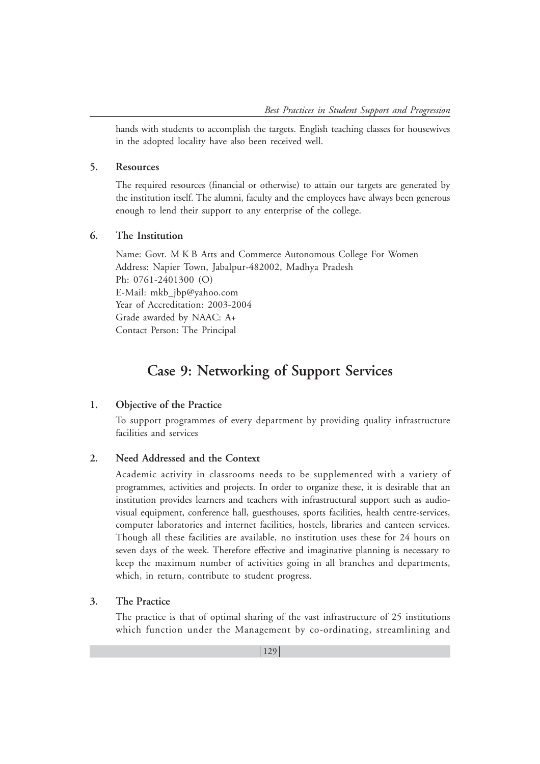hands with students to accomplish the targets. English teaching classes for housewives in the adopted locality have also been received well.

### **5. Resources**

The required resources (financial or otherwise) to attain our targets are generated by the institution itself. The alumni, faculty and the employees have always been generous enough to lend their support to any enterprise of the college.

## **6. The Institution**

Name: Govt. M K B Arts and Commerce Autonomous College For Women Address: Napier Town, Jabalpur-482002, Madhya Pradesh Ph: 0761-2401300 (O) E-Mail: mkb\_jbp@yahoo.com Year of Accreditation: 2003-2004 Grade awarded by NAAC: A+ Contact Person: The Principal

## **Case 9: Networking of Support Services**

## **1. Objective of the Practice**

To support programmes of every department by providing quality infrastructure facilities and services

## **2. Need Addressed and the Context**

Academic activity in classrooms needs to be supplemented with a variety of programmes, activities and projects. In order to organize these, it is desirable that an institution provides learners and teachers with infrastructural support such as audiovisual equipment, conference hall, guesthouses, sports facilities, health centre-services, computer laboratories and internet facilities, hostels, libraries and canteen services. Though all these facilities are available, no institution uses these for 24 hours on seven days of the week. Therefore effective and imaginative planning is necessary to keep the maximum number of activities going in all branches and departments, which, in return, contribute to student progress.

## **3. The Practice**

The practice is that of optimal sharing of the vast infrastructure of 25 institutions which function under the Management by co-ordinating, streamlining and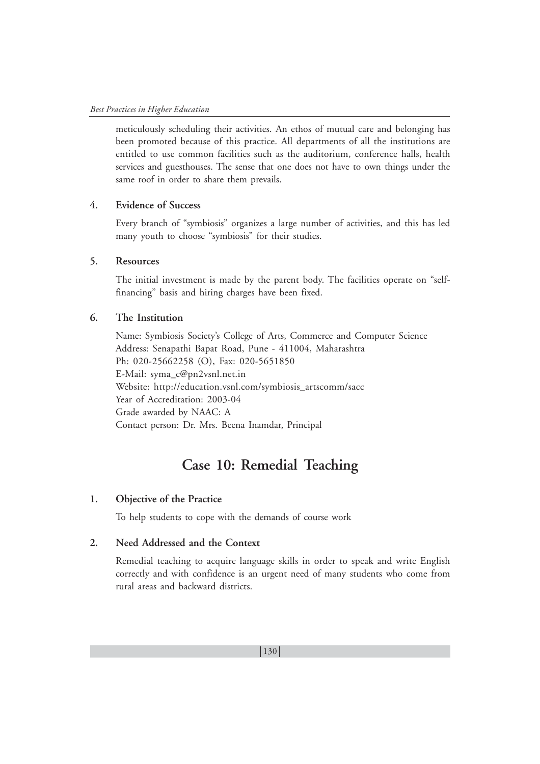meticulously scheduling their activities. An ethos of mutual care and belonging has been promoted because of this practice. All departments of all the institutions are entitled to use common facilities such as the auditorium, conference halls, health services and guesthouses. The sense that one does not have to own things under the same roof in order to share them prevails.

## **4. Evidence of Success**

Every branch of "symbiosis" organizes a large number of activities, and this has led many youth to choose "symbiosis" for their studies.

## **5. Resources**

The initial investment is made by the parent body. The facilities operate on "selffinancing" basis and hiring charges have been fixed.

#### **6. The Institution**

Name: Symbiosis Society's College of Arts, Commerce and Computer Science Address: Senapathi Bapat Road, Pune - 411004, Maharashtra Ph: 020-25662258 (O), Fax: 020-5651850 E-Mail: syma\_c@pn2vsnl.net.in Website: http://education.vsnl.com/symbiosis\_artscomm/sacc Year of Accreditation: 2003-04 Grade awarded by NAAC: A Contact person: Dr. Mrs. Beena Inamdar, Principal

## **Case 10: Remedial Teaching**

#### **1. Objective of the Practice**

To help students to cope with the demands of course work

#### **2. Need Addressed and the Context**

Remedial teaching to acquire language skills in order to speak and write English correctly and with confidence is an urgent need of many students who come from rural areas and backward districts.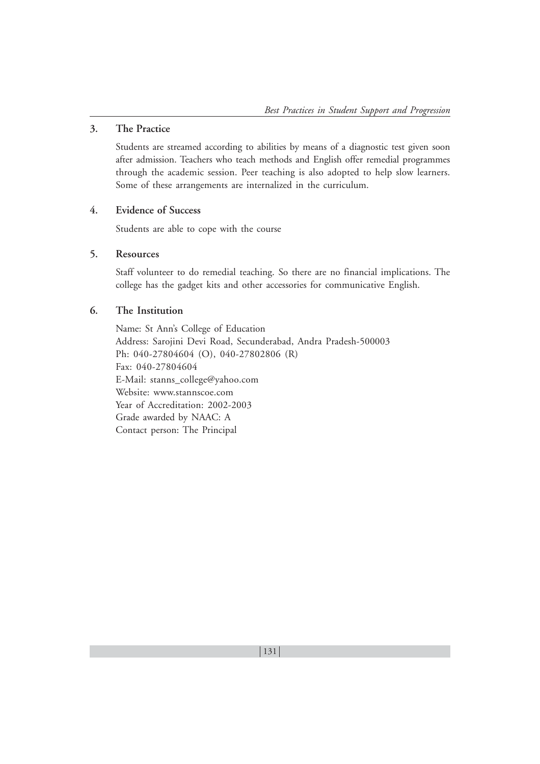#### **3. The Practice**

Students are streamed according to abilities by means of a diagnostic test given soon after admission. Teachers who teach methods and English offer remedial programmes through the academic session. Peer teaching is also adopted to help slow learners. Some of these arrangements are internalized in the curriculum.

## **4. Evidence of Success**

Students are able to cope with the course

## **5. Resources**

Staff volunteer to do remedial teaching. So there are no financial implications. The college has the gadget kits and other accessories for communicative English.

## **6. The Institution**

Name: St Ann's College of Education Address: Sarojini Devi Road, Secunderabad, Andra Pradesh-500003 Ph: 040-27804604 (O), 040-27802806 (R) Fax: 040-27804604 E-Mail: stanns\_college@yahoo.com Website: www.stannscoe.com Year of Accreditation: 2002-2003 Grade awarded by NAAC: A Contact person: The Principal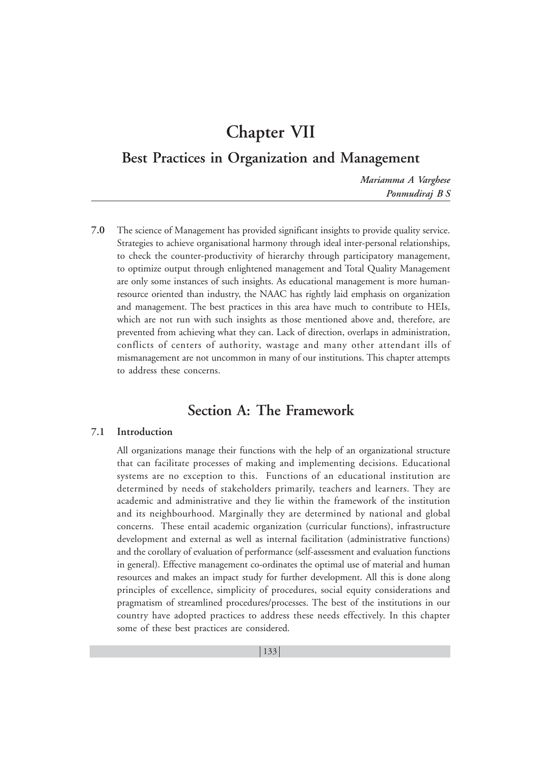## **Chapter VII**

## **Best Practices in Organization and Management**

*Mariamma A Varghese Ponmudiraj B S*

**7.0** The science of Management has provided significant insights to provide quality service. Strategies to achieve organisational harmony through ideal inter-personal relationships, to check the counter-productivity of hierarchy through participatory management, to optimize output through enlightened management and Total Quality Management are only some instances of such insights. As educational management is more humanresource oriented than industry, the NAAC has rightly laid emphasis on organization and management. The best practices in this area have much to contribute to HEIs, which are not run with such insights as those mentioned above and, therefore, are prevented from achieving what they can. Lack of direction, overlaps in administration, conflicts of centers of authority, wastage and many other attendant ills of mismanagement are not uncommon in many of our institutions. This chapter attempts to address these concerns.

## **Section A: The Framework**

## **7.1 Introduction**

All organizations manage their functions with the help of an organizational structure that can facilitate processes of making and implementing decisions. Educational systems are no exception to this. Functions of an educational institution are determined by needs of stakeholders primarily, teachers and learners. They are academic and administrative and they lie within the framework of the institution and its neighbourhood. Marginally they are determined by national and global concerns. These entail academic organization (curricular functions), infrastructure development and external as well as internal facilitation (administrative functions) and the corollary of evaluation of performance (self-assessment and evaluation functions in general). Effective management co-ordinates the optimal use of material and human resources and makes an impact study for further development. All this is done along principles of excellence, simplicity of procedures, social equity considerations and pragmatism of streamlined procedures/processes. The best of the institutions in our country have adopted practices to address these needs effectively. In this chapter some of these best practices are considered.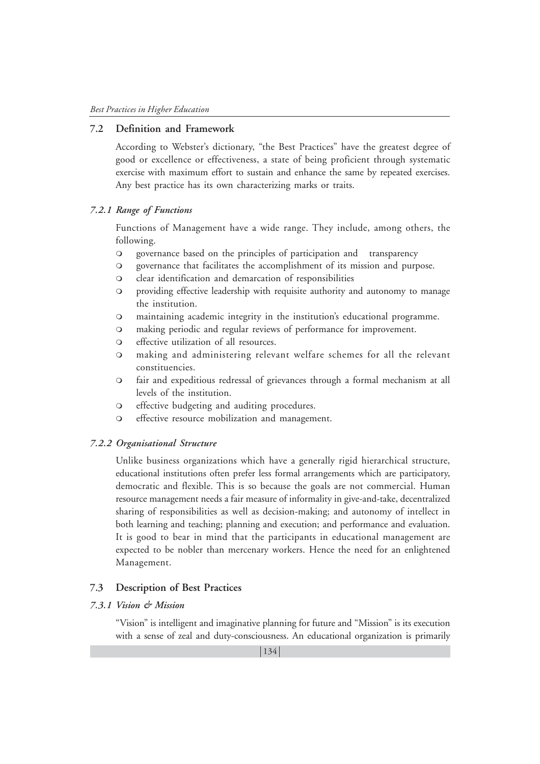#### **7.2 Definition and Framework**

According to Webster's dictionary, "the Best Practices" have the greatest degree of good or excellence or effectiveness, a state of being proficient through systematic exercise with maximum effort to sustain and enhance the same by repeated exercises. Any best practice has its own characterizing marks or traits.

#### *7.2.1 Range of Functions*

Functions of Management have a wide range. They include, among others, the following.

- governance based on the principles of participation and transparency
- governance that facilitates the accomplishment of its mission and purpose.
- clear identification and demarcation of responsibilities
- providing effective leadership with requisite authority and autonomy to manage the institution.
- maintaining academic integrity in the institution's educational programme.
- making periodic and regular reviews of performance for improvement.
- effective utilization of all resources.
- making and administering relevant welfare schemes for all the relevant constituencies.
- fair and expeditious redressal of grievances through a formal mechanism at all levels of the institution.
- effective budgeting and auditing procedures.
- effective resource mobilization and management.

#### *7.2.2 Organisational Structure*

Unlike business organizations which have a generally rigid hierarchical structure, educational institutions often prefer less formal arrangements which are participatory, democratic and flexible. This is so because the goals are not commercial. Human resource management needs a fair measure of informality in give-and-take, decentralized sharing of responsibilities as well as decision-making; and autonomy of intellect in both learning and teaching; planning and execution; and performance and evaluation. It is good to bear in mind that the participants in educational management are expected to be nobler than mercenary workers. Hence the need for an enlightened Management.

#### **7.3 Description of Best Practices**

### *7.3.1 Vision & Mission*

"Vision" is intelligent and imaginative planning for future and "Mission" is its execution with a sense of zeal and duty-consciousness. An educational organization is primarily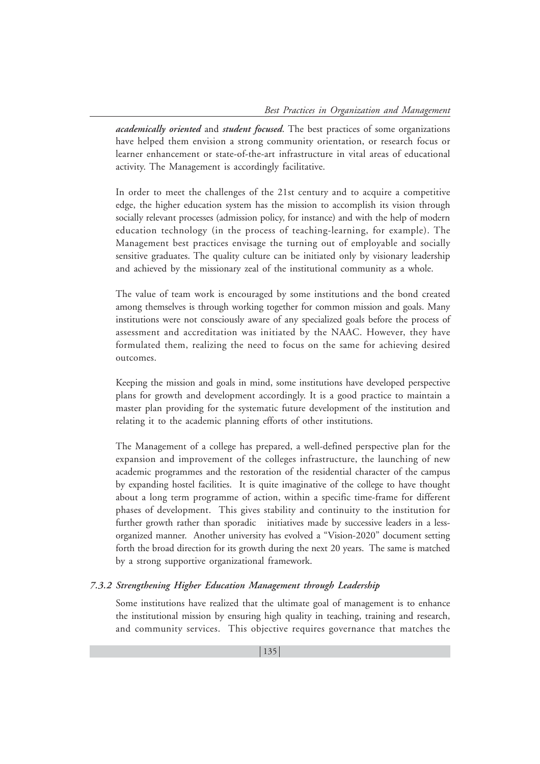*academically oriented* and *student focused*. The best practices of some organizations have helped them envision a strong community orientation, or research focus or learner enhancement or state-of-the-art infrastructure in vital areas of educational activity. The Management is accordingly facilitative.

In order to meet the challenges of the 21st century and to acquire a competitive edge, the higher education system has the mission to accomplish its vision through socially relevant processes (admission policy, for instance) and with the help of modern education technology (in the process of teaching-learning, for example). The Management best practices envisage the turning out of employable and socially sensitive graduates. The quality culture can be initiated only by visionary leadership and achieved by the missionary zeal of the institutional community as a whole.

The value of team work is encouraged by some institutions and the bond created among themselves is through working together for common mission and goals. Many institutions were not consciously aware of any specialized goals before the process of assessment and accreditation was initiated by the NAAC. However, they have formulated them, realizing the need to focus on the same for achieving desired outcomes.

Keeping the mission and goals in mind, some institutions have developed perspective plans for growth and development accordingly. It is a good practice to maintain a master plan providing for the systematic future development of the institution and relating it to the academic planning efforts of other institutions.

The Management of a college has prepared, a well-defined perspective plan for the expansion and improvement of the colleges infrastructure, the launching of new academic programmes and the restoration of the residential character of the campus by expanding hostel facilities. It is quite imaginative of the college to have thought about a long term programme of action, within a specific time-frame for different phases of development. This gives stability and continuity to the institution for further growth rather than sporadic initiatives made by successive leaders in a lessorganized manner. Another university has evolved a "Vision-2020" document setting forth the broad direction for its growth during the next 20 years. The same is matched by a strong supportive organizational framework.

#### *7.3.2 Strengthening Higher Education Management through Leadership*

Some institutions have realized that the ultimate goal of management is to enhance the institutional mission by ensuring high quality in teaching, training and research, and community services. This objective requires governance that matches the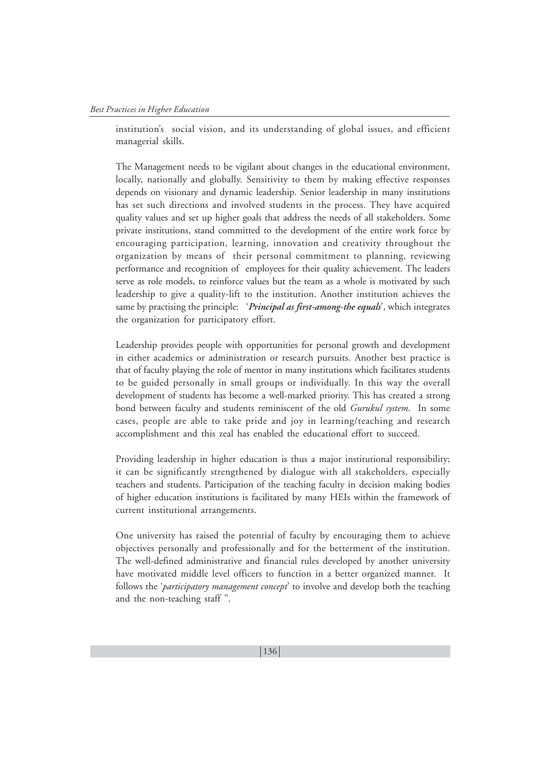institution's social vision, and its understanding of global issues, and efficient managerial skills.

The Management needs to be vigilant about changes in the educational environment, locally, nationally and globally. Sensitivity to them by making effective responses depends on visionary and dynamic leadership. Senior leadership in many institutions has set such directions and involved students in the process. They have acquired quality values and set up higher goals that address the needs of all stakeholders. Some private institutions, stand committed to the development of the entire work force by encouraging participation, learning, innovation and creativity throughout the organization by means of their personal commitment to planning, reviewing performance and recognition of employees for their quality achievement. The leaders serve as role models, to reinforce values but the team as a whole is motivated by such leadership to give a quality-lift to the institution. Another institution achieves the same by practising the principle: '*Principal as first-among-the equals*', which integrates the organization for participatory effort.

Leadership provides people with opportunities for personal growth and development in either academics or administration or research pursuits. Another best practice is that of faculty playing the role of mentor in many institutions which facilitates students to be guided personally in small groups or individually. In this way the overall development of students has become a well-marked priority. This has created a strong bond between faculty and students reminiscent of the old *Gurukul system*. In some cases, people are able to take pride and joy in learning/teaching and research accomplishment and this zeal has enabled the educational effort to succeed.

Providing leadership in higher education is thus a major institutional responsibility; it can be significantly strengthened by dialogue with all stakeholders, especially teachers and students. Participation of the teaching faculty in decision making bodies of higher education institutions is facilitated by many HEIs within the framework of current institutional arrangements.

One university has raised the potential of faculty by encouraging them to achieve objectives personally and professionally and for the betterment of the institution. The well-defined administrative and financial rules developed by another university have motivated middle level officers to function in a better organized manner. It follows the '*participatory management concept*' to involve and develop both the teaching and the non-teaching staff ".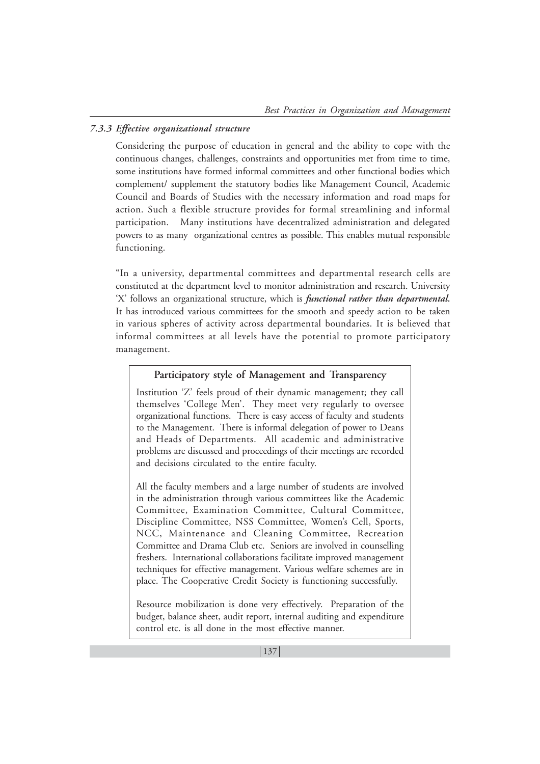## *7.3.3 Effective organizational structure*

Considering the purpose of education in general and the ability to cope with the continuous changes, challenges, constraints and opportunities met from time to time, some institutions have formed informal committees and other functional bodies which complement/ supplement the statutory bodies like Management Council, Academic Council and Boards of Studies with the necessary information and road maps for action. Such a flexible structure provides for formal streamlining and informal participation. Many institutions have decentralized administration and delegated powers to as many organizational centres as possible. This enables mutual responsible functioning.

"In a university, departmental committees and departmental research cells are constituted at the department level to monitor administration and research. University 'X' follows an organizational structure, which is *functional rather than departmental***.** It has introduced various committees for the smooth and speedy action to be taken in various spheres of activity across departmental boundaries. It is believed that informal committees at all levels have the potential to promote participatory management.

## **Participatory style of Management and Transparency**

Institution 'Z' feels proud of their dynamic management; they call themselves 'College Men'. They meet very regularly to oversee organizational functions. There is easy access of faculty and students to the Management. There is informal delegation of power to Deans and Heads of Departments. All academic and administrative problems are discussed and proceedings of their meetings are recorded and decisions circulated to the entire faculty.

All the faculty members and a large number of students are involved in the administration through various committees like the Academic Committee, Examination Committee, Cultural Committee, Discipline Committee, NSS Committee, Women's Cell, Sports, NCC, Maintenance and Cleaning Committee, Recreation Committee and Drama Club etc. Seniors are involved in counselling freshers. International collaborations facilitate improved management techniques for effective management. Various welfare schemes are in place. The Cooperative Credit Society is functioning successfully.

Resource mobilization is done very effectively. Preparation of the budget, balance sheet, audit report, internal auditing and expenditure control etc. is all done in the most effective manner.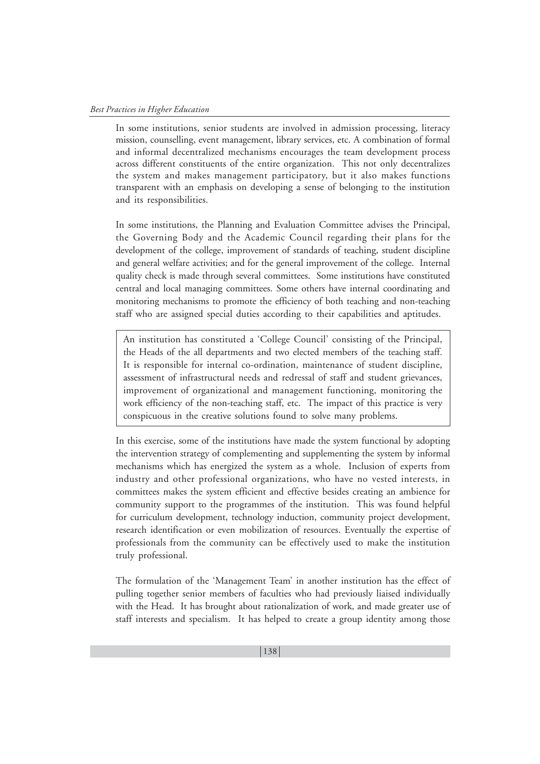In some institutions, senior students are involved in admission processing, literacy mission, counselling, event management, library services, etc. A combination of formal and informal decentralized mechanisms encourages the team development process across different constituents of the entire organization. This not only decentralizes the system and makes management participatory, but it also makes functions transparent with an emphasis on developing a sense of belonging to the institution and its responsibilities.

In some institutions, the Planning and Evaluation Committee advises the Principal, the Governing Body and the Academic Council regarding their plans for the development of the college, improvement of standards of teaching, student discipline and general welfare activities; and for the general improvement of the college. Internal quality check is made through several committees. Some institutions have constituted central and local managing committees. Some others have internal coordinating and monitoring mechanisms to promote the efficiency of both teaching and non-teaching staff who are assigned special duties according to their capabilities and aptitudes.

An institution has constituted a 'College Council' consisting of the Principal, the Heads of the all departments and two elected members of the teaching staff. It is responsible for internal co-ordination, maintenance of student discipline, assessment of infrastructural needs and redressal of staff and student grievances, improvement of organizational and management functioning, monitoring the work efficiency of the non-teaching staff, etc. The impact of this practice is very conspicuous in the creative solutions found to solve many problems.

In this exercise, some of the institutions have made the system functional by adopting the intervention strategy of complementing and supplementing the system by informal mechanisms which has energized the system as a whole. Inclusion of experts from industry and other professional organizations, who have no vested interests, in committees makes the system efficient and effective besides creating an ambience for community support to the programmes of the institution. This was found helpful for curriculum development, technology induction, community project development, research identification or even mobilization of resources. Eventually the expertise of professionals from the community can be effectively used to make the institution truly professional.

The formulation of the 'Management Team' in another institution has the effect of pulling together senior members of faculties who had previously liaised individually with the Head. It has brought about rationalization of work, and made greater use of staff interests and specialism. It has helped to create a group identity among those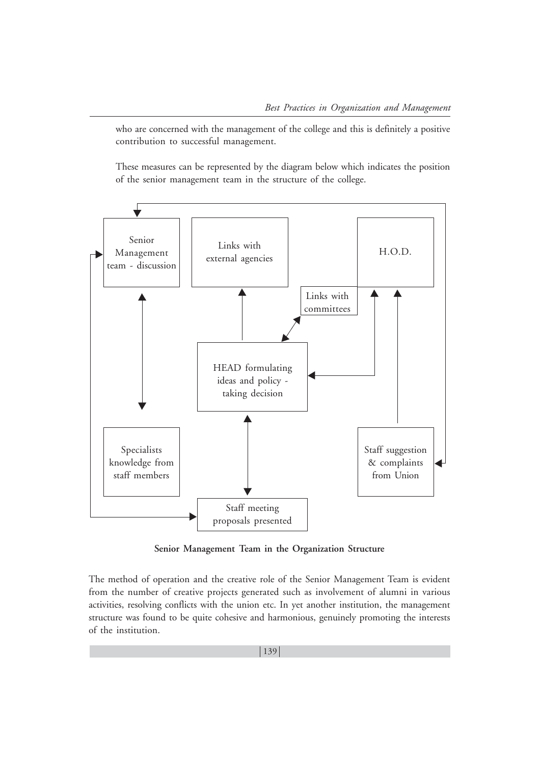who are concerned with the management of the college and this is definitely a positive contribution to successful management.

These measures can be represented by the diagram below which indicates the position of the senior management team in the structure of the college.



**Senior Management Team in the Organization Structure**

The method of operation and the creative role of the Senior Management Team is evident from the number of creative projects generated such as involvement of alumni in various activities, resolving conflicts with the union etc. In yet another institution, the management structure was found to be quite cohesive and harmonious, genuinely promoting the interests of the institution.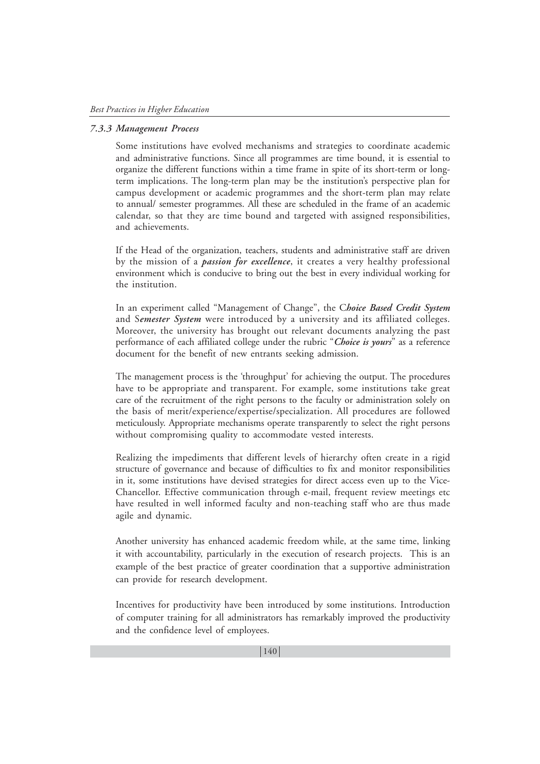#### *7.3.3 Management Process*

Some institutions have evolved mechanisms and strategies to coordinate academic and administrative functions. Since all programmes are time bound, it is essential to organize the different functions within a time frame in spite of its short-term or longterm implications. The long-term plan may be the institution's perspective plan for campus development or academic programmes and the short-term plan may relate to annual/ semester programmes. All these are scheduled in the frame of an academic calendar, so that they are time bound and targeted with assigned responsibilities, and achievements.

If the Head of the organization, teachers, students and administrative staff are driven by the mission of a *passion for excellence*, it creates a very healthy professional environment which is conducive to bring out the best in every individual working for the institution.

In an experiment called "Management of Change", the C*hoice Based Credit System* and S*emester System* were introduced by a university and its affiliated colleges. Moreover, the university has brought out relevant documents analyzing the past performance of each affiliated college under the rubric "*Choice is yours*" as a reference document for the benefit of new entrants seeking admission.

The management process is the 'throughput' for achieving the output. The procedures have to be appropriate and transparent. For example, some institutions take great care of the recruitment of the right persons to the faculty or administration solely on the basis of merit/experience/expertise/specialization. All procedures are followed meticulously. Appropriate mechanisms operate transparently to select the right persons without compromising quality to accommodate vested interests.

Realizing the impediments that different levels of hierarchy often create in a rigid structure of governance and because of difficulties to fix and monitor responsibilities in it, some institutions have devised strategies for direct access even up to the Vice-Chancellor. Effective communication through e-mail, frequent review meetings etc have resulted in well informed faculty and non-teaching staff who are thus made agile and dynamic.

Another university has enhanced academic freedom while, at the same time, linking it with accountability, particularly in the execution of research projects. This is an example of the best practice of greater coordination that a supportive administration can provide for research development.

Incentives for productivity have been introduced by some institutions. Introduction of computer training for all administrators has remarkably improved the productivity and the confidence level of employees.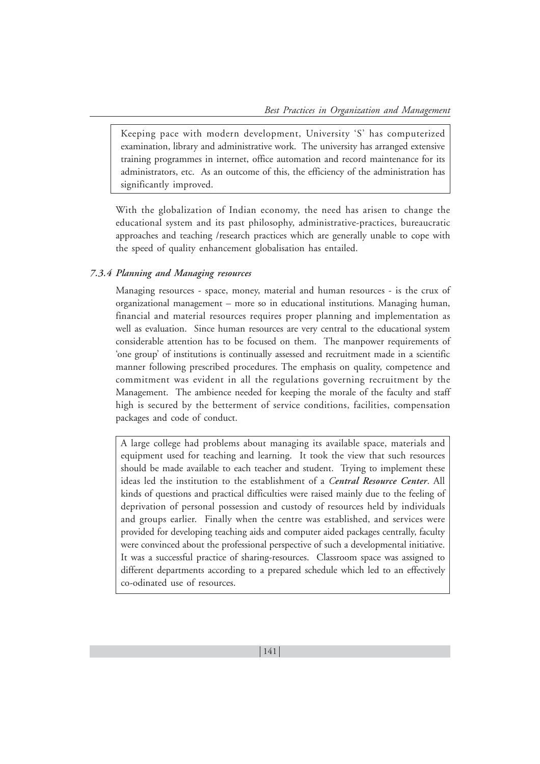Keeping pace with modern development, University 'S' has computerized examination, library and administrative work. The university has arranged extensive training programmes in internet, office automation and record maintenance for its administrators, etc. As an outcome of this, the efficiency of the administration has significantly improved.

With the globalization of Indian economy, the need has arisen to change the educational system and its past philosophy, administrative-practices, bureaucratic approaches and teaching /research practices which are generally unable to cope with the speed of quality enhancement globalisation has entailed.

#### *7.3.4 Planning and Managing resources*

Managing resources - space, money, material and human resources - is the crux of organizational management – more so in educational institutions. Managing human, financial and material resources requires proper planning and implementation as well as evaluation. Since human resources are very central to the educational system considerable attention has to be focused on them. The manpower requirements of 'one group' of institutions is continually assessed and recruitment made in a scientific manner following prescribed procedures. The emphasis on quality, competence and commitment was evident in all the regulations governing recruitment by the Management. The ambience needed for keeping the morale of the faculty and staff high is secured by the betterment of service conditions, facilities, compensation packages and code of conduct.

A large college had problems about managing its available space, materials and equipment used for teaching and learning. It took the view that such resources should be made available to each teacher and student. Trying to implement these ideas led the institution to the establishment of a *Central Resource Center*. All kinds of questions and practical difficulties were raised mainly due to the feeling of deprivation of personal possession and custody of resources held by individuals and groups earlier. Finally when the centre was established, and services were provided for developing teaching aids and computer aided packages centrally, faculty were convinced about the professional perspective of such a developmental initiative. It was a successful practice of sharing-resources. Classroom space was assigned to different departments according to a prepared schedule which led to an effectively co-odinated use of resources.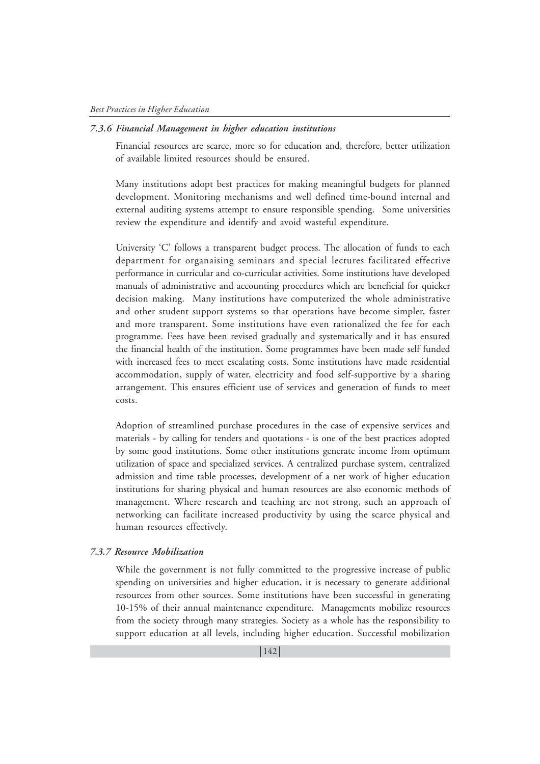#### *7.3.6 Financial Management in higher education institutions*

Financial resources are scarce, more so for education and, therefore, better utilization of available limited resources should be ensured.

Many institutions adopt best practices for making meaningful budgets for planned development. Monitoring mechanisms and well defined time-bound internal and external auditing systems attempt to ensure responsible spending. Some universities review the expenditure and identify and avoid wasteful expenditure.

University 'C' follows a transparent budget process. The allocation of funds to each department for organaising seminars and special lectures facilitated effective performance in curricular and co-curricular activities. Some institutions have developed manuals of administrative and accounting procedures which are beneficial for quicker decision making. Many institutions have computerized the whole administrative and other student support systems so that operations have become simpler, faster and more transparent. Some institutions have even rationalized the fee for each programme. Fees have been revised gradually and systematically and it has ensured the financial health of the institution. Some programmes have been made self funded with increased fees to meet escalating costs. Some institutions have made residential accommodation, supply of water, electricity and food self-supportive by a sharing arrangement. This ensures efficient use of services and generation of funds to meet costs.

Adoption of streamlined purchase procedures in the case of expensive services and materials - by calling for tenders and quotations - is one of the best practices adopted by some good institutions. Some other institutions generate income from optimum utilization of space and specialized services. A centralized purchase system, centralized admission and time table processes, development of a net work of higher education institutions for sharing physical and human resources are also economic methods of management. Where research and teaching are not strong, such an approach of networking can facilitate increased productivity by using the scarce physical and human resources effectively.

#### *7.3.7 Resource Mobilization*

While the government is not fully committed to the progressive increase of public spending on universities and higher education, it is necessary to generate additional resources from other sources. Some institutions have been successful in generating 10-15% of their annual maintenance expenditure. Managements mobilize resources from the society through many strategies. Society as a whole has the responsibility to support education at all levels, including higher education. Successful mobilization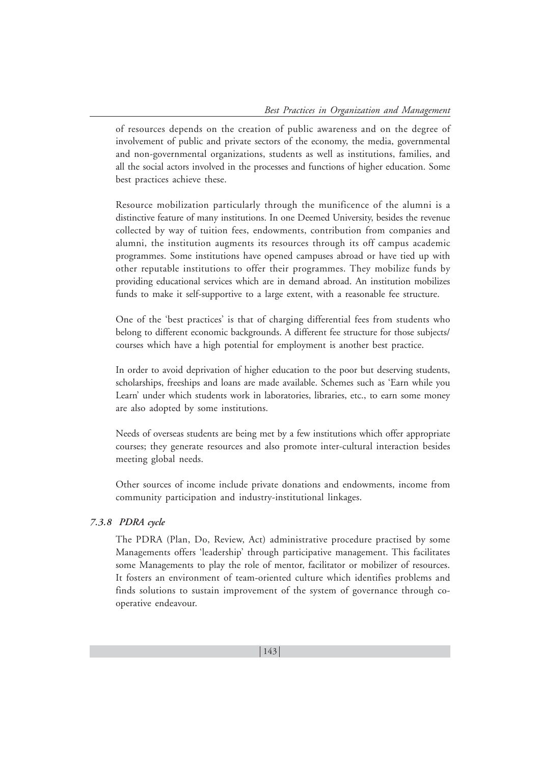of resources depends on the creation of public awareness and on the degree of involvement of public and private sectors of the economy, the media, governmental and non-governmental organizations, students as well as institutions, families, and all the social actors involved in the processes and functions of higher education. Some best practices achieve these.

Resource mobilization particularly through the munificence of the alumni is a distinctive feature of many institutions. In one Deemed University, besides the revenue collected by way of tuition fees, endowments, contribution from companies and alumni, the institution augments its resources through its off campus academic programmes. Some institutions have opened campuses abroad or have tied up with other reputable institutions to offer their programmes. They mobilize funds by providing educational services which are in demand abroad. An institution mobilizes funds to make it self-supportive to a large extent, with a reasonable fee structure.

One of the 'best practices' is that of charging differential fees from students who belong to different economic backgrounds. A different fee structure for those subjects/ courses which have a high potential for employment is another best practice.

In order to avoid deprivation of higher education to the poor but deserving students, scholarships, freeships and loans are made available. Schemes such as 'Earn while you Learn' under which students work in laboratories, libraries, etc., to earn some money are also adopted by some institutions.

Needs of overseas students are being met by a few institutions which offer appropriate courses; they generate resources and also promote inter-cultural interaction besides meeting global needs.

Other sources of income include private donations and endowments, income from community participation and industry-institutional linkages.

## *7.3.8 PDRA cycle*

The PDRA (Plan, Do, Review, Act) administrative procedure practised by some Managements offers 'leadership' through participative management. This facilitates some Managements to play the role of mentor, facilitator or mobilizer of resources. It fosters an environment of team-oriented culture which identifies problems and finds solutions to sustain improvement of the system of governance through cooperative endeavour.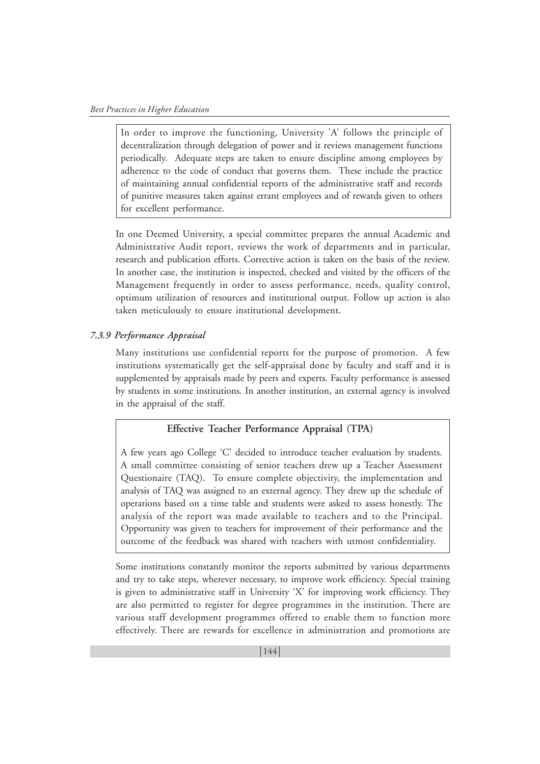In order to improve the functioning, University 'A' follows the principle of decentralization through delegation of power and it reviews management functions periodically. Adequate steps are taken to ensure discipline among employees by adherence to the code of conduct that governs them. These include the practice of maintaining annual confidential reports of the administrative staff and records of punitive measures taken against errant employees and of rewards given to others for excellent performance.

In one Deemed University, a special committee prepares the annual Academic and Administrative Audit report, reviews the work of departments and in particular, research and publication efforts. Corrective action is taken on the basis of the review. In another case, the institution is inspected, checked and visited by the officers of the Management frequently in order to assess performance, needs, quality control, optimum utilization of resources and institutional output. Follow up action is also taken meticulously to ensure institutional development.

## *7.3.9 Performance Appraisal*

Many institutions use confidential reports for the purpose of promotion. A few institutions systematically get the self-appraisal done by faculty and staff and it is supplemented by appraisals made by peers and experts. Faculty performance is assessed by students in some institutions. In another institution, an external agency is involved in the appraisal of the staff.

## **Effective Teacher Performance Appraisal (TPA)**

A few years ago College 'C' decided to introduce teacher evaluation by students. A small committee consisting of senior teachers drew up a Teacher Assessment Questionaire (TAQ). To ensure complete objectivity, the implementation and analysis of TAQ was assigned to an external agency. They drew up the schedule of operations based on a time table and students were asked to assess honestly. The analysis of the report was made available to teachers and to the Principal. Opportunity was given to teachers for improvement of their performance and the outcome of the feedback was shared with teachers with utmost confidentiality.

Some institutions constantly monitor the reports submitted by various departments and try to take steps, wherever necessary, to improve work efficiency. Special training is given to administrative staff in University 'X' for improving work efficiency. They are also permitted to register for degree programmes in the institution. There are various staff development programmes offered to enable them to function more effectively. There are rewards for excellence in administration and promotions are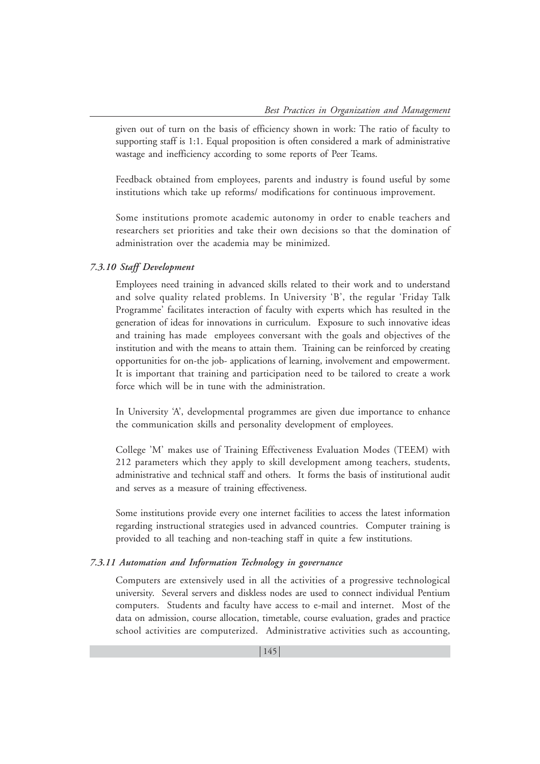given out of turn on the basis of efficiency shown in work: The ratio of faculty to supporting staff is 1:1. Equal proposition is often considered a mark of administrative wastage and inefficiency according to some reports of Peer Teams.

Feedback obtained from employees, parents and industry is found useful by some institutions which take up reforms/ modifications for continuous improvement.

Some institutions promote academic autonomy in order to enable teachers and researchers set priorities and take their own decisions so that the domination of administration over the academia may be minimized.

#### *7.3.10 Staff Development*

Employees need training in advanced skills related to their work and to understand and solve quality related problems. In University 'B', the regular 'Friday Talk Programme' facilitates interaction of faculty with experts which has resulted in the generation of ideas for innovations in curriculum. Exposure to such innovative ideas and training has made employees conversant with the goals and objectives of the institution and with the means to attain them. Training can be reinforced by creating opportunities for on-the job- applications of learning, involvement and empowerment. It is important that training and participation need to be tailored to create a work force which will be in tune with the administration.

In University 'A', developmental programmes are given due importance to enhance the communication skills and personality development of employees.

College 'M' makes use of Training Effectiveness Evaluation Modes (TEEM) with 212 parameters which they apply to skill development among teachers, students, administrative and technical staff and others. It forms the basis of institutional audit and serves as a measure of training effectiveness.

Some institutions provide every one internet facilities to access the latest information regarding instructional strategies used in advanced countries. Computer training is provided to all teaching and non-teaching staff in quite a few institutions.

### *7.3.11 Automation and Information Technology in governance*

Computers are extensively used in all the activities of a progressive technological university. Several servers and diskless nodes are used to connect individual Pentium computers. Students and faculty have access to e-mail and internet. Most of the data on admission, course allocation, timetable, course evaluation, grades and practice school activities are computerized. Administrative activities such as accounting,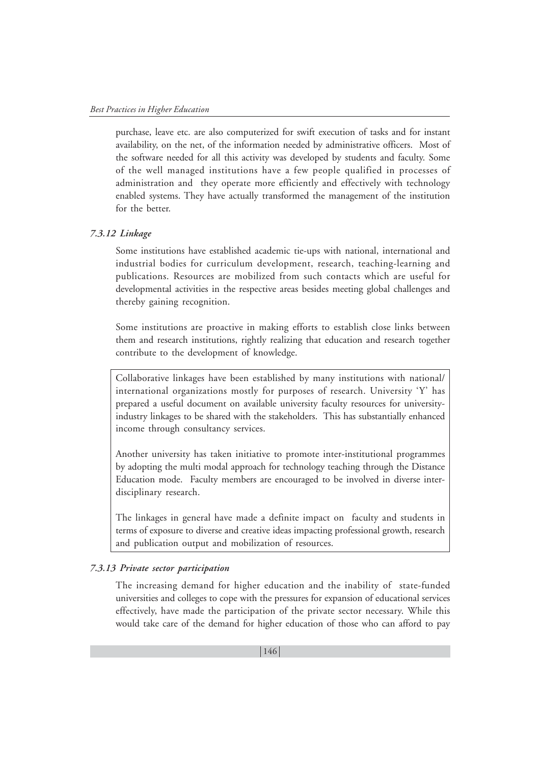purchase, leave etc. are also computerized for swift execution of tasks and for instant availability, on the net, of the information needed by administrative officers. Most of the software needed for all this activity was developed by students and faculty. Some of the well managed institutions have a few people qualified in processes of administration and they operate more efficiently and effectively with technology enabled systems. They have actually transformed the management of the institution for the better.

#### *7.3.12 Linkage*

Some institutions have established academic tie-ups with national, international and industrial bodies for curriculum development, research, teaching-learning and publications. Resources are mobilized from such contacts which are useful for developmental activities in the respective areas besides meeting global challenges and thereby gaining recognition.

Some institutions are proactive in making efforts to establish close links between them and research institutions, rightly realizing that education and research together contribute to the development of knowledge.

Collaborative linkages have been established by many institutions with national/ international organizations mostly for purposes of research. University 'Y' has prepared a useful document on available university faculty resources for universityindustry linkages to be shared with the stakeholders. This has substantially enhanced income through consultancy services.

Another university has taken initiative to promote inter-institutional programmes by adopting the multi modal approach for technology teaching through the Distance Education mode. Faculty members are encouraged to be involved in diverse interdisciplinary research.

The linkages in general have made a definite impact on faculty and students in terms of exposure to diverse and creative ideas impacting professional growth, research and publication output and mobilization of resources.

## *7.3.13 Private sector participation*

The increasing demand for higher education and the inability of state-funded universities and colleges to cope with the pressures for expansion of educational services effectively, have made the participation of the private sector necessary. While this would take care of the demand for higher education of those who can afford to pay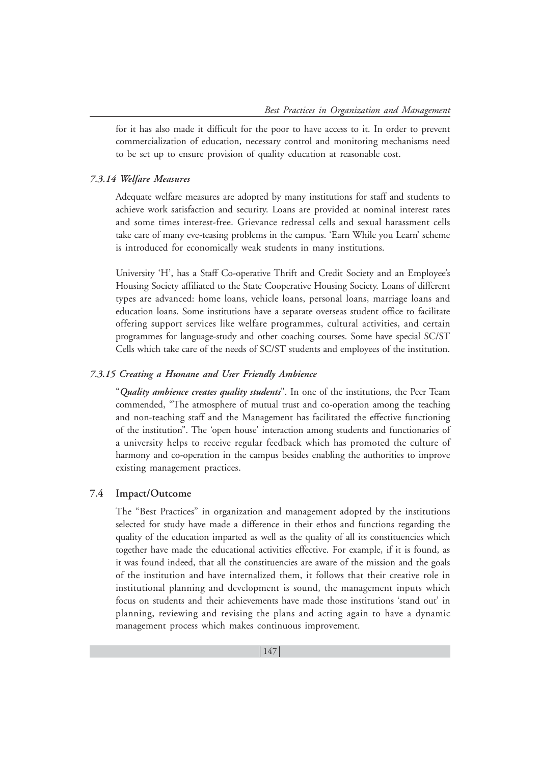for it has also made it difficult for the poor to have access to it. In order to prevent commercialization of education, necessary control and monitoring mechanisms need to be set up to ensure provision of quality education at reasonable cost.

#### *7.3.14 Welfare Measures*

Adequate welfare measures are adopted by many institutions for staff and students to achieve work satisfaction and security. Loans are provided at nominal interest rates and some times interest-free. Grievance redressal cells and sexual harassment cells take care of many eve-teasing problems in the campus. 'Earn While you Learn' scheme is introduced for economically weak students in many institutions.

University 'H', has a Staff Co-operative Thrift and Credit Society and an Employee's Housing Society affiliated to the State Cooperative Housing Society. Loans of different types are advanced: home loans, vehicle loans, personal loans, marriage loans and education loans. Some institutions have a separate overseas student office to facilitate offering support services like welfare programmes, cultural activities, and certain programmes for language-study and other coaching courses. Some have special SC/ST Cells which take care of the needs of SC/ST students and employees of the institution.

#### *7.3.15 Creating a Humane and User Friendly Ambience*

"*Quality ambience creates quality students*". In one of the institutions, the Peer Team commended, "The atmosphere of mutual trust and co-operation among the teaching and non-teaching staff and the Management has facilitated the effective functioning of the institution". The 'open house' interaction among students and functionaries of a university helps to receive regular feedback which has promoted the culture of harmony and co-operation in the campus besides enabling the authorities to improve existing management practices.

#### **7.4 Impact/Outcome**

The "Best Practices" in organization and management adopted by the institutions selected for study have made a difference in their ethos and functions regarding the quality of the education imparted as well as the quality of all its constituencies which together have made the educational activities effective. For example, if it is found, as it was found indeed, that all the constituencies are aware of the mission and the goals of the institution and have internalized them, it follows that their creative role in institutional planning and development is sound, the management inputs which focus on students and their achievements have made those institutions 'stand out' in planning, reviewing and revising the plans and acting again to have a dynamic management process which makes continuous improvement.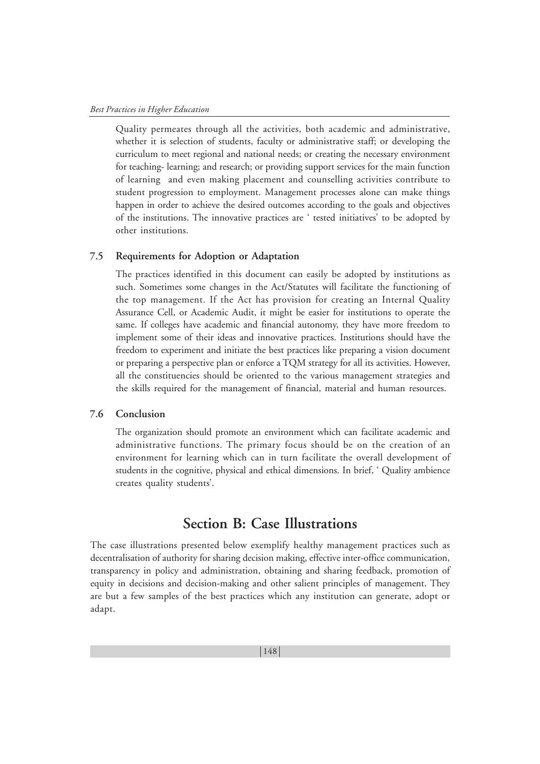Quality permeates through all the activities, both academic and administrative, whether it is selection of students, faculty or administrative staff; or developing the curriculum to meet regional and national needs; or creating the necessary environment for teaching- learning; and research; or providing support services for the main function of learning and even making placement and counselling activities contribute to student progression to employment. Management processes alone can make things happen in order to achieve the desired outcomes according to the goals and objectives of the institutions. The innovative practices are ' tested initiatives' to be adopted by other institutions.

#### **7.5 Requirements for Adoption or Adaptation**

The practices identified in this document can easily be adopted by institutions as such. Sometimes some changes in the Act/Statutes will facilitate the functioning of the top management. If the Act has provision for creating an Internal Quality Assurance Cell, or Academic Audit, it might be easier for institutions to operate the same. If colleges have academic and financial autonomy, they have more freedom to implement some of their ideas and innovative practices. Institutions should have the freedom to experiment and initiate the best practices like preparing a vision document or preparing a perspective plan or enforce a TQM strategy for all its activities. However, all the constituencies should be oriented to the various management strategies and the skills required for the management of financial, material and human resources.

#### **7.6 Conclusion**

The organization should promote an environment which can facilitate academic and administrative functions. The primary focus should be on the creation of an environment for learning which can in turn facilitate the overall development of students in the cognitive, physical and ethical dimensions. In brief, ' Quality ambience creates quality students'.

# **Section B: Case Illustrations**

The case illustrations presented below exemplify healthy management practices such as decentralisation of authority for sharing decision making, effective inter-office communication, transparency in policy and administration, obtaining and sharing feedback, promotion of equity in decisions and decision-making and other salient principles of management. They are but a few samples of the best practices which any institution can generate, adopt or adapt.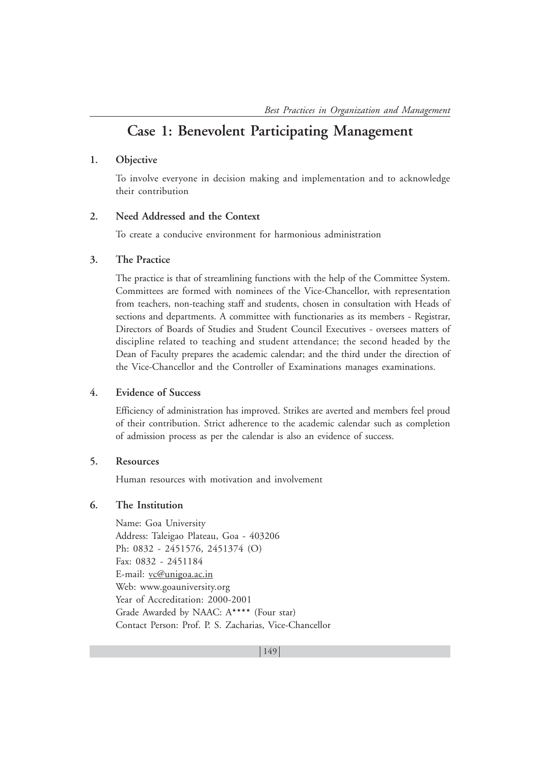# **Case 1: Benevolent Participating Management**

#### **1. Objective**

To involve everyone in decision making and implementation and to acknowledge their contribution

## **2. Need Addressed and the Context**

To create a conducive environment for harmonious administration

#### **3. The Practice**

The practice is that of streamlining functions with the help of the Committee System. Committees are formed with nominees of the Vice-Chancellor, with representation from teachers, non-teaching staff and students, chosen in consultation with Heads of sections and departments. A committee with functionaries as its members - Registrar, Directors of Boards of Studies and Student Council Executives - oversees matters of discipline related to teaching and student attendance; the second headed by the Dean of Faculty prepares the academic calendar; and the third under the direction of the Vice-Chancellor and the Controller of Examinations manages examinations.

#### **4. Evidence of Success**

Efficiency of administration has improved. Strikes are averted and members feel proud of their contribution. Strict adherence to the academic calendar such as completion of admission process as per the calendar is also an evidence of success.

#### **5. Resources**

Human resources with motivation and involvement

#### **6. The Institution**

Name: Goa University Address: Taleigao Plateau, Goa - 403206 Ph: 0832 - 2451576, 2451374 (O) Fax: 0832 - 2451184 E-mail: vc@unigoa.ac.in Web: www.goauniversity.org Year of Accreditation: 2000-2001 Grade Awarded by NAAC:  $A***$  (Four star) Contact Person: Prof. P. S. Zacharias, Vice-Chancellor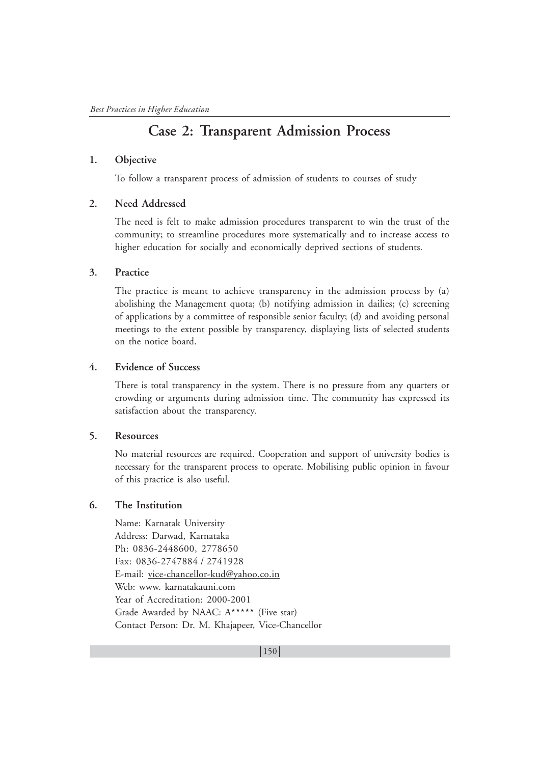# **Case 2: Transparent Admission Process**

#### **1. Objective**

To follow a transparent process of admission of students to courses of study

#### **2. Need Addressed**

The need is felt to make admission procedures transparent to win the trust of the community; to streamline procedures more systematically and to increase access to higher education for socially and economically deprived sections of students.

#### **3. Practice**

The practice is meant to achieve transparency in the admission process by (a) abolishing the Management quota; (b) notifying admission in dailies; (c) screening of applications by a committee of responsible senior faculty; (d) and avoiding personal meetings to the extent possible by transparency, displaying lists of selected students on the notice board.

## **4. Evidence of Success**

There is total transparency in the system. There is no pressure from any quarters or crowding or arguments during admission time. The community has expressed its satisfaction about the transparency.

#### **5. Resources**

No material resources are required. Cooperation and support of university bodies is necessary for the transparent process to operate. Mobilising public opinion in favour of this practice is also useful.

#### **6. The Institution**

Name: Karnatak University Address: Darwad, Karnataka Ph: 0836-2448600, 2778650 Fax: 0836-2747884 / 2741928 E-mail: vice-chancellor-kud@yahoo.co.in Web: www. karnatakauni.com Year of Accreditation: 2000-2001 Grade Awarded by NAAC: A\*\*\*\*\* (Five star) Contact Person: Dr. M. Khajapeer, Vice-Chancellor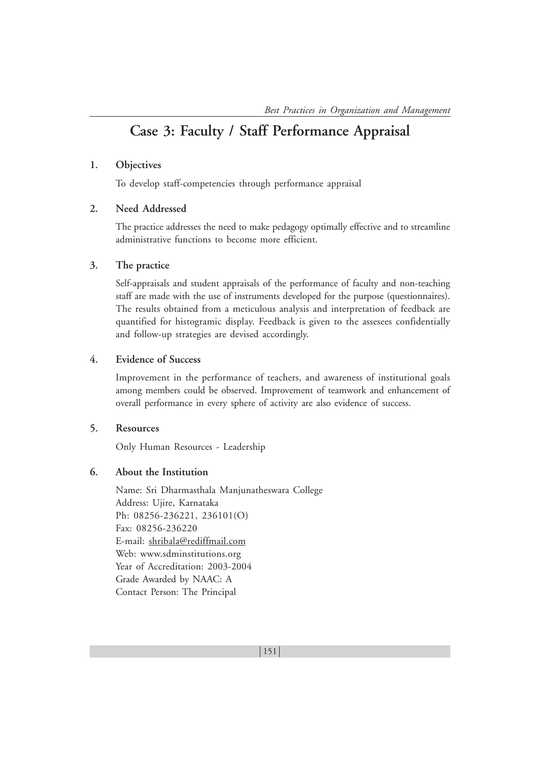# **Case 3: Faculty / Staff Performance Appraisal**

# **1. Objectives**

To develop staff-competencies through performance appraisal

## **2. Need Addressed**

The practice addresses the need to make pedagogy optimally effective and to streamline administrative functions to become more efficient.

#### **3. The practice**

Self-appraisals and student appraisals of the performance of faculty and non-teaching staff are made with the use of instruments developed for the purpose (questionnaires). The results obtained from a meticulous analysis and interpretation of feedback are quantified for histogramic display. Feedback is given to the assesees confidentially and follow-up strategies are devised accordingly.

#### **4. Evidence of Success**

Improvement in the performance of teachers, and awareness of institutional goals among members could be observed. Improvement of teamwork and enhancement of overall performance in every sphere of activity are also evidence of success.

#### **5. Resources**

Only Human Resources - Leadership

## **6. About the Institution**

Name: Sri Dharmasthala Manjunatheswara College Address: Ujire, Karnataka Ph: 08256-236221, 236101(O) Fax: 08256-236220 E-mail: shribala@rediffmail.com Web: www.sdminstitutions.org Year of Accreditation: 2003-2004 Grade Awarded by NAAC: A Contact Person: The Principal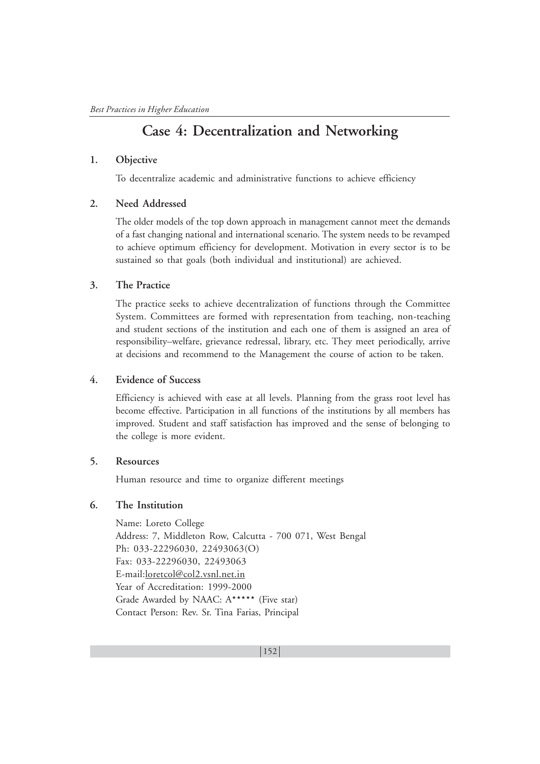# **Case 4: Decentralization and Networking**

#### **1. Objective**

To decentralize academic and administrative functions to achieve efficiency

#### **2. Need Addressed**

The older models of the top down approach in management cannot meet the demands of a fast changing national and international scenario. The system needs to be revamped to achieve optimum efficiency for development. Motivation in every sector is to be sustained so that goals (both individual and institutional) are achieved.

## **3. The Practice**

The practice seeks to achieve decentralization of functions through the Committee System. Committees are formed with representation from teaching, non-teaching and student sections of the institution and each one of them is assigned an area of responsibility–welfare, grievance redressal, library, etc. They meet periodically, arrive at decisions and recommend to the Management the course of action to be taken.

## **4. Evidence of Success**

Efficiency is achieved with ease at all levels. Planning from the grass root level has become effective. Participation in all functions of the institutions by all members has improved. Student and staff satisfaction has improved and the sense of belonging to the college is more evident.

#### **5. Resources**

Human resource and time to organize different meetings

# **6. The Institution**

Name: Loreto College Address: 7, Middleton Row, Calcutta - 700 071, West Bengal Ph: 033-22296030, 22493063(O) Fax: 033-22296030, 22493063 E-mail:loretcol@col2.vsnl.net.in Year of Accreditation: 1999-2000 Grade Awarded by NAAC: A\*\*\*\*\* (Five star) Contact Person: Rev. Sr. Tina Farias, Principal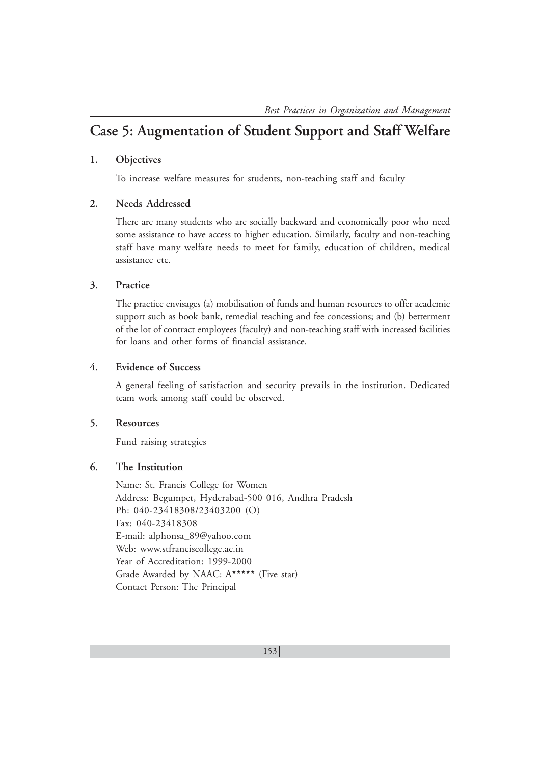# **Case 5: Augmentation of Student Support and Staff Welfare**

#### **1. Objectives**

To increase welfare measures for students, non-teaching staff and faculty

#### **2. Needs Addressed**

There are many students who are socially backward and economically poor who need some assistance to have access to higher education. Similarly, faculty and non-teaching staff have many welfare needs to meet for family, education of children, medical assistance etc.

#### **3. Practice**

The practice envisages (a) mobilisation of funds and human resources to offer academic support such as book bank, remedial teaching and fee concessions; and (b) betterment of the lot of contract employees (faculty) and non-teaching staff with increased facilities for loans and other forms of financial assistance.

## **4. Evidence of Success**

A general feeling of satisfaction and security prevails in the institution. Dedicated team work among staff could be observed.

#### **5. Resources**

Fund raising strategies

# **6. The Institution**

Name: St. Francis College for Women Address: Begumpet, Hyderabad-500 016, Andhra Pradesh Ph: 040-23418308/23403200 (O) Fax: 040-23418308 E-mail: alphonsa\_89@yahoo.com Web: www.stfranciscollege.ac.in Year of Accreditation: 1999-2000 Grade Awarded by NAAC: A\*\*\*\*\* (Five star) Contact Person: The Principal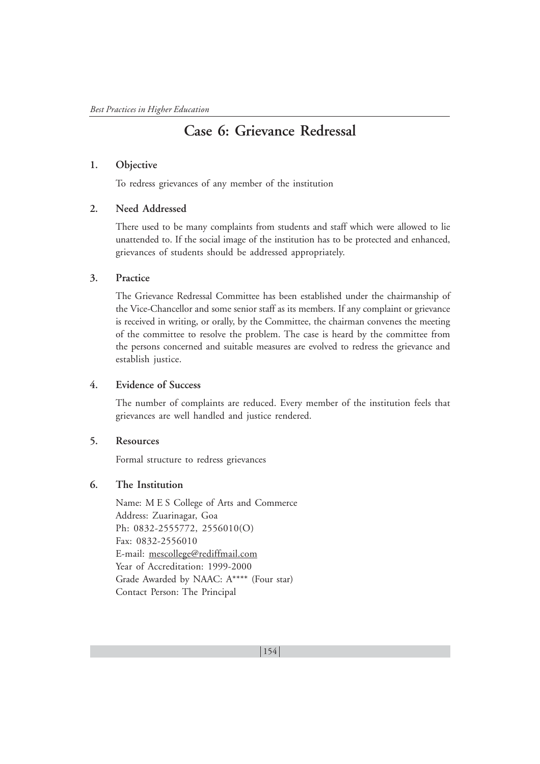# **Case 6: Grievance Redressal**

#### **1. Objective**

To redress grievances of any member of the institution

## **2. Need Addressed**

There used to be many complaints from students and staff which were allowed to lie unattended to. If the social image of the institution has to be protected and enhanced, grievances of students should be addressed appropriately.

## **3. Practice**

The Grievance Redressal Committee has been established under the chairmanship of the Vice-Chancellor and some senior staff as its members. If any complaint or grievance is received in writing, or orally, by the Committee, the chairman convenes the meeting of the committee to resolve the problem. The case is heard by the committee from the persons concerned and suitable measures are evolved to redress the grievance and establish justice.

# **4. Evidence of Success**

The number of complaints are reduced. Every member of the institution feels that grievances are well handled and justice rendered.

# **5. Resources**

Formal structure to redress grievances

# **6. The Institution**

Name: M E S College of Arts and Commerce Address: Zuarinagar, Goa Ph: 0832-2555772, 2556010(O) Fax: 0832-2556010 E-mail: mescollege@rediffmail.com Year of Accreditation: 1999-2000 Grade Awarded by NAAC: A\*\*\*\* (Four star) Contact Person: The Principal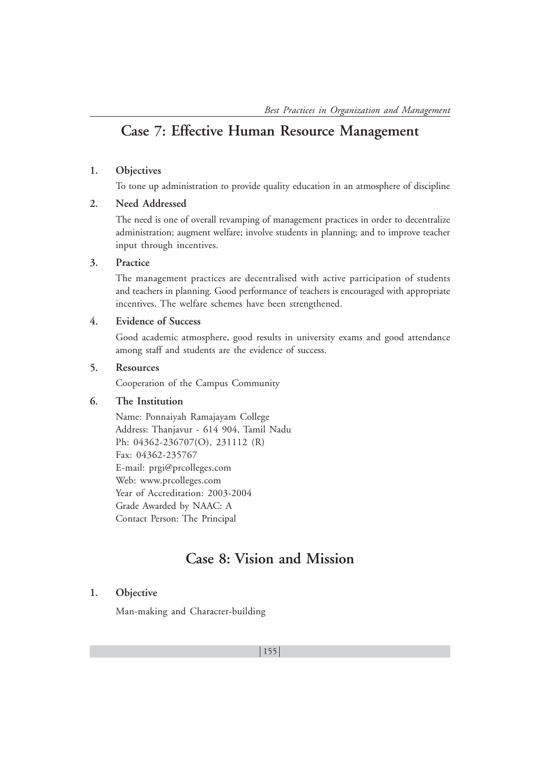# **Case 7: Effective Human Resource Management**

# **1. Objectives**

To tone up administration to provide quality education in an atmosphere of discipline

# **2. Need Addressed**

The need is one of overall revamping of management practices in order to decentralize administration; augment welfare; involve students in planning; and to improve teacher input through incentives.

# **3. Practice**

The management practices are decentralised with active participation of students and teachers in planning. Good performance of teachers is encouraged with appropriate incentives. The welfare schemes have been strengthened.

# **4. Evidence of Success**

Good academic atmosphere, good results in university exams and good attendance among staff and students are the evidence of success.

# **5. Resources**

Cooperation of the Campus Community

# **6. The Institution**

Name: Ponnaiyah Ramajayam College Address: Thanjavur - 614 904, Tamil Nadu Ph: 04362-236707(O), 231112 (R) Fax: 04362-235767 E-mail: prgi@prcolleges.com Web: www.prcolleges.com Year of Accreditation: 2003-2004 Grade Awarded by NAAC: A Contact Person: The Principal

# **Case 8: Vision and Mission**

# **1. Objective**

Man-making and Character-building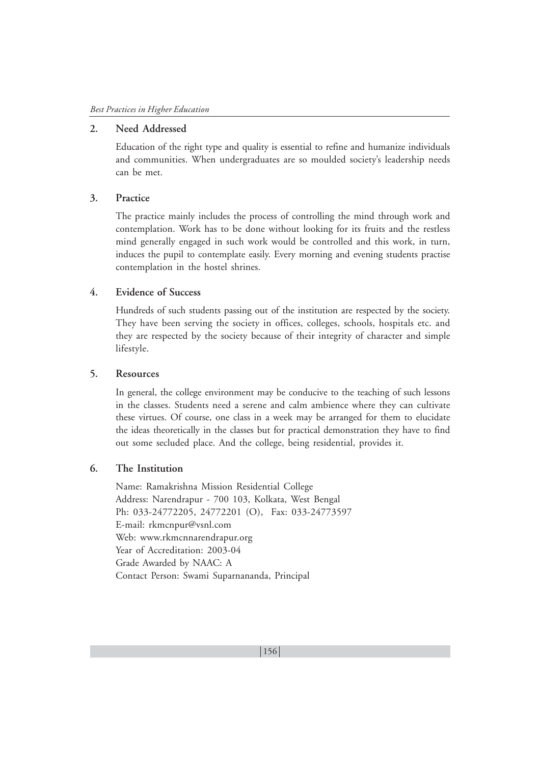# **2. Need Addressed**

Education of the right type and quality is essential to refine and humanize individuals and communities. When undergraduates are so moulded society's leadership needs can be met.

#### **3. Practice**

The practice mainly includes the process of controlling the mind through work and contemplation. Work has to be done without looking for its fruits and the restless mind generally engaged in such work would be controlled and this work, in turn, induces the pupil to contemplate easily. Every morning and evening students practise contemplation in the hostel shrines.

# **4. Evidence of Success**

Hundreds of such students passing out of the institution are respected by the society. They have been serving the society in offices, colleges, schools, hospitals etc. and they are respected by the society because of their integrity of character and simple lifestyle.

### **5. Resources**

In general, the college environment may be conducive to the teaching of such lessons in the classes. Students need a serene and calm ambience where they can cultivate these virtues. Of course, one class in a week may be arranged for them to elucidate the ideas theoretically in the classes but for practical demonstration they have to find out some secluded place. And the college, being residential, provides it.

#### **6. The Institution**

Name: Ramakrishna Mission Residential College Address: Narendrapur - 700 103, Kolkata, West Bengal Ph: 033-24772205, 24772201 (O), Fax: 033-24773597 E-mail: rkmcnpur@vsnl.com Web: www.rkmcnnarendrapur.org Year of Accreditation: 2003-04 Grade Awarded by NAAC: A Contact Person: Swami Suparnananda, Principal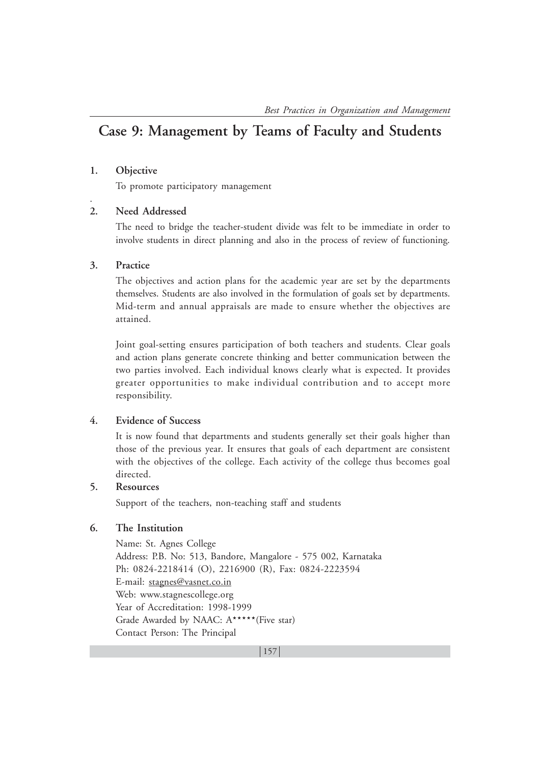# **Case 9: Management by Teams of Faculty and Students**

#### **1. Objective**

.

To promote participatory management

#### **2. Need Addressed**

The need to bridge the teacher-student divide was felt to be immediate in order to involve students in direct planning and also in the process of review of functioning.

#### **3. Practice**

The objectives and action plans for the academic year are set by the departments themselves. Students are also involved in the formulation of goals set by departments. Mid-term and annual appraisals are made to ensure whether the objectives are attained.

Joint goal-setting ensures participation of both teachers and students. Clear goals and action plans generate concrete thinking and better communication between the two parties involved. Each individual knows clearly what is expected. It provides greater opportunities to make individual contribution and to accept more responsibility.

#### **4. Evidence of Success**

It is now found that departments and students generally set their goals higher than those of the previous year. It ensures that goals of each department are consistent with the objectives of the college. Each activity of the college thus becomes goal directed.

#### **5. Resources**

Support of the teachers, non-teaching staff and students

#### **6. The Institution**

Name: St. Agnes College Address: P.B. No: 513, Bandore, Mangalore - 575 002, Karnataka Ph: 0824-2218414 (O), 2216900 (R), Fax: 0824-2223594 E-mail: stagnes@vasnet.co.in Web: www.stagnescollege.org Year of Accreditation: 1998-1999 Grade Awarded by NAAC: A\*\*\*\*\*(Five star) Contact Person: The Principal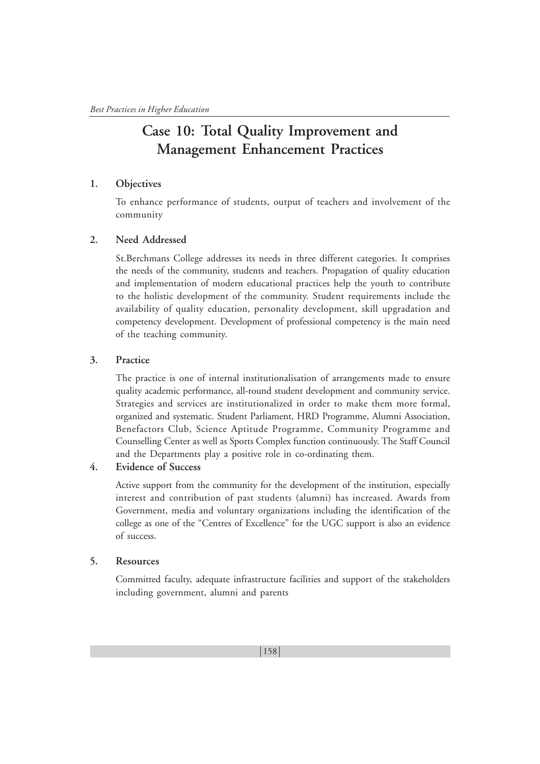# **Case 10: Total Quality Improvement and Management Enhancement Practices**

## **1. Objectives**

To enhance performance of students, output of teachers and involvement of the community

## **2. Need Addressed**

St.Berchmans College addresses its needs in three different categories. It comprises the needs of the community, students and teachers. Propagation of quality education and implementation of modern educational practices help the youth to contribute to the holistic development of the community. Student requirements include the availability of quality education, personality development, skill upgradation and competency development. Development of professional competency is the main need of the teaching community.

## **3. Practice**

The practice is one of internal institutionalisation of arrangements made to ensure quality academic performance, all-round student development and community service. Strategies and services are institutionalized in order to make them more formal, organized and systematic. Student Parliament, HRD Programme, Alumni Association, Benefactors Club, Science Aptitude Programme, Community Programme and Counselling Center as well as Sports Complex function continuously. The Staff Council and the Departments play a positive role in co-ordinating them.

# **4. Evidence of Success**

Active support from the community for the development of the institution, especially interest and contribution of past students (alumni) has increased. Awards from Government, media and voluntary organizations including the identification of the college as one of the "Centres of Excellence" for the UGC support is also an evidence of success.

## **5. Resources**

Committed faculty, adequate infrastructure facilities and support of the stakeholders including government, alumni and parents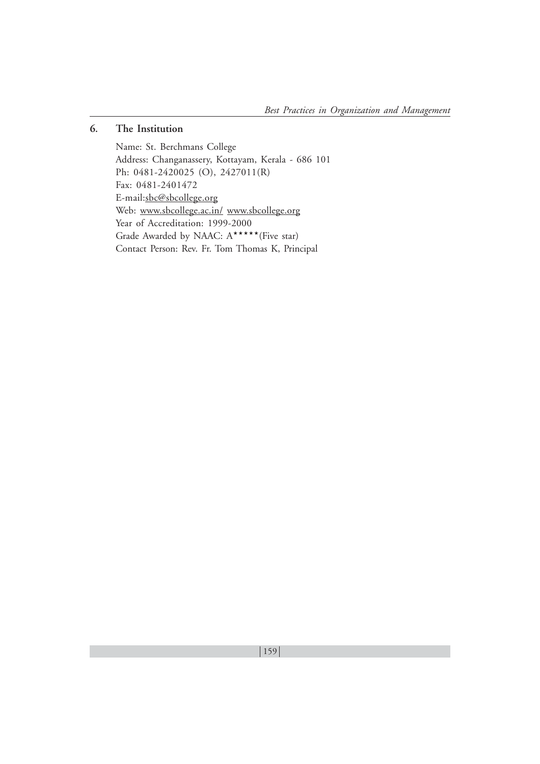# **6. The Institution**

Name: St. Berchmans College Address: Changanassery, Kottayam, Kerala - 686 101 Ph: 0481-2420025 (O), 2427011(R) Fax: 0481-2401472 E-mail:sbc@sbcollege.org Web: www.sbcollege.ac.in/ www.sbcollege.org Year of Accreditation: 1999-2000 Grade Awarded by NAAC: A\*\*\*\*\*(Five star) Contact Person: Rev. Fr. Tom Thomas K, Principal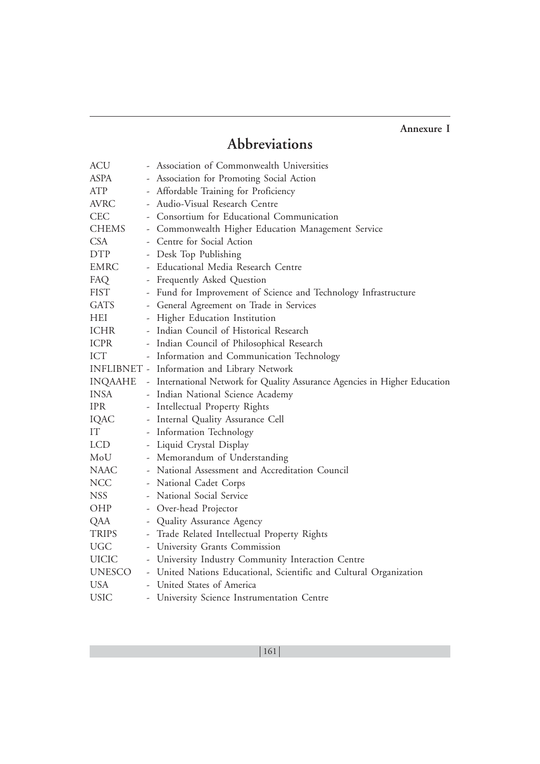# **Annexure I**

# **Abbreviations**

| <b>ACU</b>    | - Association of Commonwealth Universities                                 |  |
|---------------|----------------------------------------------------------------------------|--|
| ASPA          | - Association for Promoting Social Action                                  |  |
| ATP           | - Affordable Training for Proficiency                                      |  |
| <b>AVRC</b>   | - Audio-Visual Research Centre                                             |  |
| <b>CEC</b>    | - Consortium for Educational Communication                                 |  |
| <b>CHEMS</b>  | - Commonwealth Higher Education Management Service                         |  |
| <b>CSA</b>    | - Centre for Social Action                                                 |  |
| <b>DTP</b>    | - Desk Top Publishing                                                      |  |
| EMRC          | - Educational Media Research Centre                                        |  |
| FAQ           | - Frequently Asked Question                                                |  |
| <b>FIST</b>   | - Fund for Improvement of Science and Technology Infrastructure            |  |
| GATS          | - General Agreement on Trade in Services                                   |  |
| HEI           | - Higher Education Institution                                             |  |
| ICHR          | - Indian Council of Historical Research                                    |  |
| ICPR          | - Indian Council of Philosophical Research                                 |  |
| ICT           | - Information and Communication Technology                                 |  |
|               | INFLIBNET - Information and Library Network                                |  |
| INQAAHE       | - International Network for Quality Assurance Agencies in Higher Education |  |
| <b>INSA</b>   | - Indian National Science Academy                                          |  |
| <b>IPR</b>    | - Intellectual Property Rights                                             |  |
| IQAC          | - Internal Quality Assurance Cell                                          |  |
| IT            | - Information Technology                                                   |  |
| <b>LCD</b>    | - Liquid Crystal Display                                                   |  |
| MoU           | - Memorandum of Understanding                                              |  |
| NAAC          | - National Assessment and Accreditation Council                            |  |
| <b>NCC</b>    | - National Cadet Corps                                                     |  |
| <b>NSS</b>    | - National Social Service                                                  |  |
| OHP           | - Over-head Projector                                                      |  |
| QAA           | - Quality Assurance Agency                                                 |  |
| <b>TRIPS</b>  | - Trade Related Intellectual Property Rights                               |  |
| <b>UGC</b>    | - University Grants Commission                                             |  |
| <b>UICIC</b>  | - University Industry Community Interaction Centre                         |  |
| <b>UNESCO</b> | - United Nations Educational, Scientific and Cultural Organization         |  |
| <b>USA</b>    | - United States of America                                                 |  |
| <b>USIC</b>   | - University Science Instrumentation Centre                                |  |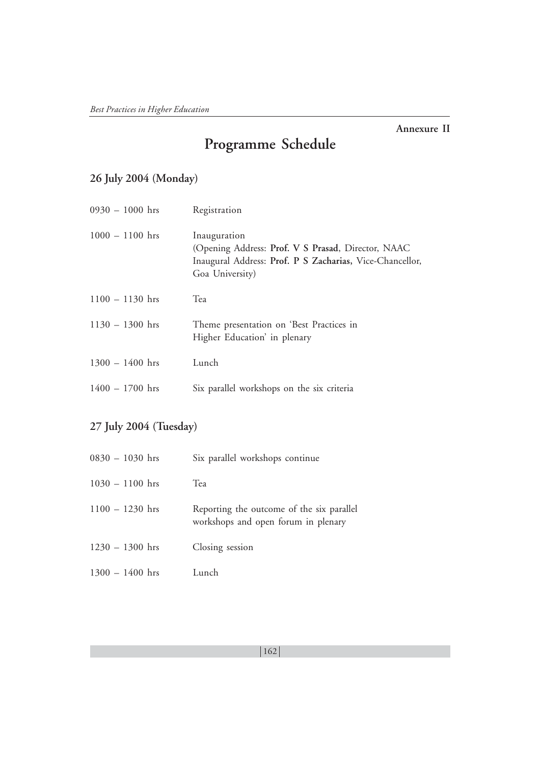# **Annexure II**

# **Programme Schedule**

# **26 July 2004 (Monday)**

| $0930 - 1000$ hrs | Registration                                                                                                                                      |
|-------------------|---------------------------------------------------------------------------------------------------------------------------------------------------|
| $1000 - 1100$ hrs | Inauguration<br>(Opening Address: Prof. V S Prasad, Director, NAAC<br>Inaugural Address: Prof. P S Zacharias, Vice-Chancellor,<br>Goa University) |
| $1100 - 1130$ hrs | Tea                                                                                                                                               |
| $1130 - 1300$ hrs | Theme presentation on 'Best Practices in<br>Higher Education' in plenary                                                                          |
| $1300 - 1400$ hrs | Lunch                                                                                                                                             |
| $1400 - 1700$ hrs | Six parallel workshops on the six criteria                                                                                                        |

# **27 July 2004 (Tuesday)**

| 0830 – 1030 hrs   | Six parallel workshops continue                                                  |
|-------------------|----------------------------------------------------------------------------------|
| $1030 - 1100$ hrs | Tea                                                                              |
| $1100 - 1230$ hrs | Reporting the outcome of the six parallel<br>workshops and open forum in plenary |
| $1230 - 1300$ hrs | Closing session                                                                  |
| $1300 - 1400$ hrs | Lunch                                                                            |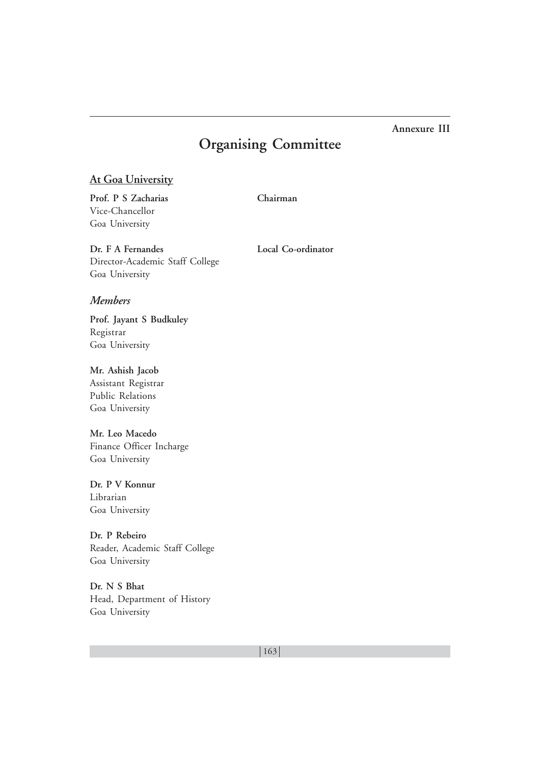# **Annexure III**

# **Organising Committee**

# **At Goa University**

**Prof. P S Zacharias Chairman** Vice-Chancellor Goa University

**Dr. F A Fernandes Local Co-ordinator** Director-Academic Staff College Goa University

## *Members*

**Prof. Jayant S Budkuley** Registrar Goa University

**Mr. Ashish Jacob** Assistant Registrar Public Relations

Goa University **Mr. Leo Macedo** Finance Officer Incharge

Goa University

**Dr. P V Konnur** Librarian Goa University

**Dr. P Rebeiro** Reader, Academic Staff College Goa University

**Dr. N S Bhat** Head, Department of History Goa University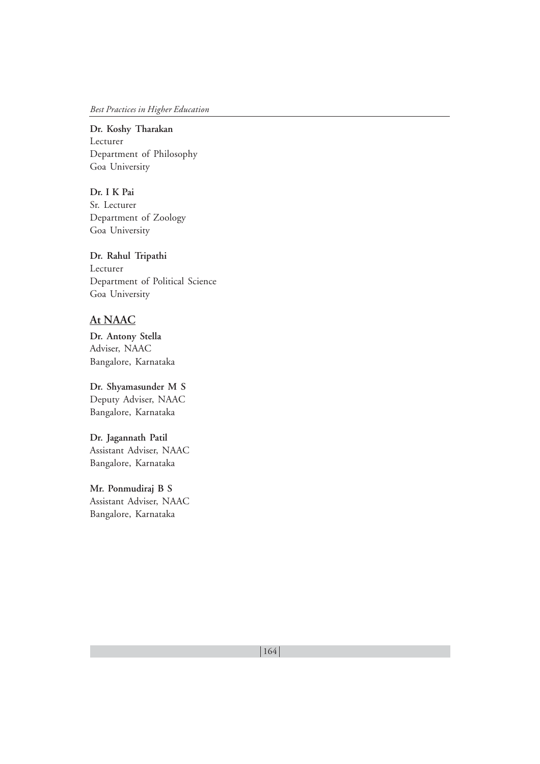#### *Best Practices in Higher Education*

**Dr. Koshy Tharakan** Lecturer Department of Philosophy Goa University

**Dr. I K Pai** Sr. Lecturer Department of Zoology Goa University

**Dr. Rahul Tripathi** Lecturer Department of Political Science Goa University

# **At NAAC**

**Dr. Antony Stella** Adviser, NAAC Bangalore, Karnataka

**Dr. Shyamasunder M S** Deputy Adviser, NAAC Bangalore, Karnataka

**Dr. Jagannath Patil** Assistant Adviser, NAAC Bangalore, Karnataka

**Mr. Ponmudiraj B S** Assistant Adviser, NAAC Bangalore, Karnataka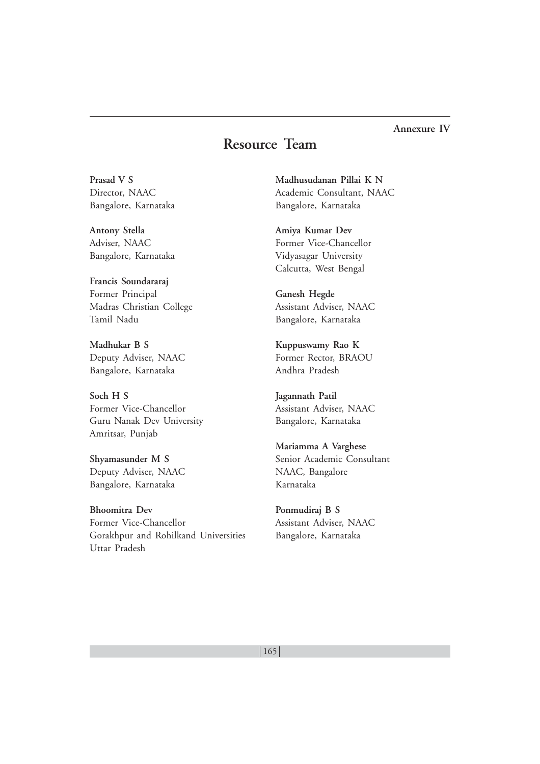# **Annexure IV**

# **Resource Team**

**Prasad V S** Director, NAAC Bangalore, Karnataka

**Antony Stella** Adviser, NAAC Bangalore, Karnataka

**Francis Soundararaj** Former Principal Madras Christian College Tamil Nadu

**Madhukar B S** Deputy Adviser, NAAC Bangalore, Karnataka

**Soch H S** Former Vice-Chancellor Guru Nanak Dev University Amritsar, Punjab

**Shyamasunder M S** Deputy Adviser, NAAC Bangalore, Karnataka

**Bhoomitra Dev** Former Vice-Chancellor Gorakhpur and Rohilkand Universities Uttar Pradesh

**Madhusudanan Pillai K N** Academic Consultant, NAAC Bangalore, Karnataka

**Amiya Kumar Dev** Former Vice-Chancellor Vidyasagar University Calcutta, West Bengal

**Ganesh Hegde** Assistant Adviser, NAAC Bangalore, Karnataka

**Kuppuswamy Rao K** Former Rector, BRAOU Andhra Pradesh

**Jagannath Patil** Assistant Adviser, NAAC Bangalore, Karnataka

**Mariamma A Varghese** Senior Academic Consultant NAAC, Bangalore Karnataka

**Ponmudiraj B S** Assistant Adviser, NAAC Bangalore, Karnataka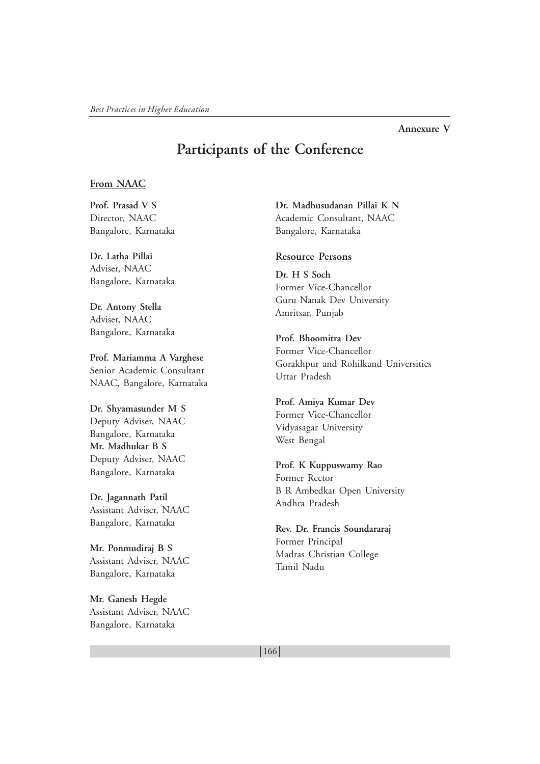#### **Annexure V**

# **Participants of the Conference**

## **From NAAC**

**Prof. Prasad V S** Director, NAAC Bangalore, Karnataka

**Dr. Latha Pillai** Adviser, NAAC Bangalore, Karnataka

**Dr. Antony Stella** Adviser, NAAC Bangalore, Karnataka

**Prof. Mariamma A Varghese** Senior Academic Consultant NAAC, Bangalore, Karnataka

**Dr. Shyamasunder M S** Deputy Adviser, NAAC Bangalore, Karnataka **Mr. Madhukar B S** Deputy Adviser, NAAC Bangalore, Karnataka

**Dr. Jagannath Patil** Assistant Adviser, NAAC Bangalore, Karnataka

**Mr. Ponmudiraj B S** Assistant Adviser, NAAC Bangalore, Karnataka

**Mr. Ganesh Hegde** Assistant Adviser, NAAC Bangalore, Karnataka

**Dr. Madhusudanan Pillai K N** Academic Consultant, NAAC Bangalore, Karnataka

#### **Resource Persons**

**Dr. H S Soch** Former Vice-Chancellor Guru Nanak Dev University Amritsar, Punjab

**Prof. Bhoomitra Dev** Former Vice-Chancellor Gorakhpur and Rohilkand Universities Uttar Pradesh

**Prof. Amiya Kumar Dev** Former Vice-Chancellor Vidyasagar University West Bengal

**Prof. K Kuppuswamy Rao** Former Rector B R Ambedkar Open University Andhra Pradesh

**Rev. Dr. Francis Soundararaj** Former Principal Madras Christian College Tamil Nadu

166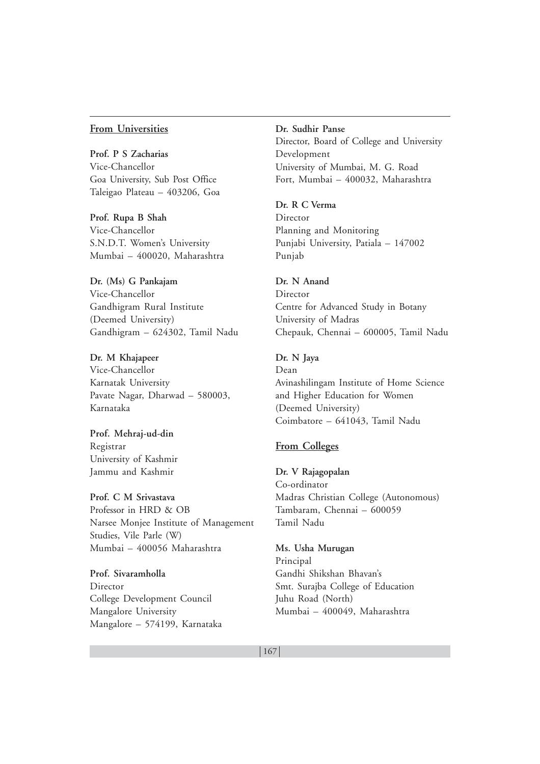#### **From Universities**

**Prof. P S Zacharias** Vice-Chancellor Goa University, Sub Post Office Taleigao Plateau – 403206, Goa

**Prof. Rupa B Shah** Vice-Chancellor S.N.D.T. Women's University Mumbai – 400020, Maharashtra

**Dr. (Ms) G Pankajam** Vice-Chancellor Gandhigram Rural Institute (Deemed University) Gandhigram – 624302, Tamil Nadu

**Dr. M Khajapeer** Vice-Chancellor Karnatak University Pavate Nagar, Dharwad – 580003, Karnataka

**Prof. Mehraj-ud-din** Registrar University of Kashmir Jammu and Kashmir

**Prof. C M Srivastava** Professor in HRD & OB Narsee Monjee Institute of Management Studies, Vile Parle (W) Mumbai – 400056 Maharashtra

**Prof. Sivaramholla** Director College Development Council Mangalore University Mangalore – 574199, Karnataka **Dr. Sudhir Panse** Director, Board of College and University Development University of Mumbai, M. G. Road Fort, Mumbai – 400032, Maharashtra

**Dr. R C Verma** Director Planning and Monitoring Punjabi University, Patiala – 147002 Punjab

**Dr. N Anand** Director Centre for Advanced Study in Botany University of Madras Chepauk, Chennai – 600005, Tamil Nadu

**Dr. N Jaya** Dean Avinashilingam Institute of Home Science and Higher Education for Women (Deemed University) Coimbatore – 641043, Tamil Nadu

#### **From Colleges**

**Dr. V Rajagopalan** Co-ordinator Madras Christian College (Autonomous) Tambaram, Chennai – 600059 Tamil Nadu

#### **Ms. Usha Murugan**

Principal Gandhi Shikshan Bhavan's Smt. Surajba College of Education Juhu Road (North) Mumbai – 400049, Maharashtra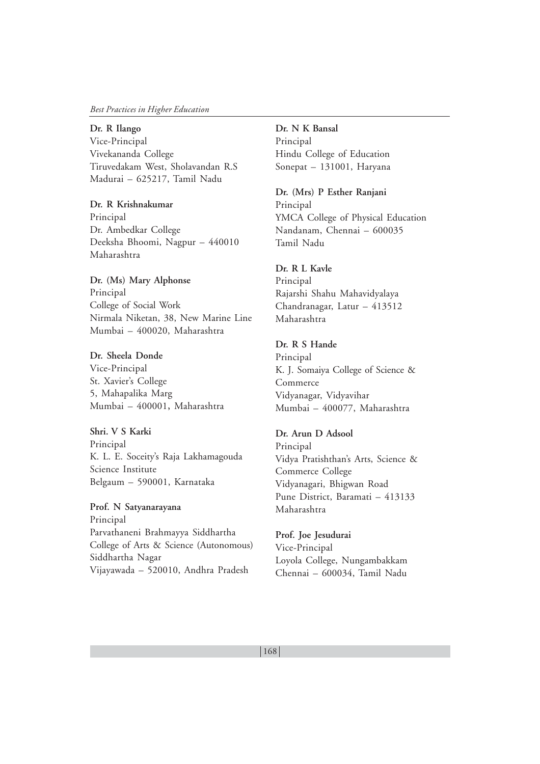#### *Best Practices in Higher Education*

**Dr. R Ilango** Vice-Principal

Vivekananda College Tiruvedakam West, Sholavandan R.S Madurai – 625217, Tamil Nadu

**Dr. R Krishnakumar** Principal Dr. Ambedkar College Deeksha Bhoomi, Nagpur – 440010 Maharashtra

**Dr. (Ms) Mary Alphonse** Principal College of Social Work Nirmala Niketan, 38, New Marine Line Mumbai – 400020, Maharashtra

**Dr. Sheela Donde** Vice-Principal St. Xavier's College 5, Mahapalika Marg Mumbai – 400001**,** Maharashtra

**Shri. V S Karki** Principal K. L. E. Soceity's Raja Lakhamagouda Science Institute Belgaum – 590001, Karnataka

**Prof. N Satyanarayana** Principal Parvathaneni Brahmayya Siddhartha College of Arts & Science (Autonomous) Siddhartha Nagar Vijayawada – 520010, Andhra Pradesh

**Dr. N K Bansal** Principal Hindu College of Education Sonepat – 131001, Haryana

**Dr. (Mrs) P Esther Ranjani** Principal YMCA College of Physical Education Nandanam, Chennai – 600035 Tamil Nadu

**Dr. R L Kavle** Principal Rajarshi Shahu Mahavidyalaya Chandranagar, Latur – 413512 Maharashtra

# **Dr. R S Hande**

Principal K. J. Somaiya College of Science & Commerce Vidyanagar, Vidyavihar Mumbai – 400077, Maharashtra

#### **Dr. Arun D Adsool**

Principal Vidya Pratishthan's Arts, Science & Commerce College Vidyanagari, Bhigwan Road Pune District, Baramati – 413133 Maharashtra

**Prof. Joe Jesudurai**

Vice-Principal Loyola College, Nungambakkam Chennai – 600034, Tamil Nadu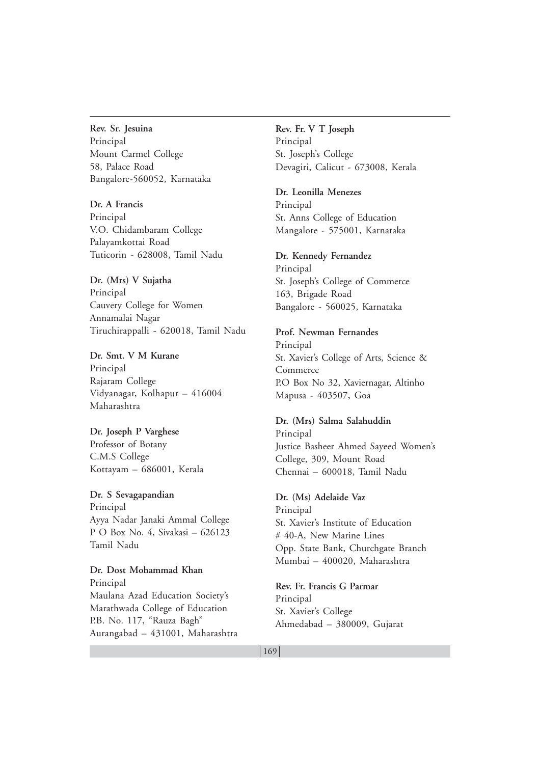**Rev. Sr. Jesuina** Principal Mount Carmel College 58, Palace Road Bangalore-560052, Karnataka

**Dr. A Francis** Principal V.O. Chidambaram College Palayamkottai Road Tuticorin - 628008, Tamil Nadu

**Dr. (Mrs) V Sujatha** Principal Cauvery College for Women Annamalai Nagar Tiruchirappalli - 620018, Tamil Nadu

**Dr. Smt. V M Kurane** Principal Rajaram College Vidyanagar, Kolhapur – 416004 Maharashtra

**Dr. Joseph P Varghese** Professor of Botany C.M.S College Kottayam – 686001, Kerala

**Dr. S Sevagapandian** Principal Ayya Nadar Janaki Ammal College P O Box No. 4, Sivakasi – 626123 Tamil Nadu

**Dr. Dost Mohammad Khan** Principal Maulana Azad Education Society's Marathwada College of Education P.B. No. 117, "Rauza Bagh" Aurangabad – 431001, Maharashtra **Rev. Fr. V T Joseph** Principal St. Joseph's College Devagiri, Calicut - 673008, Kerala

**Dr. Leonilla Menezes** Principal St. Anns College of Education Mangalore - 575001, Karnataka

**Dr. Kennedy Fernandez** Principal St. Joseph's College of Commerce 163, Brigade Road Bangalore - 560025, Karnataka

**Prof. Newman Fernandes** Principal St. Xavier's College of Arts, Science & Commerce P.O Box No 32, Xaviernagar, Altinho Mapusa - 403507**,** Goa

**Dr. (Mrs) Salma Salahuddin** Principal Justice Basheer Ahmed Sayeed Women's College, 309, Mount Road Chennai – 600018, Tamil Nadu

**Dr. (Ms) Adelaide Vaz** Principal St. Xavier's Institute of Education # 40-A, New Marine Lines Opp. State Bank, Churchgate Branch Mumbai – 400020, Maharashtra

**Rev. Fr. Francis G Parmar** Principal St. Xavier's College Ahmedabad – 380009, Gujarat

#### $|169|$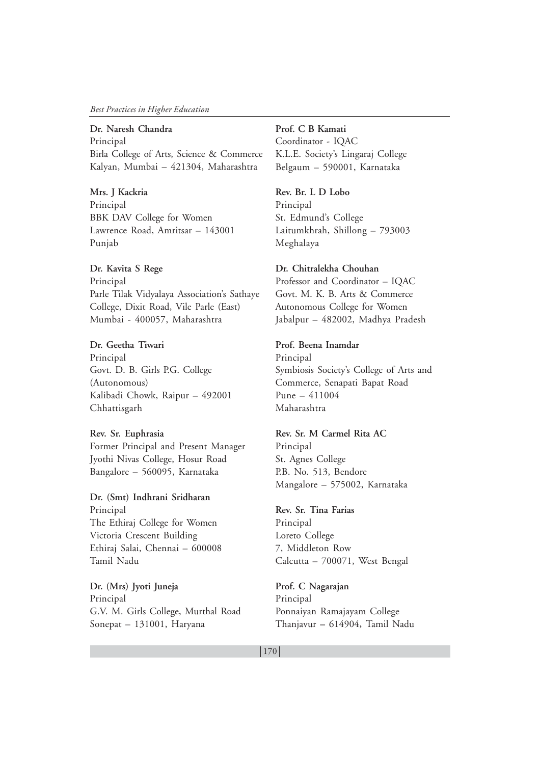#### *Best Practices in Higher Education*

**Dr. Naresh Chandra** Principal Birla College of Arts, Science & Commerce Kalyan, Mumbai – 421304, Maharashtra

**Mrs. J Kackria** Principal BBK DAV College for Women Lawrence Road, Amritsar – 143001 Punjab

**Dr. Kavita S Rege** Principal Parle Tilak Vidyalaya Association's Sathaye College, Dixit Road, Vile Parle (East) Mumbai - 400057, Maharashtra

**Dr. Geetha Tiwari** Principal Govt. D. B. Girls P.G. College (Autonomous) Kalibadi Chowk, Raipur – 492001 Chhattisgarh

# **Rev. Sr. Euphrasia** Former Principal and Present Manager Jyothi Nivas College, Hosur Road Bangalore – 560095, Karnataka

**Dr. (Smt) Indhrani Sridharan** Principal The Ethiraj College for Women Victoria Crescent Building Ethiraj Salai, Chennai – 600008 Tamil Nadu

**Dr. (Mrs) Jyoti Juneja** Principal G.V. M. Girls College, Murthal Road Sonepat – 131001, Haryana

**Prof. C B Kamati** Coordinator - IQAC K.L.E. Society's Lingaraj College Belgaum – 590001, Karnataka

**Rev. Br. L D Lobo** Principal St. Edmund's College Laitumkhrah, Shillong – 793003 Meghalaya

**Dr. Chitralekha Chouhan** Professor and Coordinator – IQAC Govt. M. K. B. Arts & Commerce Autonomous College for Women Jabalpur – 482002, Madhya Pradesh

**Prof. Beena Inamdar** Principal Symbiosis Society's College of Arts and Commerce, Senapati Bapat Road Pune – 411004 Maharashtra

# **Rev. Sr. M Carmel Rita AC** Principal St. Agnes College P.B. No. 513, Bendore Mangalore – 575002, Karnataka

**Rev. Sr. Tina Farias** Principal Loreto College 7, Middleton Row Calcutta – 700071, West Bengal

**Prof. C Nagarajan** Principal Ponnaiyan Ramajayam College Thanjavur **–** 614904**,** Tamil Nadu

#### $|170|$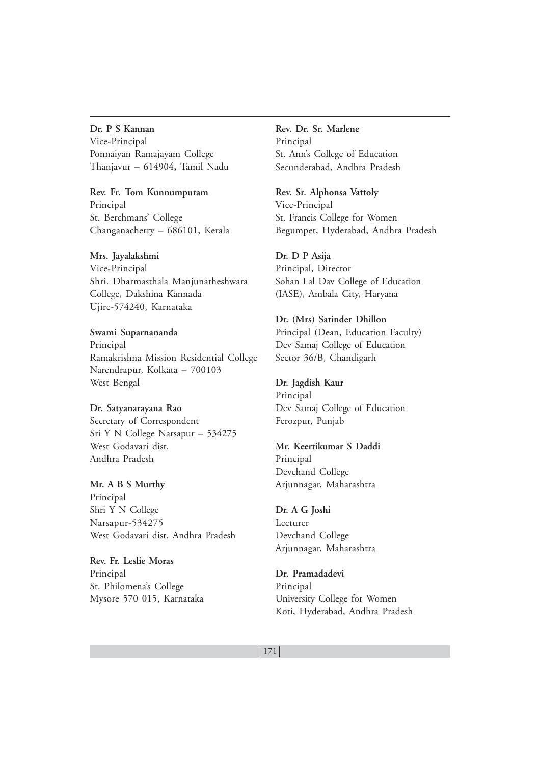## **Dr. P S Kannan**

Vice-Principal Ponnaiyan Ramajayam College Thanjavur **–** 614904**,** Tamil Nadu

**Rev. Fr. Tom Kunnumpuram** Principal St. Berchmans' College Changanacherry – 686101, Kerala

**Mrs. Jayalakshmi** Vice-Principal Shri. Dharmasthala Manjunatheshwara College, Dakshina Kannada Ujire-574240, Karnataka

**Swami Suparnananda** Principal Ramakrishna Mission Residential College Narendrapur, Kolkata – 700103 West Bengal

**Dr. Satyanarayana Rao** Secretary of Correspondent Sri Y N College Narsapur – 534275 West Godavari dist. Andhra Pradesh

**Mr. A B S Murthy** Principal Shri Y N College Narsapur-534275 West Godavari dist. Andhra Pradesh

**Rev. Fr. Leslie Moras** Principal St. Philomena's College Mysore 570 015, Karnataka **Rev. Dr. Sr. Marlene** Principal St. Ann's College of Education Secunderabad, Andhra Pradesh

**Rev. Sr. Alphonsa Vattoly** Vice-Principal St. Francis College for Women Begumpet, Hyderabad, Andhra Pradesh

**Dr. D P Asija** Principal, Director Sohan Lal Dav College of Education (IASE), Ambala City, Haryana

**Dr. (Mrs) Satinder Dhillon** Principal (Dean, Education Faculty) Dev Samaj College of Education Sector 36/B, Chandigarh

**Dr. Jagdish Kaur** Principal Dev Samaj College of Education Ferozpur, Punjab

**Mr. Keertikumar S Daddi** Principal Devchand College Arjunnagar, Maharashtra

**Dr. A G Joshi** Lecturer Devchand College Arjunnagar, Maharashtra

**Dr. Pramadadevi** Principal University College for Women Koti, Hyderabad, Andhra Pradesh